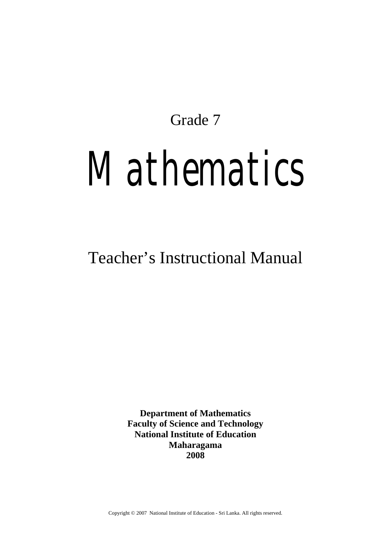Grade 7

# *Mathematics*

## Teacher's Instructional Manual

**Department of Mathematics Faculty of Science and Technology National Institute of Education Maharagama 2008** 

Copyright © 2007 National Institute of Education - Sri Lanka. All rights reserved.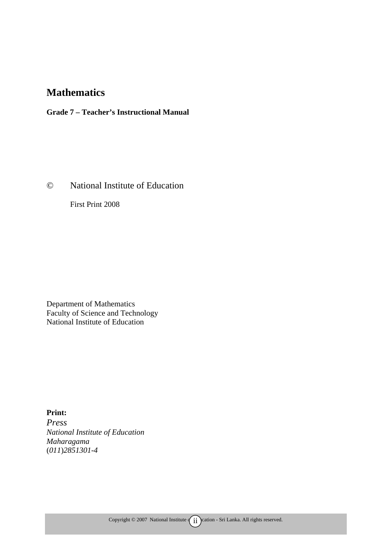## **Mathematics**

**Grade 7 – Teacher's Instructional Manual** 

© National Institute of Education

First Print 2008

Department of Mathematics Faculty of Science and Technology National Institute of Education

**Print:**  *Press National Institute of Education Maharagama*  (*011*)*2851301-4*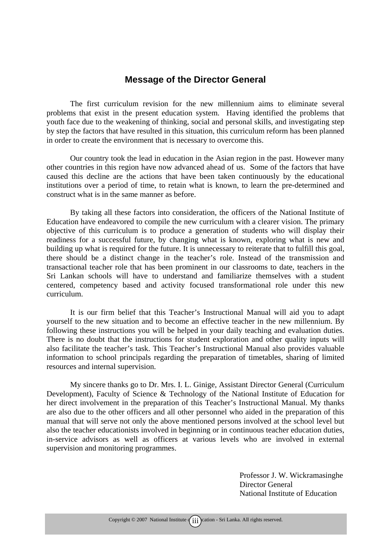#### **Message of the Director General**

The first curriculum revision for the new millennium aims to eliminate several problems that exist in the present education system. Having identified the problems that youth face due to the weakening of thinking, social and personal skills, and investigating step by step the factors that have resulted in this situation, this curriculum reform has been planned in order to create the environment that is necessary to overcome this.

Our country took the lead in education in the Asian region in the past. However many other countries in this region have now advanced ahead of us. Some of the factors that have caused this decline are the actions that have been taken continuously by the educational institutions over a period of time, to retain what is known, to learn the pre-determined and construct what is in the same manner as before.

By taking all these factors into consideration, the officers of the National Institute of Education have endeavored to compile the new curriculum with a clearer vision. The primary objective of this curriculum is to produce a generation of students who will display their readiness for a successful future, by changing what is known, exploring what is new and building up what is required for the future. It is unnecessary to reiterate that to fulfill this goal, there should be a distinct change in the teacher's role. Instead of the transmission and transactional teacher role that has been prominent in our classrooms to date, teachers in the Sri Lankan schools will have to understand and familiarize themselves with a student centered, competency based and activity focused transformational role under this new curriculum.

It is our firm belief that this Teacher's Instructional Manual will aid you to adapt yourself to the new situation and to become an effective teacher in the new millennium. By following these instructions you will be helped in your daily teaching and evaluation duties. There is no doubt that the instructions for student exploration and other quality inputs will also facilitate the teacher's task. This Teacher's Instructional Manual also provides valuable information to school principals regarding the preparation of timetables, sharing of limited resources and internal supervision.

My sincere thanks go to Dr. Mrs. I. L. Ginige, Assistant Director General (Curriculum Development), Faculty of Science & Technology of the National Institute of Education for her direct involvement in the preparation of this Teacher's Instructional Manual. My thanks are also due to the other officers and all other personnel who aided in the preparation of this manual that will serve not only the above mentioned persons involved at the school level but also the teacher educationists involved in beginning or in continuous teacher education duties, in-service advisors as well as officers at various levels who are involved in external supervision and monitoring programmes.

> Professor J. W. Wickramasinghe Director General National Institute of Education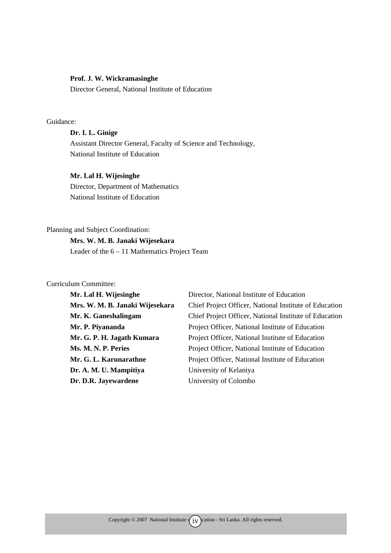#### **Prof. J. W. Wickramasinghe**

Director General, National Institute of Education

#### Guidance:

#### **Dr. I. L. Ginige**

Assistant Director General, Faculty of Science and Technology, National Institute of Education

#### **Mr. Lal H. Wijesinghe**

Director, Department of Mathematics National Institute of Education

#### Planning and Subject Coordination:

**Mrs. W. M. B. Janaki Wijesekara**  Leader of the 6 – 11 Mathematics Project Team

#### Curriculum Committee:

| Mr. Lal H. Wijesinghe           | Director, National Institute of Education              |
|---------------------------------|--------------------------------------------------------|
| Mrs. W. M. B. Janaki Wijesekara | Chief Project Officer, National Institute of Education |
| Mr. K. Ganeshalingam            | Chief Project Officer, National Institute of Education |
| Mr. P. Piyananda                | Project Officer, National Institute of Education       |
| Mr. G. P. H. Jagath Kumara      | Project Officer, National Institute of Education       |
| Ms. M. N. P. Peries             | Project Officer, National Institute of Education       |
| Mr. G. L. Karunarathne          | Project Officer, National Institute of Education       |
| Dr. A. M. U. Mampitiya          | University of Kelaniya                                 |
| Dr. D.R. Jayewardene            | University of Colombo                                  |
|                                 |                                                        |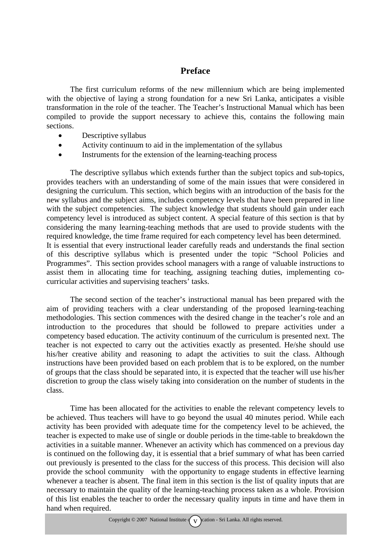#### **Preface**

The first curriculum reforms of the new millennium which are being implemented with the objective of laying a strong foundation for a new Sri Lanka, anticipates a visible transformation in the role of the teacher. The Teacher's Instructional Manual which has been compiled to provide the support necessary to achieve this, contains the following main sections.

- Descriptive syllabus
- Activity continuum to aid in the implementation of the syllabus
- Instruments for the extension of the learning-teaching process

The descriptive syllabus which extends further than the subject topics and sub-topics, provides teachers with an understanding of some of the main issues that were considered in designing the curriculum. This section, which begins with an introduction of the basis for the new syllabus and the subject aims, includes competency levels that have been prepared in line with the subject competencies. The subject knowledge that students should gain under each competency level is introduced as subject content. A special feature of this section is that by considering the many learning-teaching methods that are used to provide students with the required knowledge, the time frame required for each competency level has been determined. It is essential that every instructional leader carefully reads and understands the final section of this descriptive syllabus which is presented under the topic "School Policies and Programmes". This section provides school managers with a range of valuable instructions to assist them in allocating time for teaching, assigning teaching duties, implementing cocurricular activities and supervising teachers' tasks.

The second section of the teacher's instructional manual has been prepared with the aim of providing teachers with a clear understanding of the proposed learning-teaching methodologies. This section commences with the desired change in the teacher's role and an introduction to the procedures that should be followed to prepare activities under a competency based education. The activity continuum of the curriculum is presented next. The teacher is not expected to carry out the activities exactly as presented. He/she should use his/her creative ability and reasoning to adapt the activities to suit the class. Although instructions have been provided based on each problem that is to be explored, on the number of groups that the class should be separated into, it is expected that the teacher will use his/her discretion to group the class wisely taking into consideration on the number of students in the class.

Time has been allocated for the activities to enable the relevant competency levels to be achieved. Thus teachers will have to go beyond the usual 40 minutes period. While each activity has been provided with adequate time for the competency level to be achieved, the teacher is expected to make use of single or double periods in the time-table to breakdown the activities in a suitable manner. Whenever an activity which has commenced on a previous day is continued on the following day, it is essential that a brief summary of what has been carried out previously is presented to the class for the success of this process. This decision will also provide the school community with the opportunity to engage students in effective learning whenever a teacher is absent. The final item in this section is the list of quality inputs that are necessary to maintain the quality of the learning-teaching process taken as a whole. Provision of this list enables the teacher to order the necessary quality inputs in time and have them in hand when required.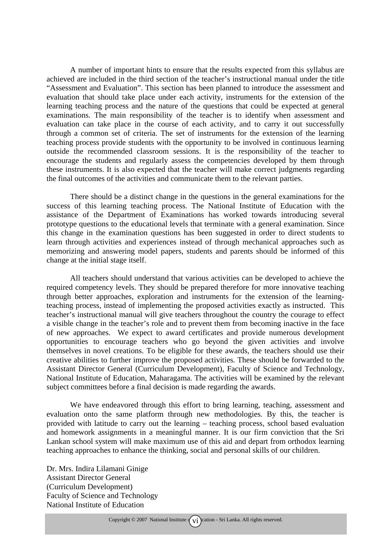A number of important hints to ensure that the results expected from this syllabus are achieved are included in the third section of the teacher's instructional manual under the title "Assessment and Evaluation". This section has been planned to introduce the assessment and evaluation that should take place under each activity, instruments for the extension of the learning teaching process and the nature of the questions that could be expected at general examinations. The main responsibility of the teacher is to identify when assessment and evaluation can take place in the course of each activity, and to carry it out successfully through a common set of criteria. The set of instruments for the extension of the learning teaching process provide students with the opportunity to be involved in continuous learning outside the recommended classroom sessions. It is the responsibility of the teacher to encourage the students and regularly assess the competencies developed by them through these instruments. It is also expected that the teacher will make correct judgments regarding the final outcomes of the activities and communicate them to the relevant parties.

There should be a distinct change in the questions in the general examinations for the success of this learning teaching process. The National Institute of Education with the assistance of the Department of Examinations has worked towards introducing several prototype questions to the educational levels that terminate with a general examination. Since this change in the examination questions has been suggested in order to direct students to learn through activities and experiences instead of through mechanical approaches such as memorizing and answering model papers, students and parents should be informed of this change at the initial stage itself.

All teachers should understand that various activities can be developed to achieve the required competency levels. They should be prepared therefore for more innovative teaching through better approaches, exploration and instruments for the extension of the learningteaching process, instead of implementing the proposed activities exactly as instructed. This teacher's instructional manual will give teachers throughout the country the courage to effect a visible change in the teacher's role and to prevent them from becoming inactive in the face of new approaches. We expect to award certificates and provide numerous development opportunities to encourage teachers who go beyond the given activities and involve themselves in novel creations. To be eligible for these awards, the teachers should use their creative abilities to further improve the proposed activities. These should be forwarded to the Assistant Director General (Curriculum Development), Faculty of Science and Technology, National Institute of Education, Maharagama. The activities will be examined by the relevant subject committees before a final decision is made regarding the awards.

We have endeavored through this effort to bring learning, teaching, assessment and evaluation onto the same platform through new methodologies. By this, the teacher is provided with latitude to carry out the learning – teaching process, school based evaluation and homework assignments in a meaningful manner. It is our firm conviction that the Sri Lankan school system will make maximum use of this aid and depart from orthodox learning teaching approaches to enhance the thinking, social and personal skills of our children.

Dr. Mrs. Indira Lilamani Ginige Assistant Director General (Curriculum Development) Faculty of Science and Technology National Institute of Education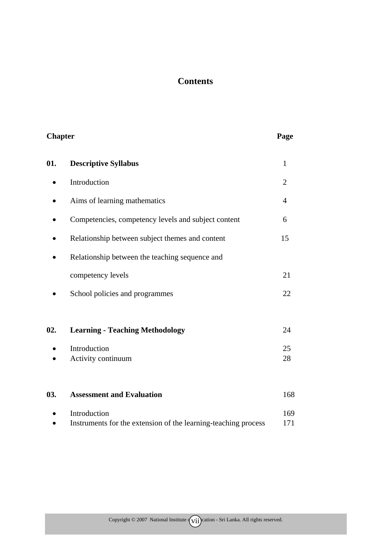#### **Contents**

| <b>Chapter</b> |                                                                | Page           |
|----------------|----------------------------------------------------------------|----------------|
| 01.            | <b>Descriptive Syllabus</b>                                    | $\mathbf{1}$   |
|                | Introduction                                                   | $\overline{2}$ |
|                | Aims of learning mathematics                                   | 4              |
|                | Competencies, competency levels and subject content            | 6              |
|                | Relationship between subject themes and content                | 15             |
|                | Relationship between the teaching sequence and                 |                |
|                | competency levels                                              | 21             |
|                | School policies and programmes                                 | 22             |
| 02.            | <b>Learning - Teaching Methodology</b>                         | 24             |
|                | Introduction<br>Activity continuum                             | 25<br>28       |
| 03.            | <b>Assessment and Evaluation</b>                               | 168            |
|                | Introduction                                                   | 169            |
|                | Instruments for the extension of the learning-teaching process | 171            |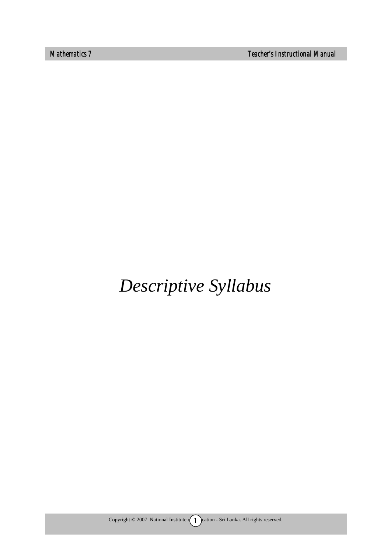*Mathematics 7 Teacher's Instructional Manual* 

# *Descriptive Syllabus*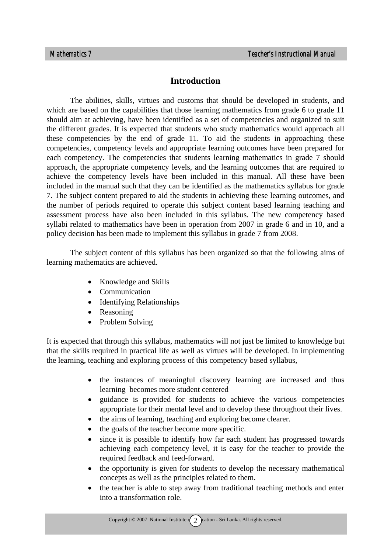#### **Introduction**

The abilities, skills, virtues and customs that should be developed in students, and which are based on the capabilities that those learning mathematics from grade 6 to grade 11 should aim at achieving, have been identified as a set of competencies and organized to suit the different grades. It is expected that students who study mathematics would approach all these competencies by the end of grade 11. To aid the students in approaching these competencies, competency levels and appropriate learning outcomes have been prepared for each competency. The competencies that students learning mathematics in grade 7 should approach, the appropriate competency levels, and the learning outcomes that are required to achieve the competency levels have been included in this manual. All these have been included in the manual such that they can be identified as the mathematics syllabus for grade 7. The subject content prepared to aid the students in achieving these learning outcomes, and the number of periods required to operate this subject content based learning teaching and assessment process have also been included in this syllabus. The new competency based syllabi related to mathematics have been in operation from 2007 in grade 6 and in 10, and a policy decision has been made to implement this syllabus in grade 7 from 2008.

The subject content of this syllabus has been organized so that the following aims of learning mathematics are achieved.

- Knowledge and Skills
- Communication
- Identifying Relationships
- Reasoning
- Problem Solving

It is expected that through this syllabus, mathematics will not just be limited to knowledge but that the skills required in practical life as well as virtues will be developed. In implementing the learning, teaching and exploring process of this competency based syllabus,

- the instances of meaningful discovery learning are increased and thus learning becomes more student centered
- guidance is provided for students to achieve the various competencies appropriate for their mental level and to develop these throughout their lives.
- the aims of learning, teaching and exploring become clearer.
- the goals of the teacher become more specific.
- since it is possible to identify how far each student has progressed towards achieving each competency level, it is easy for the teacher to provide the required feedback and feed-forward.
- the opportunity is given for students to develop the necessary mathematical concepts as well as the principles related to them.
- the teacher is able to step away from traditional teaching methods and enter into a transformation role.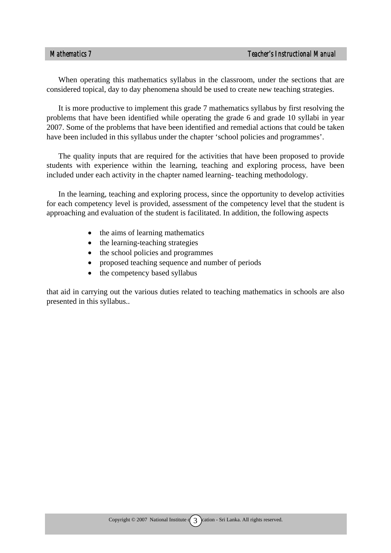When operating this mathematics syllabus in the classroom, under the sections that are considered topical, day to day phenomena should be used to create new teaching strategies.

It is more productive to implement this grade 7 mathematics syllabus by first resolving the problems that have been identified while operating the grade 6 and grade 10 syllabi in year 2007. Some of the problems that have been identified and remedial actions that could be taken have been included in this syllabus under the chapter 'school policies and programmes'.

The quality inputs that are required for the activities that have been proposed to provide students with experience within the learning, teaching and exploring process, have been included under each activity in the chapter named learning- teaching methodology.

In the learning, teaching and exploring process, since the opportunity to develop activities for each competency level is provided, assessment of the competency level that the student is approaching and evaluation of the student is facilitated. In addition, the following aspects

- the aims of learning mathematics
- the learning-teaching strategies
- the school policies and programmes
- proposed teaching sequence and number of periods
- the competency based syllabus

that aid in carrying out the various duties related to teaching mathematics in schools are also presented in this syllabus..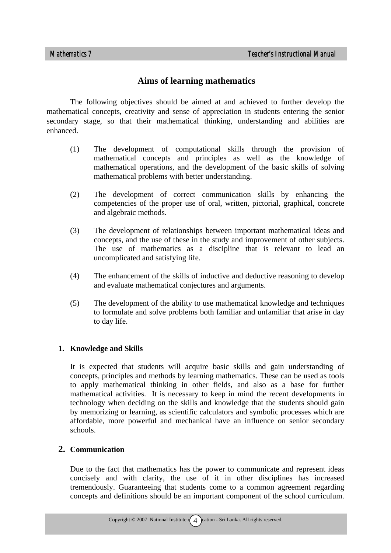#### **Aims of learning mathematics**

The following objectives should be aimed at and achieved to further develop the mathematical concepts, creativity and sense of appreciation in students entering the senior secondary stage, so that their mathematical thinking, understanding and abilities are enhanced.

- (1) The development of computational skills through the provision of mathematical concepts and principles as well as the knowledge of mathematical operations, and the development of the basic skills of solving mathematical problems with better understanding.
- (2) The development of correct communication skills by enhancing the competencies of the proper use of oral, written, pictorial, graphical, concrete and algebraic methods.
- (3) The development of relationships between important mathematical ideas and concepts, and the use of these in the study and improvement of other subjects. The use of mathematics as a discipline that is relevant to lead an uncomplicated and satisfying life.
- (4) The enhancement of the skills of inductive and deductive reasoning to develop and evaluate mathematical conjectures and arguments.
- (5) The development of the ability to use mathematical knowledge and techniques to formulate and solve problems both familiar and unfamiliar that arise in day to day life.

#### **1. Knowledge and Skills**

It is expected that students will acquire basic skills and gain understanding of concepts, principles and methods by learning mathematics. These can be used as tools to apply mathematical thinking in other fields, and also as a base for further mathematical activities. It is necessary to keep in mind the recent developments in technology when deciding on the skills and knowledge that the students should gain by memorizing or learning, as scientific calculators and symbolic processes which are affordable, more powerful and mechanical have an influence on senior secondary schools.

#### **2. Communication**

Due to the fact that mathematics has the power to communicate and represent ideas concisely and with clarity, the use of it in other disciplines has increased tremendously. Guaranteeing that students come to a common agreement regarding concepts and definitions should be an important component of the school curriculum.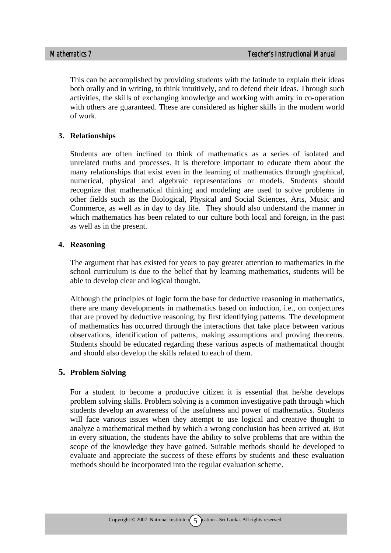This can be accomplished by providing students with the latitude to explain their ideas both orally and in writing, to think intuitively, and to defend their ideas. Through such activities, the skills of exchanging knowledge and working with amity in co-operation with others are guaranteed. These are considered as higher skills in the modern world of work.

#### **3. Relationships**

Students are often inclined to think of mathematics as a series of isolated and unrelated truths and processes. It is therefore important to educate them about the many relationships that exist even in the learning of mathematics through graphical, numerical, physical and algebraic representations or models. Students should recognize that mathematical thinking and modeling are used to solve problems in other fields such as the Biological, Physical and Social Sciences, Arts, Music and Commerce, as well as in day to day life. They should also understand the manner in which mathematics has been related to our culture both local and foreign, in the past as well as in the present.

#### **4. Reasoning**

The argument that has existed for years to pay greater attention to mathematics in the school curriculum is due to the belief that by learning mathematics, students will be able to develop clear and logical thought.

Although the principles of logic form the base for deductive reasoning in mathematics, there are many developments in mathematics based on induction, i.e., on conjectures that are proved by deductive reasoning, by first identifying patterns. The development of mathematics has occurred through the interactions that take place between various observations, identification of patterns, making assumptions and proving theorems. Students should be educated regarding these various aspects of mathematical thought and should also develop the skills related to each of them.

#### **5. Problem Solving**

For a student to become a productive citizen it is essential that he/she develops problem solving skills. Problem solving is a common investigative path through which students develop an awareness of the usefulness and power of mathematics. Students will face various issues when they attempt to use logical and creative thought to analyze a mathematical method by which a wrong conclusion has been arrived at. But in every situation, the students have the ability to solve problems that are within the scope of the knowledge they have gained. Suitable methods should be developed to evaluate and appreciate the success of these efforts by students and these evaluation methods should be incorporated into the regular evaluation scheme.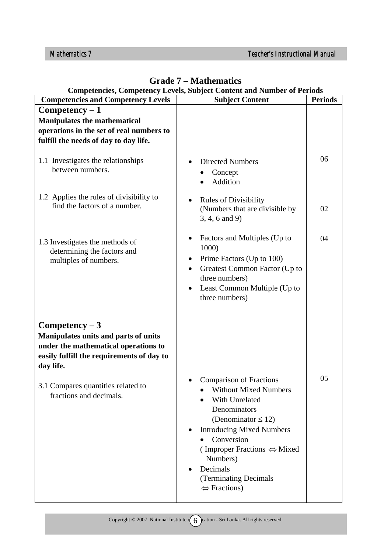| <b>Competencies and Competency Levels</b>                                                                                                                                                                                   | <b>Subject Content</b>                                                                                                                                                                                                                                                                                        | <b>Periods</b> |
|-----------------------------------------------------------------------------------------------------------------------------------------------------------------------------------------------------------------------------|---------------------------------------------------------------------------------------------------------------------------------------------------------------------------------------------------------------------------------------------------------------------------------------------------------------|----------------|
| $Competency - 1$                                                                                                                                                                                                            |                                                                                                                                                                                                                                                                                                               |                |
| <b>Manipulates the mathematical</b>                                                                                                                                                                                         |                                                                                                                                                                                                                                                                                                               |                |
| operations in the set of real numbers to                                                                                                                                                                                    |                                                                                                                                                                                                                                                                                                               |                |
| fulfill the needs of day to day life.                                                                                                                                                                                       |                                                                                                                                                                                                                                                                                                               |                |
| 1.1 Investigates the relationships<br>between numbers.                                                                                                                                                                      | <b>Directed Numbers</b><br>Concept<br>Addition                                                                                                                                                                                                                                                                | 06             |
| 1.2 Applies the rules of divisibility to<br>find the factors of a number.                                                                                                                                                   | <b>Rules of Divisibility</b><br>(Numbers that are divisible by<br>$3, 4, 6$ and 9)                                                                                                                                                                                                                            | 02             |
| 1.3 Investigates the methods of<br>determining the factors and<br>multiples of numbers.                                                                                                                                     | Factors and Multiples (Up to<br>1000)<br>Prime Factors (Up to 100)<br>$\bullet$<br>Greatest Common Factor (Up to<br>$\bullet$<br>three numbers)<br>Least Common Multiple (Up to<br>three numbers)                                                                                                             | 04             |
| $Competency - 3$<br>Manipulates units and parts of units<br>under the mathematical operations to<br>easily fulfill the requirements of day to<br>day life.<br>3.1 Compares quantities related to<br>fractions and decimals. | <b>Comparison of Fractions</b><br><b>Without Mixed Numbers</b><br>With Unrelated<br>Denominators<br>(Denominator $\leq$ 12)<br><b>Introducing Mixed Numbers</b><br>Conversion<br>(Improper Fractions $\Leftrightarrow$ Mixed<br>Numbers)<br>Decimals<br>(Terminating Decimals<br>$\Leftrightarrow$ Fractions) | 05             |

#### **Grade 7 – Mathematics Competencies, Competency Levels, Subject Content and Number of Periods**

Copyright  $\odot$  2007 National Institute  $\left(6\right)$  cation - Sri Lanka. All rights reserved.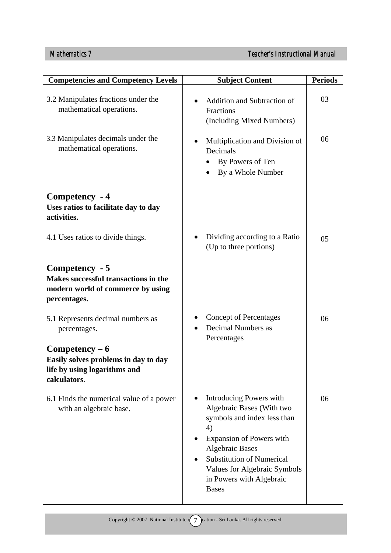| <b>Competencies and Competency Levels</b>                                                                   | <b>Subject Content</b>                                                                                                                                                                                                                                                 | <b>Periods</b> |
|-------------------------------------------------------------------------------------------------------------|------------------------------------------------------------------------------------------------------------------------------------------------------------------------------------------------------------------------------------------------------------------------|----------------|
| 3.2 Manipulates fractions under the<br>mathematical operations.                                             | <b>Addition and Subtraction of</b><br>Fractions<br>(Including Mixed Numbers)                                                                                                                                                                                           | 03             |
| 3.3 Manipulates decimals under the<br>mathematical operations.                                              | Multiplication and Division of<br>Decimals<br>By Powers of Ten<br>By a Whole Number                                                                                                                                                                                    | 06             |
| Competency - 4<br>Uses ratios to facilitate day to day<br>activities.                                       |                                                                                                                                                                                                                                                                        |                |
| 4.1 Uses ratios to divide things.                                                                           | Dividing according to a Ratio<br>(Up to three portions)                                                                                                                                                                                                                | 05             |
| Competency - 5<br>Makes successful transactions in the<br>modern world of commerce by using<br>percentages. |                                                                                                                                                                                                                                                                        |                |
| 5.1 Represents decimal numbers as<br>percentages.                                                           | <b>Concept of Percentages</b><br>Decimal Numbers as<br>Percentages                                                                                                                                                                                                     | 06             |
| $Competency-6$<br>Easily solves problems in day to day<br>life by using logarithms and<br>calculators.      |                                                                                                                                                                                                                                                                        |                |
| 6.1 Finds the numerical value of a power<br>with an algebraic base.                                         | Introducing Powers with<br>Algebraic Bases (With two<br>symbols and index less than<br>4)<br><b>Expansion of Powers with</b><br><b>Algebraic Bases</b><br><b>Substitution of Numerical</b><br>Values for Algebraic Symbols<br>in Powers with Algebraic<br><b>Bases</b> | 06             |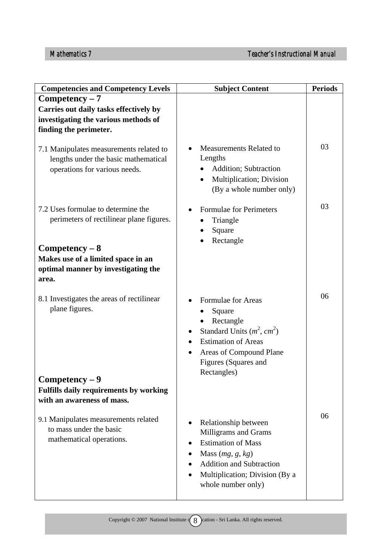| <b>Competencies and Competency Levels</b>                                                                                                                                                | <b>Subject Content</b>                                                                                                                                                                     | <b>Periods</b> |
|------------------------------------------------------------------------------------------------------------------------------------------------------------------------------------------|--------------------------------------------------------------------------------------------------------------------------------------------------------------------------------------------|----------------|
| $Competency - 7$<br>Carries out daily tasks effectively by<br>investigating the various methods of<br>finding the perimeter.                                                             |                                                                                                                                                                                            |                |
| 7.1 Manipulates measurements related to<br>lengths under the basic mathematical<br>operations for various needs.                                                                         | Measurements Related to<br>Lengths<br>Addition; Subtraction<br>Multiplication; Division<br>٠<br>(By a whole number only)                                                                   | 03             |
| 7.2 Uses formulae to determine the<br>perimeters of rectilinear plane figures.<br>$Competency - 8$<br>Makes use of a limited space in an<br>optimal manner by investigating the<br>area. | Formulae for Perimeters<br>Triangle<br>Square<br>Rectangle                                                                                                                                 | 03             |
| 8.1 Investigates the areas of rectilinear<br>plane figures.<br>$Competency - 9$<br>Fulfills daily requirements by working<br>with an awareness of mass.                                  | Formulae for Areas<br>Square<br>Rectangle<br>Standard Units $(m^2, cm^2)$<br>٠<br><b>Estimation of Areas</b><br>Areas of Compound Plane<br>Figures (Squares and<br>Rectangles)             | 06             |
| 9.1 Manipulates measurements related<br>to mass under the basic<br>mathematical operations.                                                                                              | Relationship between<br>Milligrams and Grams<br><b>Estimation of Mass</b><br>Mass $(mg, g, kg)$<br><b>Addition and Subtraction</b><br>Multiplication; Division (By a<br>whole number only) | 06             |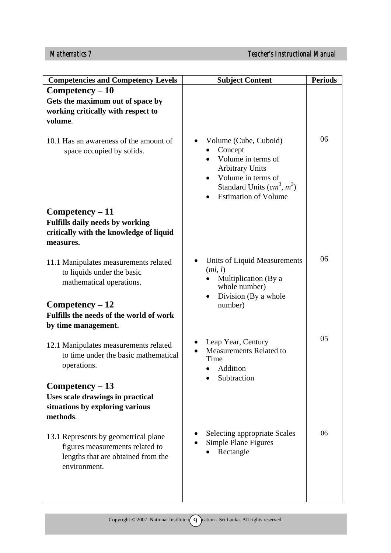| <b>Competencies and Competency Levels</b>                                                                                     | <b>Subject Content</b>                                                                                                                                              | <b>Periods</b> |
|-------------------------------------------------------------------------------------------------------------------------------|---------------------------------------------------------------------------------------------------------------------------------------------------------------------|----------------|
| $Competency - 10$                                                                                                             |                                                                                                                                                                     |                |
| Gets the maximum out of space by<br>working critically with respect to<br>volume.                                             |                                                                                                                                                                     |                |
| 10.1 Has an awareness of the amount of<br>space occupied by solids.                                                           | Volume (Cube, Cuboid)<br>Concept<br>Volume in terms of<br><b>Arbitrary Units</b><br>Volume in terms of<br>Standard Units $(cm3, m3)$<br><b>Estimation of Volume</b> | 06             |
| Competency - 11<br><b>Fulfills daily needs by working</b><br>critically with the knowledge of liquid<br>measures.             |                                                                                                                                                                     |                |
| 11.1 Manipulates measurements related<br>to liquids under the basic<br>mathematical operations.                               | Units of Liquid Measurements<br>(ml, l)<br>Multiplication (By a<br>whole number)<br>Division (By a whole                                                            | 06             |
| $Competency - 12$<br>Fulfills the needs of the world of work<br>by time management.                                           | number)                                                                                                                                                             |                |
| 12.1 Manipulates measurements related<br>to time under the basic mathematical<br>operations.                                  | Leap Year, Century<br><b>Measurements Related to</b><br>Time<br>Addition<br>Subtraction                                                                             | 05             |
| Competency - 13                                                                                                               |                                                                                                                                                                     |                |
| Uses scale drawings in practical<br>situations by exploring various<br>methods.                                               |                                                                                                                                                                     |                |
| 13.1 Represents by geometrical plane<br>figures measurements related to<br>lengths that are obtained from the<br>environment. | <b>Selecting appropriate Scales</b><br>Simple Plane Figures<br>Rectangle                                                                                            | 06             |
|                                                                                                                               |                                                                                                                                                                     |                |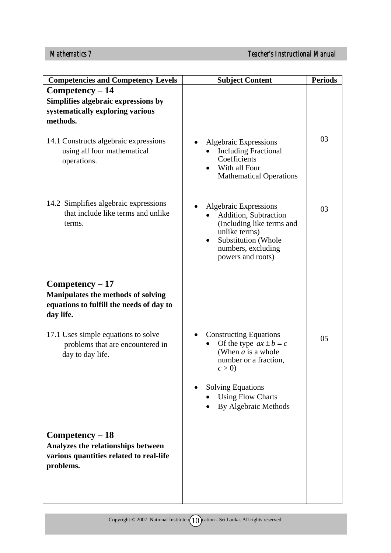| <b>Competencies and Competency Levels</b>                                                                        |                                                                                                                                                                                                       | <b>Periods</b> |
|------------------------------------------------------------------------------------------------------------------|-------------------------------------------------------------------------------------------------------------------------------------------------------------------------------------------------------|----------------|
| $Competency - 14$                                                                                                | <b>Subject Content</b>                                                                                                                                                                                |                |
| Simplifies algebraic expressions by<br>systematically exploring various<br>methods.                              |                                                                                                                                                                                                       |                |
| 14.1 Constructs algebraic expressions<br>using all four mathematical<br>operations.                              | Algebraic Expressions<br><b>Including Fractional</b><br>Coefficients<br>With all Four<br><b>Mathematical Operations</b>                                                                               | 03             |
| 14.2 Simplifies algebraic expressions<br>that include like terms and unlike<br>terms.                            | <b>Algebraic Expressions</b><br>Addition, Subtraction<br>(Including like terms and<br>unlike terms)<br>Substitution (Whole<br>$\bullet$<br>numbers, excluding<br>powers and roots)                    | 03             |
| $Competency - 17$<br>Manipulates the methods of solving<br>equations to fulfill the needs of day to<br>day life. |                                                                                                                                                                                                       |                |
| 17.1 Uses simple equations to solve<br>problems that are encountered in<br>day to day life.                      | <b>Constructing Equations</b><br>Of the type $ax \pm b = c$<br>(When $a$ is a whole<br>number or a fraction,<br>c > 0<br><b>Solving Equations</b><br><b>Using Flow Charts</b><br>By Algebraic Methods | 05             |
| Competency - 18<br>Analyzes the relationships between<br>various quantities related to real-life<br>problems.    |                                                                                                                                                                                                       |                |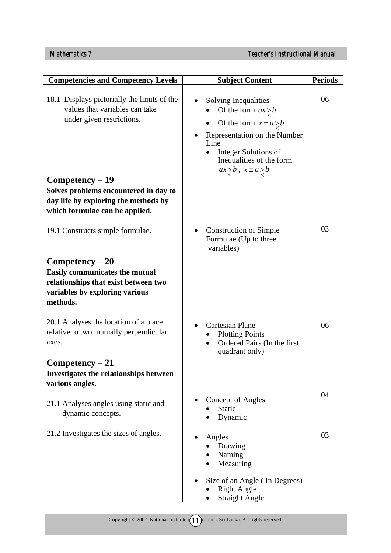| <b>Competencies and Competency Levels</b>                                                                                                        | <b>Subject Content</b>                                                                                                                                                                                  | <b>Periods</b> |
|--------------------------------------------------------------------------------------------------------------------------------------------------|---------------------------------------------------------------------------------------------------------------------------------------------------------------------------------------------------------|----------------|
| 18.1 Displays pictorially the limits of the<br>values that variables can take<br>under given restrictions.                                       | Solving Inequalities<br>Of the form $ax > b$<br>Of the form $x \pm a > b$<br>Representation on the Number<br>Line<br>Integer Solutions of<br>Inequalities of the form<br>$ax \geq b$ , $x \pm a \geq b$ | 06             |
| Competency - 19<br>Solves problems encountered in day to<br>day life by exploring the methods by<br>which formulae can be applied.               |                                                                                                                                                                                                         |                |
| 19.1 Constructs simple formulae.                                                                                                                 | <b>Construction of Simple</b><br>Formulae (Up to three<br>variables)                                                                                                                                    | 03             |
| $Competency - 20$<br><b>Easily communicates the mutual</b><br>relationships that exist between two<br>variables by exploring various<br>methods. |                                                                                                                                                                                                         |                |
| 20.1 Analyses the location of a place<br>relative to two mutually perpendicular<br>axes.                                                         | <b>Cartesian Plane</b><br><b>Plotting Points</b><br>Ordered Pairs (In the first<br>$\bullet$<br>quadrant only)                                                                                          | 06             |
| $Competency - 21$<br>Investigates the relationships between<br>various angles.                                                                   |                                                                                                                                                                                                         |                |
| 21.1 Analyses angles using static and<br>dynamic concepts.                                                                                       | <b>Concept of Angles</b><br>Static<br>Dynamic                                                                                                                                                           | 04             |
| 21.2 Investigates the sizes of angles.                                                                                                           | Angles<br>Drawing<br>Naming<br>Measuring                                                                                                                                                                | 03             |
|                                                                                                                                                  | Size of an Angle (In Degrees)<br><b>Right Angle</b><br><b>Straight Angle</b>                                                                                                                            |                |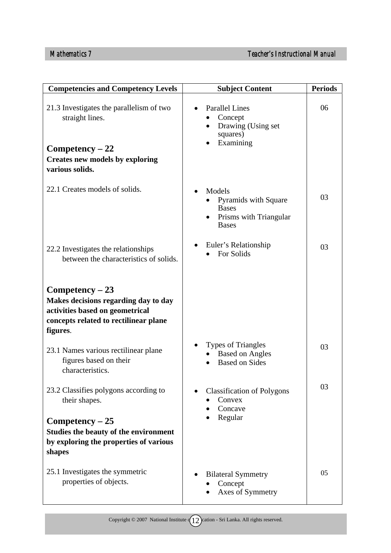| <b>Competencies and Competency Levels</b>                                                                                                                                | <b>Subject Content</b>                                                                       | <b>Periods</b> |
|--------------------------------------------------------------------------------------------------------------------------------------------------------------------------|----------------------------------------------------------------------------------------------|----------------|
| 21.3 Investigates the parallelism of two<br>straight lines.<br>$Competency - 22$<br><b>Creates new models by exploring</b><br>various solids.                            | <b>Parallel Lines</b><br>Concept<br>Drawing (Using set<br>$\bullet$<br>squares)<br>Examining | 06             |
| 22.1 Creates models of solids.                                                                                                                                           | Models<br>Pyramids with Square<br><b>Bases</b><br>Prisms with Triangular<br><b>Bases</b>     | 03             |
| 22.2 Investigates the relationships<br>between the characteristics of solids.                                                                                            | Euler's Relationship<br>For Solids                                                           | 03             |
| $Competency - 23$<br>Makes decisions regarding day to day<br>activities based on geometrical<br>concepts related to rectilinear plane<br>figures.                        |                                                                                              |                |
| 23.1 Names various rectilinear plane<br>figures based on their<br>characteristics.                                                                                       | <b>Types of Triangles</b><br><b>Based on Angles</b><br><b>Based on Sides</b>                 | 03             |
| 23.2 Classifies polygons according to<br>their shapes.<br>$Competency - 25$<br>Studies the beauty of the environment<br>by exploring the properties of various<br>shapes | <b>Classification of Polygons</b><br>Convex<br>Concave<br>Regular                            | 03             |
| 25.1 Investigates the symmetric<br>properties of objects.                                                                                                                | <b>Bilateral Symmetry</b><br>Concept<br>Axes of Symmetry                                     | 05             |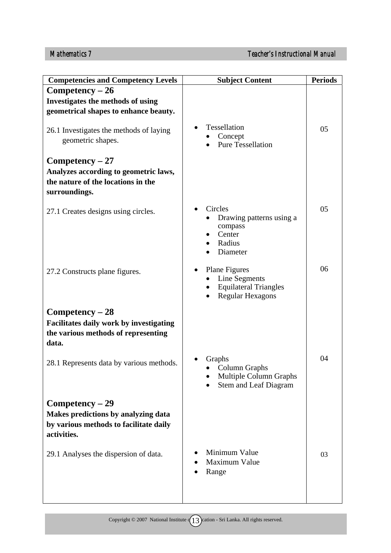| <b>Competencies and Competency Levels</b>                                                                         | <b>Subject Content</b>                                                                    | <b>Periods</b> |
|-------------------------------------------------------------------------------------------------------------------|-------------------------------------------------------------------------------------------|----------------|
| $Competency - 26$                                                                                                 |                                                                                           |                |
| Investigates the methods of using<br>geometrical shapes to enhance beauty.                                        |                                                                                           |                |
| 26.1 Investigates the methods of laying<br>geometric shapes.                                                      | Tessellation<br>Concept<br><b>Pure Tessellation</b>                                       | 05             |
| $Competency - 27$                                                                                                 |                                                                                           |                |
| Analyzes according to geometric laws,<br>the nature of the locations in the<br>surroundings.                      |                                                                                           |                |
| 27.1 Creates designs using circles.                                                                               | Circles<br>Drawing patterns using a<br>compass<br>Center<br>Radius<br>Diameter            | 05             |
| 27.2 Constructs plane figures.                                                                                    | Plane Figures<br>Line Segments<br><b>Equilateral Triangles</b><br><b>Regular Hexagons</b> | 06             |
| Competency - 28                                                                                                   |                                                                                           |                |
| Facilitates daily work by investigating<br>the various methods of representing<br>data.                           |                                                                                           |                |
| 28.1 Represents data by various methods.                                                                          | Graphs<br>Column Graphs<br>Multiple Column Graphs<br><b>Stem and Leaf Diagram</b>         | 04             |
| $Competency - 29$<br>Makes predictions by analyzing data<br>by various methods to facilitate daily<br>activities. |                                                                                           |                |
| 29.1 Analyses the dispersion of data.                                                                             | Minimum Value<br>Maximum Value<br>Range                                                   | 03             |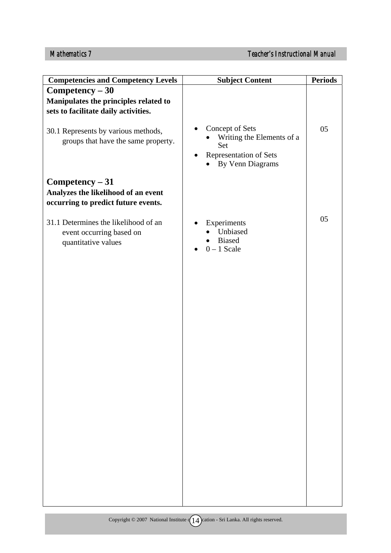| <b>Competencies and Competency Levels</b>                                                       | <b>Subject Content</b>                                                                                 | <b>Periods</b> |
|-------------------------------------------------------------------------------------------------|--------------------------------------------------------------------------------------------------------|----------------|
| Competency - 30                                                                                 |                                                                                                        |                |
| Manipulates the principles related to                                                           |                                                                                                        |                |
| sets to facilitate daily activities.                                                            |                                                                                                        |                |
| 30.1 Represents by various methods,<br>groups that have the same property.                      | Concept of Sets<br>Writing the Elements of a<br>Set<br>Representation of Sets<br>٠<br>By Venn Diagrams | 05             |
| $Competency - 31$<br>Analyzes the likelihood of an event<br>occurring to predict future events. |                                                                                                        |                |
| 31.1 Determines the likelihood of an<br>event occurring based on<br>quantitative values         | Experiments<br>Unbiased<br><b>Biased</b><br>$0 - 1$ Scale                                              | 05             |
|                                                                                                 |                                                                                                        |                |
|                                                                                                 |                                                                                                        |                |
|                                                                                                 |                                                                                                        |                |
|                                                                                                 |                                                                                                        |                |
|                                                                                                 |                                                                                                        |                |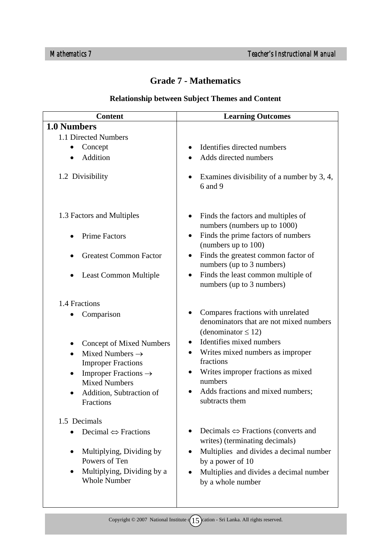#### **Grade 7 - Mathematics**

## **Relationship between Subject Themes and Content**

| <b>Content</b>                                                                                                                                            | <b>Learning Outcomes</b>                                                                                                                                                                                                         |
|-----------------------------------------------------------------------------------------------------------------------------------------------------------|----------------------------------------------------------------------------------------------------------------------------------------------------------------------------------------------------------------------------------|
| 1.0 Numbers                                                                                                                                               |                                                                                                                                                                                                                                  |
| 1.1 Directed Numbers                                                                                                                                      |                                                                                                                                                                                                                                  |
| Concept                                                                                                                                                   | Identifies directed numbers<br>$\bullet$                                                                                                                                                                                         |
| Addition                                                                                                                                                  | Adds directed numbers                                                                                                                                                                                                            |
| 1.2 Divisibility                                                                                                                                          | Examines divisibility of a number by 3, 4,<br>6 and 9                                                                                                                                                                            |
| 1.3 Factors and Multiples                                                                                                                                 | Finds the factors and multiples of<br>٠<br>numbers (numbers up to 1000)                                                                                                                                                          |
| <b>Prime Factors</b>                                                                                                                                      | Finds the prime factors of numbers<br>$\bullet$<br>(numbers up to 100)                                                                                                                                                           |
| <b>Greatest Common Factor</b>                                                                                                                             | Finds the greatest common factor of<br>$\bullet$<br>numbers (up to 3 numbers)                                                                                                                                                    |
| <b>Least Common Multiple</b>                                                                                                                              | Finds the least common multiple of<br>$\bullet$<br>numbers (up to 3 numbers)                                                                                                                                                     |
| 1.4 Fractions                                                                                                                                             |                                                                                                                                                                                                                                  |
| Comparison                                                                                                                                                | Compares fractions with unrelated<br>٠<br>denominators that are not mixed numbers<br>(denominator $\leq$ 12)                                                                                                                     |
| <b>Concept of Mixed Numbers</b><br>Mixed Numbers $\rightarrow$<br>$\bullet$<br><b>Improper Fractions</b><br>Improper Fractions $\rightarrow$<br>$\bullet$ | Identifies mixed numbers<br>Writes mixed numbers as improper<br>fractions<br>Writes improper fractions as mixed<br>$\bullet$                                                                                                     |
| <b>Mixed Numbers</b>                                                                                                                                      | numbers                                                                                                                                                                                                                          |
| Addition, Subtraction of<br><b>Fractions</b>                                                                                                              | Adds fractions and mixed numbers;<br>$\bullet$<br>subtracts them                                                                                                                                                                 |
| 1.5 Decimals                                                                                                                                              |                                                                                                                                                                                                                                  |
| Decimal $\Leftrightarrow$ Fractions<br>Multiplying, Dividing by<br>Powers of Ten<br>Multiplying, Dividing by a<br><b>Whole Number</b>                     | Decimals $\Leftrightarrow$ Fractions (converts and<br>$\bullet$<br>writes) (terminating decimals)<br>Multiplies and divides a decimal number<br>by a power of 10<br>Multiplies and divides a decimal number<br>by a whole number |
|                                                                                                                                                           |                                                                                                                                                                                                                                  |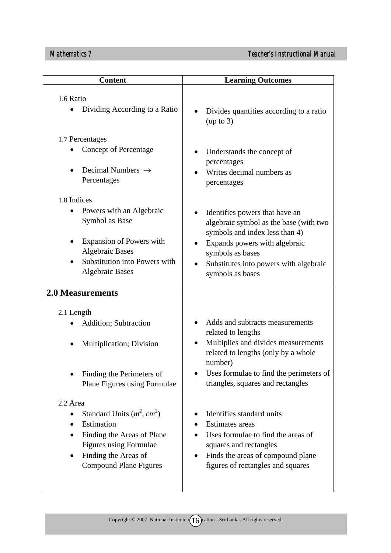| <b>Content</b>                                                                                                                           | <b>Learning Outcomes</b>                                                                                                                                                                                  |
|------------------------------------------------------------------------------------------------------------------------------------------|-----------------------------------------------------------------------------------------------------------------------------------------------------------------------------------------------------------|
|                                                                                                                                          |                                                                                                                                                                                                           |
| 1.6 Ratio<br>Dividing According to a Ratio                                                                                               | Divides quantities according to a ratio<br>(up to 3)                                                                                                                                                      |
| 1.7 Percentages                                                                                                                          |                                                                                                                                                                                                           |
| <b>Concept of Percentage</b><br>Decimal Numbers $\rightarrow$<br>Percentages                                                             | Understands the concept of<br>percentages<br>Writes decimal numbers as<br>percentages                                                                                                                     |
| 1.8 Indices                                                                                                                              |                                                                                                                                                                                                           |
| Powers with an Algebraic<br>Symbol as Base<br><b>Expansion of Powers with</b><br><b>Algebraic Bases</b><br>Substitution into Powers with | Identifies powers that have an<br>algebraic symbol as the base (with two<br>symbols and index less than 4)<br>Expands powers with algebraic<br>symbols as bases<br>Substitutes into powers with algebraic |
| <b>Algebraic Bases</b><br><b>2.0 Measurements</b>                                                                                        | symbols as bases                                                                                                                                                                                          |
|                                                                                                                                          |                                                                                                                                                                                                           |
| 2.1 Length<br><b>Addition</b> ; Subtraction                                                                                              | Adds and subtracts measurements                                                                                                                                                                           |
|                                                                                                                                          | related to lengths                                                                                                                                                                                        |
| Multiplication; Division                                                                                                                 | Multiplies and divides measurements<br>$\bullet$<br>related to lengths (only by a whole<br>number)                                                                                                        |
| Finding the Perimeters of<br>Plane Figures using Formulae                                                                                | Uses formulae to find the perimeters of<br>triangles, squares and rectangles                                                                                                                              |
| 2.2 Area                                                                                                                                 |                                                                                                                                                                                                           |
| Standard Units $(m^2, cm^2)$<br>٠                                                                                                        | Identifies standard units                                                                                                                                                                                 |
| Estimation<br>$\bullet$                                                                                                                  | <b>Estimates</b> areas                                                                                                                                                                                    |
| Finding the Areas of Plane<br>Figures using Formulae                                                                                     | Uses formulae to find the areas of<br>squares and rectangles                                                                                                                                              |
| Finding the Areas of<br><b>Compound Plane Figures</b>                                                                                    | Finds the areas of compound plane<br>figures of rectangles and squares                                                                                                                                    |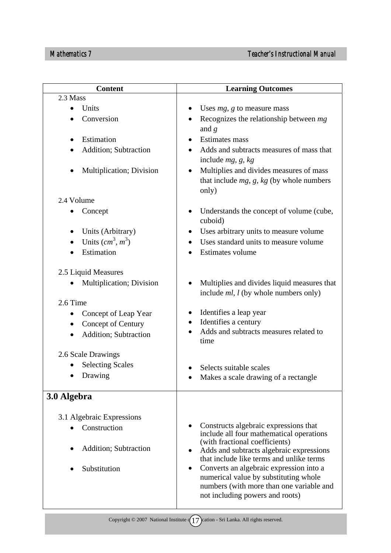| <b>Content</b>                        | <b>Learning Outcomes</b>                                                                                                                                             |
|---------------------------------------|----------------------------------------------------------------------------------------------------------------------------------------------------------------------|
| 2.3 Mass                              |                                                                                                                                                                      |
| Units<br>$\bullet$                    | Uses $mg$ , g to measure mass                                                                                                                                        |
| Conversion                            | Recognizes the relationship between $mg$<br>and $g$                                                                                                                  |
| Estimation<br>$\bullet$               | Estimates mass                                                                                                                                                       |
| <b>Addition</b> ; Subtraction         | Adds and subtracts measures of mass that<br>include $mg$ , g, kg                                                                                                     |
| <b>Multiplication</b> ; Division      | Multiplies and divides measures of mass<br>that include $mg$ , $g$ , $kg$ (by whole numbers<br>only)                                                                 |
| 2.4 Volume                            |                                                                                                                                                                      |
| Concept                               | Understands the concept of volume (cube,<br>cuboid)                                                                                                                  |
| Units (Arbitrary)                     | Uses arbitrary units to measure volume                                                                                                                               |
| Units $(cm^3, m^3)$                   | Uses standard units to measure volume                                                                                                                                |
| Estimation                            | Estimates volume                                                                                                                                                     |
| 2.5 Liquid Measures                   |                                                                                                                                                                      |
| Multiplication; Division<br>$\bullet$ | Multiplies and divides liquid measures that<br>include $ml$ , $l$ (by whole numbers only)                                                                            |
| 2.6 Time                              |                                                                                                                                                                      |
| Concept of Leap Year                  | Identifies a leap year                                                                                                                                               |
| Concept of Century<br>۰               | Identifies a century                                                                                                                                                 |
| Addition; Subtraction<br>$\bullet$    | Adds and subtracts measures related to<br>time                                                                                                                       |
| 2.6 Scale Drawings                    |                                                                                                                                                                      |
| <b>Selecting Scales</b>               | Selects suitable scales                                                                                                                                              |
| Drawing                               | Makes a scale drawing of a rectangle                                                                                                                                 |
|                                       |                                                                                                                                                                      |
| 3.0 Algebra                           |                                                                                                                                                                      |
| 3.1 Algebraic Expressions             |                                                                                                                                                                      |
| Construction                          | Constructs algebraic expressions that                                                                                                                                |
|                                       | include all four mathematical operations                                                                                                                             |
| <b>Addition</b> ; Subtraction         | (with fractional coefficients)<br>Adds and subtracts algebraic expressions                                                                                           |
|                                       | that include like terms and unlike terms                                                                                                                             |
| Substitution                          | Converts an algebraic expression into a<br>٠<br>numerical value by substituting whole<br>numbers (with more than one variable and<br>not including powers and roots) |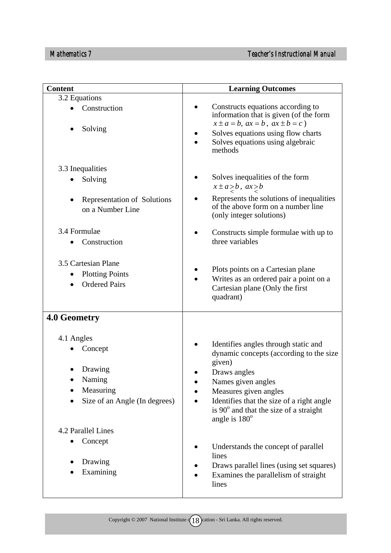| <b>Content</b>                                                        | <b>Learning Outcomes</b>                                                                                                    |
|-----------------------------------------------------------------------|-----------------------------------------------------------------------------------------------------------------------------|
| 3.2 Equations                                                         |                                                                                                                             |
| Construction                                                          | Constructs equations according to<br>information that is given (of the form<br>$x \pm a = b$ , $ax = b$ , $ax \pm b = c$ )  |
| Solving                                                               | Solves equations using flow charts<br>Solves equations using algebraic<br>methods                                           |
| 3.3 Inequalities                                                      |                                                                                                                             |
| Solving                                                               | Solves inequalities of the form<br>$x \pm a > b$ , $ax > b$                                                                 |
| Representation of Solutions<br>on a Number Line                       | Represents the solutions of inequalities<br>of the above form on a number line<br>(only integer solutions)                  |
| 3.4 Formulae<br>Construction                                          | Constructs simple formulae with up to<br>three variables                                                                    |
| 3.5 Cartesian Plane<br><b>Plotting Points</b><br><b>Ordered Pairs</b> | Plots points on a Cartesian plane<br>Writes as an ordered pair a point on a<br>Cartesian plane (Only the first<br>quadrant) |
| 4.0 Geometry                                                          |                                                                                                                             |
| 4.1 Angles                                                            |                                                                                                                             |
| Concept                                                               | Identifies angles through static and<br>dynamic concepts (according to the size<br>given)                                   |
| Drawing                                                               | Draws angles                                                                                                                |
| Naming                                                                | Names given angles                                                                                                          |
| Measuring                                                             | Measures given angles                                                                                                       |
| Size of an Angle (In degrees)                                         | Identifies that the size of a right angle<br>is 90° and that the size of a straight<br>angle is $180^\circ$                 |
| 4.2 Parallel Lines                                                    |                                                                                                                             |
| Concept                                                               | Understands the concept of parallel<br>lines                                                                                |
| Drawing                                                               | Draws parallel lines (using set squares)                                                                                    |
| Examining                                                             | Examines the parallelism of straight<br>lines                                                                               |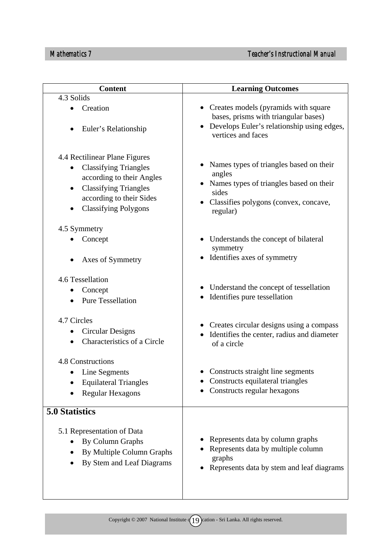| <b>Content</b>                                            | <b>Learning Outcomes</b>                                                                                                                  |
|-----------------------------------------------------------|-------------------------------------------------------------------------------------------------------------------------------------------|
| 4.3 Solids                                                |                                                                                                                                           |
| Creation<br>Euler's Relationship                          | • Creates models (pyramids with square<br>bases, prisms with triangular bases)<br>Develops Euler's relationship using edges,<br>$\bullet$ |
|                                                           | vertices and faces                                                                                                                        |
| 4.4 Rectilinear Plane Figures                             | Names types of triangles based on their                                                                                                   |
| <b>Classifying Triangles</b><br>according to their Angles | angles                                                                                                                                    |
| <b>Classifying Triangles</b><br>$\bullet$                 | Names types of triangles based on their                                                                                                   |
| according to their Sides                                  | sides                                                                                                                                     |
| <b>Classifying Polygons</b><br>$\bullet$                  | Classifies polygons (convex, concave,<br>regular)                                                                                         |
| 4.5 Symmetry                                              |                                                                                                                                           |
| Concept                                                   | • Understands the concept of bilateral<br>symmetry                                                                                        |
| Axes of Symmetry                                          | • Identifies axes of symmetry                                                                                                             |
| 4.6 Tessellation                                          |                                                                                                                                           |
| Concept                                                   | • Understand the concept of tessellation<br>Identifies pure tessellation                                                                  |
| <b>Pure Tessellation</b>                                  |                                                                                                                                           |
| 4.7 Circles                                               |                                                                                                                                           |
| <b>Circular Designs</b><br>$\bullet$                      | • Creates circular designs using a compass<br>Identifies the center, radius and diameter                                                  |
| Characteristics of a Circle                               | of a circle                                                                                                                               |
| 4.8 Constructions                                         |                                                                                                                                           |
| Line Segments                                             | Constructs straight line segments                                                                                                         |
| <b>Equilateral Triangles</b>                              | Constructs equilateral triangles<br>Constructs regular hexagons                                                                           |
| <b>Regular Hexagons</b>                                   |                                                                                                                                           |
| 5.0 Statistics                                            |                                                                                                                                           |
| 5.1 Representation of Data                                |                                                                                                                                           |
| By Column Graphs                                          | Represents data by column graphs                                                                                                          |
| By Multiple Column Graphs                                 | Represents data by multiple column<br>graphs                                                                                              |
| By Stem and Leaf Diagrams                                 | Represents data by stem and leaf diagrams                                                                                                 |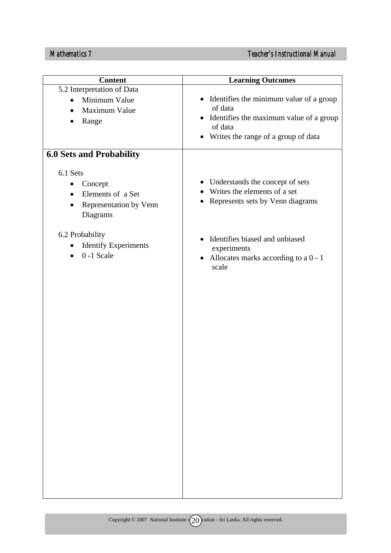| <b>Learning Outcomes</b>                                                                                                                              |
|-------------------------------------------------------------------------------------------------------------------------------------------------------|
| • Identifies the minimum value of a group<br>of data<br>• Identifies the maximum value of a group<br>of data<br>• Writes the range of a group of data |
|                                                                                                                                                       |
| • Understands the concept of sets<br>Writes the elements of a set<br>Represents sets by Venn diagrams<br>$\bullet$                                    |
| Identifies biased and unbiased<br>$\bullet$<br>experiments<br>• Allocates marks according to a $0 - 1$<br>scale                                       |
|                                                                                                                                                       |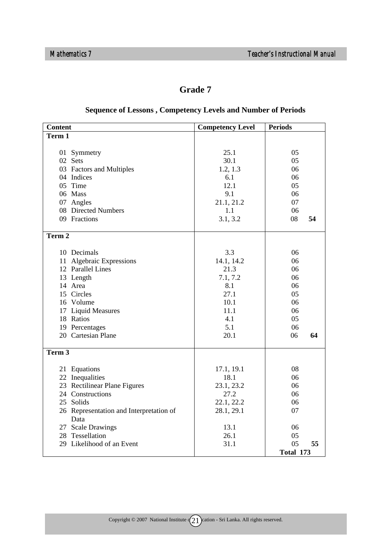#### **Grade 7**

| <b>Content</b>                          | <b>Competency Level</b> | <b>Periods</b> |
|-----------------------------------------|-------------------------|----------------|
| Term 1                                  |                         |                |
|                                         |                         |                |
| 01 Symmetry                             | 25.1                    | 05             |
| 02 Sets                                 | 30.1                    | 05             |
| 03 Factors and Multiples                | 1.2, 1.3                | 06             |
| 04 Indices                              | 6.1                     | 06             |
| 05 Time                                 | 12.1                    | 05             |
| 06 Mass                                 | 9.1                     | 06             |
| 07 Angles                               | 21.1, 21.2              | 07             |
| 08 Directed Numbers                     | 1.1                     | 06             |
| 09 Fractions                            | 3.1, 3.2                | 08<br>54       |
|                                         |                         |                |
| Term 2                                  |                         |                |
|                                         |                         |                |
| 10 Decimals                             | 3.3                     | 06             |
| 11 Algebraic Expressions                | 14.1, 14.2              | 06             |
| 12 Parallel Lines                       | 21.3                    | 06             |
| 13 Length                               | 7.1, 7.2                | 06             |
| 14 Area                                 | 8.1                     | 06             |
| 15 Circles                              | 27.1                    | 05             |
| 16 Volume                               | 10.1                    | 06             |
| 17 Liquid Measures                      | 11.1                    | 06             |
| 18 Ratios                               | 4.1                     | 05             |
| 19 Percentages                          | 5.1                     | 06             |
| 20 Cartesian Plane                      | 20.1                    | 06<br>64       |
|                                         |                         |                |
| Term 3                                  |                         |                |
|                                         |                         |                |
| 21 Equations                            | 17.1, 19.1              | 08             |
| 22 Inequalities                         | 18.1                    | 06             |
| 23 Rectilinear Plane Figures            | 23.1, 23.2              | 06             |
| 24 Constructions                        | 27.2                    | 06             |
| 25 Solids                               | 22.1, 22.2              | 06             |
| 26 Representation and Interpretation of | 28.1, 29.1              | 07             |
| Data                                    |                         |                |
| 27 Scale Drawings                       | 13.1                    | 06             |
| 28 Tessellation                         | 26.1                    | 05             |
| 29 Likelihood of an Event               | 31.1                    | 05<br>55       |
|                                         |                         | Total 173      |

#### **Sequence of Lessons , Competency Levels and Number of Periods**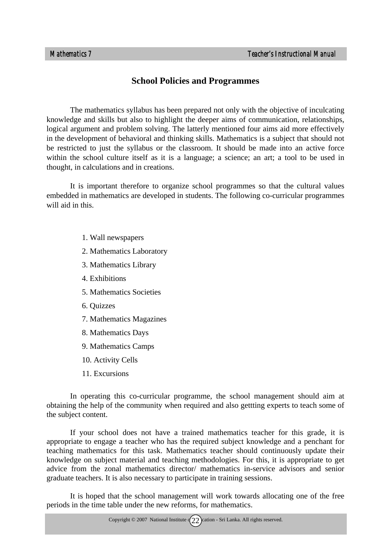#### **School Policies and Programmes**

The mathematics syllabus has been prepared not only with the objective of inculcating knowledge and skills but also to highlight the deeper aims of communication, relationships, logical argument and problem solving. The latterly mentioned four aims aid more effectively in the development of behavioral and thinking skills. Mathematics is a subject that should not be restricted to just the syllabus or the classroom. It should be made into an active force within the school culture itself as it is a language; a science; an art; a tool to be used in thought, in calculations and in creations.

It is important therefore to organize school programmes so that the cultural values embedded in mathematics are developed in students. The following co-curricular programmes will aid in this.

- 1. Wall newspapers
- 2. Mathematics Laboratory
- 3. Mathematics Library
- 4. Exhibitions
- 5. Mathematics Societies
- 6. Quizzes
- 7. Mathematics Magazines
- 8. Mathematics Days
- 9. Mathematics Camps
- 10. Activity Cells
- 11. Excursions

In operating this co-curricular programme, the school management should aim at obtaining the help of the community when required and also gettting experts to teach some of the subject content.

If your school does not have a trained mathematics teacher for this grade, it is appropriate to engage a teacher who has the required subject knowledge and a penchant for teaching mathematics for this task. Mathematics teacher should continuously update their knowledge on subject material and teaching methodologies. For this, it is appropriate to get advice from the zonal mathematics director/ mathematics in-service advisors and senior graduate teachers. It is also necessary to participate in training sessions.

It is hoped that the school management will work towards allocating one of the free periods in the time table under the new reforms, for mathematics.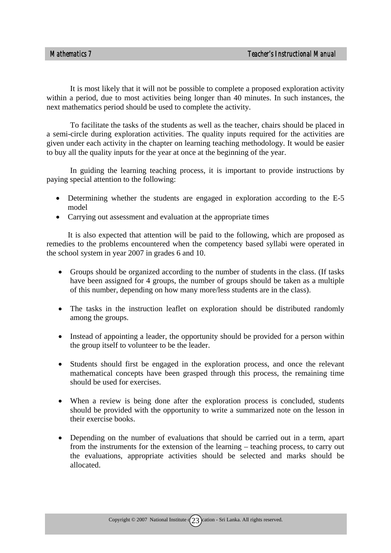It is most likely that it will not be possible to complete a proposed exploration activity within a period, due to most activities being longer than 40 minutes. In such instances, the next mathematics period should be used to complete the activity.

To facilitate the tasks of the students as well as the teacher, chairs should be placed in a semi-circle during exploration activities. The quality inputs required for the activities are given under each activity in the chapter on learning teaching methodology. It would be easier to buy all the quality inputs for the year at once at the beginning of the year.

In guiding the learning teaching process, it is important to provide instructions by paying special attention to the following:

- Determining whether the students are engaged in exploration according to the E-5 model
- Carrying out assessment and evaluation at the appropriate times

It is also expected that attention will be paid to the following, which are proposed as remedies to the problems encountered when the competency based syllabi were operated in the school system in year 2007 in grades 6 and 10.

- Groups should be organized according to the number of students in the class. (If tasks have been assigned for 4 groups, the number of groups should be taken as a multiple of this number, depending on how many more/less students are in the class).
- The tasks in the instruction leaflet on exploration should be distributed randomly among the groups.
- Instead of appointing a leader, the opportunity should be provided for a person within the group itself to volunteer to be the leader.
- Students should first be engaged in the exploration process, and once the relevant mathematical concepts have been grasped through this process, the remaining time should be used for exercises.
- When a review is being done after the exploration process is concluded, students should be provided with the opportunity to write a summarized note on the lesson in their exercise books.
- Depending on the number of evaluations that should be carried out in a term, apart from the instruments for the extension of the learning – teaching process, to carry out the evaluations, appropriate activities should be selected and marks should be allocated.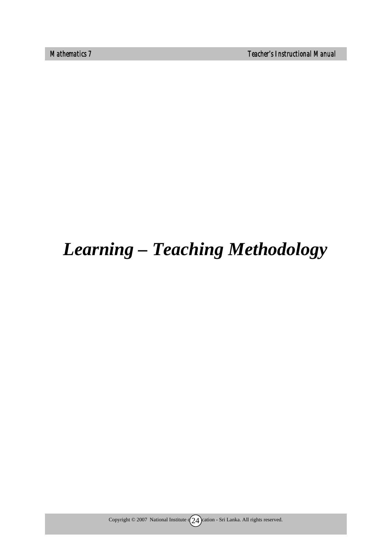*Mathematics 7 Teacher's Instructional Manual* 

# *Learning – Teaching Methodology*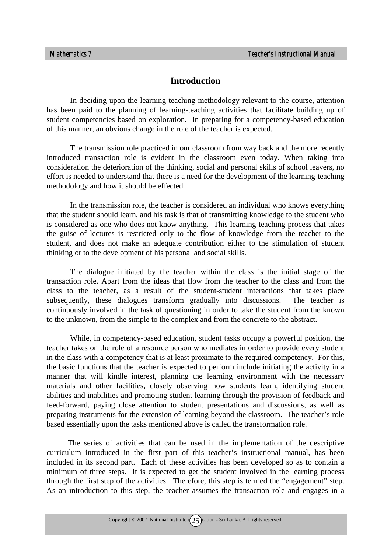#### **Introduction**

In deciding upon the learning teaching methodology relevant to the course, attention has been paid to the planning of learning-teaching activities that facilitate building up of student competencies based on exploration. In preparing for a competency-based education of this manner, an obvious change in the role of the teacher is expected.

The transmission role practiced in our classroom from way back and the more recently introduced transaction role is evident in the classroom even today. When taking into consideration the deterioration of the thinking, social and personal skills of school leavers, no effort is needed to understand that there is a need for the development of the learning-teaching methodology and how it should be effected.

In the transmission role, the teacher is considered an individual who knows everything that the student should learn, and his task is that of transmitting knowledge to the student who is considered as one who does not know anything. This learning-teaching process that takes the guise of lectures is restricted only to the flow of knowledge from the teacher to the student, and does not make an adequate contribution either to the stimulation of student thinking or to the development of his personal and social skills.

The dialogue initiated by the teacher within the class is the initial stage of the transaction role. Apart from the ideas that flow from the teacher to the class and from the class to the teacher, as a result of the student-student interactions that takes place subsequently, these dialogues transform gradually into discussions. The teacher is continuously involved in the task of questioning in order to take the student from the known to the unknown, from the simple to the complex and from the concrete to the abstract.

While, in competency-based education, student tasks occupy a powerful position, the teacher takes on the role of a resource person who mediates in order to provide every student in the class with a competency that is at least proximate to the required competency. For this, the basic functions that the teacher is expected to perform include initiating the activity in a manner that will kindle interest, planning the learning environment with the necessary materials and other facilities, closely observing how students learn, identifying student abilities and inabilities and promoting student learning through the provision of feedback and feed-forward, paying close attention to student presentations and discussions, as well as preparing instruments for the extension of learning beyond the classroom. The teacher's role based essentially upon the tasks mentioned above is called the transformation role.

The series of activities that can be used in the implementation of the descriptive curriculum introduced in the first part of this teacher's instructional manual, has been included in its second part. Each of these activities has been developed so as to contain a minimum of three steps. It is expected to get the student involved in the learning process through the first step of the activities. Therefore, this step is termed the "engagement" step. As an introduction to this step, the teacher assumes the transaction role and engages in a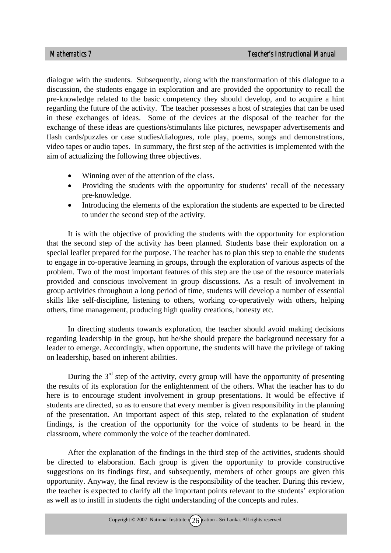dialogue with the students. Subsequently, along with the transformation of this dialogue to a discussion, the students engage in exploration and are provided the opportunity to recall the pre-knowledge related to the basic competency they should develop, and to acquire a hint regarding the future of the activity. The teacher possesses a host of strategies that can be used in these exchanges of ideas. Some of the devices at the disposal of the teacher for the exchange of these ideas are questions/stimulants like pictures, newspaper advertisements and flash cards/puzzles or case studies/dialogues, role play, poems, songs and demonstrations, video tapes or audio tapes. In summary, the first step of the activities is implemented with the aim of actualizing the following three objectives.

- Winning over of the attention of the class.
- Providing the students with the opportunity for students' recall of the necessary pre-knowledge.
- Introducing the elements of the exploration the students are expected to be directed to under the second step of the activity.

It is with the objective of providing the students with the opportunity for exploration that the second step of the activity has been planned. Students base their exploration on a special leaflet prepared for the purpose. The teacher has to plan this step to enable the students to engage in co-operative learning in groups, through the exploration of various aspects of the problem. Two of the most important features of this step are the use of the resource materials provided and conscious involvement in group discussions. As a result of involvement in group activities throughout a long period of time, students will develop a number of essential skills like self-discipline, listening to others, working co-operatively with others, helping others, time management, producing high quality creations, honesty etc.

In directing students towards exploration, the teacher should avoid making decisions regarding leadership in the group, but he/she should prepare the background necessary for a leader to emerge. Accordingly, when opportune, the students will have the privilege of taking on leadership, based on inherent abilities.

During the  $3<sup>rd</sup>$  step of the activity, every group will have the opportunity of presenting the results of its exploration for the enlightenment of the others. What the teacher has to do here is to encourage student involvement in group presentations. It would be effective if students are directed, so as to ensure that every member is given responsibility in the planning of the presentation. An important aspect of this step, related to the explanation of student findings, is the creation of the opportunity for the voice of students to be heard in the classroom, where commonly the voice of the teacher dominated.

After the explanation of the findings in the third step of the activities, students should be directed to elaboration. Each group is given the opportunity to provide constructive suggestions on its findings first, and subsequently, members of other groups are given this opportunity. Anyway, the final review is the responsibility of the teacher. During this review, the teacher is expected to clarify all the important points relevant to the students' exploration as well as to instill in students the right understanding of the concepts and rules.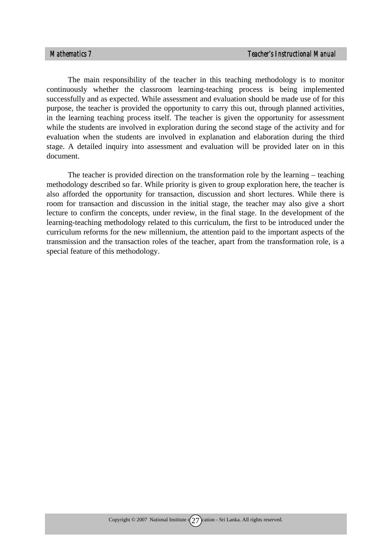The main responsibility of the teacher in this teaching methodology is to monitor continuously whether the classroom learning-teaching process is being implemented successfully and as expected. While assessment and evaluation should be made use of for this purpose, the teacher is provided the opportunity to carry this out, through planned activities, in the learning teaching process itself. The teacher is given the opportunity for assessment while the students are involved in exploration during the second stage of the activity and for evaluation when the students are involved in explanation and elaboration during the third stage. A detailed inquiry into assessment and evaluation will be provided later on in this document.

The teacher is provided direction on the transformation role by the learning – teaching methodology described so far. While priority is given to group exploration here, the teacher is also afforded the opportunity for transaction, discussion and short lectures. While there is room for transaction and discussion in the initial stage, the teacher may also give a short lecture to confirm the concepts, under review, in the final stage. In the development of the learning-teaching methodology related to this curriculum, the first to be introduced under the curriculum reforms for the new millennium, the attention paid to the important aspects of the transmission and the transaction roles of the teacher, apart from the transformation role, is a special feature of this methodology.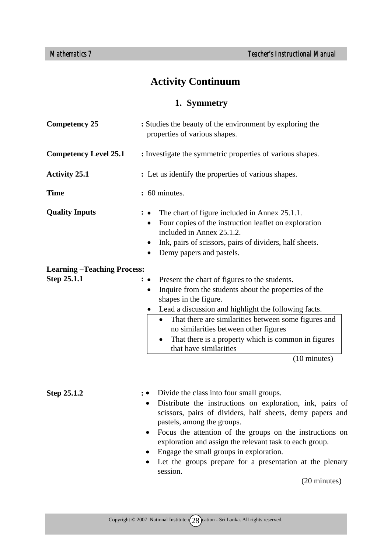## **Activity Continuum**

## **1. Symmetry**

| <b>Competency 25</b>              | : Studies the beauty of the environment by exploring the<br>properties of various shapes.                                                                                                                                                                                                                                                                                                                                                              |
|-----------------------------------|--------------------------------------------------------------------------------------------------------------------------------------------------------------------------------------------------------------------------------------------------------------------------------------------------------------------------------------------------------------------------------------------------------------------------------------------------------|
| <b>Competency Level 25.1</b>      | : Investigate the symmetric properties of various shapes.                                                                                                                                                                                                                                                                                                                                                                                              |
| <b>Activity 25.1</b>              | : Let us identify the properties of various shapes.                                                                                                                                                                                                                                                                                                                                                                                                    |
| <b>Time</b>                       | : 60 minutes.                                                                                                                                                                                                                                                                                                                                                                                                                                          |
| <b>Quality Inputs</b>             | The chart of figure included in Annex 25.1.1.<br>Four copies of the instruction leaflet on exploration<br>$\bullet$<br>included in Annex 25.1.2.<br>Ink, pairs of scissors, pairs of dividers, half sheets.<br>Demy papers and pastels.                                                                                                                                                                                                                |
| <b>Learning-Teaching Process:</b> |                                                                                                                                                                                                                                                                                                                                                                                                                                                        |
| Step 25.1.1                       | Present the chart of figures to the students.<br>$\cdot \bullet$<br>Inquire from the students about the properties of the<br>shapes in the figure.<br>Lead a discussion and highlight the following facts.<br>That there are similarities between some figures and<br>no similarities between other figures<br>That there is a property which is common in figures<br>٠<br>that have similarities<br>$(10 \text{ minutes})$                            |
| Step 25.1.2                       | Divide the class into four small groups.<br>: •<br>Distribute the instructions on exploration, ink, pairs of<br>٠<br>scissors, pairs of dividers, half sheets, demy papers and<br>pastels, among the groups.<br>Focus the attention of the groups on the instructions on<br>exploration and assign the relevant task to each group.<br>Engage the small groups in exploration.<br>Let the groups prepare for a presentation at the plenary<br>session. |

(20 minutes)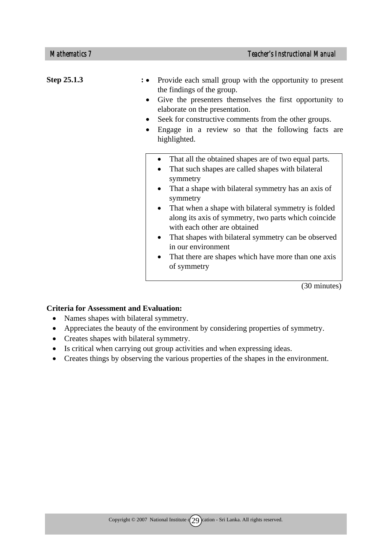| Step 25.1.3 | Provide each small group with the opportunity to present<br>the findings of the group.<br>Give the presenters themselves the first opportunity to<br>elaborate on the presentation.<br>Seek for constructive comments from the other groups.<br>$\bullet$<br>Engage in a review so that the following facts are<br>highlighted.                                                                                                                                                                                                                                                            |
|-------------|--------------------------------------------------------------------------------------------------------------------------------------------------------------------------------------------------------------------------------------------------------------------------------------------------------------------------------------------------------------------------------------------------------------------------------------------------------------------------------------------------------------------------------------------------------------------------------------------|
|             | That all the obtained shapes are of two equal parts.<br>$\bullet$<br>That such shapes are called shapes with bilateral<br>$\bullet$<br>symmetry<br>That a shape with bilateral symmetry has an axis of<br>$\bullet$<br>symmetry<br>That when a shape with bilateral symmetry is folded<br>$\bullet$<br>along its axis of symmetry, two parts which coincide<br>with each other are obtained<br>That shapes with bilateral symmetry can be observed<br>$\bullet$<br>in our environment<br>That there are shapes which have more than one axis<br>$\bullet$<br>of symmetry<br>$(20 \cdot 1)$ |

(30 minutes)

#### **Criteria for Assessment and Evaluation:**

- Names shapes with bilateral symmetry.
- Appreciates the beauty of the environment by considering properties of symmetry.
- Creates shapes with bilateral symmetry.
- Is critical when carrying out group activities and when expressing ideas.
- Creates things by observing the various properties of the shapes in the environment.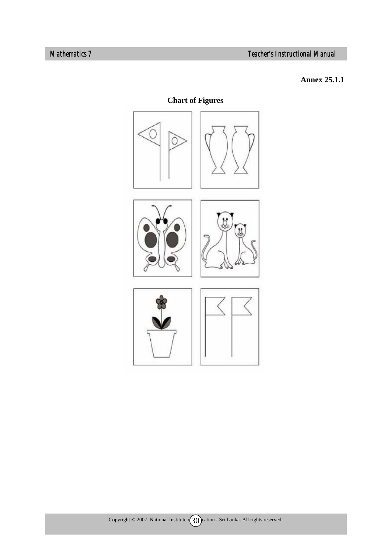## **Annex 25.1.1**

# **Chart of Figures**

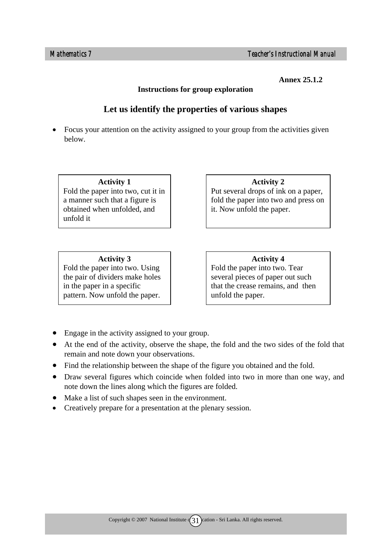**Annex 25.1.2**

#### **Instructions for group exploration**

# **Let us identify the properties of various shapes**

• Focus your attention on the activity assigned to your group from the activities given below.

**Activity 1**  Fold the paper into two, cut it in a manner such that a figure is obtained when unfolded, and unfold it

**Activity 3**  Fold the paper into two. Using the pair of dividers make holes in the paper in a specific pattern. Now unfold the paper.

**Activity 2** 

Put several drops of ink on a paper, fold the paper into two and press on it. Now unfold the paper.

#### **Activity 4**

Fold the paper into two. Tear several pieces of paper out such that the crease remains, and then unfold the paper.

- Engage in the activity assigned to your group.
- At the end of the activity, observe the shape, the fold and the two sides of the fold that remain and note down your observations.
- Find the relationship between the shape of the figure you obtained and the fold.
- Draw several figures which coincide when folded into two in more than one way, and note down the lines along which the figures are folded.
- Make a list of such shapes seen in the environment.
- Creatively prepare for a presentation at the plenary session.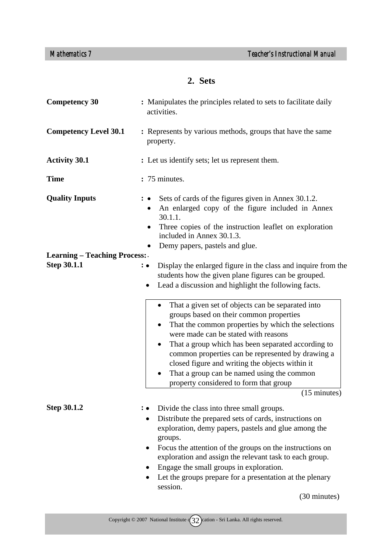# **2. Sets**

| <b>Competency 30</b>                | : Manipulates the principles related to sets to facilitate daily<br>activities.                                                                                                                                                                                                                                                                                                                                   |  |  |
|-------------------------------------|-------------------------------------------------------------------------------------------------------------------------------------------------------------------------------------------------------------------------------------------------------------------------------------------------------------------------------------------------------------------------------------------------------------------|--|--|
| <b>Competency Level 30.1</b>        | : Represents by various methods, groups that have the same<br>property.                                                                                                                                                                                                                                                                                                                                           |  |  |
| <b>Activity 30.1</b>                | : Let us identify sets; let us represent them.                                                                                                                                                                                                                                                                                                                                                                    |  |  |
| <b>Time</b>                         | : 75 minutes.                                                                                                                                                                                                                                                                                                                                                                                                     |  |  |
| <b>Quality Inputs</b>               | Sets of cards of the figures given in Annex 30.1.2.<br>An enlarged copy of the figure included in Annex<br>30.1.1.<br>Three copies of the instruction leaflet on exploration<br>included in Annex 30.1.3.<br>Demy papers, pastels and glue.<br>$\bullet$                                                                                                                                                          |  |  |
| <b>Learning - Teaching Process:</b> |                                                                                                                                                                                                                                                                                                                                                                                                                   |  |  |
| <b>Step 30.1.1</b>                  | Display the enlarged figure in the class and inquire from the<br>$\colon \bullet$<br>students how the given plane figures can be grouped.<br>Lead a discussion and highlight the following facts.<br>$\bullet$<br>That a given set of objects can be separated into<br>$\bullet$<br>groups based on their common properties<br>That the common properties by which the selections                                 |  |  |
|                                     | were made can be stated with reasons<br>That a group which has been separated according to<br>common properties can be represented by drawing a<br>closed figure and writing the objects within it<br>That a group can be named using the common<br>property considered to form that group                                                                                                                        |  |  |
|                                     | $(15 \text{ minutes})$                                                                                                                                                                                                                                                                                                                                                                                            |  |  |
| <b>Step 30.1.2</b>                  | Divide the class into three small groups.<br>Distribute the prepared sets of cards, instructions on<br>exploration, demy papers, pastels and glue among the<br>groups.<br>Focus the attention of the groups on the instructions on<br>$\bullet$<br>exploration and assign the relevant task to each group.<br>Engage the small groups in exploration.<br>Let the groups prepare for a presentation at the plenary |  |  |
|                                     | session.<br>(30 minutes)                                                                                                                                                                                                                                                                                                                                                                                          |  |  |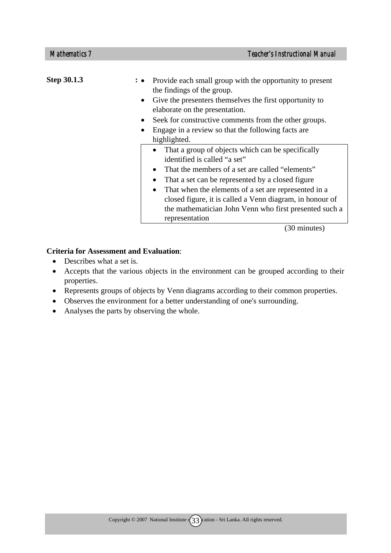| Step 30.1.3 |           | Provide each small group with the opportunity to present<br>the findings of the group.                                                                                                                                                                                                                                                                                                   |
|-------------|-----------|------------------------------------------------------------------------------------------------------------------------------------------------------------------------------------------------------------------------------------------------------------------------------------------------------------------------------------------------------------------------------------------|
|             | $\bullet$ | Give the presenters themselves the first opportunity to<br>elaborate on the presentation.                                                                                                                                                                                                                                                                                                |
|             |           | Seek for constructive comments from the other groups.                                                                                                                                                                                                                                                                                                                                    |
|             |           | Engage in a review so that the following facts are.<br>highlighted.                                                                                                                                                                                                                                                                                                                      |
|             |           | That a group of objects which can be specifically<br>identified is called "a set"<br>That the members of a set are called "elements"<br>That a set can be represented by a closed figure<br>That when the elements of a set are represented in a<br>closed figure, it is called a Venn diagram, in honour of<br>the mathematician John Venn who first presented such a<br>representation |

(30 minutes)

#### **Criteria for Assessment and Evaluation**:

- Describes what a set is.
- Accepts that the various objects in the environment can be grouped according to their properties.
- Represents groups of objects by Venn diagrams according to their common properties.
- Observes the environment for a better understanding of one's surrounding.
- Analyses the parts by observing the whole.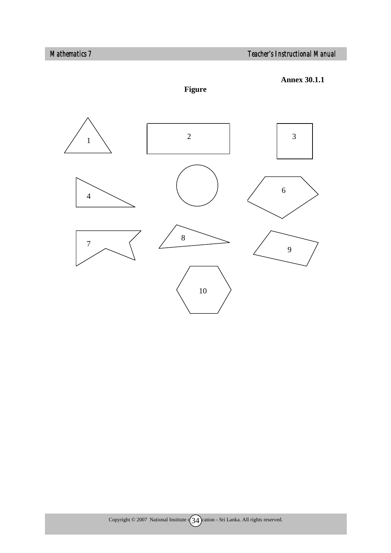



**Figure**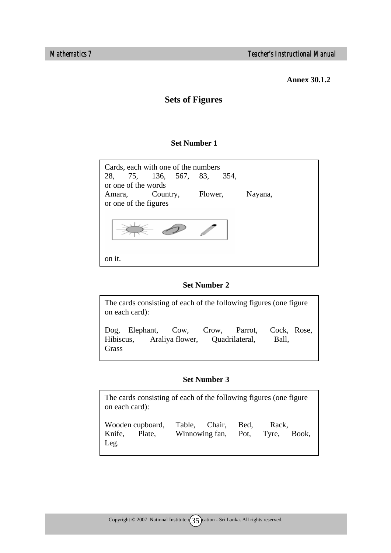**Annex 30.1.2** 

# **Sets of Figures**

#### **Set Number 1**

| Cards, each with one of the numbers<br>28, 75, 136, 567, 83, 354,<br>or one of the words |          |         |  |         |
|------------------------------------------------------------------------------------------|----------|---------|--|---------|
| Amara,                                                                                   | Country, | Flower, |  | Nayana, |
| or one of the figures                                                                    |          |         |  |         |
|                                                                                          |          |         |  |         |
|                                                                                          |          |         |  |         |

#### **Set Number 2**

| The cards consisting of each of the following figures (one figure<br>on each card):    |  |  |                      |
|----------------------------------------------------------------------------------------|--|--|----------------------|
| Dog, Elephant, Cow, Crow, Parrot,<br>Hibiscus, Araliya flower, Quadrilateral,<br>Grass |  |  | Cock, Rose,<br>Ball, |

#### **Set Number 3**

The cards consisting of each of the following figures (one figure on each card): Wooden cupboard, Table, Chair, Bed, Rack, Knife, Plate, Winnowing fan, Pot, Tyre, Book, Leg.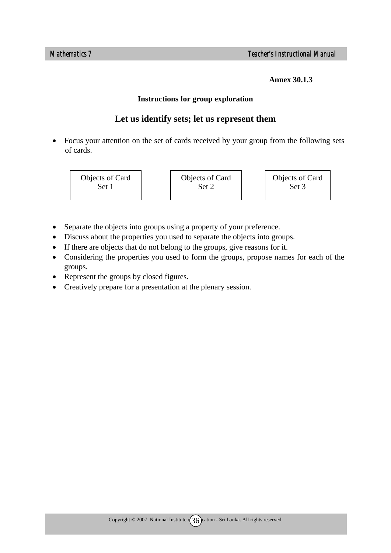**Annex 30.1.3** 

#### **Instructions for group exploration**

# **Let us identify sets; let us represent them**

• Focus your attention on the set of cards received by your group from the following sets of cards.

Objects of Card Set 1

Objects of Card Set 2

Objects of Card Set 3

- Separate the objects into groups using a property of your preference.
- Discuss about the properties you used to separate the objects into groups.
- If there are objects that do not belong to the groups, give reasons for it.
- Considering the properties you used to form the groups, propose names for each of the groups.
- Represent the groups by closed figures.
- Creatively prepare for a presentation at the plenary session.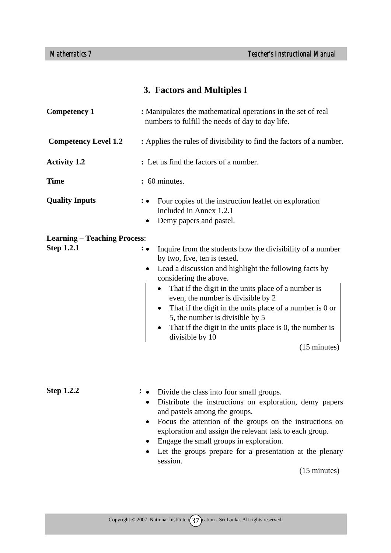# **3. Factors and Multiples I**

| <b>Competency 1</b>                                      | : Manipulates the mathematical operations in the set of real<br>numbers to fulfill the needs of day to day life.                                                                                                                                                                                                                                                                                                                                                                                                               |  |  |
|----------------------------------------------------------|--------------------------------------------------------------------------------------------------------------------------------------------------------------------------------------------------------------------------------------------------------------------------------------------------------------------------------------------------------------------------------------------------------------------------------------------------------------------------------------------------------------------------------|--|--|
| <b>Competency Level 1.2</b>                              | : Applies the rules of divisibility to find the factors of a number.                                                                                                                                                                                                                                                                                                                                                                                                                                                           |  |  |
| <b>Activity 1.2</b>                                      | : Let us find the factors of a number.                                                                                                                                                                                                                                                                                                                                                                                                                                                                                         |  |  |
| <b>Time</b>                                              | : 60 minutes.                                                                                                                                                                                                                                                                                                                                                                                                                                                                                                                  |  |  |
| <b>Quality Inputs</b>                                    | Four copies of the instruction leaflet on exploration<br>included in Annex 1.2.1<br>Demy papers and pastel.                                                                                                                                                                                                                                                                                                                                                                                                                    |  |  |
| <b>Learning – Teaching Process:</b><br><b>Step 1.2.1</b> | Inquire from the students how the divisibility of a number<br>: •<br>by two, five, ten is tested.<br>Lead a discussion and highlight the following facts by<br>$\bullet$<br>considering the above.<br>That if the digit in the units place of a number is<br>$\bullet$<br>even, the number is divisible by 2<br>That if the digit in the units place of a number is 0 or<br>٠<br>5, the number is divisible by 5<br>That if the digit in the units place is 0, the number is<br>٠<br>divisible by 10<br>$(15 \text{ minutes})$ |  |  |
|                                                          |                                                                                                                                                                                                                                                                                                                                                                                                                                                                                                                                |  |  |

#### **Step 1.2.2 :**

• Divide the class into four small groups.

- Distribute the instructions on exploration, demy papers and pastels among the groups.
- Focus the attention of the groups on the instructions on exploration and assign the relevant task to each group.
- Engage the small groups in exploration.
- Let the groups prepare for a presentation at the plenary session.

(15 minutes)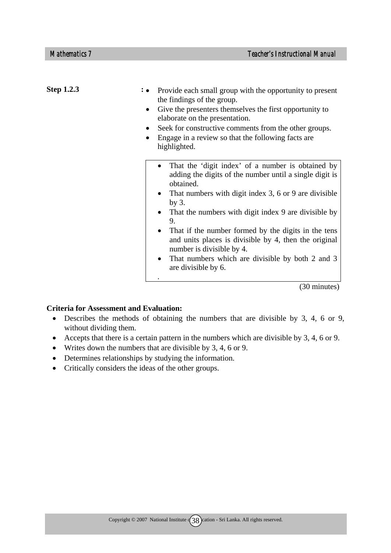| <b>Step 1.2.3</b> | Provide each small group with the opportunity to present<br>the findings of the group.<br>Give the presenters themselves the first opportunity to<br>$\bullet$<br>elaborate on the presentation.<br>Seek for constructive comments from the other groups.<br>Engage in a review so that the following facts are<br>highlighted.                                                                                                                                                                                |
|-------------------|----------------------------------------------------------------------------------------------------------------------------------------------------------------------------------------------------------------------------------------------------------------------------------------------------------------------------------------------------------------------------------------------------------------------------------------------------------------------------------------------------------------|
|                   | That the 'digit index' of a number is obtained by<br>$\bullet$<br>adding the digits of the number until a single digit is<br>obtained.<br>That numbers with digit index 3, 6 or 9 are divisible<br>by $3$ .<br>That the numbers with digit index 9 are divisible by<br>9.<br>That if the number formed by the digits in the tens<br>and units places is divisible by 4, then the original<br>number is divisible by 4.<br>That numbers which are divisible by both 2 and 3<br>$\bullet$<br>are divisible by 6. |

(30 minutes)

#### **Criteria for Assessment and Evaluation:**

- Describes the methods of obtaining the numbers that are divisible by 3, 4, 6 or 9, without dividing them.
- Accepts that there is a certain pattern in the numbers which are divisible by 3, 4, 6 or 9.
- Writes down the numbers that are divisible by 3, 4, 6 or 9.
- Determines relationships by studying the information.
- Critically considers the ideas of the other groups.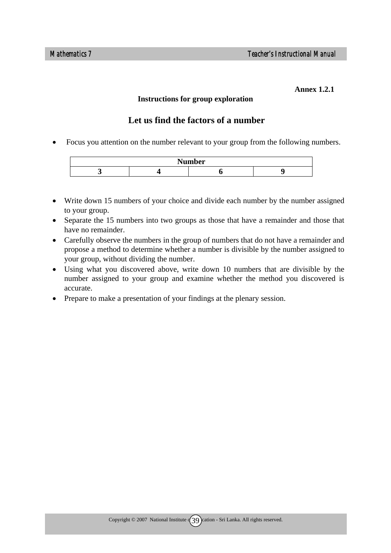#### **Annex 1.2.1**

#### **Instructions for group exploration**

## **Let us find the factors of a number**

• Focus you attention on the number relevant to your group from the following numbers.



- Write down 15 numbers of your choice and divide each number by the number assigned to your group.
- Separate the 15 numbers into two groups as those that have a remainder and those that have no remainder.
- Carefully observe the numbers in the group of numbers that do not have a remainder and propose a method to determine whether a number is divisible by the number assigned to your group, without dividing the number.
- Using what you discovered above, write down 10 numbers that are divisible by the number assigned to your group and examine whether the method you discovered is accurate.
- Prepare to make a presentation of your findings at the plenary session.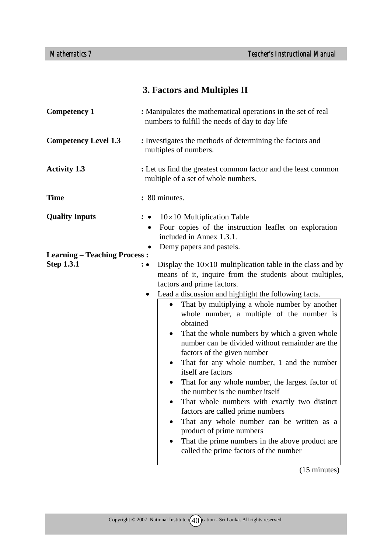# **3. Factors and Multiples II**

| : Manipulates the mathematical operations in the set of real<br>numbers to fulfill the needs of day to day life                                                                                                                                                                                                                                                                                                                                                                                                                                                                                                                                                                                                                                                                                                                                                                                                                                                       |  |  |
|-----------------------------------------------------------------------------------------------------------------------------------------------------------------------------------------------------------------------------------------------------------------------------------------------------------------------------------------------------------------------------------------------------------------------------------------------------------------------------------------------------------------------------------------------------------------------------------------------------------------------------------------------------------------------------------------------------------------------------------------------------------------------------------------------------------------------------------------------------------------------------------------------------------------------------------------------------------------------|--|--|
| : Investigates the methods of determining the factors and<br>multiples of numbers.                                                                                                                                                                                                                                                                                                                                                                                                                                                                                                                                                                                                                                                                                                                                                                                                                                                                                    |  |  |
| : Let us find the greatest common factor and the least common<br>multiple of a set of whole numbers.                                                                                                                                                                                                                                                                                                                                                                                                                                                                                                                                                                                                                                                                                                                                                                                                                                                                  |  |  |
| : 80 minutes.                                                                                                                                                                                                                                                                                                                                                                                                                                                                                                                                                                                                                                                                                                                                                                                                                                                                                                                                                         |  |  |
| $10\times10$ Multiplication Table<br>Four copies of the instruction leaflet on exploration<br>$\bullet$<br>included in Annex 1.3.1.                                                                                                                                                                                                                                                                                                                                                                                                                                                                                                                                                                                                                                                                                                                                                                                                                                   |  |  |
| Demy papers and pastels.<br>٠<br><b>Learning – Teaching Process:</b>                                                                                                                                                                                                                                                                                                                                                                                                                                                                                                                                                                                                                                                                                                                                                                                                                                                                                                  |  |  |
| Display the $10\times10$ multiplication table in the class and by<br>$: \bullet$<br>means of it, inquire from the students about multiples,<br>factors and prime factors.<br>Lead a discussion and highlight the following facts.<br>That by multiplying a whole number by another<br>$\bullet$<br>whole number, a multiple of the number is<br>obtained<br>That the whole numbers by which a given whole<br>$\bullet$<br>number can be divided without remainder are the<br>factors of the given number<br>That for any whole number, 1 and the number<br>$\bullet$<br>itself are factors<br>That for any whole number, the largest factor of<br>$\bullet$<br>the number is the number itself<br>That whole numbers with exactly two distinct<br>factors are called prime numbers<br>That any whole number can be written as a<br>$\bullet$<br>product of prime numbers<br>That the prime numbers in the above product are<br>called the prime factors of the number |  |  |
|                                                                                                                                                                                                                                                                                                                                                                                                                                                                                                                                                                                                                                                                                                                                                                                                                                                                                                                                                                       |  |  |

(15 minutes)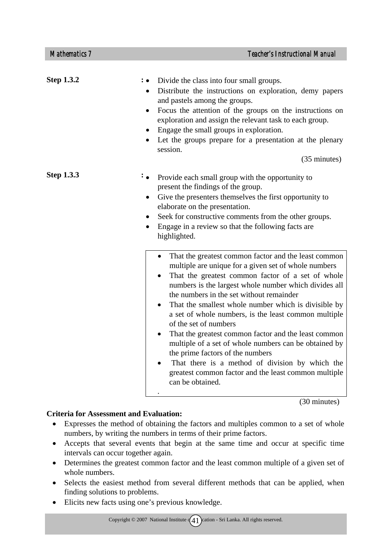| <b>Step 1.3.2</b> | Divide the class into four small groups.<br>Distribute the instructions on exploration, demy papers<br>$\bullet$<br>and pastels among the groups.<br>Focus the attention of the groups on the instructions on<br>$\bullet$<br>exploration and assign the relevant task to each group.<br>Engage the small groups in exploration.<br>$\bullet$<br>Let the groups prepare for a presentation at the plenary<br>session.<br>(35 minutes)                                                                                                                                                                                                                                                                                                                                                                                                                                                                                                                                                                                                                                              |
|-------------------|------------------------------------------------------------------------------------------------------------------------------------------------------------------------------------------------------------------------------------------------------------------------------------------------------------------------------------------------------------------------------------------------------------------------------------------------------------------------------------------------------------------------------------------------------------------------------------------------------------------------------------------------------------------------------------------------------------------------------------------------------------------------------------------------------------------------------------------------------------------------------------------------------------------------------------------------------------------------------------------------------------------------------------------------------------------------------------|
| <b>Step 1.3.3</b> | Provide each small group with the opportunity to<br>present the findings of the group.<br>Give the presenters themselves the first opportunity to<br>elaborate on the presentation.<br>Seek for constructive comments from the other groups.<br>$\bullet$<br>Engage in a review so that the following facts are<br>highlighted.<br>That the greatest common factor and the least common<br>$\bullet$<br>multiple are unique for a given set of whole numbers<br>That the greatest common factor of a set of whole<br>numbers is the largest whole number which divides all<br>the numbers in the set without remainder<br>That the smallest whole number which is divisible by<br>$\bullet$<br>a set of whole numbers, is the least common multiple<br>of the set of numbers<br>That the greatest common factor and the least common<br>٠<br>multiple of a set of whole numbers can be obtained by<br>the prime factors of the numbers<br>That there is a method of division by which the<br>$\bullet$<br>greatest common factor and the least common multiple<br>can be obtained. |
|                   |                                                                                                                                                                                                                                                                                                                                                                                                                                                                                                                                                                                                                                                                                                                                                                                                                                                                                                                                                                                                                                                                                    |

(30 minutes)

### **Criteria for Assessment and Evaluation:**

- Expresses the method of obtaining the factors and multiples common to a set of whole numbers, by writing the numbers in terms of their prime factors.
- Accepts that several events that begin at the same time and occur at specific time intervals can occur together again.
- Determines the greatest common factor and the least common multiple of a given set of whole numbers.
- Selects the easiest method from several different methods that can be applied, when finding solutions to problems.
- Elicits new facts using one's previous knowledge.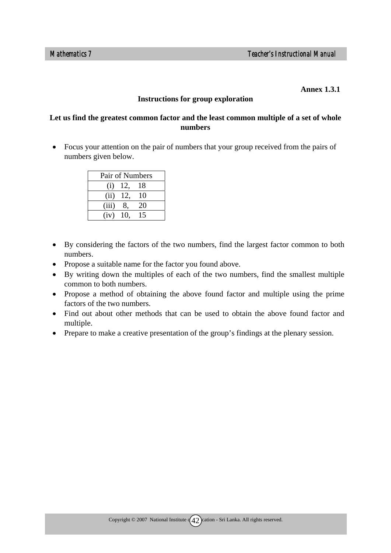#### **Annex 1.3.1**

#### **Instructions for group exploration**

#### **Let us find the greatest common factor and the least common multiple of a set of whole numbers**

• Focus your attention on the pair of numbers that your group received from the pairs of numbers given below.

|                    |     | Pair of Numbers |
|--------------------|-----|-----------------|
| $\left( 1 \right)$ | 12, | 18              |
| (ii)               | 12, | 10              |
| (iii)              | 8.  | 20              |
| $(iv)$ 10,         |     | 15              |

- By considering the factors of the two numbers, find the largest factor common to both numbers.
- Propose a suitable name for the factor you found above.
- By writing down the multiples of each of the two numbers, find the smallest multiple common to both numbers.
- Propose a method of obtaining the above found factor and multiple using the prime factors of the two numbers.
- Find out about other methods that can be used to obtain the above found factor and multiple.
- Prepare to make a creative presentation of the group's findings at the plenary session.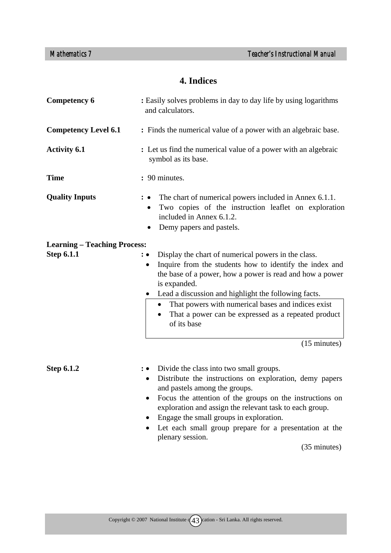# **4. Indices**

| <b>Competency 6</b>                 | : Easily solves problems in day to day life by using logarithms<br>and calculators.                                                                                                                                                                                                                                                                                                                             |  |  |
|-------------------------------------|-----------------------------------------------------------------------------------------------------------------------------------------------------------------------------------------------------------------------------------------------------------------------------------------------------------------------------------------------------------------------------------------------------------------|--|--|
| <b>Competency Level 6.1</b>         | : Finds the numerical value of a power with an algebraic base.                                                                                                                                                                                                                                                                                                                                                  |  |  |
| <b>Activity 6.1</b>                 | : Let us find the numerical value of a power with an algebraic<br>symbol as its base.                                                                                                                                                                                                                                                                                                                           |  |  |
| <b>Time</b>                         | : 90 minutes.                                                                                                                                                                                                                                                                                                                                                                                                   |  |  |
| <b>Quality Inputs</b>               | The chart of numerical powers included in Annex 6.1.1.<br>Two copies of the instruction leaflet on exploration<br>included in Annex 6.1.2.<br>Demy papers and pastels.                                                                                                                                                                                                                                          |  |  |
| <b>Learning - Teaching Process:</b> |                                                                                                                                                                                                                                                                                                                                                                                                                 |  |  |
| <b>Step 6.1.1</b>                   | Display the chart of numerical powers in the class.<br>$\colon \bullet$<br>Inquire from the students how to identify the index and<br>$\bullet$<br>the base of a power, how a power is read and how a power<br>is expanded.<br>Lead a discussion and highlight the following facts.<br>That powers with numerical bases and indices exist<br>That a power can be expressed as a repeated product<br>of its base |  |  |
|                                     | $(15 \text{ minutes})$                                                                                                                                                                                                                                                                                                                                                                                          |  |  |
| <b>Step 6.1.2</b>                   | Divide the class into two small groups.<br>Distribute the instructions on exploration demy papers                                                                                                                                                                                                                                                                                                               |  |  |

- on exploration, demy papers and pastels among the groups.
- Focus the attention of the groups on the instructions on exploration and assign the relevant task to each group.
- Engage the small groups in exploration.
- Let each small group prepare for a presentation at the plenary session.

(35 minutes)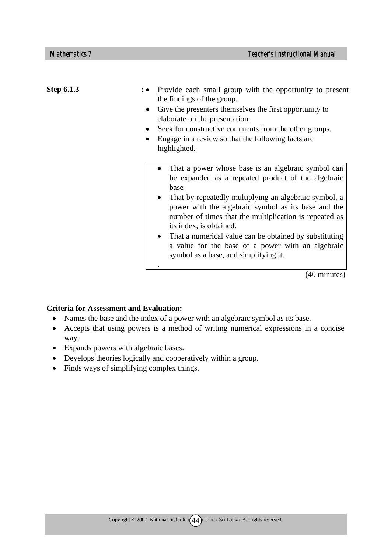| <b>Step 6.1.3</b> | Provide each small group with the opportunity to present<br>the findings of the group.<br>Give the presenters themselves the first opportunity to<br>elaborate on the presentation.<br>Seek for constructive comments from the other groups.<br>Engage in a review so that the following facts are<br>highlighted.                                                                                                                                                                         |
|-------------------|--------------------------------------------------------------------------------------------------------------------------------------------------------------------------------------------------------------------------------------------------------------------------------------------------------------------------------------------------------------------------------------------------------------------------------------------------------------------------------------------|
|                   | That a power whose base is an algebraic symbol can<br>be expanded as a repeated product of the algebraic<br>base<br>That by repeatedly multiplying an algebraic symbol, a<br>power with the algebraic symbol as its base and the<br>number of times that the multiplication is repeated as<br>its index, is obtained.<br>That a numerical value can be obtained by substituting<br>$\bullet$<br>a value for the base of a power with an algebraic<br>symbol as a base, and simplifying it. |
|                   | (40 minutes)                                                                                                                                                                                                                                                                                                                                                                                                                                                                               |

#### **Criteria for Assessment and Evaluation:**

- Names the base and the index of a power with an algebraic symbol as its base.
- Accepts that using powers is a method of writing numerical expressions in a concise way.
- Expands powers with algebraic bases.
- Develops theories logically and cooperatively within a group.
- Finds ways of simplifying complex things.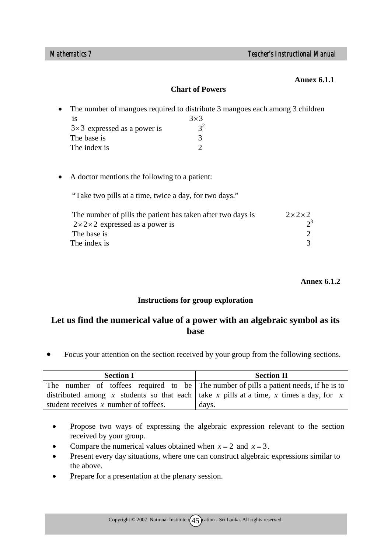#### **Annex 6.1.1**

#### **Chart of Powers**

| $\bullet$ |                                    | The number of mangoes required to distribute 3 mangoes each among 3 children |
|-----------|------------------------------------|------------------------------------------------------------------------------|
|           | 18                                 | $3\times3$                                                                   |
|           | $3\times3$ expressed as a power is | $2^2$                                                                        |
|           | The base is                        |                                                                              |
|           | The index is                       |                                                                              |

• A doctor mentions the following to a patient:

"Take two pills at a time, twice a day, for two days."

| The number of pills the patient has taken after two days is | $2 \times 2 \times 2$ |
|-------------------------------------------------------------|-----------------------|
| $2 \times 2 \times 2$ expressed as a power is               |                       |
| The base is                                                 |                       |
| The index is                                                |                       |

 **Annex 6.1.2**

#### **Instructions for group exploration**

# **Let us find the numerical value of a power with an algebraic symbol as its base**

• Focus your attention on the section received by your group from the following sections.

| <b>Section I</b>                                                                       | <b>Section II</b>                                                                     |  |
|----------------------------------------------------------------------------------------|---------------------------------------------------------------------------------------|--|
|                                                                                        | The number of toffees required to be The number of pills a patient needs, if he is to |  |
| distributed among x students so that each take x pills at a time, x times a day, for x |                                                                                       |  |
| student receives $x$ number of toffees.                                                | days.                                                                                 |  |

- Propose two ways of expressing the algebraic expression relevant to the section received by your group.
- Compare the numerical values obtained when  $x = 2$  and  $x = 3$ .
- Present every day situations, where one can construct algebraic expressions similar to the above.
- Prepare for a presentation at the plenary session.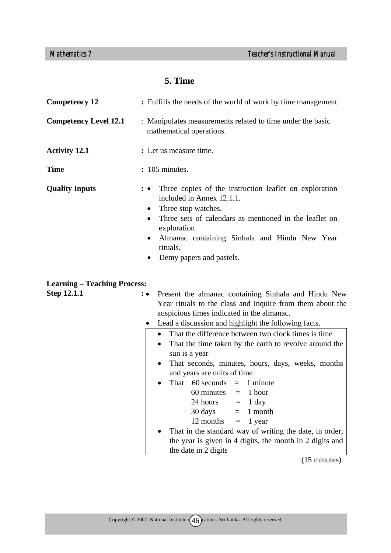# **5. Time**

| <b>Competency 12</b>                | : Fulfills the needs of the world of work by time management.                                                                                                                                                                                                                                                                           |  |
|-------------------------------------|-----------------------------------------------------------------------------------------------------------------------------------------------------------------------------------------------------------------------------------------------------------------------------------------------------------------------------------------|--|
| <b>Competency Level 12.1</b>        | : Manipulates measurements related to time under the basic<br>mathematical operations.                                                                                                                                                                                                                                                  |  |
| <b>Activity 12.1</b>                | : Let us measure time.                                                                                                                                                                                                                                                                                                                  |  |
| <b>Time</b>                         | $: 105$ minutes.                                                                                                                                                                                                                                                                                                                        |  |
| <b>Quality Inputs</b>               | Three copies of the instruction leaflet on exploration<br>: •<br>included in Annex 12.1.1.<br>Three stop watches.<br>$\bullet$<br>Three sets of calendars as mentioned in the leaflet on<br>$\bullet$<br>exploration<br>Almanac containing Sinhala and Hindu New Year<br>$\bullet$<br>rituals.<br>Demy papers and pastels.<br>$\bullet$ |  |
| <b>Learning – Teaching Process:</b> |                                                                                                                                                                                                                                                                                                                                         |  |
| <b>Stan 12 1 1</b>                  | • Dresent the elmence containing Sinbols and Hindu New                                                                                                                                                                                                                                                                                  |  |

| <b>Step 12.1.1</b> | : • Present the almanac containing Sinhala and Hindu New<br>Year rituals to the class and inquire from them about the<br>auspicious times indicated in the almanac. |
|--------------------|---------------------------------------------------------------------------------------------------------------------------------------------------------------------|
|                    |                                                                                                                                                                     |
|                    | • Lead a discussion and highlight the following facts.                                                                                                              |
|                    | • That the difference between two clock times is time                                                                                                               |
|                    | • That the time taken by the earth to revolve around the<br>sun is a year                                                                                           |
|                    | • That seconds, minutes, hours, days, weeks, months<br>and years are units of time                                                                                  |
|                    | That $60$ seconds = 1 minute<br>$\bullet$                                                                                                                           |

|  | $\sim$                                |                                                           |
|--|---------------------------------------|-----------------------------------------------------------|
|  | $60 \text{ minutes} = 1 \text{ hour}$ |                                                           |
|  | 24 hours                              | $=$ 1 day                                                 |
|  | 30 days                               | $= 1$ month                                               |
|  | $12$ months $= 1$ year                |                                                           |
|  |                                       | • That in the standard way of writing the date, in order, |
|  |                                       | the year is given in 4 digits, the month in 2 digits and  |

the date in  $\frac{3}{2}$  digits

(15 minutes)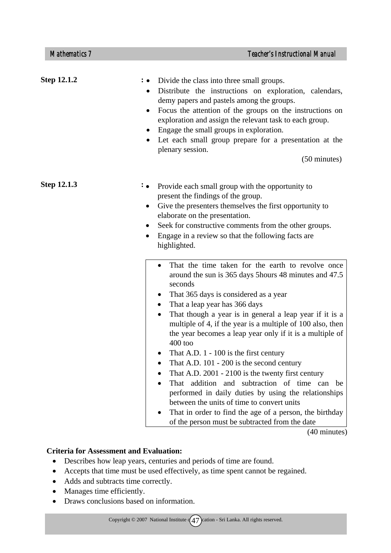| <b>Step 12.1.2</b> | Divide the class into three small groups.<br>Distribute the instructions on exploration, calendars,<br>demy papers and pastels among the groups.<br>Focus the attention of the groups on the instructions on<br>exploration and assign the relevant task to each group.<br>Engage the small groups in exploration.<br>$\bullet$<br>Let each small group prepare for a presentation at the<br>plenary session.<br>$(50 \text{ minutes})$                                                                                                                                                                                                                                                                                                                                                                                                             |  |
|--------------------|-----------------------------------------------------------------------------------------------------------------------------------------------------------------------------------------------------------------------------------------------------------------------------------------------------------------------------------------------------------------------------------------------------------------------------------------------------------------------------------------------------------------------------------------------------------------------------------------------------------------------------------------------------------------------------------------------------------------------------------------------------------------------------------------------------------------------------------------------------|--|
| <b>Step 12.1.3</b> | $: \bullet$<br>Provide each small group with the opportunity to<br>present the findings of the group.<br>Give the presenters themselves the first opportunity to<br>٠<br>elaborate on the presentation.<br>Seek for constructive comments from the other groups.<br>Engage in a review so that the following facts are<br>$\bullet$<br>highlighted.                                                                                                                                                                                                                                                                                                                                                                                                                                                                                                 |  |
|                    | That the time taken for the earth to revolve once<br>around the sun is 365 days 5 hours 48 minutes and 47.5<br>seconds<br>That 365 days is considered as a year<br>$\bullet$<br>That a leap year has 366 days<br>$\bullet$<br>That though a year is in general a leap year if it is a<br>multiple of 4, if the year is a multiple of 100 also, then<br>the year becomes a leap year only if it is a multiple of<br>$400$ too<br>That A.D. $1 - 100$ is the first century<br>That A.D. 101 - 200 is the second century<br>That A.D. 2001 - 2100 is the twenty first century<br>addition and subtraction of time can<br>That<br>be<br>performed in daily duties by using the relationships<br>between the units of time to convert units<br>That in order to find the age of a person, the birthday<br>of the person must be subtracted from the date |  |

(40 minutes)

#### **Criteria for Assessment and Evaluation:**

- Describes how leap years, centuries and periods of time are found.
- Accepts that time must be used effectively, as time spent cannot be regained.
- Adds and subtracts time correctly.
- Manages time efficiently.
- Draws conclusions based on information.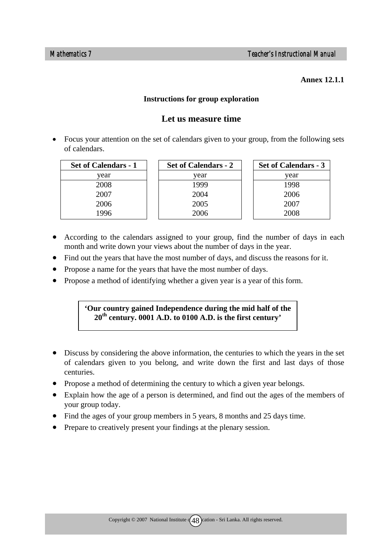#### **Annex 12.1.1**

#### **Instructions for group exploration**

## **Let us measure time**

• Focus your attention on the set of calendars given to your group, from the following sets of calendars.

| <b>Set of Calendars - 1</b> | <b>Set of Calendars - 2</b> | <b>Set of Calendars - 3</b> |
|-----------------------------|-----------------------------|-----------------------------|
| year                        | vear                        | year                        |
| 2008                        | 1999                        | 1998                        |
| 2007                        | 2004                        | 2006                        |
| 2006                        | 2005                        | 2007                        |
| 1996                        | 2006                        | 2008                        |

- According to the calendars assigned to your group, find the number of days in each month and write down your views about the number of days in the year.
- Find out the years that have the most number of days, and discuss the reasons for it.
- Propose a name for the years that have the most number of days.
- Propose a method of identifying whether a given year is a year of this form.

## **'Our country gained Independence during the mid half of the 20th century. 0001 A.D. to 0100 A.D. is the first century'**

- Discuss by considering the above information, the centuries to which the years in the set of calendars given to you belong, and write down the first and last days of those centuries.
- Propose a method of determining the century to which a given year belongs.
- Explain how the age of a person is determined, and find out the ages of the members of your group today.
- Find the ages of your group members in 5 years, 8 months and 25 days time.
- Prepare to creatively present your findings at the plenary session.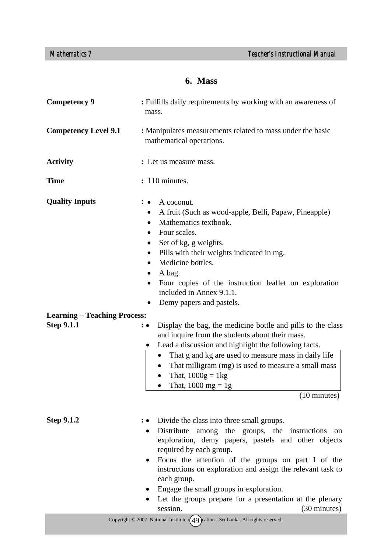# **6. Mass**

| <b>Competency 9</b>                 | : Fulfills daily requirements by working with an awareness of<br>mass.                                                                                                                                                                                                                                                                                                                                                                                                                  |  |
|-------------------------------------|-----------------------------------------------------------------------------------------------------------------------------------------------------------------------------------------------------------------------------------------------------------------------------------------------------------------------------------------------------------------------------------------------------------------------------------------------------------------------------------------|--|
| <b>Competency Level 9.1</b>         | : Manipulates measurements related to mass under the basic<br>mathematical operations.                                                                                                                                                                                                                                                                                                                                                                                                  |  |
| <b>Activity</b>                     | : Let us measure mass.                                                                                                                                                                                                                                                                                                                                                                                                                                                                  |  |
| <b>Time</b>                         | : 110 minutes.                                                                                                                                                                                                                                                                                                                                                                                                                                                                          |  |
| <b>Quality Inputs</b>               | A coconut.<br>A fruit (Such as wood-apple, Belli, Papaw, Pineapple)<br>$\bullet$<br>Mathematics textbook.<br>$\bullet$<br>Four scales.<br>$\bullet$<br>Set of kg, g weights.<br>$\bullet$<br>Pills with their weights indicated in mg.<br>٠<br>Medicine bottles.<br>$\bullet$<br>A bag.<br>$\bullet$<br>Four copies of the instruction leaflet on exploration<br>included in Annex 9.1.1.<br>Demy papers and pastels.<br>٠                                                              |  |
| <b>Learning – Teaching Process:</b> |                                                                                                                                                                                                                                                                                                                                                                                                                                                                                         |  |
| <b>Step 9.1.1</b>                   | Display the bag, the medicine bottle and pills to the class<br>: •<br>and inquire from the students about their mass.<br>Lead a discussion and highlight the following facts.<br>That g and kg are used to measure mass in daily life<br>That milligram (mg) is used to measure a small mass<br>That, $1000g = 1kg$<br>$\bullet$<br>That, $1000 \text{ mg} = 1\text{g}$<br>٠<br>$(10 \text{ minutes})$                                                                                  |  |
| <b>Step 9.1.2</b>                   | Divide the class into three small groups.<br>∶ ●<br>Distribute among the groups, the instructions<br>on<br>exploration, demy papers, pastels and other objects<br>required by each group.<br>Focus the attention of the groups on part I of the<br>$\bullet$<br>instructions on exploration and assign the relevant task to<br>each group.<br>Engage the small groups in exploration.<br>Let the groups prepare for a presentation at the plenary<br>session.<br>$(30 \text{ minutes})$ |  |
|                                     | Copyright $\circ$ 2007 National Institute $(49)$ cation - Sri Lanka. All rights reserved.                                                                                                                                                                                                                                                                                                                                                                                               |  |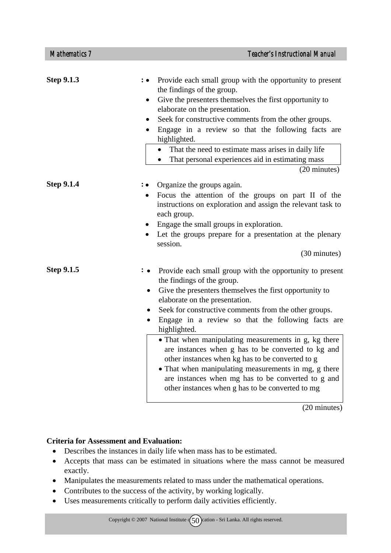| <b>Step 9.1.3</b> | : • Provide each small group with the opportunity to present<br>the findings of the group.<br>Give the presenters themselves the first opportunity to<br>$\bullet$<br>elaborate on the presentation.<br>Seek for constructive comments from the other groups.<br>Engage in a review so that the following facts are<br>highlighted.<br>• That the need to estimate mass arises in daily life<br>That personal experiences aid in estimating mass<br>(20 minutes)                                                                                                                                                                                                                                             |
|-------------------|--------------------------------------------------------------------------------------------------------------------------------------------------------------------------------------------------------------------------------------------------------------------------------------------------------------------------------------------------------------------------------------------------------------------------------------------------------------------------------------------------------------------------------------------------------------------------------------------------------------------------------------------------------------------------------------------------------------|
| <b>Step 9.1.4</b> | • Organize the groups again.<br>Focus the attention of the groups on part II of the<br>$\bullet$<br>instructions on exploration and assign the relevant task to<br>each group.<br>Engage the small groups in exploration.<br>Let the groups prepare for a presentation at the plenary<br>session.<br>(30 minutes)                                                                                                                                                                                                                                                                                                                                                                                            |
| <b>Step 9.1.5</b> | Provide each small group with the opportunity to present<br>$: \bullet$<br>the findings of the group.<br>Give the presenters themselves the first opportunity to<br>$\bullet$<br>elaborate on the presentation.<br>Seek for constructive comments from the other groups.<br>$\bullet$<br>Engage in a review so that the following facts are<br>$\bullet$<br>highlighted.<br>• That when manipulating measurements in g, kg there<br>are instances when g has to be converted to kg and<br>other instances when kg has to be converted to g<br>• That when manipulating measurements in mg, g there<br>are instances when mg has to be converted to g and<br>other instances when g has to be converted to mg |

(20 minutes)

#### **Criteria for Assessment and Evaluation:**

- Describes the instances in daily life when mass has to be estimated.
- Accepts that mass can be estimated in situations where the mass cannot be measured exactly.
- Manipulates the measurements related to mass under the mathematical operations.
- Contributes to the success of the activity, by working logically.
- Uses measurements critically to perform daily activities efficiently.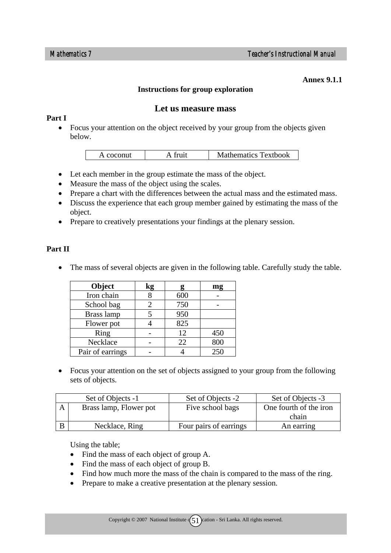#### **Annex 9.1.1**

#### **Instructions for group exploration**

#### **Let us measure mass**

#### **Part I**

• Focus your attention on the object received by your group from the objects given below.

| A coconut | fruit | <b>Mathematics Textbook</b> |
|-----------|-------|-----------------------------|

- Let each member in the group estimate the mass of the object.
- Measure the mass of the object using the scales.
- Prepare a chart with the differences between the actual mass and the estimated mass.
- Discuss the experience that each group member gained by estimating the mass of the object.
- Prepare to creatively presentations your findings at the plenary session.

#### **Part II**

• The mass of several objects are given in the following table. Carefully study the table.

| Object           | kg |     | mg  |
|------------------|----|-----|-----|
| Iron chain       |    | 600 |     |
| School bag       |    | 750 |     |
| Brass lamp       |    | 950 |     |
| Flower pot       |    | 825 |     |
| Ring             |    | 12  | 450 |
| Necklace         |    | 22  | 800 |
| Pair of earrings |    |     | 250 |

• Focus your attention on the set of objects assigned to your group from the following sets of objects.

| Set of Objects -1      | Set of Objects -2      | Set of Objects -3      |
|------------------------|------------------------|------------------------|
| Brass lamp, Flower pot | Five school bags       | One fourth of the iron |
|                        |                        | chain                  |
| Necklace, Ring         | Four pairs of earrings | An earring             |

Using the table;

- Find the mass of each object of group A.
- Find the mass of each object of group B.
- Find how much more the mass of the chain is compared to the mass of the ring.
- Prepare to make a creative presentation at the plenary session.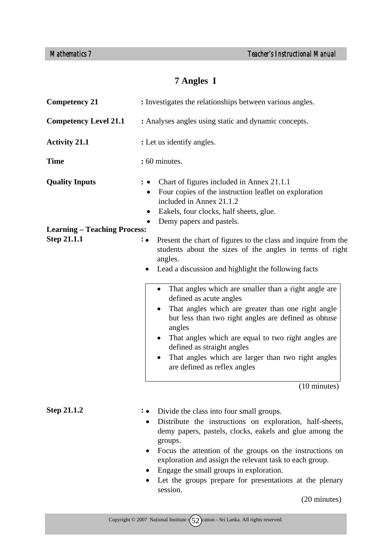# **7 Angles I**

| <b>Competency 21</b>                | : Investigates the relationships between various angles.                                                                                                                                                                                                                                                                                                                                                                                                                   |  |
|-------------------------------------|----------------------------------------------------------------------------------------------------------------------------------------------------------------------------------------------------------------------------------------------------------------------------------------------------------------------------------------------------------------------------------------------------------------------------------------------------------------------------|--|
| <b>Competency Level 21.1</b>        | : Analyses angles using static and dynamic concepts.                                                                                                                                                                                                                                                                                                                                                                                                                       |  |
| <b>Activity 21.1</b>                | : Let us identify angles.                                                                                                                                                                                                                                                                                                                                                                                                                                                  |  |
| <b>Time</b>                         | : 60 minutes.                                                                                                                                                                                                                                                                                                                                                                                                                                                              |  |
| <b>Quality Inputs</b>               | Chart of figures included in Annex 21.1.1<br>Four copies of the instruction leaflet on exploration<br>included in Annex 21.1.2<br>Eakels, four clocks, half sheets, glue.<br>$\bullet$<br>Demy papers and pastels.                                                                                                                                                                                                                                                         |  |
| <b>Learning – Teaching Process:</b> |                                                                                                                                                                                                                                                                                                                                                                                                                                                                            |  |
| <b>Step 21.1.1</b>                  | Present the chart of figures to the class and inquire from the<br>: •<br>students about the sizes of the angles in terms of right<br>angles.<br>Lead a discussion and highlight the following facts<br>That angles which are smaller than a right angle are<br>defined as acute angles<br>That angles which are greater than one right angle<br>but less than two right angles are defined as obtuse<br>angles<br>That angles which are equal to two right angles are<br>٠ |  |
|                                     | defined as straight angles<br>That angles which are larger than two right angles<br>are defined as reflex angles<br>$(10 \text{ minutes})$                                                                                                                                                                                                                                                                                                                                 |  |
|                                     |                                                                                                                                                                                                                                                                                                                                                                                                                                                                            |  |
| <b>Step 21.1.2</b>                  | : • Divide the class into four small groups.<br>Distribute the instructions on exploration, half-sheets,<br>demy papers, pastels, clocks, eakels and glue among the<br>groups.<br>Focus the attention of the groups on the instructions on<br>exploration and assign the relevant task to each group.<br>Engage the small groups in exploration.<br>Let the groups prepare for presentations at the plenary<br>session.                                                    |  |

(20 minutes)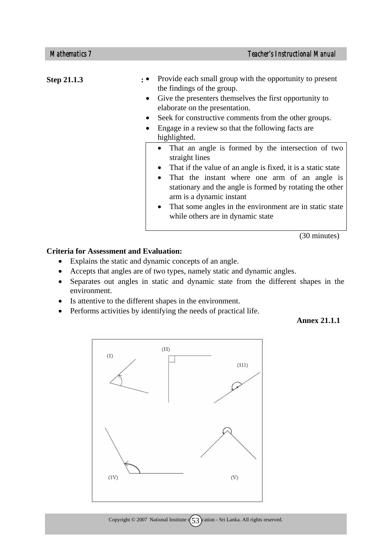| <b>Step 21.1.3</b> | Provide each small group with the opportunity to present<br>the findings of the group.<br>Give the presenters themselves the first opportunity to<br>elaborate on the presentation.<br>Seek for constructive comments from the other groups.<br>Engage in a review so that the following facts are.<br>highlighted.                                                                                                               |
|--------------------|-----------------------------------------------------------------------------------------------------------------------------------------------------------------------------------------------------------------------------------------------------------------------------------------------------------------------------------------------------------------------------------------------------------------------------------|
|                    | That an angle is formed by the intersection of two<br>$\bullet$<br>straight lines<br>That if the value of an angle is fixed, it is a static state<br>$\bullet$<br>That the instant where one arm of an angle is<br>$\bullet$<br>stationary and the angle is formed by rotating the other<br>arm is a dynamic instant<br>That some angles in the environment are in static state<br>$\bullet$<br>while others are in dynamic state |

(30 minutes)

#### **Criteria for Assessment and Evaluation:**

- Explains the static and dynamic concepts of an angle.
- Accepts that angles are of two types, namely static and dynamic angles.
- Separates out angles in static and dynamic state from the different shapes in the environment.
- Is attentive to the different shapes in the environment.
- Performs activities by identifying the needs of practical life.

 **Annex 21.1.1** 

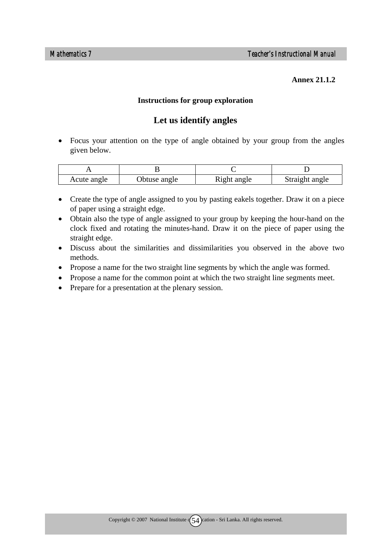#### **Annex 21.1.2**

#### **Instructions for group exploration**

## **Let us identify angles**

• Focus your attention on the type of angle obtained by your group from the angles given below.

| Acute angle | Obtuse angle | Right angle | Straight angle |
|-------------|--------------|-------------|----------------|

- Create the type of angle assigned to you by pasting eakels together. Draw it on a piece of paper using a straight edge.
- Obtain also the type of angle assigned to your group by keeping the hour-hand on the clock fixed and rotating the minutes-hand. Draw it on the piece of paper using the straight edge.
- Discuss about the similarities and dissimilarities you observed in the above two methods.
- Propose a name for the two straight line segments by which the angle was formed.
- Propose a name for the common point at which the two straight line segments meet.
- Prepare for a presentation at the plenary session.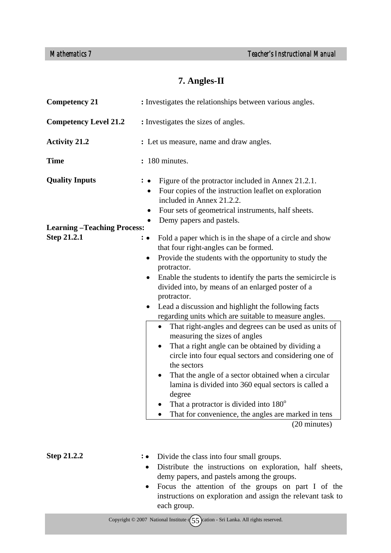# **7. Angles-II**

| <b>Competency 21</b>              | : Investigates the relationships between various angles.                                                                                                                                                                                     |
|-----------------------------------|----------------------------------------------------------------------------------------------------------------------------------------------------------------------------------------------------------------------------------------------|
| <b>Competency Level 21.2</b>      | : Investigates the sizes of angles.                                                                                                                                                                                                          |
| <b>Activity 21.2</b>              | : Let us measure, name and draw angles.                                                                                                                                                                                                      |
| <b>Time</b>                       | : 180 minutes.                                                                                                                                                                                                                               |
| <b>Quality Inputs</b>             | Figure of the protractor included in Annex 21.2.1.<br>Four copies of the instruction leaflet on exploration<br>٠<br>included in Annex 21.2.2.<br>Four sets of geometrical instruments, half sheets.<br>Demy papers and pastels.<br>$\bullet$ |
| <b>Learning-Teaching Process:</b> |                                                                                                                                                                                                                                              |
| <b>Step 21.2.1</b>                | Fold a paper which is in the shape of a circle and show<br>$: \bullet$<br>that four right-angles can be formed.                                                                                                                              |
|                                   | Provide the students with the opportunity to study the<br>$\bullet$<br>protractor.                                                                                                                                                           |
|                                   | Enable the students to identify the parts the semicircle is<br>divided into, by means of an enlarged poster of a<br>protractor.                                                                                                              |
|                                   | Lead a discussion and highlight the following facts<br>$\bullet$<br>regarding units which are suitable to measure angles.                                                                                                                    |
|                                   | That right-angles and degrees can be used as units of<br>$\bullet$<br>measuring the sizes of angles                                                                                                                                          |
|                                   | That a right angle can be obtained by dividing a<br>$\bullet$<br>circle into four equal sectors and considering one of<br>the sectors                                                                                                        |
|                                   | That the angle of a sector obtained when a circular<br>lamina is divided into 360 equal sectors is called a<br>degree                                                                                                                        |
|                                   | That a protractor is divided into 180°                                                                                                                                                                                                       |
|                                   | That for convenience, the angles are marked in tens                                                                                                                                                                                          |
|                                   | (20 minutes)                                                                                                                                                                                                                                 |
|                                   |                                                                                                                                                                                                                                              |
| <b>Step 21.2.2</b>                | Divide the class into four small groups.<br>Distribute the instructions on exploration, half sheets,<br>demy papers, and pastels among the groups.<br>Focus the attention of the groups on part I of the                                     |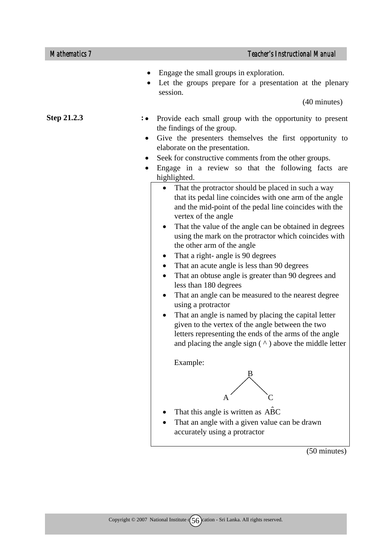| <b>Mathematics 7</b> | <b>Teacher's Instructional Manual</b>                                                                                                                                                                                                                                                                                                                                                                                                                                                                                                                                                                                                                                                                                                                                                                                                                                |
|----------------------|----------------------------------------------------------------------------------------------------------------------------------------------------------------------------------------------------------------------------------------------------------------------------------------------------------------------------------------------------------------------------------------------------------------------------------------------------------------------------------------------------------------------------------------------------------------------------------------------------------------------------------------------------------------------------------------------------------------------------------------------------------------------------------------------------------------------------------------------------------------------|
|                      | Engage the small groups in exploration.<br>Let the groups prepare for a presentation at the plenary<br>session.<br>(40 minutes)                                                                                                                                                                                                                                                                                                                                                                                                                                                                                                                                                                                                                                                                                                                                      |
| Step 21.2.3          |                                                                                                                                                                                                                                                                                                                                                                                                                                                                                                                                                                                                                                                                                                                                                                                                                                                                      |
|                      | Provide each small group with the opportunity to present<br>$\colon \bullet$<br>the findings of the group.                                                                                                                                                                                                                                                                                                                                                                                                                                                                                                                                                                                                                                                                                                                                                           |
|                      | Give the presenters themselves the first opportunity to<br>٠                                                                                                                                                                                                                                                                                                                                                                                                                                                                                                                                                                                                                                                                                                                                                                                                         |
|                      | elaborate on the presentation.                                                                                                                                                                                                                                                                                                                                                                                                                                                                                                                                                                                                                                                                                                                                                                                                                                       |
|                      | Seek for constructive comments from the other groups.                                                                                                                                                                                                                                                                                                                                                                                                                                                                                                                                                                                                                                                                                                                                                                                                                |
|                      | Engage in a review so that the following facts are<br>٠<br>highlighted.                                                                                                                                                                                                                                                                                                                                                                                                                                                                                                                                                                                                                                                                                                                                                                                              |
|                      | That the protractor should be placed in such a way<br>that its pedal line coincides with one arm of the angle<br>and the mid-point of the pedal line coincides with the<br>vertex of the angle<br>That the value of the angle can be obtained in degrees<br>$\bullet$<br>using the mark on the protractor which coincides with<br>the other arm of the angle<br>That a right- angle is 90 degrees<br>$\bullet$<br>That an acute angle is less than 90 degrees<br>That an obtuse angle is greater than 90 degrees and<br>less than 180 degrees<br>That an angle can be measured to the nearest degree<br>using a protractor<br>That an angle is named by placing the capital letter<br>given to the vertex of the angle between the two<br>letters representing the ends of the arms of the angle<br>and placing the angle sign $(^{\wedge})$ above the middle letter |
|                      | Example:                                                                                                                                                                                                                                                                                                                                                                                                                                                                                                                                                                                                                                                                                                                                                                                                                                                             |
|                      |                                                                                                                                                                                                                                                                                                                                                                                                                                                                                                                                                                                                                                                                                                                                                                                                                                                                      |
|                      | That this angle is written as ABC                                                                                                                                                                                                                                                                                                                                                                                                                                                                                                                                                                                                                                                                                                                                                                                                                                    |
|                      | That an angle with a given value can be drawn<br>accurately using a protractor                                                                                                                                                                                                                                                                                                                                                                                                                                                                                                                                                                                                                                                                                                                                                                                       |

(50 minutes)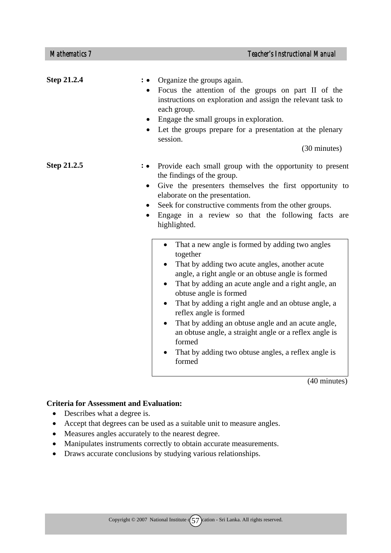| <b>Step 21.2.4</b> | Organize the groups again.<br>Focus the attention of the groups on part II of the<br>instructions on exploration and assign the relevant task to<br>each group.<br>Engage the small groups in exploration.<br>• Let the groups prepare for a presentation at the plenary<br>session.<br>(30 minutes)                                                                                                                                                                                    |
|--------------------|-----------------------------------------------------------------------------------------------------------------------------------------------------------------------------------------------------------------------------------------------------------------------------------------------------------------------------------------------------------------------------------------------------------------------------------------------------------------------------------------|
| Step 21.2.5        | Provide each small group with the opportunity to present<br>the findings of the group.<br>Give the presenters themselves the first opportunity to<br>$\bullet$<br>elaborate on the presentation.<br>Seek for constructive comments from the other groups.<br>$\bullet$<br>Engage in a review so that the following facts are<br>$\bullet$<br>highlighted.<br>That a new angle is formed by adding two angles<br>$\bullet$<br>together<br>That by adding two acute angles, another acute |
|                    | angle, a right angle or an obtuse angle is formed<br>That by adding an acute angle and a right angle, an<br>$\bullet$<br>obtuse angle is formed<br>That by adding a right angle and an obtuse angle, a<br>$\bullet$<br>reflex angle is formed<br>That by adding an obtuse angle and an acute angle,<br>an obtuse angle, a straight angle or a reflex angle is<br>formed<br>That by adding two obtuse angles, a reflex angle is<br>formed                                                |

(40 minutes)

#### **Criteria for Assessment and Evaluation:**

- Describes what a degree is.
- Accept that degrees can be used as a suitable unit to measure angles.
- Measures angles accurately to the nearest degree.
- Manipulates instruments correctly to obtain accurate measurements.
- Draws accurate conclusions by studying various relationships.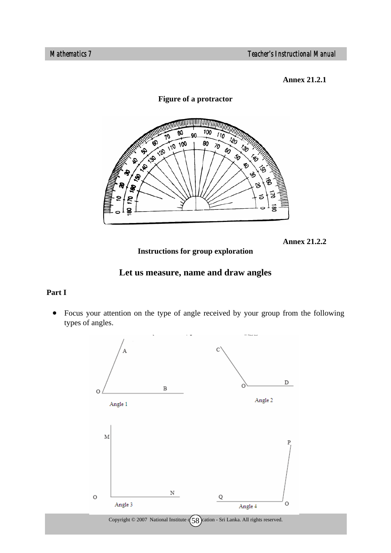**Annex 21.2.1** 

**Figure of a protractor** 



**Annex 21.2.2**

**Instructions for group exploration** 



## **Part I**

• Focus your attention on the type of angle received by your group from the following types of angles.

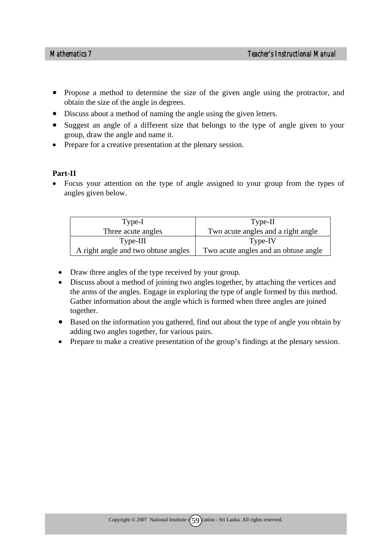- Propose a method to determine the size of the given angle using the protractor, and obtain the size of the angle in degrees.
- Discuss about a method of naming the angle using the given letters.
- Suggest an angle of a different size that belongs to the type of angle given to your group, draw the angle and name it.
- Prepare for a creative presentation at the plenary session.

#### **Part-II**

• Focus your attention on the type of angle assigned to your group from the types of angles given below.

| Type-I                              | Type-II                              |
|-------------------------------------|--------------------------------------|
| Three acute angles                  | Two acute angles and a right angle   |
| $Type-III$                          | Type-IV                              |
| A right angle and two obtuse angles | Two acute angles and an obtuse angle |

- Draw three angles of the type received by your group.
- Discuss about a method of joining two angles together, by attaching the vertices and the arms of the angles. Engage in exploring the type of angle formed by this method. Gather information about the angle which is formed when three angles are joined together.
- Based on the information you gathered, find out about the type of angle you obtain by adding two angles together, for various pairs.
- Prepare to make a creative presentation of the group's findings at the plenary session.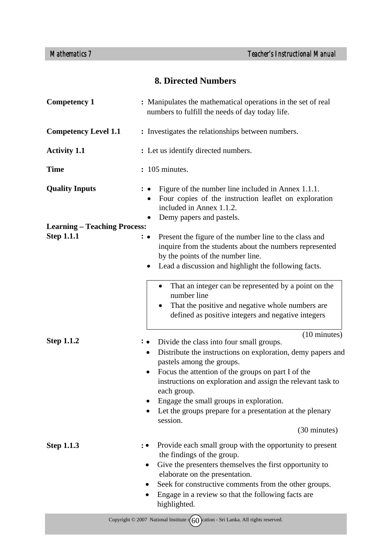# **8. Directed Numbers**

| <b>Competency 1</b>                 | : Manipulates the mathematical operations in the set of real<br>numbers to fulfill the needs of day today life.                                                                                                                                                                                                                                                                                                                                                                    |
|-------------------------------------|------------------------------------------------------------------------------------------------------------------------------------------------------------------------------------------------------------------------------------------------------------------------------------------------------------------------------------------------------------------------------------------------------------------------------------------------------------------------------------|
| <b>Competency Level 1.1</b>         | : Investigates the relationships between numbers.                                                                                                                                                                                                                                                                                                                                                                                                                                  |
| <b>Activity 1.1</b>                 | : Let us identify directed numbers.                                                                                                                                                                                                                                                                                                                                                                                                                                                |
| <b>Time</b>                         | : 105 minutes.                                                                                                                                                                                                                                                                                                                                                                                                                                                                     |
| <b>Quality Inputs</b>               | Figure of the number line included in Annex 1.1.1.<br>Four copies of the instruction leaflet on exploration<br>included in Annex 1.1.2.<br>Demy papers and pastels.                                                                                                                                                                                                                                                                                                                |
| <b>Learning - Teaching Process:</b> |                                                                                                                                                                                                                                                                                                                                                                                                                                                                                    |
| <b>Step 1.1.1</b>                   | Present the figure of the number line to the class and<br>$\colon \bullet$<br>inquire from the students about the numbers represented<br>by the points of the number line.<br>Lead a discussion and highlight the following facts.<br>٠                                                                                                                                                                                                                                            |
|                                     | That an integer can be represented by a point on the<br>٠<br>number line<br>That the positive and negative whole numbers are<br>defined as positive integers and negative integers                                                                                                                                                                                                                                                                                                 |
| <b>Step 1.1.2</b>                   | $(10 \text{ minutes})$<br>Divide the class into four small groups.<br>$\cdot \bullet$<br>Distribute the instructions on exploration, demy papers and<br>$\bullet$<br>pastels among the groups.<br>Focus the attention of the groups on part I of the<br>$\bullet$<br>instructions on exploration and assign the relevant task to<br>each group.<br>Engage the small groups in exploration.<br>Let the groups prepare for a presentation at the plenary<br>session.<br>(30 minutes) |
| <b>Step 1.1.3</b>                   | Provide each small group with the opportunity to present<br>the findings of the group.<br>Give the presenters themselves the first opportunity to<br>$\bullet$<br>elaborate on the presentation.<br>Seek for constructive comments from the other groups.<br>Engage in a review so that the following facts are<br>highlighted.                                                                                                                                                    |
|                                     | Copyright $\odot$ 2007 National Institute $\binom{60}{10}$ cation - Sri Lanka. All rights reserved.                                                                                                                                                                                                                                                                                                                                                                                |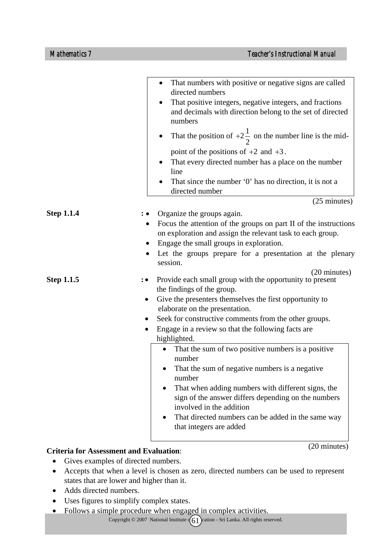|                   | That numbers with positive or negative signs are called<br>directed numbers<br>That positive integers, negative integers, and fractions<br>and decimals with direction belong to the set of directed<br>numbers<br>That the position of $+2\frac{1}{2}$ on the number line is the mid-<br>point of the positions of $+2$ and $+3$ .<br>That every directed number has a place on the number<br>line<br>That since the number '0' has no direction, it is not a<br>directed number                                                                                                                                                                                                     |
|-------------------|---------------------------------------------------------------------------------------------------------------------------------------------------------------------------------------------------------------------------------------------------------------------------------------------------------------------------------------------------------------------------------------------------------------------------------------------------------------------------------------------------------------------------------------------------------------------------------------------------------------------------------------------------------------------------------------|
|                   | $(25 \text{ minutes})$                                                                                                                                                                                                                                                                                                                                                                                                                                                                                                                                                                                                                                                                |
| <b>Step 1.1.4</b> | Organize the groups again.<br>Focus the attention of the groups on part II of the instructions<br>on exploration and assign the relevant task to each group.<br>Engage the small groups in exploration.<br>Let the groups prepare for a presentation at the plenary<br>session.                                                                                                                                                                                                                                                                                                                                                                                                       |
| <b>Step 1.1.5</b> | (20 minutes)<br>Provide each small group with the opportunity to present<br>the findings of the group.<br>Give the presenters themselves the first opportunity to<br>٠<br>elaborate on the presentation.<br>Seek for constructive comments from the other groups.<br>٠<br>Engage in a review so that the following facts are<br>highlighted.<br>That the sum of two positive numbers is a positive<br>number<br>That the sum of negative numbers is a negative.<br>number<br>That when adding numbers with different signs, the<br>$\bullet$<br>sign of the answer differs depending on the numbers<br>involved in the addition<br>That directed numbers can be added in the same way |
|                   | that integers are added                                                                                                                                                                                                                                                                                                                                                                                                                                                                                                                                                                                                                                                               |

#### **Criteria for Assessment and Evaluation**:

(20 minutes)

- Gives examples of directed numbers.
- Accepts that when a level is chosen as zero, directed numbers can be used to represent states that are lower and higher than it.
- Adds directed numbers.
- Uses figures to simplify complex states.
- Follows a simple procedure when engaged in complex activities.

Copyright  $\odot$  2007 National Institute  $\left(\begin{array}{c} 61 \end{array}\right)$  cation - Sri Lanka. All rights reserved.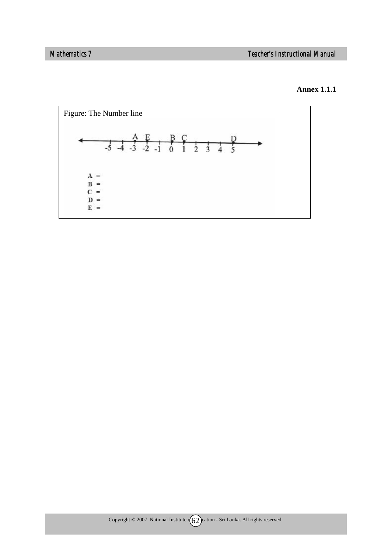#### **Annex 1.1.1**

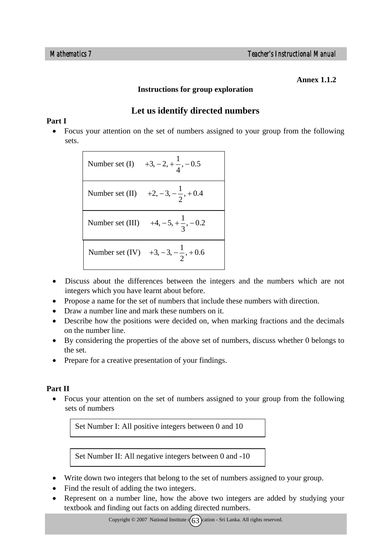#### **Annex 1.1.2**

#### **Instructions for group exploration**

# **Let us identify directed numbers**

### **Part I**

• Focus your attention on the set of numbers assigned to your group from the following sets.

> Number set (I)  $+3, -2, +\frac{1}{4}, -0.5$ Number set (II)  $+2, -3, -\frac{1}{2}, +0.4$ Number set (III)  $+4, -5, +\frac{1}{3}, -0.2$ Number set (IV)  $+3, -3, -\frac{1}{2}, +0.6$

- Discuss about the differences between the integers and the numbers which are not integers which you have learnt about before.
- Propose a name for the set of numbers that include these numbers with direction.
- Draw a number line and mark these numbers on it.
- Describe how the positions were decided on, when marking fractions and the decimals on the number line.
- By considering the properties of the above set of numbers, discuss whether 0 belongs to the set.
- Prepare for a creative presentation of your findings.

## **Part II**

• Focus your attention on the set of numbers assigned to your group from the following sets of numbers

Set Number I: All positive integers between 0 and 10

Set Number II: All negative integers between 0 and -10

- Write down two integers that belong to the set of numbers assigned to your group.
- Find the result of adding the two integers.
- Represent on a number line, how the above two integers are added by studying your textbook and finding out facts on adding directed numbers.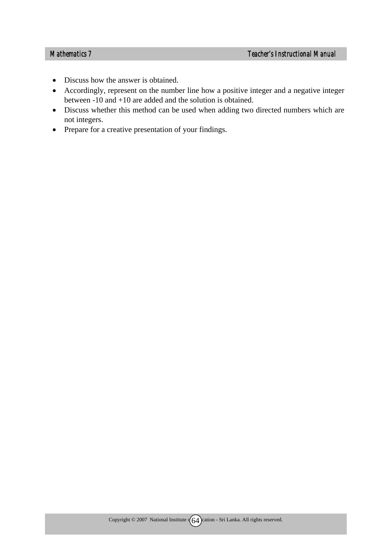- Discuss how the answer is obtained.
- Accordingly, represent on the number line how a positive integer and a negative integer between -10 and +10 are added and the solution is obtained.
- Discuss whether this method can be used when adding two directed numbers which are not integers.
- Prepare for a creative presentation of your findings.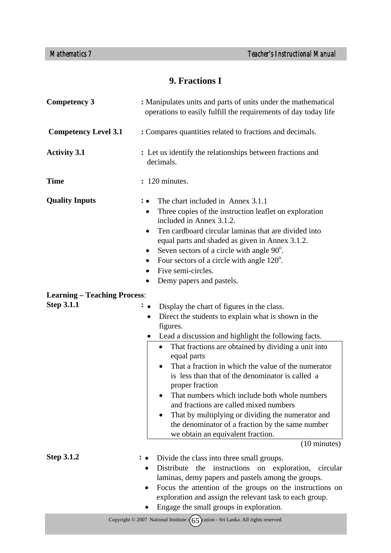# **9. Fractions I**

| <b>Competency 3</b>                 | : Manipulates units and parts of units under the mathematical<br>operations to easily fulfill the requirements of day today life                                                                                                                                                                                                                                                                                                                                                                                                                                                                                                                                                           |  |
|-------------------------------------|--------------------------------------------------------------------------------------------------------------------------------------------------------------------------------------------------------------------------------------------------------------------------------------------------------------------------------------------------------------------------------------------------------------------------------------------------------------------------------------------------------------------------------------------------------------------------------------------------------------------------------------------------------------------------------------------|--|
| <b>Competency Level 3.1</b>         | : Compares quantities related to fractions and decimals.                                                                                                                                                                                                                                                                                                                                                                                                                                                                                                                                                                                                                                   |  |
| <b>Activity 3.1</b>                 | : Let us identify the relationships between fractions and<br>decimals.                                                                                                                                                                                                                                                                                                                                                                                                                                                                                                                                                                                                                     |  |
| <b>Time</b>                         | : 120 minutes.                                                                                                                                                                                                                                                                                                                                                                                                                                                                                                                                                                                                                                                                             |  |
| <b>Quality Inputs</b>               | The chart included in Annex 3.1.1<br>Three copies of the instruction leaflet on exploration<br>٠<br>included in Annex 3.1.2.<br>Ten cardboard circular laminas that are divided into<br>$\bullet$<br>equal parts and shaded as given in Annex 3.1.2.<br>Seven sectors of a circle with angle $90^\circ$ .<br>$\bullet$<br>Four sectors of a circle with angle $120^{\circ}$ .<br>$\bullet$<br>Five semi-circles.<br>Demy papers and pastels.                                                                                                                                                                                                                                               |  |
| <b>Learning - Teaching Process:</b> |                                                                                                                                                                                                                                                                                                                                                                                                                                                                                                                                                                                                                                                                                            |  |
| <b>Step 3.1.1</b>                   | Display the chart of figures in the class.<br>$\colon \bullet$<br>Direct the students to explain what is shown in the<br>$\bullet$<br>figures.<br>Lead a discussion and highlight the following facts.<br>$\bullet$<br>That fractions are obtained by dividing a unit into<br>equal parts<br>That a fraction in which the value of the numerator<br>is less than that of the denominator is called a<br>proper fraction<br>That numbers which include both whole numbers<br>and fractions are called mixed numbers<br>That by multiplying or dividing the numerator and<br>the denominator of a fraction by the same number<br>we obtain an equivalent fraction.<br>$(10 \text{ minutes})$ |  |
| <b>Step 3.1.2</b>                   | Divide the class into three small groups.<br>Distribute the instructions on<br>exploration,<br>circular<br>laminas, demy papers and pastels among the groups.<br>Focus the attention of the groups on the instructions on<br>exploration and assign the relevant task to each group.<br>Engage the small groups in exploration.                                                                                                                                                                                                                                                                                                                                                            |  |
|                                     | Copyright $\odot$ 2007 National Institute $(65)$ cation - Sri Lanka. All rights reserved.                                                                                                                                                                                                                                                                                                                                                                                                                                                                                                                                                                                                  |  |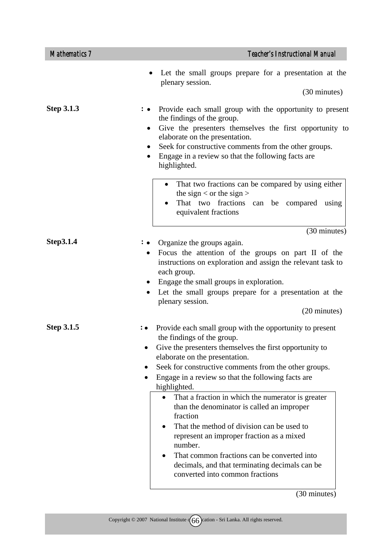| <b>Teacher's Instructional Manual</b>                                                                                                                                                                                                                                                                                                                                                                                                                                                                                                                                                                                                                                                                 |
|-------------------------------------------------------------------------------------------------------------------------------------------------------------------------------------------------------------------------------------------------------------------------------------------------------------------------------------------------------------------------------------------------------------------------------------------------------------------------------------------------------------------------------------------------------------------------------------------------------------------------------------------------------------------------------------------------------|
| Let the small groups prepare for a presentation at the<br>plenary session.<br>$(30 \text{ minutes})$                                                                                                                                                                                                                                                                                                                                                                                                                                                                                                                                                                                                  |
| Provide each small group with the opportunity to present<br>the findings of the group.<br>Give the presenters themselves the first opportunity to<br>$\bullet$<br>elaborate on the presentation.<br>Seek for constructive comments from the other groups.<br>Engage in a review so that the following facts are<br>highlighted.<br>That two fractions can be compared by using either<br>$\bullet$<br>the sign $<$ or the sign $>$<br>That two fractions can be compared using                                                                                                                                                                                                                        |
| equivalent fractions<br>(30 minutes)                                                                                                                                                                                                                                                                                                                                                                                                                                                                                                                                                                                                                                                                  |
| Organize the groups again.<br>Focus the attention of the groups on part II of the<br>$\bullet$<br>instructions on exploration and assign the relevant task to<br>each group.<br>Engage the small groups in exploration.<br>$\bullet$<br>Let the small groups prepare for a presentation at the<br>plenary session.<br>(20 minutes)                                                                                                                                                                                                                                                                                                                                                                    |
| Provide each small group with the opportunity to present<br>the findings of the group.<br>Give the presenters themselves the first opportunity to<br>elaborate on the presentation.<br>Seek for constructive comments from the other groups.<br>Engage in a review so that the following facts are<br>highlighted.<br>That a fraction in which the numerator is greater<br>$\bullet$<br>than the denominator is called an improper<br>fraction<br>That the method of division can be used to<br>represent an improper fraction as a mixed<br>number.<br>That common fractions can be converted into<br>$\bullet$<br>decimals, and that terminating decimals can be<br>converted into common fractions |
|                                                                                                                                                                                                                                                                                                                                                                                                                                                                                                                                                                                                                                                                                                       |

(30 minutes)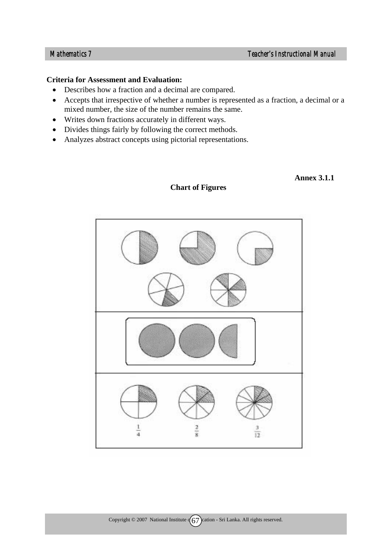#### **Criteria for Assessment and Evaluation:**

- Describes how a fraction and a decimal are compared.
- Accepts that irrespective of whether a number is represented as a fraction, a decimal or a mixed number, the size of the number remains the same.
- Writes down fractions accurately in different ways.
- Divides things fairly by following the correct methods.
- Analyzes abstract concepts using pictorial representations.

# $\frac{2}{8}$ 3 4  $\overline{12}$

#### **Chart of Figures**

#### **Annex 3.1.1**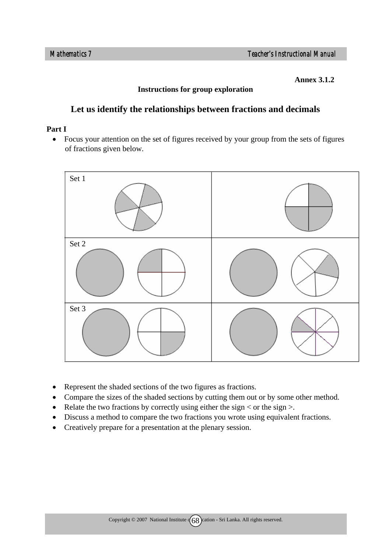**Annex 3.1.2** 

#### **Instructions for group exploration**

# **Let us identify the relationships between fractions and decimals**

#### **Part I**

• Focus your attention on the set of figures received by your group from the sets of figures of fractions given below.



- Represent the shaded sections of the two figures as fractions.
- Compare the sizes of the shaded sections by cutting them out or by some other method.
- Relate the two fractions by correctly using either the sign  $\lt$  or the sign  $\gt$ .
- Discuss a method to compare the two fractions you wrote using equivalent fractions.
- Creatively prepare for a presentation at the plenary session.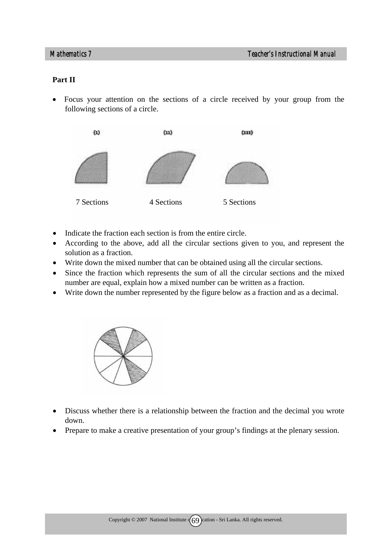#### **Part II**

• Focus your attention on the sections of a circle received by your group from the following sections of a circle.



- Indicate the fraction each section is from the entire circle.
- According to the above, add all the circular sections given to you, and represent the solution as a fraction.
- Write down the mixed number that can be obtained using all the circular sections.
- Since the fraction which represents the sum of all the circular sections and the mixed number are equal, explain how a mixed number can be written as a fraction.
- Write down the number represented by the figure below as a fraction and as a decimal.



- Discuss whether there is a relationship between the fraction and the decimal you wrote down.
- Prepare to make a creative presentation of your group's findings at the plenary session.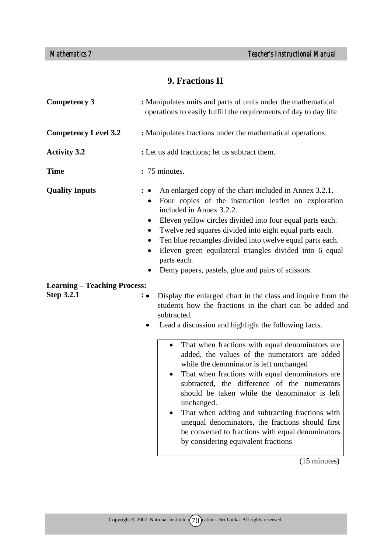# **9. Fractions II**

| : Manipulates units and parts of units under the mathematical<br>operations to easily fulfill the requirements of day to day life                                                                                                                                                                                                                                                                                                                                                                                                                                                                                                                                                                                                                                                           |  |
|---------------------------------------------------------------------------------------------------------------------------------------------------------------------------------------------------------------------------------------------------------------------------------------------------------------------------------------------------------------------------------------------------------------------------------------------------------------------------------------------------------------------------------------------------------------------------------------------------------------------------------------------------------------------------------------------------------------------------------------------------------------------------------------------|--|
| : Manipulates fractions under the mathematical operations.                                                                                                                                                                                                                                                                                                                                                                                                                                                                                                                                                                                                                                                                                                                                  |  |
| : Let us add fractions; let us subtract them.                                                                                                                                                                                                                                                                                                                                                                                                                                                                                                                                                                                                                                                                                                                                               |  |
| : 75 minutes.                                                                                                                                                                                                                                                                                                                                                                                                                                                                                                                                                                                                                                                                                                                                                                               |  |
| An enlarged copy of the chart included in Annex 3.2.1.<br>Four copies of the instruction leaflet on exploration<br>$\bullet$<br>included in Annex 3.2.2.<br>Eleven yellow circles divided into four equal parts each.<br>$\bullet$<br>Twelve red squares divided into eight equal parts each.<br>Ten blue rectangles divided into twelve equal parts each.<br>$\bullet$<br>Eleven green equilateral triangles divided into 6 equal<br>parts each.<br>Demy papers, pastels, glue and pairs of scissors.                                                                                                                                                                                                                                                                                      |  |
| <b>Learning – Teaching Process:</b><br>Display the enlarged chart in the class and inquire from the<br>$\colon \bullet$<br>students how the fractions in the chart can be added and<br>subtracted.<br>Lead a discussion and highlight the following facts.<br>That when fractions with equal denominators are<br>added, the values of the numerators are added<br>while the denominator is left unchanged<br>That when fractions with equal denominators are<br>$\bullet$<br>subtracted, the difference of the numerators<br>should be taken while the denominator is left<br>unchanged.<br>That when adding and subtracting fractions with<br>unequal denominators, the fractions should first<br>be converted to fractions with equal denominators<br>by considering equivalent fractions |  |
|                                                                                                                                                                                                                                                                                                                                                                                                                                                                                                                                                                                                                                                                                                                                                                                             |  |

(15 minutes)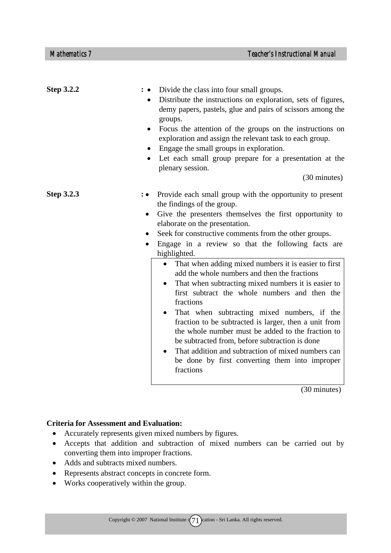| <b>Step 3.2.2</b> | Divide the class into four small groups.<br>Distribute the instructions on exploration, sets of figures,<br>demy papers, pastels, glue and pairs of scissors among the<br>groups.<br>Focus the attention of the groups on the instructions on<br>exploration and assign the relevant task to each group.<br>Engage the small groups in exploration.<br>Let each small group prepare for a presentation at the<br>plenary session.<br>(30 minutes)                                                                                                                                                                                                                                                                                                                                                                                                                                                                                                      |
|-------------------|--------------------------------------------------------------------------------------------------------------------------------------------------------------------------------------------------------------------------------------------------------------------------------------------------------------------------------------------------------------------------------------------------------------------------------------------------------------------------------------------------------------------------------------------------------------------------------------------------------------------------------------------------------------------------------------------------------------------------------------------------------------------------------------------------------------------------------------------------------------------------------------------------------------------------------------------------------|
| <b>Step 3.2.3</b> | Provide each small group with the opportunity to present<br>$: \bullet$<br>the findings of the group.<br>Give the presenters themselves the first opportunity to<br>$\bullet$<br>elaborate on the presentation.<br>Seek for constructive comments from the other groups.<br>$\bullet$<br>Engage in a review so that the following facts are<br>$\bullet$<br>highlighted.<br>That when adding mixed numbers it is easier to first<br>$\bullet$<br>add the whole numbers and then the fractions<br>That when subtracting mixed numbers it is easier to<br>first subtract the whole numbers and then the<br>fractions<br>That when subtracting mixed numbers, if the<br>fraction to be subtracted is larger, then a unit from<br>the whole number must be added to the fraction to<br>be subtracted from, before subtraction is done<br>That addition and subtraction of mixed numbers can<br>be done by first converting them into improper<br>fractions |

(30 minutes)

- Accurately represents given mixed numbers by figures.
- Accepts that addition and subtraction of mixed numbers can be carried out by converting them into improper fractions.
- Adds and subtracts mixed numbers.
- Represents abstract concepts in concrete form.
- Works cooperatively within the group.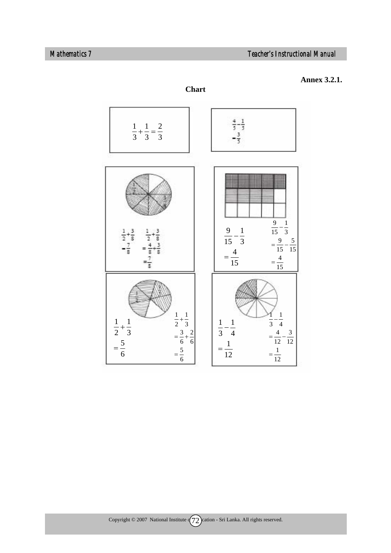



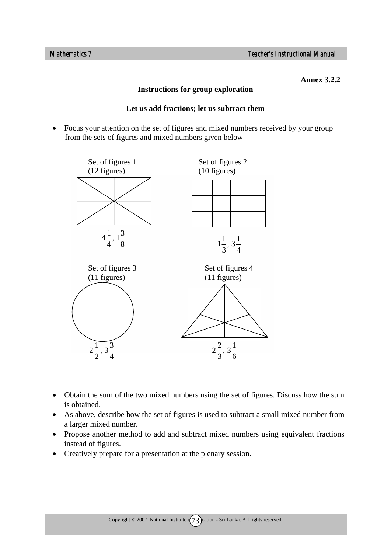**Annex 3.2.2** 

#### **Instructions for group exploration**

#### **Let us add fractions; let us subtract them**

• Focus your attention on the set of figures and mixed numbers received by your group from the sets of figures and mixed numbers given below



- Obtain the sum of the two mixed numbers using the set of figures. Discuss how the sum is obtained.
- As above, describe how the set of figures is used to subtract a small mixed number from a larger mixed number.
- Propose another method to add and subtract mixed numbers using equivalent fractions instead of figures.
- Creatively prepare for a presentation at the plenary session.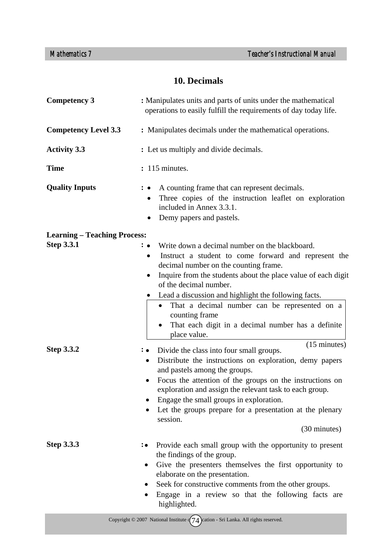# **10. Decimals**

| <b>Competency 3</b>                                      | : Manipulates units and parts of units under the mathematical<br>operations to easily fulfill the requirements of day today life.                                                                                                                                                                                                                                                                                                                                                        |  |
|----------------------------------------------------------|------------------------------------------------------------------------------------------------------------------------------------------------------------------------------------------------------------------------------------------------------------------------------------------------------------------------------------------------------------------------------------------------------------------------------------------------------------------------------------------|--|
| <b>Competency Level 3.3</b>                              | : Manipulates decimals under the mathematical operations.                                                                                                                                                                                                                                                                                                                                                                                                                                |  |
| <b>Activity 3.3</b>                                      | : Let us multiply and divide decimals.                                                                                                                                                                                                                                                                                                                                                                                                                                                   |  |
| <b>Time</b>                                              | : 115 minutes.                                                                                                                                                                                                                                                                                                                                                                                                                                                                           |  |
| <b>Quality Inputs</b>                                    | A counting frame that can represent decimals.<br>$\ddot{\cdot}$ $\bullet$<br>Three copies of the instruction leaflet on exploration<br>included in Annex 3.3.1.<br>Demy papers and pastels.                                                                                                                                                                                                                                                                                              |  |
| <b>Learning – Teaching Process:</b><br><b>Step 3.3.1</b> | Write down a decimal number on the blackboard.<br>$\colon\bullet$<br>Instruct a student to come forward and represent the<br>$\bullet$<br>decimal number on the counting frame.<br>Inquire from the students about the place value of each digit<br>$\bullet$<br>of the decimal number.<br>Lead a discussion and highlight the following facts.<br>That a decimal number can be represented on a<br>counting frame<br>That each digit in a decimal number has a definite<br>place value. |  |
| <b>Step 3.3.2</b>                                        | $(15 \text{ minutes})$<br>: • Divide the class into four small groups.<br>Distribute the instructions on exploration, demy papers<br>$\bullet$<br>and pastels among the groups.<br>Focus the attention of the groups on the instructions on<br>exploration and assign the relevant task to each group.<br>Engage the small groups in exploration.<br>Let the groups prepare for a presentation at the plenary<br>session.<br>(30 minutes)                                                |  |
| <b>Step 3.3.3</b>                                        | Provide each small group with the opportunity to present<br>$\colon\bullet$<br>the findings of the group.<br>Give the presenters themselves the first opportunity to<br>$\bullet$<br>elaborate on the presentation.<br>Seek for constructive comments from the other groups.<br>٠<br>Engage in a review so that the following facts are<br>highlighted.                                                                                                                                  |  |
|                                                          | Copyright $\odot$ 2007 National Institute $\sqrt{74}$ cation - Sri Lanka. All rights reserved.                                                                                                                                                                                                                                                                                                                                                                                           |  |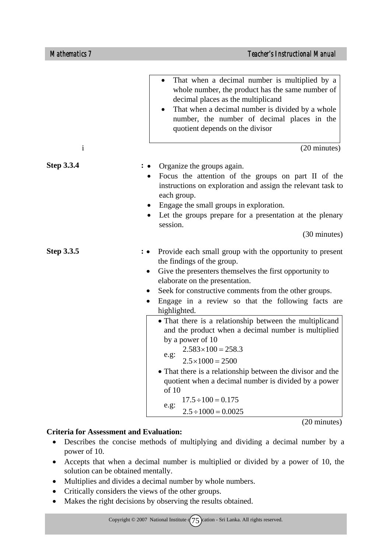|                   | That when a decimal number is multiplied by a<br>$\bullet$<br>whole number, the product has the same number of<br>decimal places as the multiplicand<br>That when a decimal number is divided by a whole<br>number, the number of decimal places in the<br>quotient depends on the divisor                                                                                                                                                                                                                                                                                                                                                                                                                                                   |
|-------------------|----------------------------------------------------------------------------------------------------------------------------------------------------------------------------------------------------------------------------------------------------------------------------------------------------------------------------------------------------------------------------------------------------------------------------------------------------------------------------------------------------------------------------------------------------------------------------------------------------------------------------------------------------------------------------------------------------------------------------------------------|
| $\mathbf{i}$      | (20 minutes)                                                                                                                                                                                                                                                                                                                                                                                                                                                                                                                                                                                                                                                                                                                                 |
| <b>Step 3.3.4</b> | Organize the groups again.<br>Focus the attention of the groups on part II of the<br>instructions on exploration and assign the relevant task to<br>each group.<br>Engage the small groups in exploration.<br>Let the groups prepare for a presentation at the plenary<br>session.<br>(30 minutes)                                                                                                                                                                                                                                                                                                                                                                                                                                           |
| Step 3.3.5        | Provide each small group with the opportunity to present<br>: •<br>the findings of the group.<br>Give the presenters themselves the first opportunity to<br>$\bullet$<br>elaborate on the presentation.<br>Seek for constructive comments from the other groups.<br>Engage in a review so that the following facts are<br>highlighted.<br>• That there is a relationship between the multiplicand<br>and the product when a decimal number is multiplied<br>by a power of 10<br>$2.583 \times 100 = 258.3$<br>e.g.<br>$2.5 \times 1000 = 2500$<br>• That there is a relationship between the divisor and the<br>quotient when a decimal number is divided by a power<br>of 10<br>$17.5 \div 100 = 0.175$<br>e.g:<br>$2.5 \div 1000 = 0.0025$ |

 $\overline{(20 \text{ minutes})}$ 

- Describes the concise methods of multiplying and dividing a decimal number by a power of 10.
- Accepts that when a decimal number is multiplied or divided by a power of 10, the solution can be obtained mentally.
- Multiplies and divides a decimal number by whole numbers.
- Critically considers the views of the other groups.
- Makes the right decisions by observing the results obtained.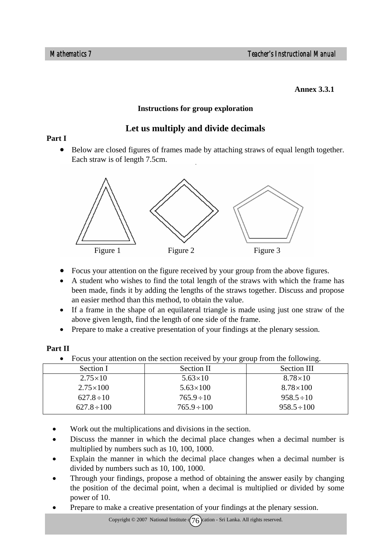#### **Annex 3.3.1**

#### **Instructions for group exploration**

# **Let us multiply and divide decimals**

#### **Part I**

• Below are closed figures of frames made by attaching straws of equal length together. Each straw is of length 7.5cm.



- Focus your attention on the figure received by your group from the above figures.
- A student who wishes to find the total length of the straws with which the frame has been made, finds it by adding the lengths of the straws together. Discuss and propose an easier method than this method, to obtain the value.
- If a frame in the shape of an equilateral triangle is made using just one straw of the above given length, find the length of one side of the frame.
- Prepare to make a creative presentation of your findings at the plenary session.

#### **Part II**

• Focus your attention on the section received by your group from the following.

| Section I             | Section II        | Section III      |
|-----------------------|-------------------|------------------|
| $2.75 \times 10^{-7}$ | $5.63 \times 10$  | $8.78\times10$   |
| $2.75 \times 100$     | $5.63 \times 100$ | $8.78\times100$  |
| $627.8 \div 10$       | $765.9 \div 10$   | $958.5 \div 10$  |
| $627.8 \div 100$      | $765.9 \div 100$  | $958.5 \div 100$ |

- Work out the multiplications and divisions in the section.
- Discuss the manner in which the decimal place changes when a decimal number is multiplied by numbers such as 10, 100, 1000.
- Explain the manner in which the decimal place changes when a decimal number is divided by numbers such as 10, 100, 1000.
- Through your findings, propose a method of obtaining the answer easily by changing the position of the decimal point, when a decimal is multiplied or divided by some power of 10.
- Prepare to make a creative presentation of your findings at the plenary session.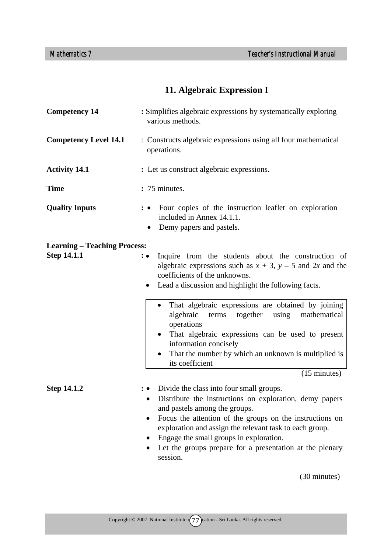# **11. Algebraic Expression I**

| <b>Competency 14</b>                                      | : Simplifies algebraic expressions by systematically exploring<br>various methods.                                                                                                                                                                                                                                                                                                                                    |  |
|-----------------------------------------------------------|-----------------------------------------------------------------------------------------------------------------------------------------------------------------------------------------------------------------------------------------------------------------------------------------------------------------------------------------------------------------------------------------------------------------------|--|
| <b>Competency Level 14.1</b>                              | : Constructs algebraic expressions using all four mathematical<br>operations.                                                                                                                                                                                                                                                                                                                                         |  |
| <b>Activity 14.1</b>                                      | : Let us construct algebraic expressions.                                                                                                                                                                                                                                                                                                                                                                             |  |
| <b>Time</b>                                               | : 75 minutes.                                                                                                                                                                                                                                                                                                                                                                                                         |  |
| <b>Quality Inputs</b>                                     | Four copies of the instruction leaflet on exploration<br>included in Annex 14.1.1.<br>Demy papers and pastels.                                                                                                                                                                                                                                                                                                        |  |
| <b>Learning – Teaching Process:</b><br><b>Step 14.1.1</b> | Inquire from the students about the construction of<br>$: \bullet$<br>algebraic expressions such as $x + 3$ , $y - 5$ and 2x and the<br>coefficients of the unknowns.<br>• Lead a discussion and highlight the following facts.                                                                                                                                                                                       |  |
|                                                           | That algebraic expressions are obtained by joining<br>$\bullet$<br>algebraic<br>together<br>using<br>mathematical<br>terms<br>operations<br>That algebraic expressions can be used to present<br>information concisely<br>That the number by which an unknown is multiplied is<br>its coefficient                                                                                                                     |  |
| <b>Step 14.1.2</b>                                        | $(15 \text{ minutes})$<br>Divide the class into four small groups.<br>Distribute the instructions on exploration, demy papers<br>$\bullet$<br>and pastels among the groups.<br>Focus the attention of the groups on the instructions on<br>exploration and assign the relevant task to each group.<br>Engage the small groups in exploration.<br>Let the groups prepare for a presentation at the plenary<br>session. |  |

(30 minutes)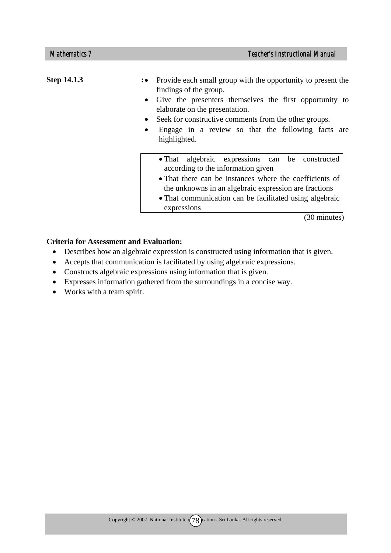| <b>Step 14.1.3</b> | : • Provide each small group with the opportunity to present the<br>findings of the group.<br>• Give the presenters themselves the first opportunity to<br>elaborate on the presentation.<br>Seek for constructive comments from the other groups.<br>$\bullet$<br>Engage in a review so that the following facts are<br>٠<br>highlighted. |
|--------------------|--------------------------------------------------------------------------------------------------------------------------------------------------------------------------------------------------------------------------------------------------------------------------------------------------------------------------------------------|
|                    | • That algebraic expressions can be constructed<br>according to the information given<br>• That there can be instances where the coefficients of<br>the unknowns in an algebraic expression are fractions<br>• That communication can be facilitated using algebraic<br>expressions                                                        |

(30 minutes)

- Describes how an algebraic expression is constructed using information that is given.
- Accepts that communication is facilitated by using algebraic expressions.
- Constructs algebraic expressions using information that is given.
- Expresses information gathered from the surroundings in a concise way.
- Works with a team spirit.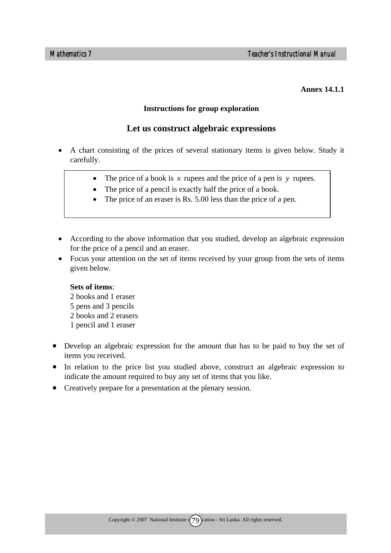#### **Annex 14.1.1**

#### **Instructions for group exploration**

#### **Let us construct algebraic expressions**

- A chart consisting of the prices of several stationary items is given below. Study it carefully.
	- The price of a book is *x* rupees and the price of a pen is *y* rupees.
	- The price of a pencil is exactly half the price of a book.
	- The price of an eraser is Rs. 5.00 less than the price of a pen.
- According to the above information that you studied, develop an algebraic expression for the price of a pencil and an eraser.
- Focus your attention on the set of items received by your group from the sets of items given below.

#### **Sets of items**:

- 2 books and 1 eraser 5 pens and 3 pencils 2 books and 2 erasers 1 pencil and 1 eraser
- Develop an algebraic expression for the amount that has to be paid to buy the set of items you received.
- In relation to the price list you studied above, construct an algebraic expression to indicate the amount required to buy any set of items that you like.
- Creatively prepare for a presentation at the plenary session.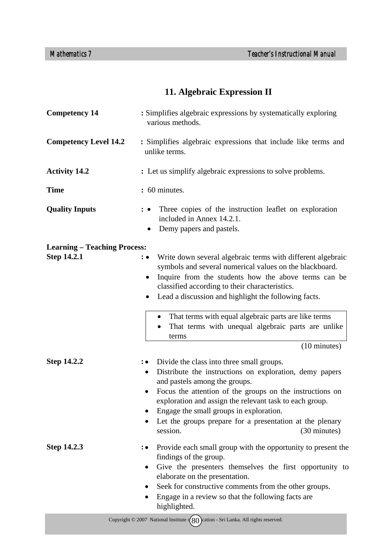# **11. Algebraic Expression II**

| <b>Competency 14</b>                               | : Simplifies algebraic expressions by systematically exploring<br>various methods.                                                                                                                                                                                                                                                                                                                                                                   |  |
|----------------------------------------------------|------------------------------------------------------------------------------------------------------------------------------------------------------------------------------------------------------------------------------------------------------------------------------------------------------------------------------------------------------------------------------------------------------------------------------------------------------|--|
| <b>Competency Level 14.2</b>                       | : Simplifies algebraic expressions that include like terms and<br>unlike terms.                                                                                                                                                                                                                                                                                                                                                                      |  |
| <b>Activity 14.2</b>                               | : Let us simplify algebraic expressions to solve problems.                                                                                                                                                                                                                                                                                                                                                                                           |  |
| <b>Time</b>                                        | : 60 minutes.                                                                                                                                                                                                                                                                                                                                                                                                                                        |  |
| <b>Quality Inputs</b>                              | Three copies of the instruction leaflet on exploration<br>$\mathbf{\cdot}\bullet$<br>included in Annex 14.2.1.<br>Demy papers and pastels.                                                                                                                                                                                                                                                                                                           |  |
| <b>Learning – Teaching Process:</b><br>Step 14.2.1 | Write down several algebraic terms with different algebraic<br>: •<br>symbols and several numerical values on the blackboard.<br>Inquire from the students how the above terms can be<br>$\bullet$<br>classified according to their characteristics.<br>Lead a discussion and highlight the following facts.<br>$\bullet$                                                                                                                            |  |
|                                                    | That terms with equal algebraic parts are like terms<br>$\bullet$<br>That terms with unequal algebraic parts are unlike<br>terms<br>(10 minutes)                                                                                                                                                                                                                                                                                                     |  |
| <b>Step 14.2.2</b>                                 | Divide the class into three small groups.<br>$\mathbf{\ddot{\cdot}}$<br>Distribute the instructions on exploration, demy papers<br>$\bullet$<br>and pastels among the groups.<br>Focus the attention of the groups on the instructions on<br>$\bullet$<br>exploration and assign the relevant task to each group.<br>Engage the small groups in exploration.<br>Let the groups prepare for a presentation at the plenary<br>(30 minutes)<br>session. |  |
| <b>Step 14.2.3</b>                                 | Provide each small group with the opportunity to present the<br>∶∙<br>findings of the group.<br>Give the presenters themselves the first opportunity to<br>$\bullet$<br>elaborate on the presentation.<br>Seek for constructive comments from the other groups.<br>$\bullet$<br>Engage in a review so that the following facts are<br>highlighted.                                                                                                   |  |
|                                                    | Copyright $\odot$ 2007 National Institute $\left(\begin{matrix}80\end{matrix}\right)$ cation - Sri Lanka. All rights reserved.                                                                                                                                                                                                                                                                                                                       |  |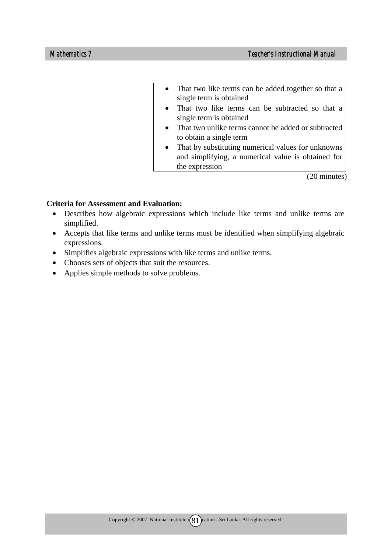- That two like terms can be added together so that a single term is obtained
- That two like terms can be subtracted so that a single term is obtained
- That two unlike terms cannot be added or subtracted to obtain a single term
- That by substituting numerical values for unknowns and simplifying, a numerical value is obtained for the expression

(20 minutes)

- Describes how algebraic expressions which include like terms and unlike terms are simplified.
- Accepts that like terms and unlike terms must be identified when simplifying algebraic expressions.
- Simplifies algebraic expressions with like terms and unlike terms.
- Chooses sets of objects that suit the resources.
- Applies simple methods to solve problems.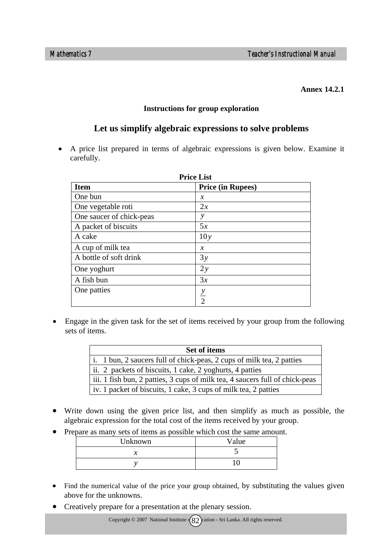#### **Annex 14.2.1**

#### **Instructions for group exploration**

# **Let us simplify algebraic expressions to solve problems**

• A price list prepared in terms of algebraic expressions is given below. Examine it carefully.

| <b>Price List</b>        |                          |  |
|--------------------------|--------------------------|--|
| <b>Item</b>              | <b>Price (in Rupees)</b> |  |
| One bun                  | $\chi$                   |  |
| One vegetable roti       | 2x                       |  |
| One saucer of chick-peas | у                        |  |
| A packet of biscuits     | 5x                       |  |
| A cake                   | 10y                      |  |
| A cup of milk tea        | $\mathcal{X}$            |  |
| A bottle of soft drink   | 3y                       |  |
| One yoghurt              | 2y                       |  |
| A fish bun               | 3x                       |  |
| One patties              |                          |  |
|                          | $\frac{y}{2}$            |  |

• Engage in the given task for the set of items received by your group from the following sets of items.

| <b>Set of items</b>                                                          |  |  |
|------------------------------------------------------------------------------|--|--|
| i. 1 bun, 2 saucers full of chick-peas, 2 cups of milk tea, 2 patties        |  |  |
| ii. 2 packets of biscuits, 1 cake, 2 yoghurts, 4 patties                     |  |  |
| iii. 1 fish bun, 2 patties, 3 cups of milk tea, 4 saucers full of chick-peas |  |  |
| iv. 1 packet of biscuits, 1 cake, 3 cups of milk tea, 2 patties              |  |  |

- Write down using the given price list, and then simplify as much as possible, the algebraic expression for the total cost of the items received by your group.
- Prepare as many sets of items as possible which cost the same amount.

| Unknown | Value |
|---------|-------|
|         |       |
|         |       |

- Find the numerical value of the price your group obtained, by substituting the values given above for the unknowns.
- Creatively prepare for a presentation at the plenary session.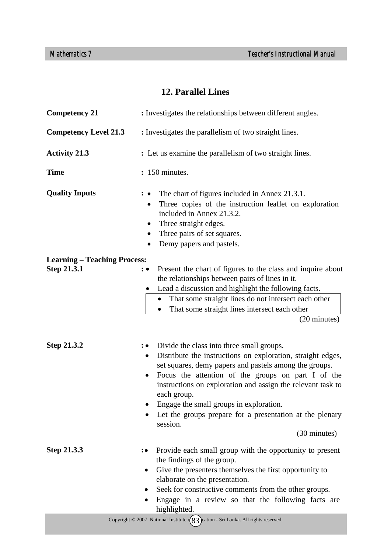# **12. Parallel Lines**

| <b>Competency 21</b>                               | : Investigates the relationships between different angles.                                                                                                                                                                                                                                                                                                                                                                                                                  |  |  |  |  |
|----------------------------------------------------|-----------------------------------------------------------------------------------------------------------------------------------------------------------------------------------------------------------------------------------------------------------------------------------------------------------------------------------------------------------------------------------------------------------------------------------------------------------------------------|--|--|--|--|
| <b>Competency Level 21.3</b>                       | : Investigates the parallelism of two straight lines.                                                                                                                                                                                                                                                                                                                                                                                                                       |  |  |  |  |
| <b>Activity 21.3</b>                               | : Let us examine the parallelism of two straight lines.                                                                                                                                                                                                                                                                                                                                                                                                                     |  |  |  |  |
| <b>Time</b>                                        | : 150 minutes.                                                                                                                                                                                                                                                                                                                                                                                                                                                              |  |  |  |  |
| <b>Quality Inputs</b>                              | The chart of figures included in Annex 21.3.1.<br>Three copies of the instruction leaflet on exploration<br>$\bullet$<br>included in Annex 21.3.2.<br>Three straight edges.<br>$\bullet$<br>Three pairs of set squares.<br>$\bullet$<br>Demy papers and pastels.<br>$\bullet$                                                                                                                                                                                               |  |  |  |  |
| <b>Learning – Teaching Process:</b><br>Step 21.3.1 | Present the chart of figures to the class and inquire about<br>: •<br>the relationships between pairs of lines in it.<br>Lead a discussion and highlight the following facts.<br>That some straight lines do not intersect each other<br>That some straight lines intersect each other<br>(20 minutes)                                                                                                                                                                      |  |  |  |  |
| Step 21.3.2                                        | Divide the class into three small groups.<br>∶• ∶<br>Distribute the instructions on exploration, straight edges,<br>$\bullet$<br>set squares, demy papers and pastels among the groups.<br>Focus the attention of the groups on part I of the<br>$\bullet$<br>instructions on exploration and assign the relevant task to<br>each group.<br>Engage the small groups in exploration.<br>Let the groups prepare for a presentation at the plenary<br>session.<br>(30 minutes) |  |  |  |  |
| Step 21.3.3                                        | Provide each small group with the opportunity to present<br>$\colon\bullet$<br>the findings of the group.<br>Give the presenters themselves the first opportunity to<br>٠<br>elaborate on the presentation.<br>Seek for constructive comments from the other groups.<br>Engage in a review so that the following facts are<br>highlighted.                                                                                                                                  |  |  |  |  |
|                                                    | Copyright $\circ$ 2007 National Institute $\binom{83}{3}$ cation - Sri Lanka. All rights reserved.                                                                                                                                                                                                                                                                                                                                                                          |  |  |  |  |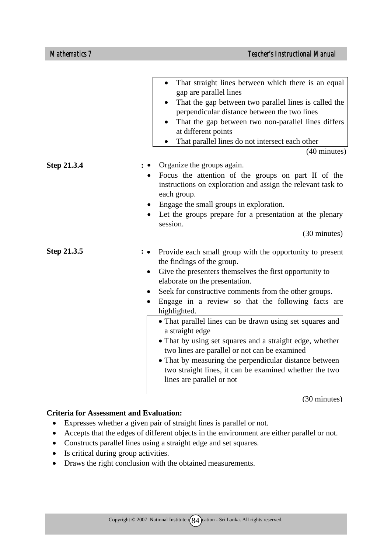|                    | That straight lines between which there is an equal<br>gap are parallel lines<br>That the gap between two parallel lines is called the<br>perpendicular distance between the two lines<br>That the gap between two non-parallel lines differs<br>at different points<br>That parallel lines do not intersect each other<br>(40 minutes)                                                                                                                                                                                                                                                                                                                                           |
|--------------------|-----------------------------------------------------------------------------------------------------------------------------------------------------------------------------------------------------------------------------------------------------------------------------------------------------------------------------------------------------------------------------------------------------------------------------------------------------------------------------------------------------------------------------------------------------------------------------------------------------------------------------------------------------------------------------------|
| <b>Step 21.3.4</b> | Organize the groups again.<br>Focus the attention of the groups on part II of the<br>instructions on exploration and assign the relevant task to<br>each group.<br>Engage the small groups in exploration.<br>Let the groups prepare for a presentation at the plenary<br>session.<br>(30 minutes)                                                                                                                                                                                                                                                                                                                                                                                |
| Step 21.3.5        | Provide each small group with the opportunity to present<br>the findings of the group.<br>Give the presenters themselves the first opportunity to<br>$\bullet$<br>elaborate on the presentation.<br>Seek for constructive comments from the other groups.<br>٠<br>Engage in a review so that the following facts are<br>highlighted.<br>• That parallel lines can be drawn using set squares and<br>a straight edge<br>• That by using set squares and a straight edge, whether<br>two lines are parallel or not can be examined<br>• That by measuring the perpendicular distance between<br>two straight lines, it can be examined whether the two<br>lines are parallel or not |

(30 minutes)

- Expresses whether a given pair of straight lines is parallel or not.
- Accepts that the edges of different objects in the environment are either parallel or not.
- Constructs parallel lines using a straight edge and set squares.
- Is critical during group activities.
- Draws the right conclusion with the obtained measurements.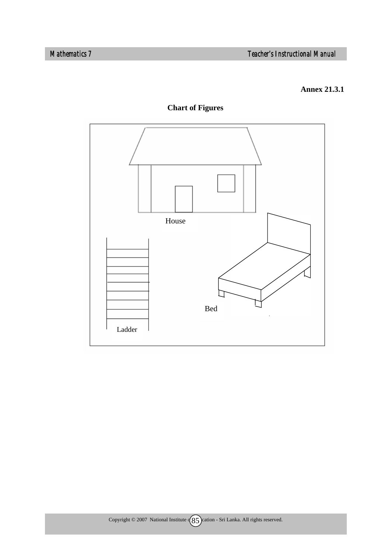#### **Annex 21.3.1**



**Chart of Figures**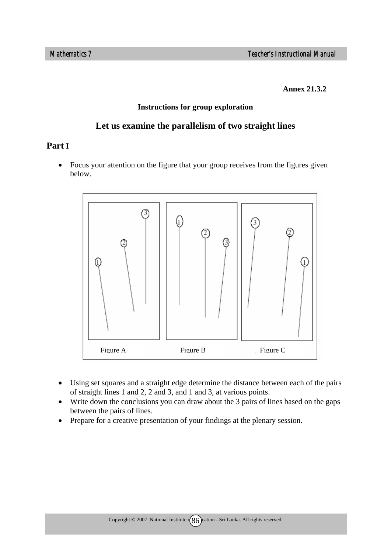**Annex 21.3.2** 

#### **Instructions for group exploration**

#### **Let us examine the parallelism of two straight lines**

## **Part I**

• Focus your attention on the figure that your group receives from the figures given below.



- Using set squares and a straight edge determine the distance between each of the pairs of straight lines 1 and 2, 2 and 3, and 1 and 3, at various points.
- Write down the conclusions you can draw about the 3 pairs of lines based on the gaps between the pairs of lines.
- Prepare for a creative presentation of your findings at the plenary session.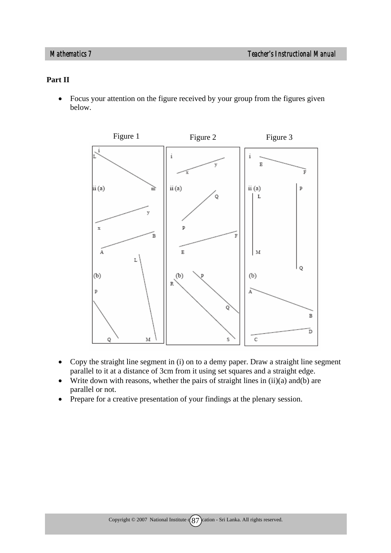#### **Part II**

• Focus your attention on the figure received by your group from the figures given below.



- Copy the straight line segment in (i) on to a demy paper. Draw a straight line segment parallel to it at a distance of 3cm from it using set squares and a straight edge.
- Write down with reasons, whether the pairs of straight lines in  $(ii)(a)$  and  $(b)$  are parallel or not.
- Prepare for a creative presentation of your findings at the plenary session.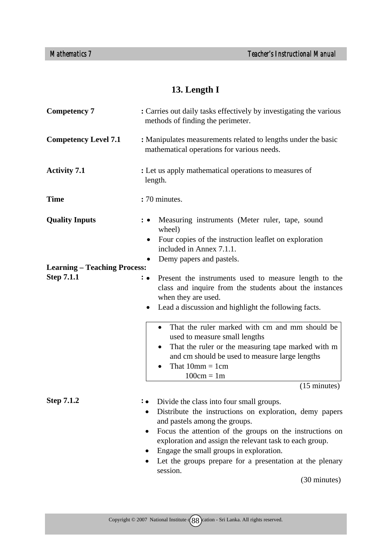# **13. Length I**

| <b>Competency 7</b>                 | : Carries out daily tasks effectively by investigating the various<br>methods of finding the perimeter.                                                                                                                                                                                                                                                                        |  |  |  |  |  |
|-------------------------------------|--------------------------------------------------------------------------------------------------------------------------------------------------------------------------------------------------------------------------------------------------------------------------------------------------------------------------------------------------------------------------------|--|--|--|--|--|
| <b>Competency Level 7.1</b>         | : Manipulates measurements related to lengths under the basic<br>mathematical operations for various needs.                                                                                                                                                                                                                                                                    |  |  |  |  |  |
| <b>Activity 7.1</b>                 | : Let us apply mathematical operations to measures of<br>length.                                                                                                                                                                                                                                                                                                               |  |  |  |  |  |
| <b>Time</b>                         | : 70 minutes.                                                                                                                                                                                                                                                                                                                                                                  |  |  |  |  |  |
| <b>Quality Inputs</b>               | Measuring instruments (Meter ruler, tape, sound<br>wheel)<br>Four copies of the instruction leaflet on exploration<br>٠<br>included in Annex 7.1.1.<br>Demy papers and pastels.                                                                                                                                                                                                |  |  |  |  |  |
| <b>Learning – Teaching Process:</b> |                                                                                                                                                                                                                                                                                                                                                                                |  |  |  |  |  |
| <b>Step 7.1.1</b>                   | Present the instruments used to measure length to the<br>class and inquire from the students about the instances<br>when they are used.<br>Lead a discussion and highlight the following facts.<br>$\bullet$                                                                                                                                                                   |  |  |  |  |  |
|                                     | That the ruler marked with cm and mm should be<br>$\bullet$<br>used to measure small lengths<br>That the ruler or the measuring tape marked with m<br>$\bullet$<br>and cm should be used to measure large lengths<br>That $10mm = 1cm$<br>$\bullet$<br>$100cm = 1m$                                                                                                            |  |  |  |  |  |
|                                     | $(15 \text{ minutes})$                                                                                                                                                                                                                                                                                                                                                         |  |  |  |  |  |
| <b>Step 7.1.2</b>                   | Divide the class into four small groups.<br>Distribute the instructions on exploration, demy papers<br>and pastels among the groups.<br>Focus the attention of the groups on the instructions on<br>exploration and assign the relevant task to each group.<br>Engage the small groups in exploration.<br>Let the groups prepare for a presentation at the plenary<br>session. |  |  |  |  |  |
|                                     | (30 minutes)                                                                                                                                                                                                                                                                                                                                                                   |  |  |  |  |  |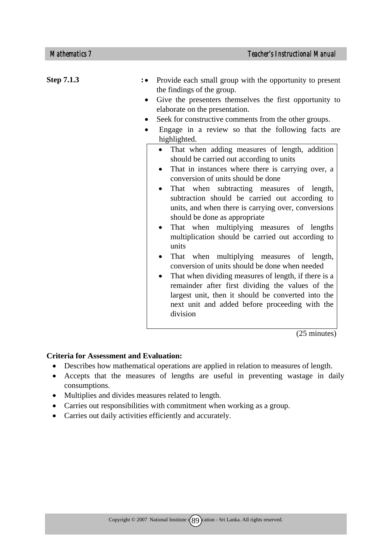| <b>Step 7.1.3</b> | Provide each small group with the opportunity to present                                                                                                                                                                     |
|-------------------|------------------------------------------------------------------------------------------------------------------------------------------------------------------------------------------------------------------------------|
|                   | the findings of the group.                                                                                                                                                                                                   |
|                   | Give the presenters themselves the first opportunity to<br>$\bullet$<br>elaborate on the presentation.                                                                                                                       |
|                   | Seek for constructive comments from the other groups.<br>$\bullet$                                                                                                                                                           |
|                   | Engage in a review so that the following facts are<br>$\bullet$<br>highlighted.                                                                                                                                              |
|                   | That when adding measures of length, addition<br>should be carried out according to units                                                                                                                                    |
|                   | That in instances where there is carrying over, a<br>conversion of units should be done                                                                                                                                      |
|                   | That when subtracting measures of length,<br>subtraction should be carried out according to<br>units, and when there is carrying over, conversions<br>should be done as appropriate                                          |
|                   | That when multiplying measures of lengths<br>multiplication should be carried out according to<br>units                                                                                                                      |
|                   | That when multiplying measures of length,<br>conversion of units should be done when needed                                                                                                                                  |
|                   | That when dividing measures of length, if there is a<br>remainder after first dividing the values of the<br>largest unit, then it should be converted into the<br>next unit and added before proceeding with the<br>division |

(25 minutes)

- Describes how mathematical operations are applied in relation to measures of length.
- Accepts that the measures of lengths are useful in preventing wastage in daily consumptions.
- Multiplies and divides measures related to length.
- Carries out responsibilities with commitment when working as a group.
- Carries out daily activities efficiently and accurately.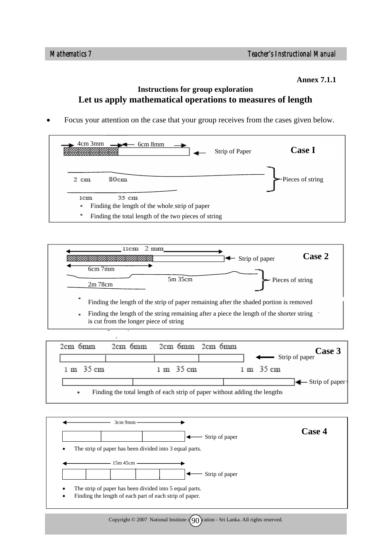**Annex 7.1.1** 

# **Instructions for group exploration Let us apply mathematical operations to measures of length**

• Focus your attention on the case that your group receives from the cases given below.





| 2cm 6mm   | 2cm 6mm | 2cm 6mm 2cm 6mm |  |                                                                            | Case 3         |
|-----------|---------|-----------------|--|----------------------------------------------------------------------------|----------------|
|           |         |                 |  | strip of paper                                                             |                |
| 1 m 35 cm |         | 1 m 35 cm       |  | 1 m 35 cm                                                                  |                |
|           |         |                 |  |                                                                            | Strip of paper |
| ٠         |         |                 |  | Finding the total length of each strip of paper without adding the lengths |                |

| Case 4 |
|--------|
|        |
|        |
|        |
|        |
|        |
|        |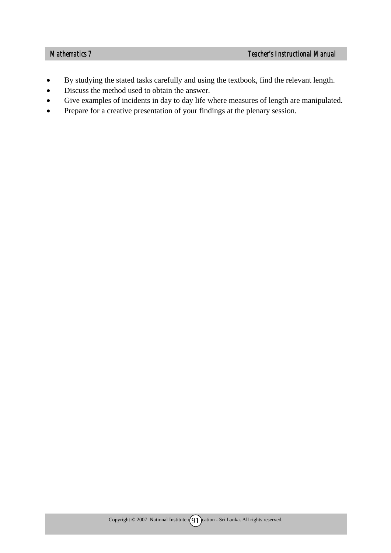- By studying the stated tasks carefully and using the textbook, find the relevant length.
- Discuss the method used to obtain the answer.
- Give examples of incidents in day to day life where measures of length are manipulated.
- Prepare for a creative presentation of your findings at the plenary session.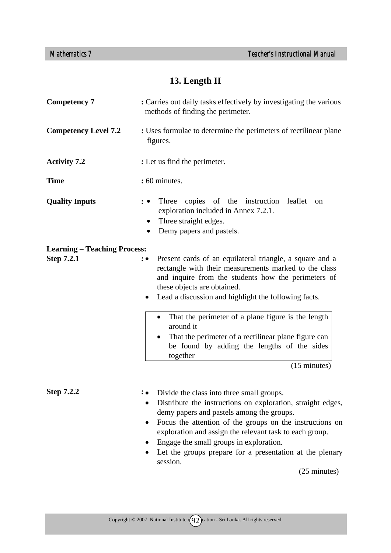# **13. Length II**

| <b>Competency 7</b>                 | : Carries out daily tasks effectively by investigating the various<br>methods of finding the perimeter.                                                                                                                                                                                                                                                                                                                                             |  |  |  |  |  |
|-------------------------------------|-----------------------------------------------------------------------------------------------------------------------------------------------------------------------------------------------------------------------------------------------------------------------------------------------------------------------------------------------------------------------------------------------------------------------------------------------------|--|--|--|--|--|
| <b>Competency Level 7.2</b>         | : Uses formulae to determine the perimeters of rectilinear plane<br>figures.                                                                                                                                                                                                                                                                                                                                                                        |  |  |  |  |  |
| <b>Activity 7.2</b>                 | : Let us find the perimeter.                                                                                                                                                                                                                                                                                                                                                                                                                        |  |  |  |  |  |
| <b>Time</b>                         | : 60 minutes.                                                                                                                                                                                                                                                                                                                                                                                                                                       |  |  |  |  |  |
| <b>Quality Inputs</b>               | copies of the instruction leaflet<br>Three<br>on<br>: ∙<br>exploration included in Annex 7.2.1.<br>Three straight edges.<br>$\bullet$<br>Demy papers and pastels.                                                                                                                                                                                                                                                                                   |  |  |  |  |  |
| <b>Learning – Teaching Process:</b> |                                                                                                                                                                                                                                                                                                                                                                                                                                                     |  |  |  |  |  |
| <b>Step 7.2.1</b>                   | Present cards of an equilateral triangle, a square and a<br>$: \bullet$<br>rectangle with their measurements marked to the class<br>and inquire from the students how the perimeters of<br>these objects are obtained.<br>Lead a discussion and highlight the following facts.<br>$\bullet$<br>That the perimeter of a plane figure is the length<br>around it<br>That the perimeter of a rectilinear plane figure can                              |  |  |  |  |  |
|                                     | be found by adding the lengths of the sides<br>together                                                                                                                                                                                                                                                                                                                                                                                             |  |  |  |  |  |
|                                     | $(15 \text{ minutes})$                                                                                                                                                                                                                                                                                                                                                                                                                              |  |  |  |  |  |
| <b>Step 7.2.2</b>                   | Divide the class into three small groups.<br>Distribute the instructions on exploration, straight edges,<br>$\bullet$<br>demy papers and pastels among the groups.<br>Focus the attention of the groups on the instructions on<br>$\bullet$<br>exploration and assign the relevant task to each group.<br>Engage the small groups in exploration.<br>Let the groups prepare for a presentation at the plenary<br>session.<br>$(25 \text{ minutes})$ |  |  |  |  |  |
|                                     |                                                                                                                                                                                                                                                                                                                                                                                                                                                     |  |  |  |  |  |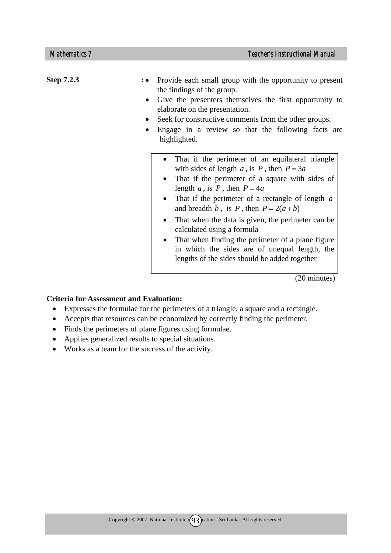| <b>Step 7.2.3</b> | Provide each small group with the opportunity to present<br>the findings of the group.<br>Give the presenters themselves the first opportunity to<br>elaborate on the presentation.<br>Seek for constructive comments from the other groups.<br>Engage in a review so that the following facts are<br>highlighted.                                                                                                                                                                                                                                                     |
|-------------------|------------------------------------------------------------------------------------------------------------------------------------------------------------------------------------------------------------------------------------------------------------------------------------------------------------------------------------------------------------------------------------------------------------------------------------------------------------------------------------------------------------------------------------------------------------------------|
|                   | That if the perimeter of an equilateral triangle<br>$\bullet$<br>with sides of length a, is P, then $P = 3a$<br>That if the perimeter of a square with sides of<br>length a, is P, then $P = 4a$<br>That if the perimeter of a rectangle of length $a$<br>$\bullet$<br>and breadth b, is P, then $P = 2(a + b)$<br>That when the data is given, the perimeter can be<br>$\bullet$<br>calculated using a formula<br>That when finding the perimeter of a plane figure<br>in which the sides are of unequal length, the<br>lengths of the sides should be added together |
|                   | (20 minutes)                                                                                                                                                                                                                                                                                                                                                                                                                                                                                                                                                           |

- Expresses the formulae for the perimeters of a triangle, a square and a rectangle.
- Accepts that resources can be economized by correctly finding the perimeter.
- Finds the perimeters of plane figures using formulae.
- Applies generalized results to special situations.
- Works as a team for the success of the activity.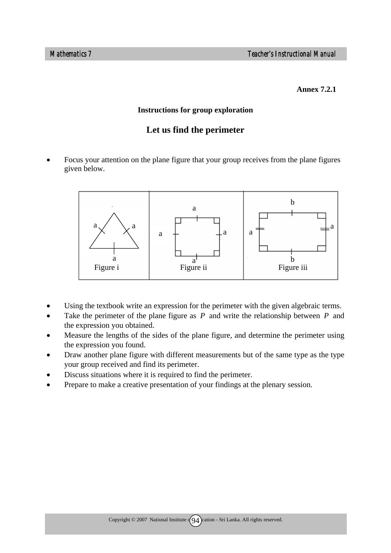#### **Annex 7.2.1**

#### **Instructions for group exploration**

# **Let us find the perimeter**

• Focus your attention on the plane figure that your group receives from the plane figures given below.



- Using the textbook write an expression for the perimeter with the given algebraic terms.
- Take the perimeter of the plane figure as *P* and write the relationship between *P* and the expression you obtained.
- Measure the lengths of the sides of the plane figure, and determine the perimeter using the expression you found.
- Draw another plane figure with different measurements but of the same type as the type your group received and find its perimeter.
- Discuss situations where it is required to find the perimeter.
- Prepare to make a creative presentation of your findings at the plenary session.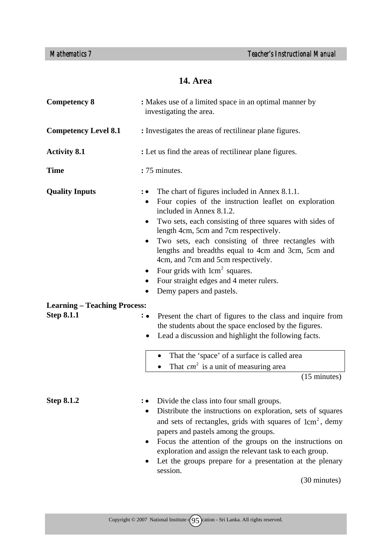# **14. Area**

| <b>Competency 8</b>                                      | : Makes use of a limited space in an optimal manner by<br>investigating the area.                                                                                                                                                                                                                                                                                                                                                                                                                                                    |  |  |  |  |
|----------------------------------------------------------|--------------------------------------------------------------------------------------------------------------------------------------------------------------------------------------------------------------------------------------------------------------------------------------------------------------------------------------------------------------------------------------------------------------------------------------------------------------------------------------------------------------------------------------|--|--|--|--|
| <b>Competency Level 8.1</b>                              | : Investigates the areas of rectilinear plane figures.                                                                                                                                                                                                                                                                                                                                                                                                                                                                               |  |  |  |  |
| <b>Activity 8.1</b>                                      | : Let us find the areas of rectilinear plane figures.                                                                                                                                                                                                                                                                                                                                                                                                                                                                                |  |  |  |  |
| <b>Time</b>                                              | :75 minutes.                                                                                                                                                                                                                                                                                                                                                                                                                                                                                                                         |  |  |  |  |
| <b>Quality Inputs</b>                                    | The chart of figures included in Annex 8.1.1.<br>Four copies of the instruction leaflet on exploration<br>٠<br>included in Annex 8.1.2.<br>Two sets, each consisting of three squares with sides of<br>$\bullet$<br>length 4cm, 5cm and 7cm respectively.<br>Two sets, each consisting of three rectangles with<br>٠<br>lengths and breadths equal to 4cm and 3cm, 5cm and<br>4cm, and 7cm and 5cm respectively.<br>Four grids with 1cm <sup>2</sup> squares.<br>Four straight edges and 4 meter rulers.<br>Demy papers and pastels. |  |  |  |  |
| <b>Learning – Teaching Process:</b><br><b>Step 8.1.1</b> | Present the chart of figures to the class and inquire from<br>$: \bullet$<br>the students about the space enclosed by the figures.<br>Lead a discussion and highlight the following facts.<br>That the 'space' of a surface is called area<br>$\bullet$                                                                                                                                                                                                                                                                              |  |  |  |  |
|                                                          | That $cm2$ is a unit of measuring area<br>$(15 \text{ minutes})$                                                                                                                                                                                                                                                                                                                                                                                                                                                                     |  |  |  |  |
| <b>Step 8.1.2</b>                                        | Divide the class into four small groups.<br>Distribute the instructions on exploration, sets of squares<br>$\bullet$<br>and sets of rectangles, grids with squares of 1cm <sup>2</sup> , demy<br>papers and pastels among the groups.<br>Focus the attention of the groups on the instructions on<br>$\bullet$<br>exploration and assign the relevant task to each group.<br>Let the groups prepare for a presentation at the plenary<br>session.<br>(30 minutes)                                                                    |  |  |  |  |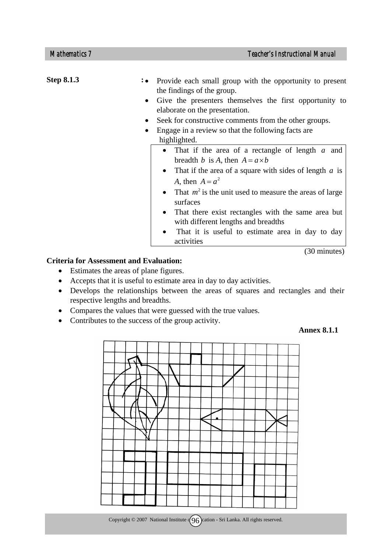**Step 8.1.3** : **.** • Provide each small group with the opportunity to present the findings of the group. • Give the presenters themselves the first opportunity to elaborate on the presentation. • Seek for constructive comments from the other groups. • Engage in a review so that the following facts are highlighted. • That if the area of a rectangle of length *a* and breadth *b* is *A*, then  $A = a \times b$ • That if the area of a square with sides of length *a* is *A*, then  $A = a^2$ • That  $m^2$  is the unit used to measure the areas of large surfaces • That there exist rectangles with the same area but with different lengths and breadths

That it is useful to estimate area in day to day activities

(30 minutes)

#### **Criteria for Assessment and Evaluation:**

- Estimates the areas of plane figures.
- Accepts that it is useful to estimate area in day to day activities.
- Develops the relationships between the areas of squares and rectangles and their respective lengths and breadths.
- Compares the values that were guessed with the true values.
- Contributes to the success of the group activity.

#### **Annex 8.1.1**

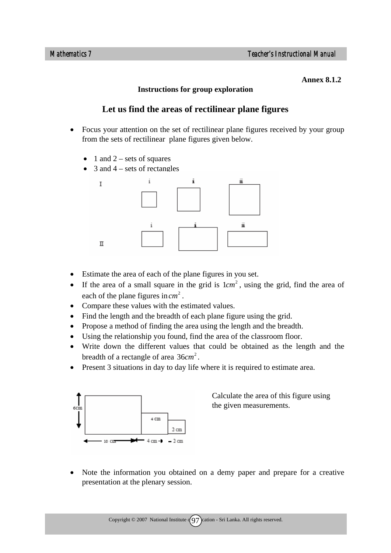#### **Annex 8.1.2**

#### **Instructions for group exploration**

# **Let us find the areas of rectilinear plane figures**

- Focus your attention on the set of rectilinear plane figures received by your group from the sets of rectilinear plane figures given below.
	- 1 and  $2$  sets of squares
	- 3 and  $4$  sets of rectangles



- Estimate the area of each of the plane figures in you set.
- If the area of a small square in the grid is  $1 cm<sup>2</sup>$ , using the grid, find the area of each of the plane figures in  $cm<sup>2</sup>$ .
- Compare these values with the estimated values.
- Find the length and the breadth of each plane figure using the grid.
- Propose a method of finding the area using the length and the breadth.
- Using the relationship you found, find the area of the classroom floor.
- Write down the different values that could be obtained as the length and the breadth of a rectangle of area 36*cm*<sup>2</sup>.
- Present 3 situations in day to day life where it is required to estimate area.



Calculate the area of this figure using the given measurements.

• Note the information you obtained on a demy paper and prepare for a creative presentation at the plenary session.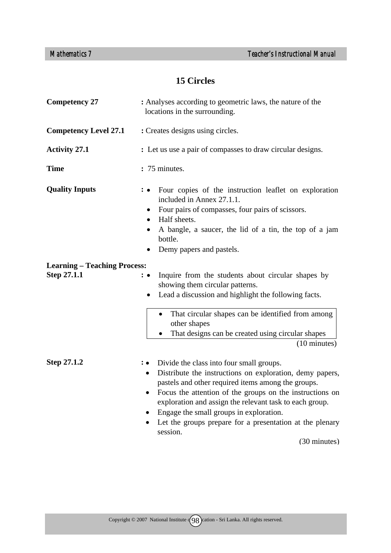# **15 Circles**

| <b>Competency 27</b>                               | : Analyses according to geometric laws, the nature of the<br>locations in the surrounding.                                                                                                                                                                                                                                                                                                                                                              |  |  |  |  |
|----------------------------------------------------|---------------------------------------------------------------------------------------------------------------------------------------------------------------------------------------------------------------------------------------------------------------------------------------------------------------------------------------------------------------------------------------------------------------------------------------------------------|--|--|--|--|
| <b>Competency Level 27.1</b>                       | : Creates designs using circles.                                                                                                                                                                                                                                                                                                                                                                                                                        |  |  |  |  |
| <b>Activity 27.1</b>                               | : Let us use a pair of compasses to draw circular designs.                                                                                                                                                                                                                                                                                                                                                                                              |  |  |  |  |
| <b>Time</b>                                        | : 75 minutes.                                                                                                                                                                                                                                                                                                                                                                                                                                           |  |  |  |  |
| <b>Quality Inputs</b>                              | Four copies of the instruction leaflet on exploration<br>: ∙<br>included in Annex 27.1.1.<br>Four pairs of compasses, four pairs of scissors.<br>$\bullet$<br>Half sheets.<br>$\bullet$<br>A bangle, a saucer, the lid of a tin, the top of a jam<br>٠<br>bottle.<br>Demy papers and pastels.                                                                                                                                                           |  |  |  |  |
| <b>Learning - Teaching Process:</b><br>Step 27.1.1 | Inquire from the students about circular shapes by<br>: •<br>showing them circular patterns.<br>Lead a discussion and highlight the following facts.                                                                                                                                                                                                                                                                                                    |  |  |  |  |
|                                                    | That circular shapes can be identified from among<br>other shapes<br>That designs can be created using circular shapes<br>(10 minutes)                                                                                                                                                                                                                                                                                                                  |  |  |  |  |
| Step 27.1.2                                        | Divide the class into four small groups.<br>$\colon \bullet$<br>Distribute the instructions on exploration, demy papers,<br>٠<br>pastels and other required items among the groups.<br>Focus the attention of the groups on the instructions on<br>exploration and assign the relevant task to each group.<br>Engage the small groups in exploration.<br>Let the groups prepare for a presentation at the plenary<br>session.<br>$(30 \text{ minutes})$ |  |  |  |  |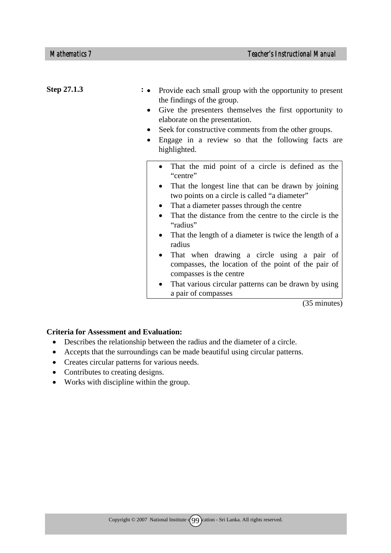| Step 27.1.3 | Provide each small group with the opportunity to present<br>the findings of the group.<br>Give the presenters themselves the first opportunity to<br>elaborate on the presentation.<br>Seek for constructive comments from the other groups.<br>Engage in a review so that the following facts are<br>highlighted.                                                                                                                                                                                                                                                                     |
|-------------|----------------------------------------------------------------------------------------------------------------------------------------------------------------------------------------------------------------------------------------------------------------------------------------------------------------------------------------------------------------------------------------------------------------------------------------------------------------------------------------------------------------------------------------------------------------------------------------|
|             | That the mid point of a circle is defined as the<br>"centre"<br>That the longest line that can be drawn by joining<br>two points on a circle is called "a diameter"<br>That a diameter passes through the centre<br>That the distance from the centre to the circle is the<br>$\bullet$<br>"radius"<br>That the length of a diameter is twice the length of a<br>radius<br>That when drawing a circle using a pair of<br>compasses, the location of the point of the pair of<br>compasses is the centre<br>That various circular patterns can be drawn by using<br>a pair of compasses |
|             | (35 minutes)                                                                                                                                                                                                                                                                                                                                                                                                                                                                                                                                                                           |

- Describes the relationship between the radius and the diameter of a circle.
- Accepts that the surroundings can be made beautiful using circular patterns.
- Creates circular patterns for various needs.
- Contributes to creating designs.
- Works with discipline within the group.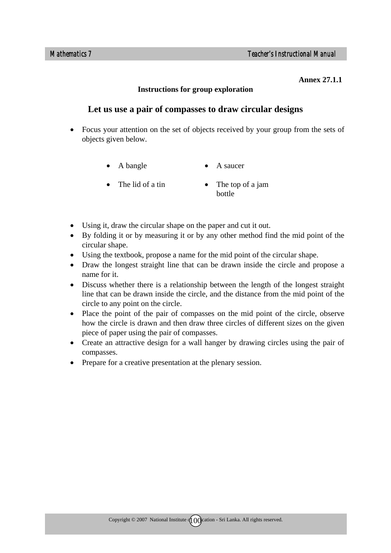#### **Annex 27.1.1**

#### **Instructions for group exploration**

# **Let us use a pair of compasses to draw circular designs**

- Focus your attention on the set of objects received by your group from the sets of objects given below.
	- A bangle • A saucer
	- The lid of a tin
- The top of a jam bottle
- Using it, draw the circular shape on the paper and cut it out.
- By folding it or by measuring it or by any other method find the mid point of the circular shape.
- Using the textbook, propose a name for the mid point of the circular shape.
- Draw the longest straight line that can be drawn inside the circle and propose a name for it.
- Discuss whether there is a relationship between the length of the longest straight line that can be drawn inside the circle, and the distance from the mid point of the circle to any point on the circle.
- Place the point of the pair of compasses on the mid point of the circle, observe how the circle is drawn and then draw three circles of different sizes on the given piece of paper using the pair of compasses.
- Create an attractive design for a wall hanger by drawing circles using the pair of compasses.
- Prepare for a creative presentation at the plenary session.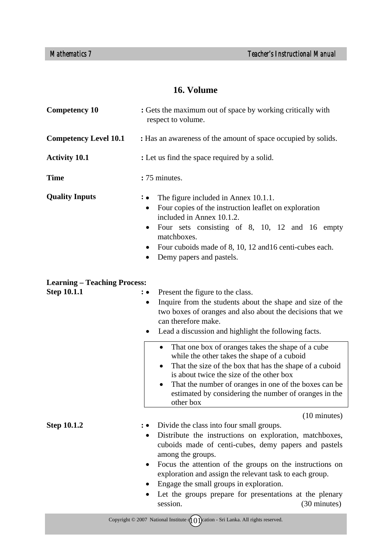## **16. Volume**

| <b>Competency 10</b>                                      | : Gets the maximum out of space by working critically with<br>respect to volume.                                                                                                                                                                                                                                                                                                                                                                                    |  |  |  |  |  |
|-----------------------------------------------------------|---------------------------------------------------------------------------------------------------------------------------------------------------------------------------------------------------------------------------------------------------------------------------------------------------------------------------------------------------------------------------------------------------------------------------------------------------------------------|--|--|--|--|--|
| <b>Competency Level 10.1</b>                              | : Has an awareness of the amount of space occupied by solids.                                                                                                                                                                                                                                                                                                                                                                                                       |  |  |  |  |  |
| <b>Activity 10.1</b>                                      | : Let us find the space required by a solid.                                                                                                                                                                                                                                                                                                                                                                                                                        |  |  |  |  |  |
| <b>Time</b>                                               | :75 minutes.                                                                                                                                                                                                                                                                                                                                                                                                                                                        |  |  |  |  |  |
| <b>Quality Inputs</b>                                     | The figure included in Annex 10.1.1.<br>$\colon \bullet$<br>Four copies of the instruction leaflet on exploration<br>$\bullet$<br>included in Annex 10.1.2.<br>Four sets consisting of 8, 10, 12 and 16 empty<br>matchboxes.<br>Four cuboids made of 8, 10, 12 and 16 centi-cubes each.<br>$\bullet$<br>Demy papers and pastels.                                                                                                                                    |  |  |  |  |  |
| <b>Learning - Teaching Process:</b><br><b>Step 10.1.1</b> | Present the figure to the class.<br>$: \bullet$<br>Inquire from the students about the shape and size of the<br>$\bullet$<br>two boxes of oranges and also about the decisions that we<br>can therefore make.<br>Lead a discussion and highlight the following facts.<br>$\bullet$                                                                                                                                                                                  |  |  |  |  |  |
|                                                           | That one box of oranges takes the shape of a cube<br>$\bullet$<br>while the other takes the shape of a cuboid<br>That the size of the box that has the shape of a cuboid<br>$\bullet$<br>is about twice the size of the other box<br>That the number of oranges in one of the boxes can be<br>٠<br>estimated by considering the number of oranges in the<br>other box                                                                                               |  |  |  |  |  |
| <b>Step 10.1.2</b>                                        | $(10 \text{ minutes})$<br>Divide the class into four small groups.<br>Distribute the instructions on exploration, matchboxes,<br>cuboids made of centi-cubes, demy papers and pastels<br>among the groups.<br>Focus the attention of the groups on the instructions on<br>exploration and assign the relevant task to each group.<br>Engage the small groups in exploration.<br>Let the groups prepare for presentations at the plenary<br>(30 minutes)<br>session. |  |  |  |  |  |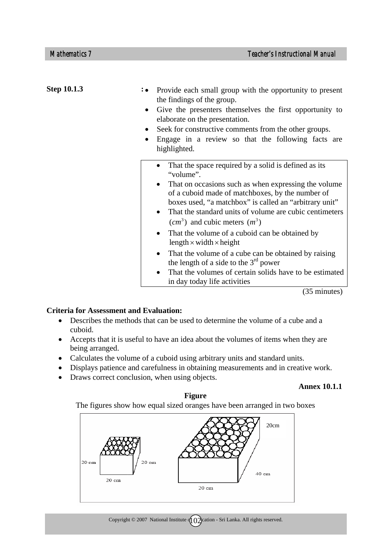| <b>Step 10.1.3</b> | Provide each small group with the opportunity to present<br>the findings of the group.<br>Give the presenters themselves the first opportunity to<br>$\bullet$<br>elaborate on the presentation.<br>Seek for constructive comments from the other groups.<br>Engage in a review so that the following facts are<br>highlighted.                    |
|--------------------|----------------------------------------------------------------------------------------------------------------------------------------------------------------------------------------------------------------------------------------------------------------------------------------------------------------------------------------------------|
|                    | That the space required by a solid is defined as its<br>"volume".<br>That on occasions such as when expressing the volume<br>of a cuboid made of matchboxes, by the number of<br>boxes used, "a matchbox" is called an "arbitrary unit"<br>That the standard units of volume are cubic centimeters<br>$\bullet$<br>$(cm3)$ and cubic meters $(m3)$ |
|                    | That the volume of a cuboid can be obtained by<br>length $\times$ width $\times$ height                                                                                                                                                                                                                                                            |
|                    | That the volume of a cube can be obtained by raising<br>$\bullet$<br>the length of a side to the $3rd$ power<br>That the volumes of certain solids have to be estimated<br>in day today life activities                                                                                                                                            |

(35 minutes)

#### **Criteria for Assessment and Evaluation:**

- Describes the methods that can be used to determine the volume of a cube and a cuboid.
- Accepts that it is useful to have an idea about the volumes of items when they are being arranged.
- Calculates the volume of a cuboid using arbitrary units and standard units.
- Displays patience and carefulness in obtaining measurements and in creative work.
- Draws correct conclusion, when using objects.

#### **Annex 10.1.1**

#### **Figure**

The figures show how equal sized oranges have been arranged in two boxes

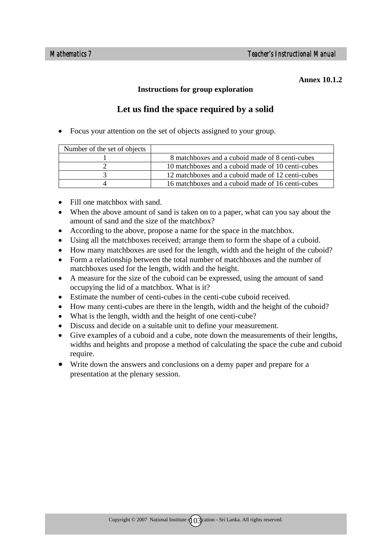#### **Annex 10.1.2**

#### **Instructions for group exploration**

# **Let us find the space required by a solid**

• Focus your attention on the set of objects assigned to your group.

| Number of the set of objects |                                                   |
|------------------------------|---------------------------------------------------|
|                              | 8 matchboxes and a cuboid made of 8 centi-cubes   |
|                              | 10 matchboxes and a cuboid made of 10 centi-cubes |
|                              | 12 matchboxes and a cuboid made of 12 centi-cubes |
|                              | 16 matchboxes and a cuboid made of 16 centi-cubes |

- Fill one matchbox with sand.
- When the above amount of sand is taken on to a paper, what can you say about the amount of sand and the size of the matchbox?
- According to the above, propose a name for the space in the matchbox.
- Using all the matchboxes received; arrange them to form the shape of a cuboid.
- How many matchboxes are used for the length, width and the height of the cuboid?
- Form a relationship between the total number of matchboxes and the number of matchboxes used for the length, width and the height.
- A measure for the size of the cuboid can be expressed, using the amount of sand occupying the lid of a matchbox. What is it?
- Estimate the number of centi-cubes in the centi-cube cuboid received.
- How many centi-cubes are there in the length, width and the height of the cuboid?
- What is the length, width and the height of one centi-cube?
- Discuss and decide on a suitable unit to define your measurement.
- Give examples of a cuboid and a cube, note down the measurements of their lengths, widths and heights and propose a method of calculating the space the cube and cuboid require.
- Write down the answers and conclusions on a demy paper and prepare for a presentation at the plenary session.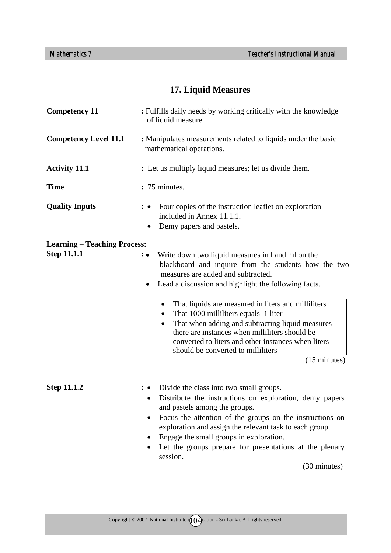# **17. Liquid Measures**

| <b>Competency 11</b>                | : Fulfills daily needs by working critically with the knowledge<br>of liquid measure.                                                                                                                                                                                                                                                                                                          |  |  |
|-------------------------------------|------------------------------------------------------------------------------------------------------------------------------------------------------------------------------------------------------------------------------------------------------------------------------------------------------------------------------------------------------------------------------------------------|--|--|
| <b>Competency Level 11.1</b>        | : Manipulates measurements related to liquids under the basic<br>mathematical operations.                                                                                                                                                                                                                                                                                                      |  |  |
| <b>Activity 11.1</b>                | : Let us multiply liquid measures; let us divide them.                                                                                                                                                                                                                                                                                                                                         |  |  |
| <b>Time</b>                         | : 75 minutes.                                                                                                                                                                                                                                                                                                                                                                                  |  |  |
| <b>Quality Inputs</b>               | Four copies of the instruction leaflet on exploration<br>included in Annex 11.1.1.<br>Demy papers and pastels.                                                                                                                                                                                                                                                                                 |  |  |
| <b>Learning – Teaching Process:</b> |                                                                                                                                                                                                                                                                                                                                                                                                |  |  |
| <b>Step 11.1.1</b>                  | Write down two liquid measures in 1 and ml on the<br>$\colon \bullet$<br>blackboard and inquire from the students how the two<br>measures are added and subtracted.<br>Lead a discussion and highlight the following facts.<br>$\bullet$                                                                                                                                                       |  |  |
|                                     | That liquids are measured in liters and milliliters<br>$\bullet$<br>That 1000 milliliters equals 1 liter<br>That when adding and subtracting liquid measures<br>$\bullet$<br>there are instances when milliliters should be<br>converted to liters and other instances when liters<br>should be converted to milliliters                                                                       |  |  |
|                                     | $(15 \text{ minutes})$                                                                                                                                                                                                                                                                                                                                                                         |  |  |
| <b>Step 11.1.2</b>                  | Divide the class into two small groups.<br>Distribute the instructions on exploration, demy papers<br>$\bullet$<br>and pastels among the groups.<br>Focus the attention of the groups on the instructions on<br>٠<br>exploration and assign the relevant task to each group.<br>Engage the small groups in exploration.<br>Let the groups prepare for presentations at the plenary<br>session. |  |  |
|                                     | (30 minutes)                                                                                                                                                                                                                                                                                                                                                                                   |  |  |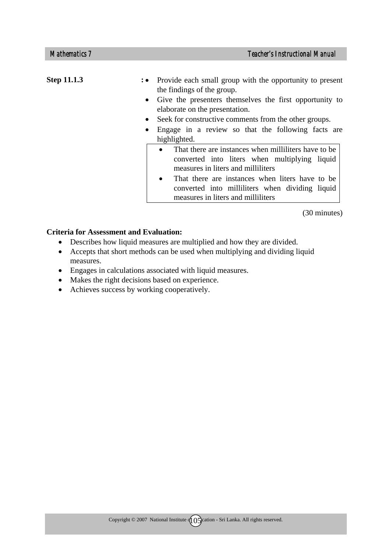| <b>Step 11.1.3</b> | : • Provide each small group with the opportunity to present<br>the findings of the group.  |
|--------------------|---------------------------------------------------------------------------------------------|
|                    | • Give the presenters themselves the first opportunity to<br>elaborate on the presentation. |
|                    | Seek for constructive comments from the other groups.<br>$\bullet$                          |
|                    | Engage in a review so that the following facts are<br>$\bullet$                             |
|                    | highlighted.                                                                                |
|                    | That there are instances when milliliters have to be<br>$\bullet$                           |
|                    | converted into liters when multiplying liquid                                               |
|                    | measures in liters and milliliters                                                          |
|                    | That there are instances when liters have to be<br>$\bullet$                                |
|                    | converted into milliliters when dividing liquid                                             |
|                    | measures in liters and milliliters                                                          |

(30 minutes)

- Describes how liquid measures are multiplied and how they are divided.
- Accepts that short methods can be used when multiplying and dividing liquid measures.
- Engages in calculations associated with liquid measures.
- Makes the right decisions based on experience.
- Achieves success by working cooperatively.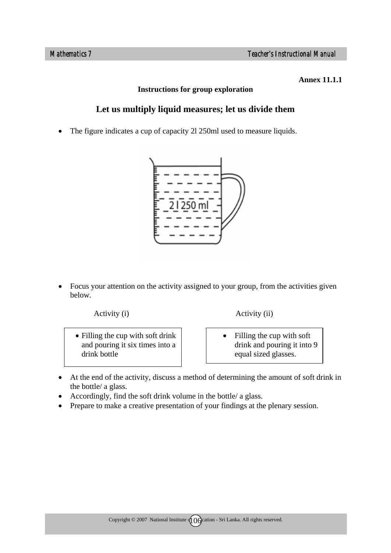#### **Annex 11.1.1**

#### **Instructions for group exploration**

# **Let us multiply liquid measures; let us divide them**

• The figure indicates a cup of capacity 2l 250ml used to measure liquids.



• Focus your attention on the activity assigned to your group, from the activities given below.

• Filling the cup with soft drink and pouring it six times into a drink bottle

Activity (i) Activity (ii)

- Filling the cup with soft drink and pouring it into 9 equal sized glasses.
- At the end of the activity, discuss a method of determining the amount of soft drink in the bottle/ a glass.
- Accordingly, find the soft drink volume in the bottle/ a glass.
- Prepare to make a creative presentation of your findings at the plenary session.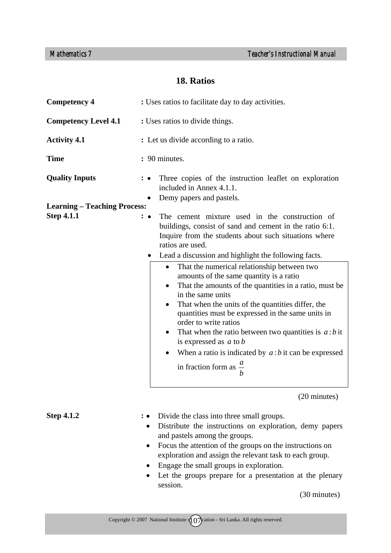# **18. Ratios**

| <b>Competency 4</b>                 | : Uses ratios to facilitate day to day activities.                                                                                                                                                                                                                                                                                                                                                                                                                                                                                                                      |
|-------------------------------------|-------------------------------------------------------------------------------------------------------------------------------------------------------------------------------------------------------------------------------------------------------------------------------------------------------------------------------------------------------------------------------------------------------------------------------------------------------------------------------------------------------------------------------------------------------------------------|
| <b>Competency Level 4.1</b>         | : Uses ratios to divide things.                                                                                                                                                                                                                                                                                                                                                                                                                                                                                                                                         |
| <b>Activity 4.1</b>                 | : Let us divide according to a ratio.                                                                                                                                                                                                                                                                                                                                                                                                                                                                                                                                   |
| <b>Time</b>                         | : 90 minutes.                                                                                                                                                                                                                                                                                                                                                                                                                                                                                                                                                           |
| <b>Quality Inputs</b>               | Three copies of the instruction leaflet on exploration<br>included in Annex 4.1.1.<br>Demy papers and pastels.                                                                                                                                                                                                                                                                                                                                                                                                                                                          |
| <b>Learning – Teaching Process:</b> |                                                                                                                                                                                                                                                                                                                                                                                                                                                                                                                                                                         |
| <b>Step 4.1.1</b>                   | The cement mixture used in the construction of<br>: ∙<br>buildings, consist of sand and cement in the ratio 6:1.<br>Inquire from the students about such situations where<br>ratios are used.<br>Lead a discussion and highlight the following facts.<br>$\bullet$                                                                                                                                                                                                                                                                                                      |
|                                     | That the numerical relationship between two<br>$\bullet$<br>amounts of the same quantity is a ratio<br>That the amounts of the quantities in a ratio, must be<br>$\bullet$<br>in the same units<br>That when the units of the quantities differ, the<br>quantities must be expressed in the same units in<br>order to write ratios<br>That when the ratio between two quantities is $a:b$ it<br>$\bullet$<br>is expressed as $a$ to $b$<br>When a ratio is indicated by $a:b$ it can be expressed<br>$\bullet$<br>in fraction form as $\frac{a}{x}$<br>$\boldsymbol{b}$ |
|                                     | (20 minutes)                                                                                                                                                                                                                                                                                                                                                                                                                                                                                                                                                            |
| <b>Step 4.1.2</b>                   | Divide the class into three small groups.<br>Distribute the instructions on exploration, demy papers<br>$\bullet$<br>and pastels among the groups.<br>Focus the attention of the groups on the instructions on<br>$\bullet$<br>exploration and assign the relevant task to each group.                                                                                                                                                                                                                                                                                  |

- Engage the small groups in exploration.
- Let the groups prepare for a presentation at the plenary session.

(30 minutes)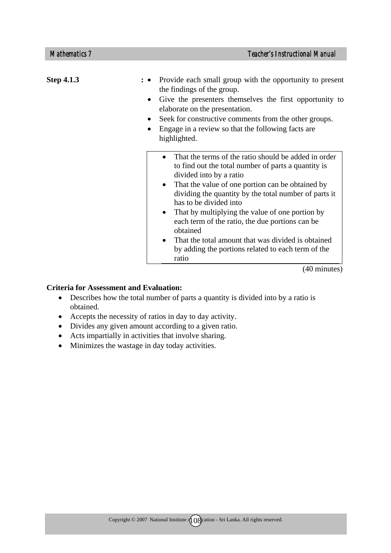| <b>Step 4.1.3</b> | Provide each small group with the opportunity to present<br>the findings of the group.<br>Give the presenters themselves the first opportunity to<br>$\bullet$<br>elaborate on the presentation.<br>Seek for constructive comments from the other groups.<br>$\bullet$<br>Engage in a review so that the following facts are<br>$\bullet$<br>highlighted.                                                                                                                                                                                                   |
|-------------------|-------------------------------------------------------------------------------------------------------------------------------------------------------------------------------------------------------------------------------------------------------------------------------------------------------------------------------------------------------------------------------------------------------------------------------------------------------------------------------------------------------------------------------------------------------------|
|                   | That the terms of the ratio should be added in order<br>$\bullet$<br>to find out the total number of parts a quantity is<br>divided into by a ratio<br>That the value of one portion can be obtained by<br>$\bullet$<br>dividing the quantity by the total number of parts it<br>has to be divided into<br>That by multiplying the value of one portion by<br>each term of the ratio, the due portions can be<br>obtained<br>That the total amount that was divided is obtained<br>$\bullet$<br>by adding the portions related to each term of the<br>ratio |
|                   | (40 minutes)                                                                                                                                                                                                                                                                                                                                                                                                                                                                                                                                                |

- Describes how the total number of parts a quantity is divided into by a ratio is obtained.
- Accepts the necessity of ratios in day to day activity.
- Divides any given amount according to a given ratio.
- Acts impartially in activities that involve sharing.
- Minimizes the wastage in day today activities.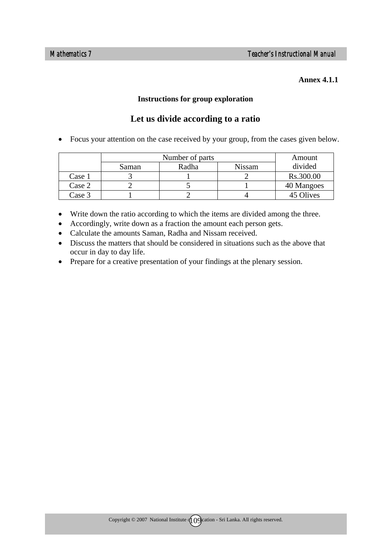#### **Annex 4.1.1**

#### **Instructions for group exploration**

# **Let us divide according to a ratio**

• Focus your attention on the case received by your group, from the cases given below.

|        | Number of parts |       |               | Amount     |
|--------|-----------------|-------|---------------|------------|
|        | Saman           | Radha | <b>Nissam</b> | divided    |
| Case 1 |                 |       |               | Rs.300.00  |
| Case 2 |                 |       |               | 40 Mangoes |
| Case 3 |                 |       |               | 45 Olives  |

- Write down the ratio according to which the items are divided among the three.
- Accordingly, write down as a fraction the amount each person gets.
- Calculate the amounts Saman, Radha and Nissam received.
- Discuss the matters that should be considered in situations such as the above that occur in day to day life.
- Prepare for a creative presentation of your findings at the plenary session.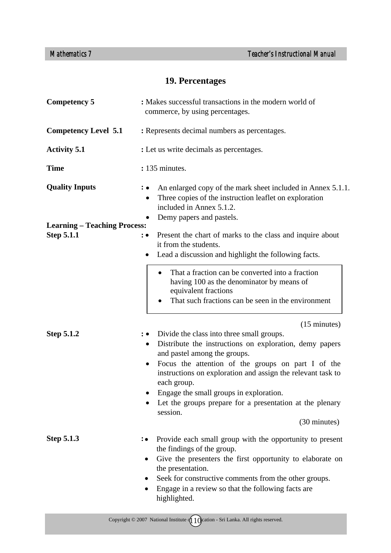# **19. Percentages**

| <b>Competency 5</b>                                      | : Makes successful transactions in the modern world of<br>commerce, by using percentages.                                                                                                                                                                                                                                                                                                                                                                       |  |  |  |
|----------------------------------------------------------|-----------------------------------------------------------------------------------------------------------------------------------------------------------------------------------------------------------------------------------------------------------------------------------------------------------------------------------------------------------------------------------------------------------------------------------------------------------------|--|--|--|
| <b>Competency Level 5.1</b>                              | : Represents decimal numbers as percentages.                                                                                                                                                                                                                                                                                                                                                                                                                    |  |  |  |
| <b>Activity 5.1</b>                                      | : Let us write decimals as percentages.                                                                                                                                                                                                                                                                                                                                                                                                                         |  |  |  |
| <b>Time</b>                                              | : 135 minutes.                                                                                                                                                                                                                                                                                                                                                                                                                                                  |  |  |  |
| <b>Quality Inputs</b>                                    | An enlarged copy of the mark sheet included in Annex 5.1.1.<br>Three copies of the instruction leaflet on exploration<br>included in Annex 5.1.2.<br>Demy papers and pastels.<br>$\bullet$                                                                                                                                                                                                                                                                      |  |  |  |
| <b>Learning – Teaching Process:</b><br><b>Step 5.1.1</b> | Present the chart of marks to the class and inquire about<br>$\colon\bullet$<br>it from the students.<br>Lead a discussion and highlight the following facts.<br>٠                                                                                                                                                                                                                                                                                              |  |  |  |
|                                                          | That a fraction can be converted into a fraction<br>$\bullet$<br>having 100 as the denominator by means of<br>equivalent fractions<br>That such fractions can be seen in the environment<br>٠                                                                                                                                                                                                                                                                   |  |  |  |
| <b>Step 5.1.2</b>                                        | $(15 \text{ minutes})$<br>Divide the class into three small groups.<br>Distribute the instructions on exploration, demy papers<br>$\bullet$<br>and pastel among the groups.<br>Focus the attention of the groups on part I of the<br>$\bullet$<br>instructions on exploration and assign the relevant task to<br>each group.<br>Engage the small groups in exploration.<br>Let the groups prepare for a presentation at the plenary<br>session.<br>(30 minutes) |  |  |  |
| <b>Step 5.1.3</b>                                        | Provide each small group with the opportunity to present<br>∶∙<br>the findings of the group.<br>Give the presenters the first opportunity to elaborate on<br>$\bullet$<br>the presentation.<br>Seek for constructive comments from the other groups.<br>Engage in a review so that the following facts are<br>$\bullet$<br>highlighted.                                                                                                                         |  |  |  |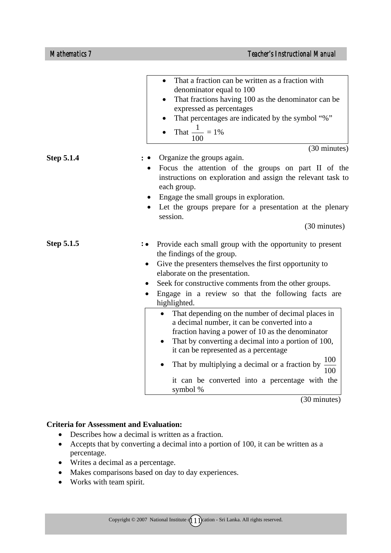|                   | That a fraction can be written as a fraction with<br>denominator equal to 100<br>That fractions having 100 as the denominator can be<br>expressed as percentages<br>That percentages are indicated by the symbol "%"<br>That $\frac{1}{100}$ = 1%<br>100                                                                                                                                                                                                                                                                                                                                              |
|-------------------|-------------------------------------------------------------------------------------------------------------------------------------------------------------------------------------------------------------------------------------------------------------------------------------------------------------------------------------------------------------------------------------------------------------------------------------------------------------------------------------------------------------------------------------------------------------------------------------------------------|
|                   | (30 minutes)                                                                                                                                                                                                                                                                                                                                                                                                                                                                                                                                                                                          |
| <b>Step 5.1.4</b> | Organize the groups again.<br>Focus the attention of the groups on part II of the<br>instructions on exploration and assign the relevant task to<br>each group.<br>Engage the small groups in exploration.<br>Let the groups prepare for a presentation at the plenary<br>session.                                                                                                                                                                                                                                                                                                                    |
|                   | (30 minutes)                                                                                                                                                                                                                                                                                                                                                                                                                                                                                                                                                                                          |
| <b>Step 5.1.5</b> | Provide each small group with the opportunity to present<br>the findings of the group.<br>Give the presenters themselves the first opportunity to<br>$\bullet$<br>elaborate on the presentation.<br>Seek for constructive comments from the other groups.<br>Engage in a review so that the following facts are<br>highlighted.<br>That depending on the number of decimal places in<br>a decimal number, it can be converted into a<br>fraction having a power of 10 as the denominator<br>That by converting a decimal into a portion of 100,<br>$\bullet$<br>it can be represented as a percentage |
|                   | 100<br>That by multiplying a decimal or a fraction by<br>100<br>it can be converted into a percentage with the<br>symbol %                                                                                                                                                                                                                                                                                                                                                                                                                                                                            |

(30 minutes)

- Describes how a decimal is written as a fraction.
- Accepts that by converting a decimal into a portion of 100, it can be written as a percentage.
- Writes a decimal as a percentage.
- Makes comparisons based on day to day experiences.
- Works with team spirit.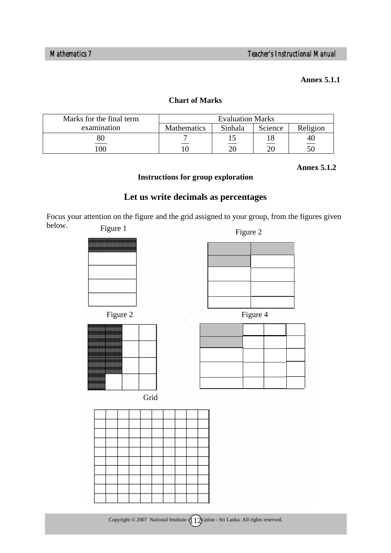#### **Annex 5.1.1**

#### **Chart of Marks**

| Marks for the final term | <b>Evaluation Marks</b> |         |         |          |
|--------------------------|-------------------------|---------|---------|----------|
| examination              | <b>Mathematics</b>      | Sinhala | Science | Religion |
| 80                       |                         |         |         | 4U       |
| 100                      |                         | ንበ      | or      |          |

 **Annex 5.1.2** 

### **Instructions for group exploration**

# **Let us write decimals as percentages**

Focus your attention on the figure and the grid assigned to your group, from the figures given below. Figure 1

| 15u1 v<br>д,                                                                                                   |
|----------------------------------------------------------------------------------------------------------------|
| ٠<br><br><br>٠<br><br>٠<br><br>٠<br>٠<br><br>٠<br>Ш<br>,,,,,,,,,<br>ï<br>ï<br>шш<br>ı<br>ı<br>ı<br>T<br>۱<br>۱ |
|                                                                                                                |
|                                                                                                                |
|                                                                                                                |
|                                                                                                                |



| <br>-<br><br><br>ł<br>٠<br><br>-<br>٠<br><br>٠<br>******* *******<br>--<br>** ****<br>٠<br>٠<br>٠<br>ı<br>٠<br>******<br>٠<br>*********<br>****** ******<br>٠<br>** **<br>٠<br>٠<br>٠<br>٠<br><br>٠<br>٠<br>٠<br>٠<br>٠<br>ı<br>******<br>-<br>٠<br>٠<br>٠<br>٠<br>٠<br>*******<br>-<br>٠<br>٠<br>÷<br>٠<br>٠<br>٠<br>$\sim$<br>٠<br>-<br>**********<br><br>٠<br><br>-<br><br>٠<br>-<br>-<br>٠<br>×<br><br><br>٠ |      |  |
|------------------------------------------------------------------------------------------------------------------------------------------------------------------------------------------------------------------------------------------------------------------------------------------------------------------------------------------------------------------------------------------------------------------|------|--|
|                                                                                                                                                                                                                                                                                                                                                                                                                  |      |  |
|                                                                                                                                                                                                                                                                                                                                                                                                                  |      |  |
|                                                                                                                                                                                                                                                                                                                                                                                                                  |      |  |
|                                                                                                                                                                                                                                                                                                                                                                                                                  |      |  |
|                                                                                                                                                                                                                                                                                                                                                                                                                  |      |  |
|                                                                                                                                                                                                                                                                                                                                                                                                                  |      |  |
|                                                                                                                                                                                                                                                                                                                                                                                                                  |      |  |
|                                                                                                                                                                                                                                                                                                                                                                                                                  |      |  |
|                                                                                                                                                                                                                                                                                                                                                                                                                  |      |  |
|                                                                                                                                                                                                                                                                                                                                                                                                                  |      |  |
|                                                                                                                                                                                                                                                                                                                                                                                                                  |      |  |
|                                                                                                                                                                                                                                                                                                                                                                                                                  |      |  |
|                                                                                                                                                                                                                                                                                                                                                                                                                  |      |  |
|                                                                                                                                                                                                                                                                                                                                                                                                                  |      |  |
|                                                                                                                                                                                                                                                                                                                                                                                                                  |      |  |
|                                                                                                                                                                                                                                                                                                                                                                                                                  |      |  |
|                                                                                                                                                                                                                                                                                                                                                                                                                  |      |  |
|                                                                                                                                                                                                                                                                                                                                                                                                                  |      |  |
|                                                                                                                                                                                                                                                                                                                                                                                                                  |      |  |
|                                                                                                                                                                                                                                                                                                                                                                                                                  |      |  |
|                                                                                                                                                                                                                                                                                                                                                                                                                  | <br> |  |

Grid

Figure 2

Figure 2 Figure 4

Copyright  $\odot$  2007 National Institute  $\left(1\right)$  cation - Sri Lanka. All rights reserved.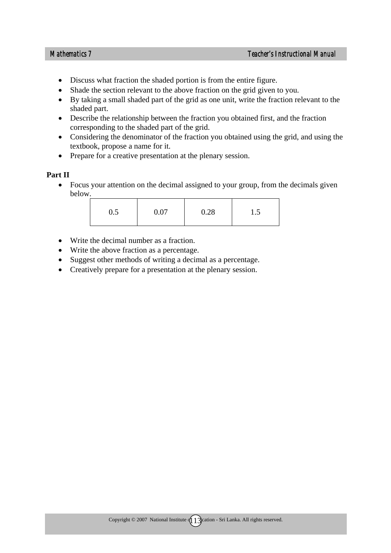- Discuss what fraction the shaded portion is from the entire figure.
- Shade the section relevant to the above fraction on the grid given to you.
- By taking a small shaded part of the grid as one unit, write the fraction relevant to the shaded part.
- Describe the relationship between the fraction you obtained first, and the fraction corresponding to the shaded part of the grid.
- Considering the denominator of the fraction you obtained using the grid, and using the textbook, propose a name for it.
- Prepare for a creative presentation at the plenary session.

#### **Part II**

• Focus your attention on the decimal assigned to your group, from the decimals given below.

| 0.07<br>0.5 | 0.28 | 1.5 |
|-------------|------|-----|
|-------------|------|-----|

- Write the decimal number as a fraction.
- Write the above fraction as a percentage.
- Suggest other methods of writing a decimal as a percentage.
- Creatively prepare for a presentation at the plenary session.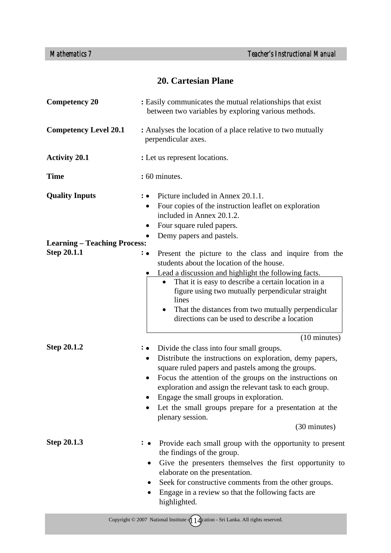# **20. Cartesian Plane**

| <b>Competency 20</b>                | : Easily communicates the mutual relationships that exist<br>between two variables by exploring various methods.                                                                                                                                                                                                                                                                                                                                    |
|-------------------------------------|-----------------------------------------------------------------------------------------------------------------------------------------------------------------------------------------------------------------------------------------------------------------------------------------------------------------------------------------------------------------------------------------------------------------------------------------------------|
| <b>Competency Level 20.1</b>        | : Analyses the location of a place relative to two mutually<br>perpendicular axes.                                                                                                                                                                                                                                                                                                                                                                  |
| <b>Activity 20.1</b>                | : Let us represent locations.                                                                                                                                                                                                                                                                                                                                                                                                                       |
| <b>Time</b>                         | : 60 minutes.                                                                                                                                                                                                                                                                                                                                                                                                                                       |
| <b>Quality Inputs</b>               | Picture included in Annex 20.1.1.<br>∶∙<br>Four copies of the instruction leaflet on exploration<br>$\bullet$<br>included in Annex 20.1.2.<br>Four square ruled papers.<br>Demy papers and pastels.                                                                                                                                                                                                                                                 |
| <b>Learning - Teaching Process:</b> |                                                                                                                                                                                                                                                                                                                                                                                                                                                     |
| <b>Step 20.1.1</b>                  | Present the picture to the class and inquire from the<br>$\colon\bullet$<br>students about the location of the house.<br>Lead a discussion and highlight the following facts.<br>That it is easy to describe a certain location in a<br>figure using two mutually perpendicular straight<br>lines<br>That the distances from two mutually perpendicular<br>directions can be used to describe a location<br>(10 minutes)                            |
| <b>Step 20.1.2</b>                  | Divide the class into four small groups.<br>Distribute the instructions on exploration, demy papers,<br>$\bullet$<br>square ruled papers and pastels among the groups.<br>Focus the attention of the groups on the instructions on<br>$\bullet$<br>exploration and assign the relevant task to each group.<br>Engage the small groups in exploration.<br>Let the small groups prepare for a presentation at the<br>plenary session.<br>(30 minutes) |
| <b>Step 20.1.3</b>                  | Provide each small group with the opportunity to present<br>the findings of the group.<br>Give the presenters themselves the first opportunity to<br>elaborate on the presentation.<br>Seek for constructive comments from the other groups.<br>Engage in a review so that the following facts are<br>highlighted.                                                                                                                                  |

Copyright  $\odot$  2007 National Institute  $\oint$  1  $\oint$  ation - Sri Lanka. All rights reserved.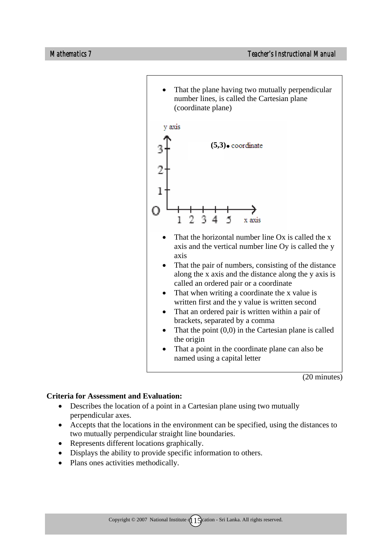

(20 minutes)

- Describes the location of a point in a Cartesian plane using two mutually perpendicular axes.
- Accepts that the locations in the environment can be specified, using the distances to two mutually perpendicular straight line boundaries.
- Represents different locations graphically.
- Displays the ability to provide specific information to others.
- Plans ones activities methodically.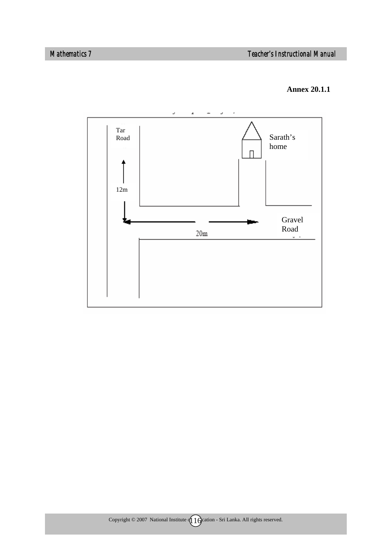#### **Annex 20.1.1**

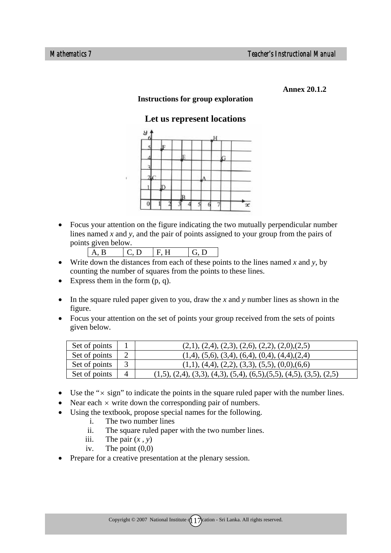**Annex 20.1.2** 

#### **Instructions for group exploration**

## **Let us represent locations**



• Focus your attention on the figure indicating the two mutually perpendicular number lines named *x* and *y,* and the pair of points assigned to your group from the pairs of points given below.

|--|--|--|

- Write down the distances from each of these points to the lines named  $x$  and  $y$ , by counting the number of squares from the points to these lines.
- Express them in the form  $(p, q)$ .
- In the square ruled paper given to you, draw the *x* and *y* number lines as shown in the figure.
- Focus your attention on the set of points your group received from the sets of points given below.

| Set of points | $(2,1), (2,4), (2,3), (2,6), (2,2), (2,0), (2,5)$                      |
|---------------|------------------------------------------------------------------------|
| Set of points | $(1,4)$ , $(5,6)$ , $(3,4)$ , $(6,4)$ , $(0,4)$ , $(4,4)$ , $(2,4)$    |
| Set of points | $(1,1), (4,4), (2,2), (3,3), (5,5), (0,0), (6,6)$                      |
| Set of points | $(1,5), (2,4), (3,3), (4,3), (5,4), (6,5), (5,5), (4,5), (3,5), (2,5)$ |

- Use the " $\times$  sign" to indicate the points in the square ruled paper with the number lines.
- Near each  $\times$  write down the corresponding pair of numbers.
- Using the textbook, propose special names for the following.
	- i. The two number lines
	- ii. The square ruled paper with the two number lines.
	- iii. The pair  $(x, y)$
	- iv. The point  $(0,0)$
- Prepare for a creative presentation at the plenary session.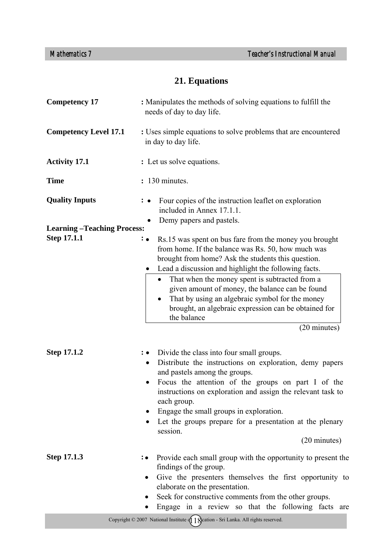# **21. Equations**

| <b>Competency 17</b>              | : Manipulates the methods of solving equations to fulfill the<br>needs of day to day life.                                                                                                                                                                                                                                                                                                                                                                                                    |
|-----------------------------------|-----------------------------------------------------------------------------------------------------------------------------------------------------------------------------------------------------------------------------------------------------------------------------------------------------------------------------------------------------------------------------------------------------------------------------------------------------------------------------------------------|
| <b>Competency Level 17.1</b>      | : Uses simple equations to solve problems that are encountered<br>in day to day life.                                                                                                                                                                                                                                                                                                                                                                                                         |
| <b>Activity 17.1</b>              | : Let us solve equations.                                                                                                                                                                                                                                                                                                                                                                                                                                                                     |
| <b>Time</b>                       | : 130 minutes.                                                                                                                                                                                                                                                                                                                                                                                                                                                                                |
| <b>Quality Inputs</b>             | Four copies of the instruction leaflet on exploration<br>: ∙<br>included in Annex 17.1.1.<br>Demy papers and pastels.                                                                                                                                                                                                                                                                                                                                                                         |
| <b>Learning-Teaching Process:</b> |                                                                                                                                                                                                                                                                                                                                                                                                                                                                                               |
| Step 17.1.1                       | Rs.15 was spent on bus fare from the money you brought<br>$\colon \bullet$<br>from home. If the balance was Rs. 50, how much was<br>brought from home? Ask the students this question.<br>Lead a discussion and highlight the following facts.<br>That when the money spent is subtracted from a<br>given amount of money, the balance can be found<br>That by using an algebraic symbol for the money<br>brought, an algebraic expression can be obtained for<br>the balance<br>(20 minutes) |
| <b>Step 17.1.2</b>                | Divide the class into four small groups.<br>$\mathbf{\ddot{\cdot}}$ .<br>Distribute the instructions on exploration, demy papers<br>and pastels among the groups.<br>Focus the attention of the groups on part I of the<br>instructions on exploration and assign the relevant task to<br>each group.<br>Engage the small groups in exploration.<br>Let the groups prepare for a presentation at the plenary<br>session.<br>(20 minutes)                                                      |
| Step 17.1.3                       | Provide each small group with the opportunity to present the<br>findings of the group.<br>Give the presenters themselves the first opportunity to<br>elaborate on the presentation.<br>Seek for constructive comments from the other groups.<br>Engage in a review so that the following facts are                                                                                                                                                                                            |
|                                   | Copyright $\odot$ 2007 National Institute $\left(\int\int\int\int\int\int$ and $\int$ Sri Lanka. All rights reserved.                                                                                                                                                                                                                                                                                                                                                                         |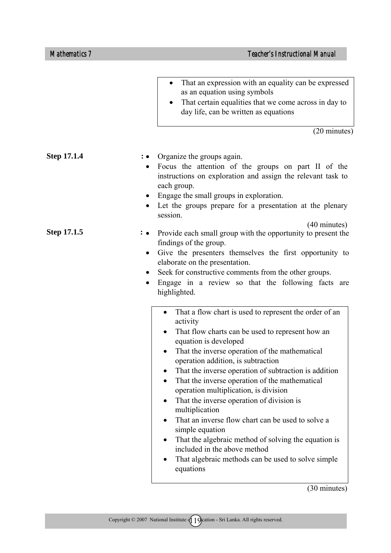|                    | That an expression with an equality can be expressed<br>$\bullet$<br>as an equation using symbols<br>That certain equalities that we come across in day to<br>day life, can be written as equations<br>(20 minutes)                                                                                                                                                                                                                                                                                                                                                                                                                                                                                                                  |
|--------------------|--------------------------------------------------------------------------------------------------------------------------------------------------------------------------------------------------------------------------------------------------------------------------------------------------------------------------------------------------------------------------------------------------------------------------------------------------------------------------------------------------------------------------------------------------------------------------------------------------------------------------------------------------------------------------------------------------------------------------------------|
| <b>Step 17.1.4</b> | Organize the groups again.<br>Focus the attention of the groups on part II of the<br>instructions on exploration and assign the relevant task to<br>each group.<br>Engage the small groups in exploration.<br>Let the groups prepare for a presentation at the plenary<br>٠<br>session.<br>$(40 \text{ minutes})$                                                                                                                                                                                                                                                                                                                                                                                                                    |
| Step 17.1.5        | Provide each small group with the opportunity to present the<br>: •<br>findings of the group.<br>Give the presenters themselves the first opportunity to<br>$\bullet$<br>elaborate on the presentation.<br>Seek for constructive comments from the other groups.<br>$\bullet$<br>Engage in a review so that the following facts are<br>highlighted.                                                                                                                                                                                                                                                                                                                                                                                  |
|                    | That a flow chart is used to represent the order of an<br>$\bullet$<br>activity<br>That flow charts can be used to represent how an<br>$\bullet$<br>equation is developed<br>That the inverse operation of the mathematical<br>$\bullet$<br>operation addition, is subtraction<br>That the inverse operation of subtraction is addition<br>That the inverse operation of the mathematical<br>operation multiplication, is division<br>That the inverse operation of division is<br>multiplication<br>That an inverse flow chart can be used to solve a<br>simple equation<br>That the algebraic method of solving the equation is<br>included in the above method<br>That algebraic methods can be used to solve simple<br>equations |

(30 minutes)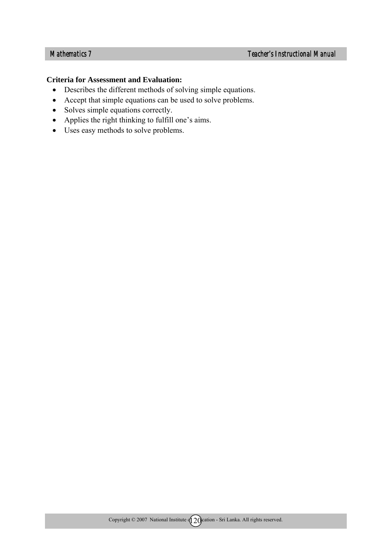- Describes the different methods of solving simple equations.
- Accept that simple equations can be used to solve problems.
- Solves simple equations correctly.
- Applies the right thinking to fulfill one's aims.
- Uses easy methods to solve problems.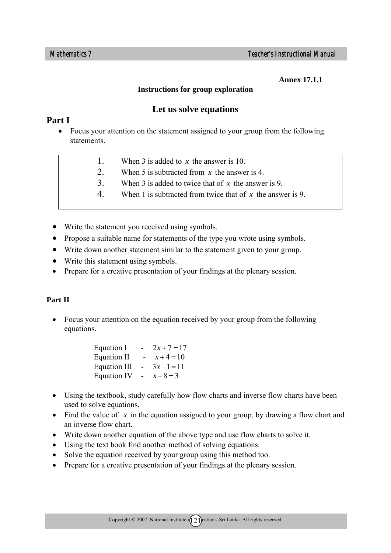**Annex 17.1.1**

#### **Instructions for group exploration**

# **Let us solve equations**

## **Part I**

- Focus your attention on the statement assigned to your group from the following statements.
	- 1. When 3 is added to *x* the answer is 10.
	- 2. When 5 is subtracted from *x* the answer is 4.
	- 3. When 3 is added to twice that of *x* the answer is 9.
	- 4. When 1 is subtracted from twice that of *x* the answer is 9.
- Write the statement you received using symbols.
- Propose a suitable name for statements of the type you wrote using symbols.
- Write down another statement similar to the statement given to your group.
- Write this statement using symbols.
- Prepare for a creative presentation of your findings at the plenary session.

## **Part II**

• Focus your attention on the equation received by your group from the following equations.

| Equation I          | -  | $2x + 7 = 17$ |
|---------------------|----|---------------|
| <b>Equation II</b>  |    | $x+4=10$      |
| <b>Equation III</b> | Ξ. | $3x-1=11$     |
| <b>Equation IV</b>  |    | $x-8=3$       |

- Using the textbook, study carefully how flow charts and inverse flow charts have been used to solve equations.
- Find the value of x in the equation assigned to your group, by drawing a flow chart and an inverse flow chart.
- Write down another equation of the above type and use flow charts to solve it.
- Using the text book find another method of solving equations.
- Solve the equation received by your group using this method too.
- Prepare for a creative presentation of your findings at the plenary session.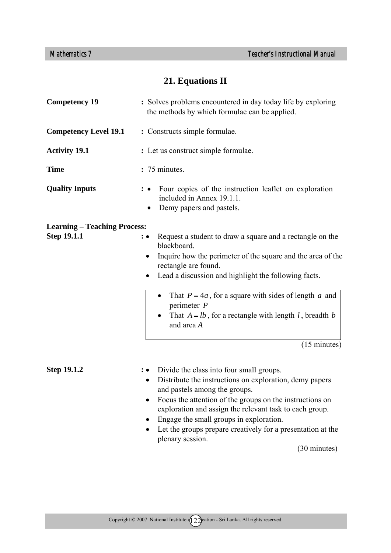# **21. Equations II**

| <b>Competency 19</b>                                      | : Solves problems encountered in day today life by exploring<br>the methods by which formulae can be applied.                                                                                                                                                                                                                                                                                                            |
|-----------------------------------------------------------|--------------------------------------------------------------------------------------------------------------------------------------------------------------------------------------------------------------------------------------------------------------------------------------------------------------------------------------------------------------------------------------------------------------------------|
| <b>Competency Level 19.1</b>                              | : Constructs simple formulae.                                                                                                                                                                                                                                                                                                                                                                                            |
| <b>Activity 19.1</b>                                      | : Let us construct simple formulae.                                                                                                                                                                                                                                                                                                                                                                                      |
| <b>Time</b>                                               | : 75 minutes.                                                                                                                                                                                                                                                                                                                                                                                                            |
| <b>Quality Inputs</b>                                     | Four copies of the instruction leaflet on exploration<br>included in Annex 19.1.1.<br>Demy papers and pastels.                                                                                                                                                                                                                                                                                                           |
| <b>Learning – Teaching Process:</b><br><b>Step 19.1.1</b> | Request a student to draw a square and a rectangle on the<br>blackboard.<br>Inquire how the perimeter of the square and the area of the<br>rectangle are found.<br>Lead a discussion and highlight the following facts.                                                                                                                                                                                                  |
|                                                           | That $P = 4a$ , for a square with sides of length a and<br>perimeter $P$<br>That $A = lb$ , for a rectangle with length l, breadth b<br>and area A<br>$(15 \text{ minutes})$                                                                                                                                                                                                                                             |
| <b>Step 19.1.2</b>                                        | Divide the class into four small groups.<br>$: \bullet$<br>Distribute the instructions on exploration, demy papers<br>and pastels among the groups.<br>Focus the attention of the groups on the instructions on<br>exploration and assign the relevant task to each group.<br>Engage the small groups in exploration.<br>Let the groups prepare creatively for a presentation at the<br>plenary session.<br>(30 minutes) |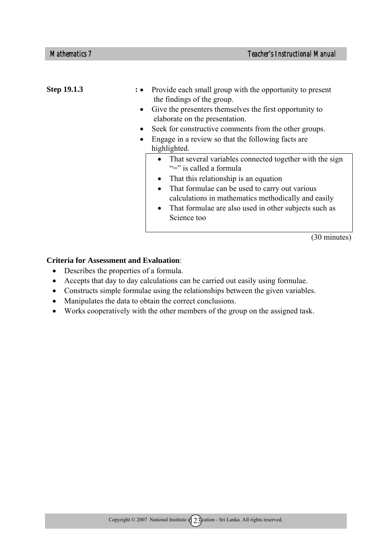| Step 19.1.3 | $\bullet$ | : • Provide each small group with the opportunity to present<br>the findings of the group.<br>Give the presenters themselves the first opportunity to<br>elaborate on the presentation.<br>Seek for constructive comments from the other groups.<br>Engage in a review so that the following facts are<br>highlighted.                                 |
|-------------|-----------|--------------------------------------------------------------------------------------------------------------------------------------------------------------------------------------------------------------------------------------------------------------------------------------------------------------------------------------------------------|
|             |           | • That several variables connected together with the sign<br>"=" is called a formula"<br>That this relationship is an equation<br>$\bullet$<br>That formulae can be used to carry out various<br>$\bullet$<br>calculations in mathematics methodically and easily<br>That formulae are also used in other subjects such as<br>$\bullet$<br>Science too |

(30 minutes)

- Describes the properties of a formula.
- Accepts that day to day calculations can be carried out easily using formulae.
- Constructs simple formulae using the relationships between the given variables.
- Manipulates the data to obtain the correct conclusions.
- Works cooperatively with the other members of the group on the assigned task.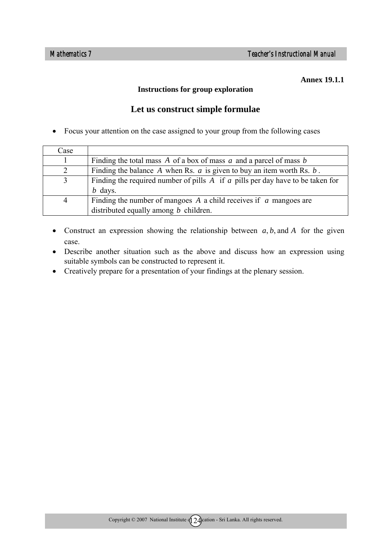#### **Annex 19.1.1**

#### **Instructions for group exploration**

## **Let us construct simple formulae**

• Focus your attention on the case assigned to your group from the following cases

| Case |                                                                                    |
|------|------------------------------------------------------------------------------------|
|      | Finding the total mass A of a box of mass $a$ and a parcel of mass $b$             |
|      | Finding the balance A when Rs. $a$ is given to buy an item worth Rs. $b$ .         |
| 3    | Finding the required number of pills $A$ if $a$ pills per day have to be taken for |
|      | $b$ days.                                                                          |
| 4    | Finding the number of mangoes $A$ a child receives if $\alpha$ mangoes are         |
|      | distributed equally among $b$ children.                                            |

- Construct an expression showing the relationship between  $a, b$ , and  $A$  for the given case.
- Describe another situation such as the above and discuss how an expression using suitable symbols can be constructed to represent it.
- Creatively prepare for a presentation of your findings at the plenary session.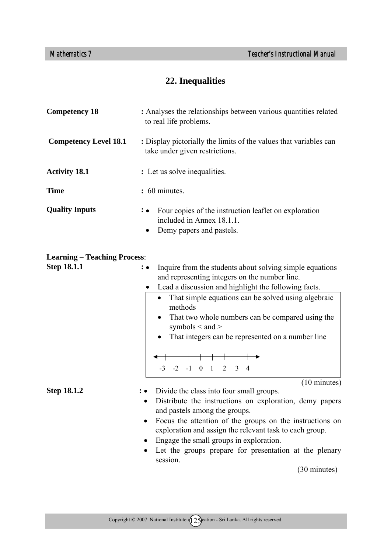# **22. Inequalities**

| <b>Competency 18</b>                | : Analyses the relationships between various quantities related<br>to real life problems.                                                                                                                                                                                                                                                                                                                                                                                                |
|-------------------------------------|------------------------------------------------------------------------------------------------------------------------------------------------------------------------------------------------------------------------------------------------------------------------------------------------------------------------------------------------------------------------------------------------------------------------------------------------------------------------------------------|
| <b>Competency Level 18.1</b>        | : Display pictorially the limits of the values that variables can<br>take under given restrictions.                                                                                                                                                                                                                                                                                                                                                                                      |
| <b>Activity 18.1</b>                | : Let us solve inequalities.                                                                                                                                                                                                                                                                                                                                                                                                                                                             |
| <b>Time</b>                         | : 60 minutes.                                                                                                                                                                                                                                                                                                                                                                                                                                                                            |
| <b>Quality Inputs</b>               | Four copies of the instruction leaflet on exploration<br>: •<br>included in Annex 18.1.1.<br>Demy papers and pastels.                                                                                                                                                                                                                                                                                                                                                                    |
| <b>Learning - Teaching Process:</b> |                                                                                                                                                                                                                                                                                                                                                                                                                                                                                          |
| <b>Step 18.1.1</b>                  | Inquire from the students about solving simple equations<br>$: \bullet$<br>and representing integers on the number line.<br>Lead a discussion and highlight the following facts.<br>That simple equations can be solved using algebraic<br>$\bullet$<br>methods<br>That two whole numbers can be compared using the<br>$\bullet$<br>symbols $\leq$ and $>$<br>That integers can be represented on a number line<br>$-3$ $-2$ $-1$ 0 1 2<br>$\overline{3}$<br>4<br>$(10 \text{ minutes})$ |
| <b>Step 18.1.2</b>                  | Divide the class into four small groups.<br>Distribute the instructions on exploration, demy papers<br>and pastels among the groups.<br>Focus the attention of the groups on the instructions on<br>exploration and assign the relevant task to each group.<br>Engage the small groups in exploration.<br>Let the groups prepare for presentation at the plenary<br>٠<br>session.<br>(30 minutes)                                                                                        |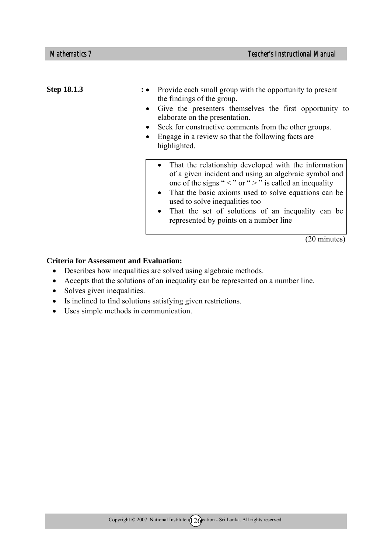| Step 18.1.3 | Provide each small group with the opportunity to present<br>the findings of the group.<br>Give the presenters themselves the first opportunity to<br>elaborate on the presentation.<br>Seek for constructive comments from the other groups.<br>Engage in a review so that the following facts are.<br>highlighted.                                                                                                      |
|-------------|--------------------------------------------------------------------------------------------------------------------------------------------------------------------------------------------------------------------------------------------------------------------------------------------------------------------------------------------------------------------------------------------------------------------------|
|             | That the relationship developed with the information<br>$\bullet$<br>of a given incident and using an algebraic symbol and<br>one of the signs " $\lt$ " or " $>$ " is called an inequality<br>That the basic axioms used to solve equations can be<br>$\bullet$<br>used to solve inequalities too<br>That the set of solutions of an inequality can be<br>$\bullet$<br>represented by points on a number line<br>$\sim$ |

(20 minutes)

- Describes how inequalities are solved using algebraic methods.
- Accepts that the solutions of an inequality can be represented on a number line.
- Solves given inequalities.
- Is inclined to find solutions satisfying given restrictions.
- Uses simple methods in communication.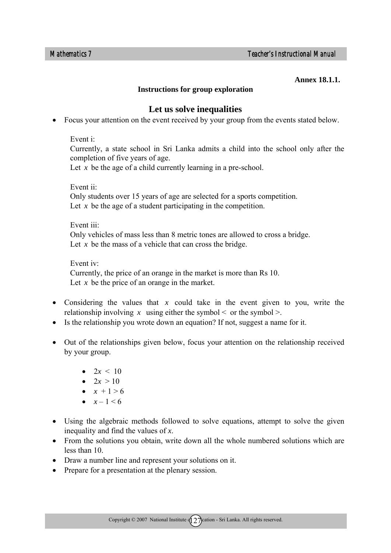#### **Annex 18.1.1.**

#### **Instructions for group exploration**

### **Let us solve inequalities**

• Focus your attention on the event received by your group from the events stated below.

#### Event i:

Currently, a state school in Sri Lanka admits a child into the school only after the completion of five years of age.

Let *x* be the age of a child currently learning in a pre-school.

Event ii: Only students over 15 years of age are selected for a sports competition. Let  $x$  be the age of a student participating in the competition.

#### Event iii:

Only vehicles of mass less than 8 metric tones are allowed to cross a bridge. Let  $x$  be the mass of a vehicle that can cross the bridge.

#### Event iv:

Currently, the price of an orange in the market is more than Rs 10. Let *x* be the price of an orange in the market.

- Considering the values that *x* could take in the event given to you, write the relationship involving x using either the symbol  $\leq$  or the symbol  $\geq$ .
- Is the relationship you wrote down an equation? If not, suggest a name for it.
- Out of the relationships given below, focus your attention on the relationship received by your group.
	- $2x < 10$
	- $2x > 10$
	- $x + 1 > 6$
	- $x 1 \le 6$
- Using the algebraic methods followed to solve equations, attempt to solve the given inequality and find the values of *x*.
- From the solutions you obtain, write down all the whole numbered solutions which are less than 10.
- Draw a number line and represent your solutions on it.
- Prepare for a presentation at the plenary session.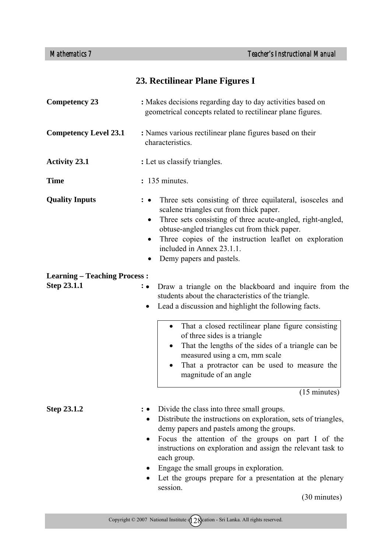# **23. Rectilinear Plane Figures I**

| <b>Competency 23</b>                                      | : Makes decisions regarding day to day activities based on<br>geometrical concepts related to rectilinear plane figures.                                                                                                                                                                                                                                                                                                                                                              |
|-----------------------------------------------------------|---------------------------------------------------------------------------------------------------------------------------------------------------------------------------------------------------------------------------------------------------------------------------------------------------------------------------------------------------------------------------------------------------------------------------------------------------------------------------------------|
| <b>Competency Level 23.1</b>                              | : Names various rectilinear plane figures based on their<br>characteristics.                                                                                                                                                                                                                                                                                                                                                                                                          |
| <b>Activity 23.1</b>                                      | : Let us classify triangles.                                                                                                                                                                                                                                                                                                                                                                                                                                                          |
| <b>Time</b>                                               | : 135 minutes.                                                                                                                                                                                                                                                                                                                                                                                                                                                                        |
| <b>Quality Inputs</b>                                     | Three sets consisting of three equilateral, isosceles and<br>scalene triangles cut from thick paper.<br>Three sets consisting of three acute-angled, right-angled,<br>$\bullet$<br>obtuse-angled triangles cut from thick paper.<br>Three copies of the instruction leaflet on exploration<br>$\bullet$<br>included in Annex 23.1.1.<br>Demy papers and pastels.                                                                                                                      |
| <b>Learning - Teaching Process:</b><br><b>Step 23.1.1</b> | Draw a triangle on the blackboard and inquire from the<br>: •<br>students about the characteristics of the triangle.<br>Lead a discussion and highlight the following facts.<br>$\bullet$<br>That a closed rectilinear plane figure consisting<br>$\bullet$<br>of three sides is a triangle<br>That the lengths of the sides of a triangle can be<br>measured using a cm, mm scale<br>That a protractor can be used to measure the<br>magnitude of an angle<br>$(15 \text{ minutes})$ |
| Step 23.1.2                                               | Divide the class into three small groups.<br>Distribute the instructions on exploration, sets of triangles,<br>demy papers and pastels among the groups.<br>Focus the attention of the groups on part I of the<br>instructions on exploration and assign the relevant task to<br>each group.<br>Engage the small groups in exploration.<br>Let the groups prepare for a presentation at the plenary<br>session.                                                                       |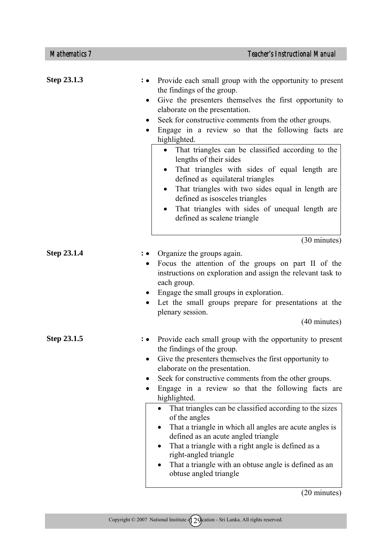| Step 23.1.3 | Provide each small group with the opportunity to present<br>the findings of the group.<br>Give the presenters themselves the first opportunity to<br>٠<br>elaborate on the presentation.<br>Seek for constructive comments from the other groups.<br>٠<br>Engage in a review so that the following facts are<br>٠<br>highlighted.<br>That triangles can be classified according to the<br>$\bullet$<br>lengths of their sides<br>That triangles with sides of equal length are<br>defined as equilateral triangles<br>That triangles with two sides equal in length are<br>$\bullet$<br>defined as isosceles triangles<br>That triangles with sides of unequal length are<br>$\bullet$<br>defined as scalene triangle<br>(30 minutes) |  |
|-------------|---------------------------------------------------------------------------------------------------------------------------------------------------------------------------------------------------------------------------------------------------------------------------------------------------------------------------------------------------------------------------------------------------------------------------------------------------------------------------------------------------------------------------------------------------------------------------------------------------------------------------------------------------------------------------------------------------------------------------------------|--|
| Step 23.1.4 | Organize the groups again.<br>Focus the attention of the groups on part II of the<br>$\bullet$<br>instructions on exploration and assign the relevant task to<br>each group.<br>Engage the small groups in exploration.<br>Let the small groups prepare for presentations at the<br>plenary session.<br>(40 minutes)                                                                                                                                                                                                                                                                                                                                                                                                                  |  |
| Step 23.1.5 | Provide each small group with the opportunity to present<br>the findings of the group.<br>Give the presenters themselves the first opportunity to<br>elaborate on the presentation.<br>Seek for constructive comments from the other groups.<br>Engage in a review so that the following facts are<br>highlighted.<br>That triangles can be classified according to the sizes<br>$\bullet$<br>of the angles<br>That a triangle in which all angles are acute angles is<br>defined as an acute angled triangle<br>That a triangle with a right angle is defined as a<br>right-angled triangle<br>That a triangle with an obtuse angle is defined as an<br>$\bullet$<br>obtuse angled triangle                                          |  |

(20 minutes)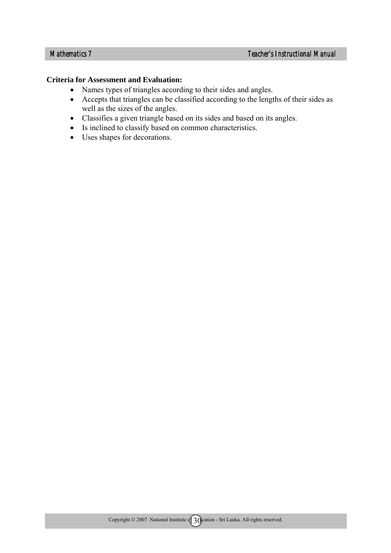- Names types of triangles according to their sides and angles.
- Accepts that triangles can be classified according to the lengths of their sides as well as the sizes of the angles.
- Classifies a given triangle based on its sides and based on its angles.
- Is inclined to classify based on common characteristics.
- Uses shapes for decorations.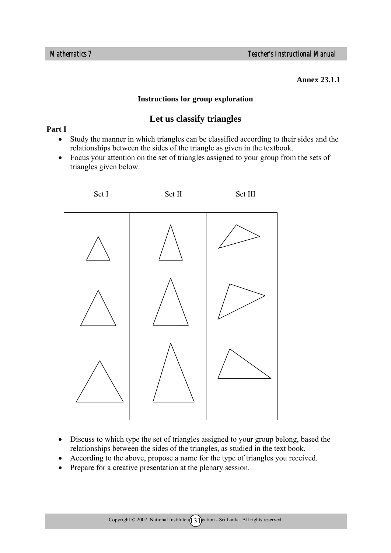**Annex 23.1.1** 

#### **Instructions for group exploration**

## **Let us classify triangles**

#### **Part I**

- Study the manner in which triangles can be classified according to their sides and the relationships between the sides of the triangle as given in the textbook.
- Focus your attention on the set of triangles assigned to your group from the sets of triangles given below.



- Discuss to which type the set of triangles assigned to your group belong, based the relationships between the sides of the triangles, as studied in the text book.
- According to the above, propose a name for the type of triangles you received.
- Prepare for a creative presentation at the plenary session.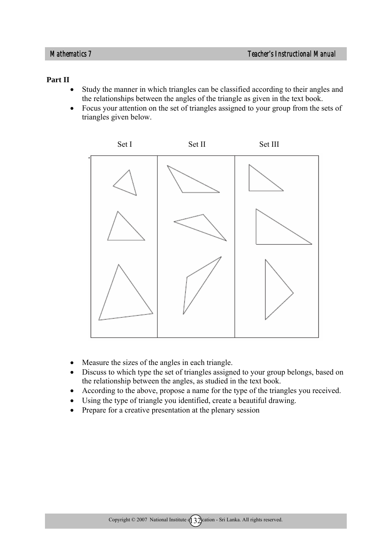#### **Part II**

- Study the manner in which triangles can be classified according to their angles and the relationships between the angles of the triangle as given in the text book.
- Focus your attention on the set of triangles assigned to your group from the sets of triangles given below.



- Measure the sizes of the angles in each triangle.
- Discuss to which type the set of triangles assigned to your group belongs, based on the relationship between the angles, as studied in the text book.
- According to the above, propose a name for the type of the triangles you received.
- Using the type of triangle you identified, create a beautiful drawing.
- Prepare for a creative presentation at the plenary session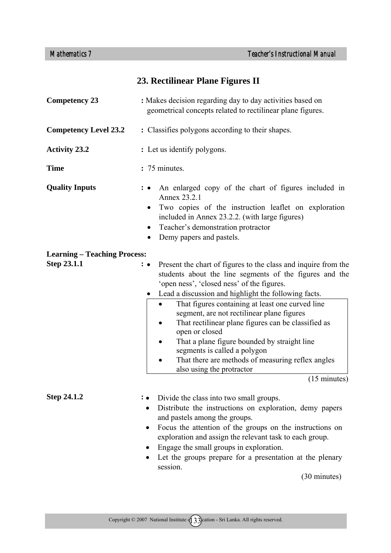# **23. Rectilinear Plane Figures II**

| <b>Competency 23</b>                | : Makes decision regarding day to day activities based on<br>geometrical concepts related to rectilinear plane figures.                                                                                                                                                                                                                                                                                                                                                                                                                                                                                                                |
|-------------------------------------|----------------------------------------------------------------------------------------------------------------------------------------------------------------------------------------------------------------------------------------------------------------------------------------------------------------------------------------------------------------------------------------------------------------------------------------------------------------------------------------------------------------------------------------------------------------------------------------------------------------------------------------|
| <b>Competency Level 23.2</b>        | : Classifies polygons according to their shapes.                                                                                                                                                                                                                                                                                                                                                                                                                                                                                                                                                                                       |
| <b>Activity 23.2</b>                | : Let us identify polygons.                                                                                                                                                                                                                                                                                                                                                                                                                                                                                                                                                                                                            |
| <b>Time</b>                         | : 75 minutes.                                                                                                                                                                                                                                                                                                                                                                                                                                                                                                                                                                                                                          |
| <b>Quality Inputs</b>               | An enlarged copy of the chart of figures included in<br>$\colon \bullet$<br>Annex 23.2.1<br>Two copies of the instruction leaflet on exploration<br>included in Annex 23.2.2. (with large figures)<br>Teacher's demonstration protractor<br>Demy papers and pastels.                                                                                                                                                                                                                                                                                                                                                                   |
| <b>Learning – Teaching Process:</b> |                                                                                                                                                                                                                                                                                                                                                                                                                                                                                                                                                                                                                                        |
| Step 23.1.1                         | Present the chart of figures to the class and inquire from the<br>$\cdot \bullet$<br>students about the line segments of the figures and the<br>'open ness', 'closed ness' of the figures.<br>Lead a discussion and highlight the following facts.<br>$\bullet$<br>That figures containing at least one curved line<br>segment, are not rectilinear plane figures<br>That rectilinear plane figures can be classified as<br>open or closed<br>That a plane figure bounded by straight line<br>segments is called a polygon<br>That there are methods of measuring reflex angles<br>also using the protractor<br>$(15 \text{ minutes})$ |
| Step 24.1.2                         | Divide the class into two small groups.<br>Distribute the instructions on exploration, demy papers<br>and pastels among the groups.<br>Focus the attention of the groups on the instructions on<br>٠<br>exploration and assign the relevant task to each group.<br>Engage the small groups in exploration.<br>Let the groups prepare for a presentation at the plenary<br>session.<br>(30 minutes)                                                                                                                                                                                                                                     |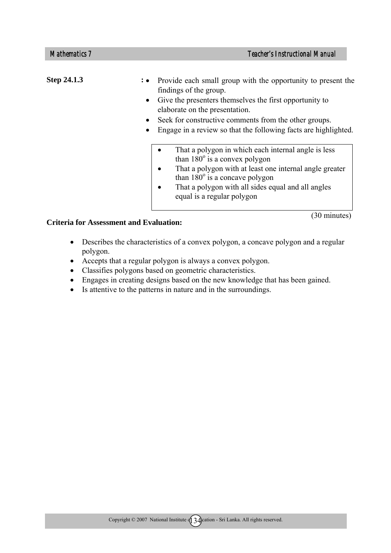| Step 24.1.3 | : • Provide each small group with the opportunity to present the<br>findings of the group.<br>Give the presenters themselves the first opportunity to<br>$\bullet$<br>elaborate on the presentation.<br>Seek for constructive comments from the other groups.<br>Engage in a review so that the following facts are highlighted. |
|-------------|----------------------------------------------------------------------------------------------------------------------------------------------------------------------------------------------------------------------------------------------------------------------------------------------------------------------------------|
|             | That a polygon in which each internal angle is less<br>than $180^\circ$ is a convex polygon<br>That a polygon with at least one internal angle greater<br>$\bullet$<br>than $180^\circ$ is a concave polygon<br>That a polygon with all sides equal and all angles<br>$\bullet$<br>equal is a regular polygon                    |

(30 minutes)

- Describes the characteristics of a convex polygon, a concave polygon and a regular polygon.
- Accepts that a regular polygon is always a convex polygon.
- Classifies polygons based on geometric characteristics.
- Engages in creating designs based on the new knowledge that has been gained.
- Is attentive to the patterns in nature and in the surroundings.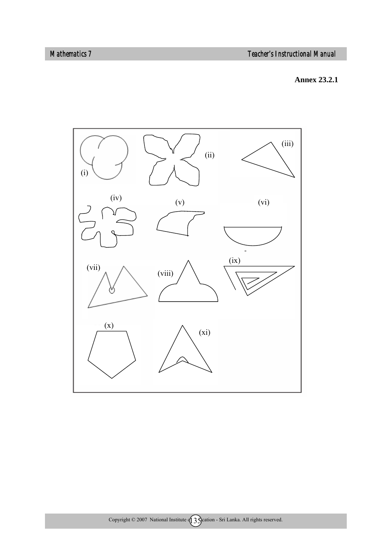*Mathematics 7 Teacher's Instructional Manual* 

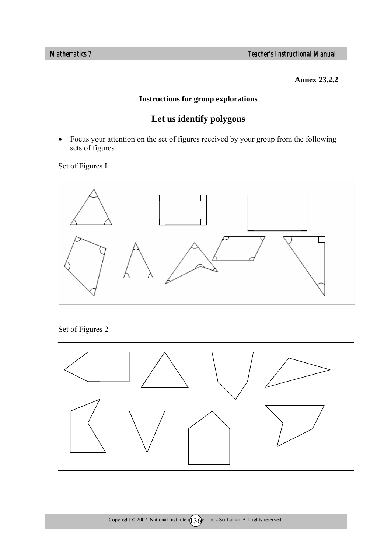*Mathematics 7 Teacher's Instructional Manual* 

**Annex 23.2.2**

# **Instructions for group explorations**

# **Let us identify polygons**

• Focus your attention on the set of figures received by your group from the following sets of figures

Set of Figures I



Set of Figures 2

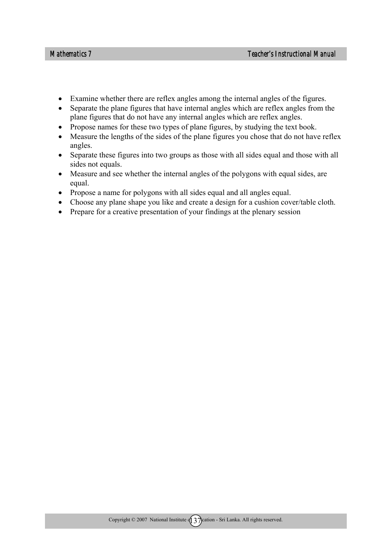- Examine whether there are reflex angles among the internal angles of the figures.
- Separate the plane figures that have internal angles which are reflex angles from the plane figures that do not have any internal angles which are reflex angles.
- Propose names for these two types of plane figures, by studying the text book.
- Measure the lengths of the sides of the plane figures you chose that do not have reflex angles.
- Separate these figures into two groups as those with all sides equal and those with all sides not equals.
- Measure and see whether the internal angles of the polygons with equal sides, are equal.
- Propose a name for polygons with all sides equal and all angles equal.
- Choose any plane shape you like and create a design for a cushion cover/table cloth.
- Prepare for a creative presentation of your findings at the plenary session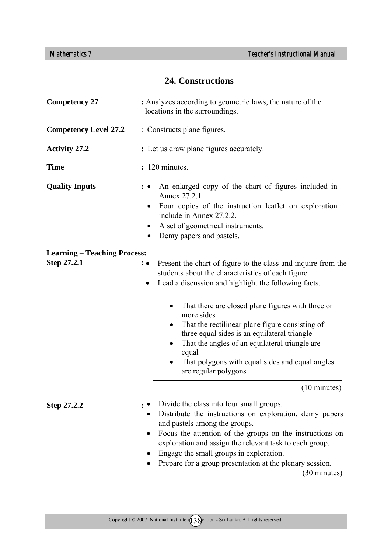### **24. Constructions**

| <b>Competency 27</b>                               | : Analyzes according to geometric laws, the nature of the<br>locations in the surroundings.                                                                                                                                                                                                                                                                                        |  |  |
|----------------------------------------------------|------------------------------------------------------------------------------------------------------------------------------------------------------------------------------------------------------------------------------------------------------------------------------------------------------------------------------------------------------------------------------------|--|--|
| <b>Competency Level 27.2</b>                       | : Constructs plane figures.                                                                                                                                                                                                                                                                                                                                                        |  |  |
| <b>Activity 27.2</b>                               | : Let us draw plane figures accurately.                                                                                                                                                                                                                                                                                                                                            |  |  |
| <b>Time</b>                                        | : 120 minutes.                                                                                                                                                                                                                                                                                                                                                                     |  |  |
| <b>Quality Inputs</b>                              | An enlarged copy of the chart of figures included in<br>Annex 27.2.1<br>Four copies of the instruction leaflet on exploration<br>$\bullet$<br>include in Annex 27.2.2.<br>A set of geometrical instruments.<br>Demy papers and pastels.                                                                                                                                            |  |  |
| <b>Learning – Teaching Process:</b><br>Step 27.2.1 | Present the chart of figure to the class and inquire from the<br>$: \bullet$<br>students about the characteristics of each figure.<br>Lead a discussion and highlight the following facts.<br>$\bullet$                                                                                                                                                                            |  |  |
|                                                    | That there are closed plane figures with three or<br>$\bullet$<br>more sides<br>That the rectilinear plane figure consisting of<br>٠<br>three equal sides is an equilateral triangle<br>That the angles of an equilateral triangle are<br>٠<br>equal<br>That polygons with equal sides and equal angles<br>are regular polygons                                                    |  |  |
|                                                    | (10 minutes)                                                                                                                                                                                                                                                                                                                                                                       |  |  |
| <b>Step 27.2.2</b>                                 | Divide the class into four small groups.<br>Distribute the instructions on exploration, demy papers<br>and pastels among the groups.<br>Focus the attention of the groups on the instructions on<br>exploration and assign the relevant task to each group.<br>Engage the small groups in exploration.<br>Prepare for a group presentation at the plenary session.<br>(30 minutes) |  |  |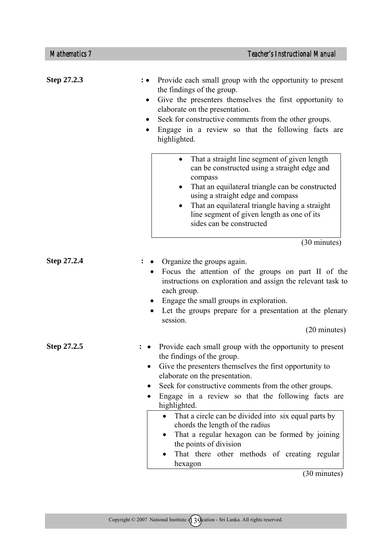| <b>Mathematics 7</b> | <b>Teacher's Instructional Manual</b>                                                                                                                                                                                                                                                                                                                              |
|----------------------|--------------------------------------------------------------------------------------------------------------------------------------------------------------------------------------------------------------------------------------------------------------------------------------------------------------------------------------------------------------------|
| Step 27.2.3          | Provide each small group with the opportunity to present<br>the findings of the group.<br>Give the presenters themselves the first opportunity to<br>٠<br>elaborate on the presentation.<br>Seek for constructive comments from the other groups.<br>$\bullet$<br>Engage in a review so that the following facts are<br>highlighted.                               |
|                      | That a straight line segment of given length<br>$\bullet$<br>can be constructed using a straight edge and<br>compass<br>That an equilateral triangle can be constructed<br>$\bullet$<br>using a straight edge and compass<br>That an equilateral triangle having a straight<br>$\bullet$<br>line segment of given length as one of its<br>sides can be constructed |
|                      | (30 minutes)                                                                                                                                                                                                                                                                                                                                                       |
| Step 27.2.4          | Organize the groups again.<br>Focus the attention of the groups on part II of the<br>$\bullet$<br>instructions on exploration and assign the relevant task to<br>each group.<br>Engage the small groups in exploration.<br>Let the groups prepare for a presentation at the plenary<br>session.<br>(20 minutes)                                                    |
| Step 27.2.5          | Provide each small group with the opportunity to present<br>the findings of the group.<br>Give the presenters themselves the first opportunity to<br>elaborate on the presentation.                                                                                                                                                                                |

- Seek for constructive comments from the other groups.
- Engage in a review so that the following facts are highlighted.
	- That a circle can be divided into six equal parts by chords the length of the radius
	- That a regular hexagon can be formed by joining the points of division
	- That there other methods of creating regular hexagon

(30 minutes)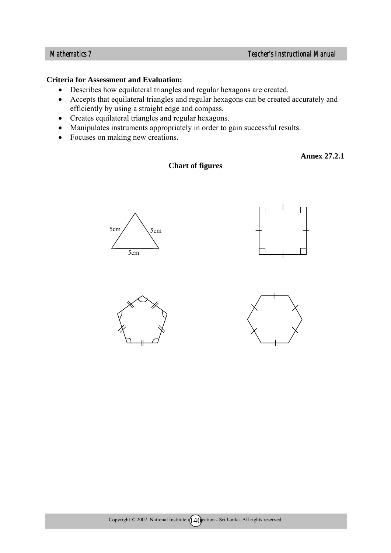#### **Criteria for Assessment and Evaluation:**

- Describes how equilateral triangles and regular hexagons are created.
- Accepts that equilateral triangles and regular hexagons can be created accurately and efficiently by using a straight edge and compass.

**Chart of figures** 

- Creates equilateral triangles and regular hexagons.
- Manipulates instruments appropriately in order to gain successful results.
- Focuses on making new creations.

 **Annex 27.2.1** 









Copyright  $\textcircled{2007}$  National Institute  $\textcircled{140}$  cation - Sri Lanka. All rights reserved.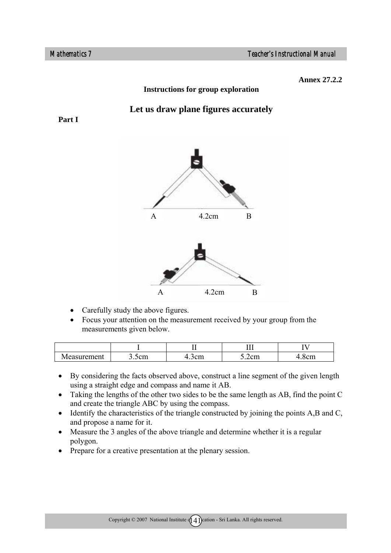**Annex 27.2.2** 

### **Instructions for group exploration**

### **Let us draw plane figures accurately**

**Part I** 



- Carefully study the above figures.
- Focus your attention on the measurement received by your group from the measurements given below.

|                 |                          |                   | ---<br>                | <b>.</b>   |
|-----------------|--------------------------|-------------------|------------------------|------------|
| rement<br>Aacur | $\sim$<br>.om<br>J.JUIII | $\sim$<br>اµU∪ر.r | $-$<br>$J.4$ and $J.4$ | 5455<br>◡… |

- By considering the facts observed above, construct a line segment of the given length using a straight edge and compass and name it AB.
- Taking the lengths of the other two sides to be the same length as AB, find the point C and create the triangle ABC by using the compass.
- Identify the characteristics of the triangle constructed by joining the points A, B and C, and propose a name for it.
- Measure the 3 angles of the above triangle and determine whether it is a regular polygon.
- Prepare for a creative presentation at the plenary session.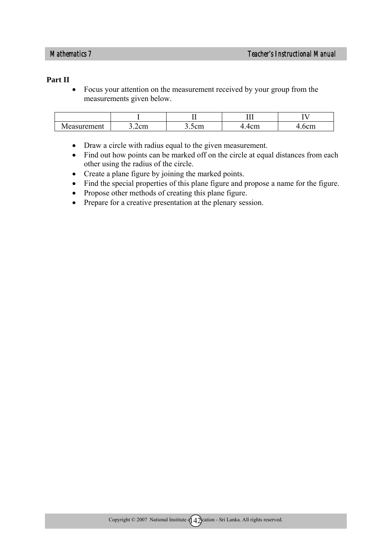#### **Part II**

• Focus your attention on the measurement received by your group from the measurements given below.

|                               |                      |                                | ---<br>                      | <b>.</b>     |
|-------------------------------|----------------------|--------------------------------|------------------------------|--------------|
| <b>rement</b><br>urer<br>VIP' | $\sim$<br>⌒<br>3.2cm | ึกพา<br><b>VIII</b><br><u></u> | ----<br>$\sim$<br>▃<br>TVIII | $\sim$<br>VШ |

- Draw a circle with radius equal to the given measurement.
- Find out how points can be marked off on the circle at equal distances from each other using the radius of the circle.
- Create a plane figure by joining the marked points.
- Find the special properties of this plane figure and propose a name for the figure.
- Propose other methods of creating this plane figure.
- Prepare for a creative presentation at the plenary session.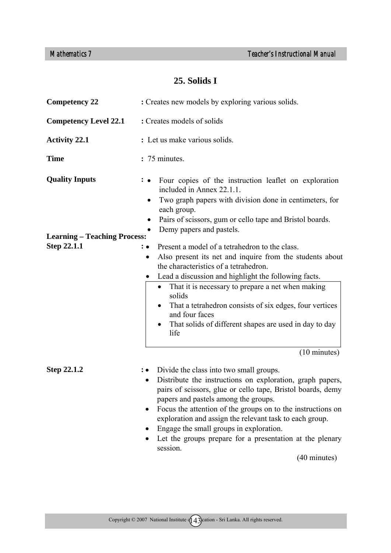## **25. Solids I**

| <b>Competency 22</b>                | : Creates new models by exploring various solids.                                                                                                                                                                                                                                                                                                                                                                                                                                  |  |  |
|-------------------------------------|------------------------------------------------------------------------------------------------------------------------------------------------------------------------------------------------------------------------------------------------------------------------------------------------------------------------------------------------------------------------------------------------------------------------------------------------------------------------------------|--|--|
| <b>Competency Level 22.1</b>        | : Creates models of solids                                                                                                                                                                                                                                                                                                                                                                                                                                                         |  |  |
| <b>Activity 22.1</b>                | : Let us make various solids.                                                                                                                                                                                                                                                                                                                                                                                                                                                      |  |  |
| <b>Time</b>                         | : 75 minutes.                                                                                                                                                                                                                                                                                                                                                                                                                                                                      |  |  |
| <b>Quality Inputs</b>               | Four copies of the instruction leaflet on exploration<br>included in Annex 22.1.1.<br>Two graph papers with division done in centimeters, for<br>each group.                                                                                                                                                                                                                                                                                                                       |  |  |
| <b>Learning – Teaching Process:</b> | Pairs of scissors, gum or cello tape and Bristol boards.<br>Demy papers and pastels.                                                                                                                                                                                                                                                                                                                                                                                               |  |  |
| Step 22.1.1                         | Present a model of a tetrahedron to the class.<br>Also present its net and inquire from the students about<br>$\bullet$<br>the characteristics of a tetrahedron.<br>Lead a discussion and highlight the following facts.<br>$\bullet$<br>That it is necessary to prepare a net when making<br>٠<br>solids<br>That a tetrahedron consists of six edges, four vertices<br>and four faces<br>That solids of different shapes are used in day to day<br>life<br>$(10 \text{ minutes})$ |  |  |
| <b>Step 22.1.2</b>                  | Divide the class into two small groups.<br>∶•<br>Distribute the instructions on exploration, graph papers,<br>pairs of scissors, glue or cello tape, Bristol boards, demy<br>papers and pastels among the groups.<br>Focus the attention of the groups on to the instructions on<br>exploration and assign the relevant task to each group.<br>Engage the small groups in exploration.<br>Let the groups prepare for a presentation at the plenary<br>session.<br>(40 minutes)     |  |  |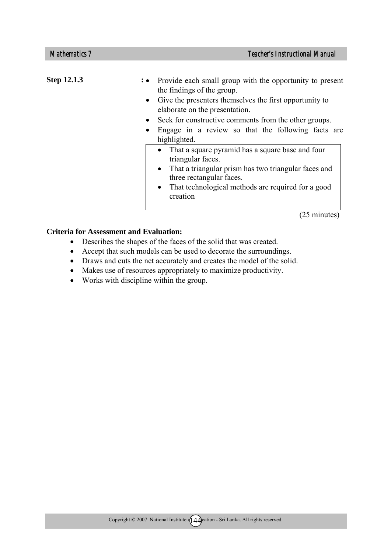| <b>Step 12.1.3</b> | : • Provide each small group with the opportunity to present<br>the findings of the group.    |
|--------------------|-----------------------------------------------------------------------------------------------|
|                    | • Give the presenters themselves the first opportunity to<br>elaborate on the presentation.   |
|                    | Seek for constructive comments from the other groups.<br>$\bullet$                            |
|                    | Engage in a review so that the following facts are<br>$\bullet$<br>highlighted.               |
|                    | That a square pyramid has a square base and four<br>triangular faces.                         |
|                    | That a triangular prism has two triangular faces and<br>$\bullet$<br>three rectangular faces. |
|                    | That technological methods are required for a good<br>$\bullet$<br>creation                   |

(25 minutes)

#### **Criteria for Assessment and Evaluation:**

- Describes the shapes of the faces of the solid that was created.
- Accept that such models can be used to decorate the surroundings.
- Draws and cuts the net accurately and creates the model of the solid.
- Makes use of resources appropriately to maximize productivity.
- Works with discipline within the group.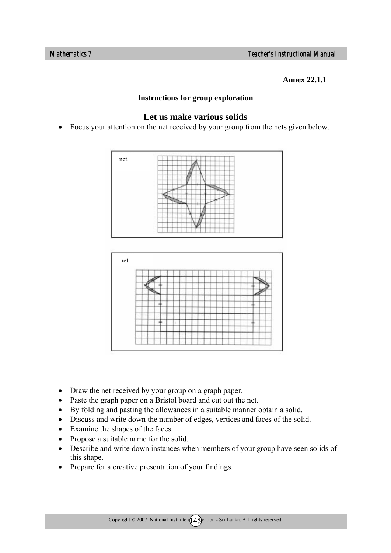**Annex 22.1.1** 

### **Instructions for group exploration**

### **Let us make various solids**

• Focus your attention on the net received by your group from the nets given below.





- Draw the net received by your group on a graph paper.
- Paste the graph paper on a Bristol board and cut out the net.
- By folding and pasting the allowances in a suitable manner obtain a solid.
- Discuss and write down the number of edges, vertices and faces of the solid.
- Examine the shapes of the faces.
- Propose a suitable name for the solid.
- Describe and write down instances when members of your group have seen solids of this shape.
- Prepare for a creative presentation of your findings.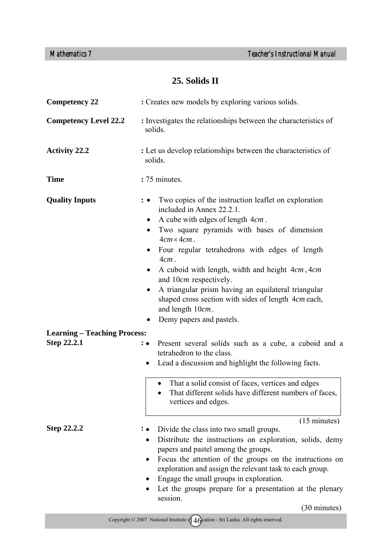## **25. Solids II**

| <b>Competency 22</b>                | : Creates new models by exploring various solids.                                                                                                                                                                                                                                                                                                                                                                                                                                                                                                      |  |
|-------------------------------------|--------------------------------------------------------------------------------------------------------------------------------------------------------------------------------------------------------------------------------------------------------------------------------------------------------------------------------------------------------------------------------------------------------------------------------------------------------------------------------------------------------------------------------------------------------|--|
| <b>Competency Level 22.2</b>        | : Investigates the relationships between the characteristics of<br>solids.                                                                                                                                                                                                                                                                                                                                                                                                                                                                             |  |
| <b>Activity 22.2</b>                | : Let us develop relationships between the characteristics of<br>solids.                                                                                                                                                                                                                                                                                                                                                                                                                                                                               |  |
| <b>Time</b>                         | : 75 minutes.                                                                                                                                                                                                                                                                                                                                                                                                                                                                                                                                          |  |
| <b>Quality Inputs</b>               | Two copies of the instruction leaflet on exploration<br>$\bullet$<br>included in Annex 22.2.1.<br>A cube with edges of length 4cm.<br>$\bullet$<br>Two square pyramids with bases of dimension<br>$4cm \times 4cm$ .<br>Four regular tetrahedrons with edges of length<br>$4cm$ .<br>A cuboid with length, width and height 4cm, 4cm<br>$\bullet$<br>and 10cm respectively.<br>A triangular prism having an equilateral triangular<br>$\bullet$<br>shaped cross section with sides of length 4cm each,<br>and length 10cm.<br>Demy papers and pastels. |  |
| <b>Learning - Teaching Process:</b> |                                                                                                                                                                                                                                                                                                                                                                                                                                                                                                                                                        |  |
| Step 22.2.1                         | Present several solids such as a cube, a cuboid and a<br>$: \bullet$<br>tetrahedron to the class.<br>Lead a discussion and highlight the following facts.<br>٠<br>That a solid consist of faces, vertices and edges<br>$\bullet$<br>That different solids have different numbers of faces,                                                                                                                                                                                                                                                             |  |
|                                     | vertices and edges.                                                                                                                                                                                                                                                                                                                                                                                                                                                                                                                                    |  |
| <b>Step 22.2.2</b>                  | $(15 \text{ minutes})$<br>Divide the class into two small groups.<br>Distribute the instructions on exploration, solids, demy<br>$\bullet$<br>papers and pastel among the groups.<br>Focus the attention of the groups on the instructions on<br>٠<br>exploration and assign the relevant task to each group.<br>Engage the small groups in exploration.<br>Let the groups prepare for a presentation at the plenary<br>session.<br>(30 minutes)                                                                                                       |  |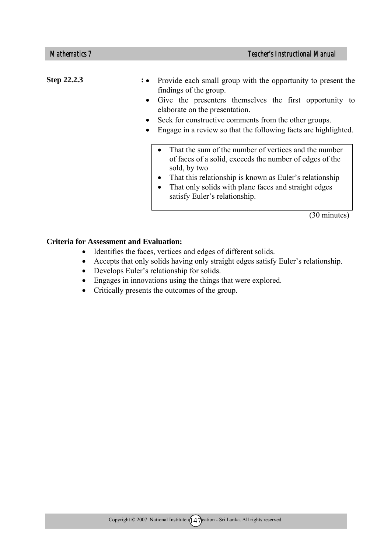Step 22.2.3 : • • Provide each small group with the opportunity to present the findings of the group. • Give the presenters themselves the first opportunity to elaborate on the presentation. Seek for constructive comments from the other groups. • Engage in a review so that the following facts are highlighted. • That the sum of the number of vertices and the number of faces of a solid, exceeds the number of edges of the sold, by two • That this relationship is known as Euler's relationship • That only solids with plane faces and straight edges satisfy Euler's relationship.

(30 minutes)

#### **Criteria for Assessment and Evaluation:**

- Identifies the faces, vertices and edges of different solids.
- Accepts that only solids having only straight edges satisfy Euler's relationship.
- Develops Euler's relationship for solids.
- Engages in innovations using the things that were explored.
- Critically presents the outcomes of the group.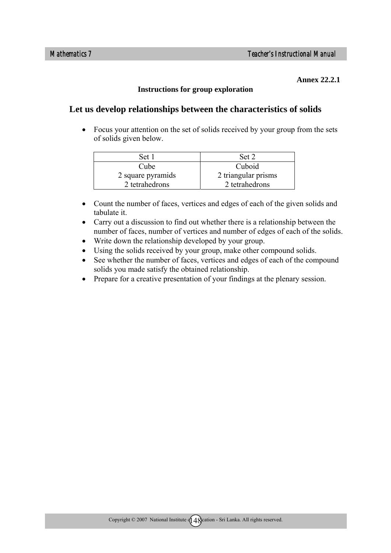#### **Annex 22.2.1**

### **Instructions for group exploration**

### **Let us develop relationships between the characteristics of solids**

• Focus your attention on the set of solids received by your group from the sets of solids given below.

| Set 1             | Set 2               |
|-------------------|---------------------|
| Cube              | Cuboid              |
| 2 square pyramids | 2 triangular prisms |
| 2 tetrahedrons    | 2 tetrahedrons      |

- Count the number of faces, vertices and edges of each of the given solids and tabulate it.
- Carry out a discussion to find out whether there is a relationship between the number of faces, number of vertices and number of edges of each of the solids.
- Write down the relationship developed by your group.
- Using the solids received by your group, make other compound solids.
- See whether the number of faces, vertices and edges of each of the compound solids you made satisfy the obtained relationship.
- Prepare for a creative presentation of your findings at the plenary session.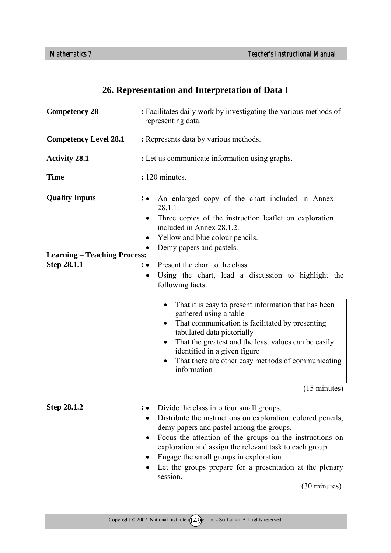## **26. Representation and Interpretation of Data I**

| <b>Competency 28</b>                               | : Facilitates daily work by investigating the various methods of<br>representing data.                                                                                                                                                                                                                                                                                                                      |  |  |
|----------------------------------------------------|-------------------------------------------------------------------------------------------------------------------------------------------------------------------------------------------------------------------------------------------------------------------------------------------------------------------------------------------------------------------------------------------------------------|--|--|
| <b>Competency Level 28.1</b>                       | : Represents data by various methods.                                                                                                                                                                                                                                                                                                                                                                       |  |  |
| <b>Activity 28.1</b>                               | : Let us communicate information using graphs.                                                                                                                                                                                                                                                                                                                                                              |  |  |
| <b>Time</b>                                        | : 120 minutes.                                                                                                                                                                                                                                                                                                                                                                                              |  |  |
| <b>Quality Inputs</b>                              | An enlarged copy of the chart included in Annex<br>$: \bullet$<br>28.1.1.<br>Three copies of the instruction leaflet on exploration<br>included in Annex 28.1.2.<br>Yellow and blue colour pencils.<br>$\bullet$                                                                                                                                                                                            |  |  |
| <b>Learning – Teaching Process:</b><br>Step 28.1.1 | Demy papers and pastels.<br>Present the chart to the class.<br>: •<br>Using the chart, lead a discussion to highlight the<br>$\bullet$<br>following facts.                                                                                                                                                                                                                                                  |  |  |
|                                                    | That it is easy to present information that has been<br>gathered using a table<br>That communication is facilitated by presenting<br>tabulated data pictorially<br>That the greatest and the least values can be easily<br>٠<br>identified in a given figure<br>That there are other easy methods of communicating<br>information                                                                           |  |  |
|                                                    | $(15 \text{ minutes})$                                                                                                                                                                                                                                                                                                                                                                                      |  |  |
| Step 28.1.2                                        | Divide the class into four small groups.<br>Distribute the instructions on exploration, colored pencils,<br>demy papers and pastel among the groups.<br>Focus the attention of the groups on the instructions on<br>$\bullet$<br>exploration and assign the relevant task to each group.<br>Engage the small groups in exploration.<br>Let the groups prepare for a presentation at the plenary<br>session. |  |  |

(30 minutes)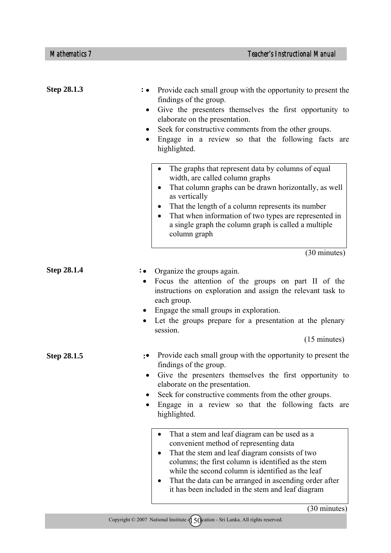| Step 28.1.3        | Provide each small group with the opportunity to present the<br>$\colon \bullet$<br>findings of the group.<br>Give the presenters themselves the first opportunity to<br>$\bullet$<br>elaborate on the presentation.<br>Seek for constructive comments from the other groups.<br>Engage in a review so that the following facts are<br>highlighted.                       |
|--------------------|---------------------------------------------------------------------------------------------------------------------------------------------------------------------------------------------------------------------------------------------------------------------------------------------------------------------------------------------------------------------------|
|                    | The graphs that represent data by columns of equal<br>width, are called column graphs<br>That column graphs can be drawn horizontally, as well<br>as vertically<br>That the length of a column represents its number<br>That when information of two types are represented in<br>a single graph the column graph is called a multiple<br>column graph                     |
|                    | (30 minutes)                                                                                                                                                                                                                                                                                                                                                              |
| <b>Step 28.1.4</b> | Organize the groups again.<br>Focus the attention of the groups on part II of the<br>$\bullet$<br>instructions on exploration and assign the relevant task to<br>each group.<br>Engage the small groups in exploration.<br>٠<br>Let the groups prepare for a presentation at the plenary<br>session.<br>$(15 \text{ minutes})$                                            |
| Step 28.1.5        | Provide each small group with the opportunity to present the<br>∶∙<br>findings of the group.<br>Give the presenters themselves the first opportunity to<br>elaborate on the presentation.<br>Seek for constructive comments from the other groups.<br>Engage in a review so that the following facts are<br>highlighted.                                                  |
|                    | That a stem and leaf diagram can be used as a<br>convenient method of representing data<br>That the stem and leaf diagram consists of two<br>columns; the first column is identified as the stem<br>while the second column is identified as the leaf<br>That the data can be arranged in ascending order after<br>٠<br>it has been included in the stem and leaf diagram |
|                    | $(30 \text{ minutes})$                                                                                                                                                                                                                                                                                                                                                    |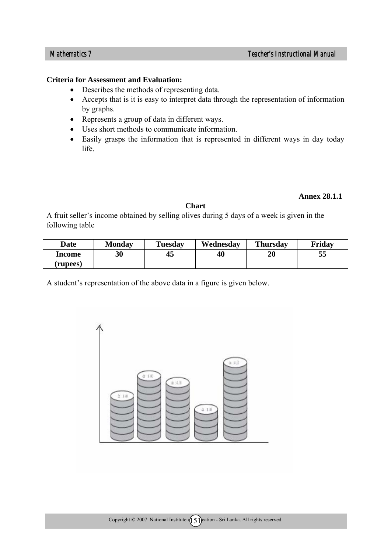#### **Criteria for Assessment and Evaluation:**

- Describes the methods of representing data.
- Accepts that is it is easy to interpret data through the representation of information by graphs.
- Represents a group of data in different ways.
- Uses short methods to communicate information.
- Easily grasps the information that is represented in different ways in day today life.

#### **Annex 28.1.1**

#### **Chart**

A fruit seller's income obtained by selling olives during 5 days of a week is given in the following table

| <b>Date</b> | <b>Monday</b> | <b>Tuesday</b> | Wednesdav | <b>Thursday</b>   | Friday |
|-------------|---------------|----------------|-----------|-------------------|--------|
| Income      | 30            | 45             | 40        | $\boldsymbol{20}$ | 55     |
| rupees)     |               |                |           |                   |        |

A student's representation of the above data in a figure is given below.

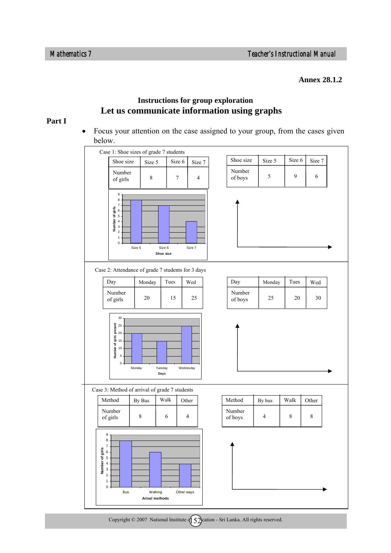**Annex 28.1.2** 

### **Instructions for group exploration Let us communicate information using graphs**

#### **Part I**

• Focus your attention on the case assigned to your group, from the cases given below.



Copyright  $\circ$  2007 National Institute  $(152)$  cation - Sri Lanka. All rights reserved.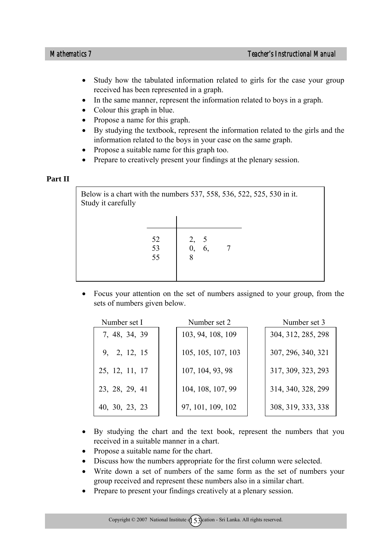- Study how the tabulated information related to girls for the case your group received has been represented in a graph.
- In the same manner, represent the information related to boys in a graph.
- Colour this graph in blue.
- Propose a name for this graph.
- By studying the textbook, represent the information related to the girls and the information related to the boys in your case on the same graph.
- Propose a suitable name for this graph too.
- Prepare to creatively present your findings at the plenary session.

#### **Part II**

Below is a chart with the numbers 537, 558, 536, 522, 525, 530 in it. Study it carefully 52 2, 5 53 0, 6, 7 55 8

• Focus your attention on the set of numbers assigned to your group, from the sets of numbers given below.

| Number set I   | Number set 2       | Number set 3       |
|----------------|--------------------|--------------------|
| 7, 48, 34, 39  | 103, 94, 108, 109  | 304, 312, 285, 298 |
| 9, 2, 12, 15   | 105, 105, 107, 103 | 307, 296, 340, 321 |
| 25, 12, 11, 17 | 107, 104, 93, 98   | 317, 309, 323, 293 |
| 23, 28, 29, 41 | 104, 108, 107, 99  | 314, 340, 328, 299 |
| 40, 30, 23, 23 | 97, 101, 109, 102  | 308, 319, 333, 338 |

- By studying the chart and the text book, represent the numbers that you received in a suitable manner in a chart.
- Propose a suitable name for the chart.
- Discuss how the numbers appropriate for the first column were selected.
- Write down a set of numbers of the same form as the set of numbers your group received and represent these numbers also in a similar chart.
- Prepare to present your findings creatively at a plenary session.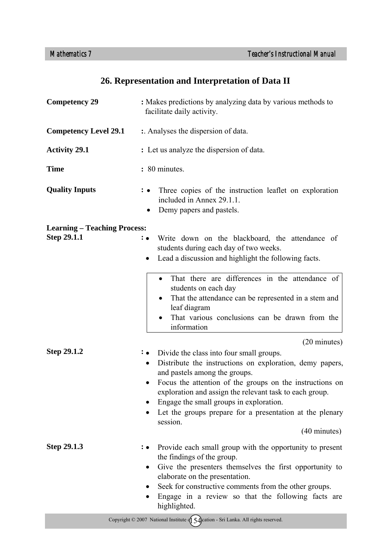## **26. Representation and Interpretation of Data II**

| <b>Competency 29</b>                               | : Makes predictions by analyzing data by various methods to<br>facilitate daily activity.                                                                                                                                                                                                                                                                                                                                                               |
|----------------------------------------------------|---------------------------------------------------------------------------------------------------------------------------------------------------------------------------------------------------------------------------------------------------------------------------------------------------------------------------------------------------------------------------------------------------------------------------------------------------------|
| <b>Competency Level 29.1</b>                       | :. Analyses the dispersion of data.                                                                                                                                                                                                                                                                                                                                                                                                                     |
| <b>Activity 29.1</b>                               | : Let us analyze the dispersion of data.                                                                                                                                                                                                                                                                                                                                                                                                                |
| <b>Time</b>                                        | : 80 minutes.                                                                                                                                                                                                                                                                                                                                                                                                                                           |
| <b>Quality Inputs</b>                              | Three copies of the instruction leaflet on exploration<br>included in Annex 29.1.1.<br>Demy papers and pastels.                                                                                                                                                                                                                                                                                                                                         |
| <b>Learning – Teaching Process:</b><br>Step 29.1.1 | Write down on the blackboard, the attendance of<br>$\colon \bullet$<br>students during each day of two weeks.<br>Lead a discussion and highlight the following facts.<br>$\bullet$                                                                                                                                                                                                                                                                      |
|                                                    | That there are differences in the attendance of<br>students on each day<br>That the attendance can be represented in a stem and<br>leaf diagram<br>That various conclusions can be drawn from the<br>information                                                                                                                                                                                                                                        |
| Step 29.1.2                                        | $(20 \text{ minutes})$<br>Divide the class into four small groups.<br>: •<br>Distribute the instructions on exploration, demy papers,<br>$\bullet$<br>and pastels among the groups.<br>Focus the attention of the groups on the instructions on<br>exploration and assign the relevant task to each group.<br>Engage the small groups in exploration.<br>Let the groups prepare for a presentation at the plenary<br>session.<br>$(40 \text{ minutes})$ |
| Step 29.1.3                                        | Provide each small group with the opportunity to present<br>the findings of the group.<br>Give the presenters themselves the first opportunity to<br>$\bullet$<br>elaborate on the presentation.<br>Seek for constructive comments from the other groups.<br>Engage in a review so that the following facts are<br>highlighted.                                                                                                                         |
|                                                    | Copyright $\circ$ 2007 National Institute $\oint$ 5 $\oint$ cation - Sri Lanka. All rights reserved.                                                                                                                                                                                                                                                                                                                                                    |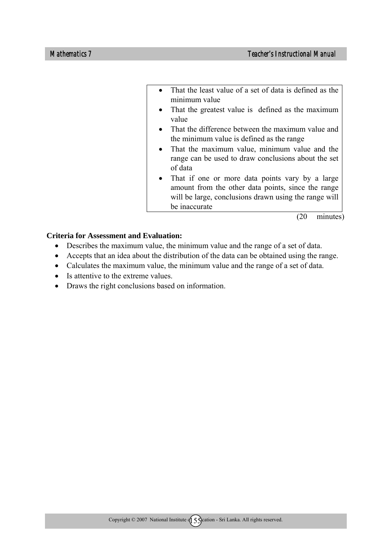- That the least value of a set of data is defined as the minimum value
- That the greatest value is defined as the maximum value
- That the difference between the maximum value and the minimum value is defined as the range
- That the maximum value, minimum value and the range can be used to draw conclusions about the set of data
- That if one or more data points vary by a large amount from the other data points, since the range will be large, conclusions drawn using the range will be inaccurate

(20 minutes)

#### **Criteria for Assessment and Evaluation:**

- Describes the maximum value, the minimum value and the range of a set of data.
- Accepts that an idea about the distribution of the data can be obtained using the range.
- Calculates the maximum value, the minimum value and the range of a set of data.
- Is attentive to the extreme values.
- Draws the right conclusions based on information.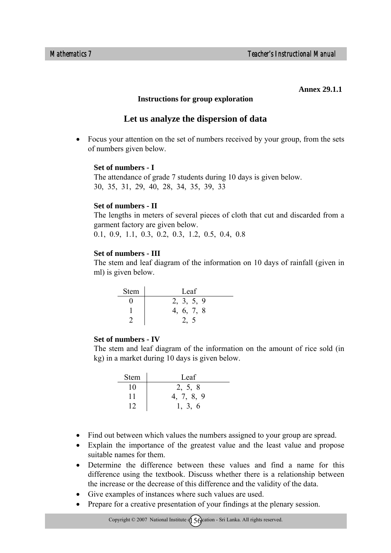#### **Annex 29.1.1**

#### **Instructions for group exploration**

### **Let us analyze the dispersion of data**

• Focus your attention on the set of numbers received by your group, from the sets of numbers given below.

#### **Set of numbers - I**

The attendance of grade 7 students during 10 days is given below. 30, 35, 31, 29, 40, 28, 34, 35, 39, 33

#### **Set of numbers - II**

The lengths in meters of several pieces of cloth that cut and discarded from a garment factory are given below.

0.1, 0.9, 1.1, 0.3, 0.2, 0.3, 1.2, 0.5, 0.4, 0.8

#### **Set of numbers - III**

The stem and leaf diagram of the information on 10 days of rainfall (given in ml) is given below.

| <b>Stem</b> | Leaf       |
|-------------|------------|
|             | 2, 3, 5, 9 |
|             | 4, 6, 7, 8 |
|             |            |

#### **Set of numbers - IV**

The stem and leaf diagram of the information on the amount of rice sold (in kg) in a market during 10 days is given below.

| <b>Stem</b> | Leaf       |
|-------------|------------|
| 10          | 2, 5, 8    |
| 11          | 4, 7, 8, 9 |
|             | 1, 3, 6    |

- Find out between which values the numbers assigned to your group are spread.
- Explain the importance of the greatest value and the least value and propose suitable names for them.
- Determine the difference between these values and find a name for this difference using the textbook. Discuss whether there is a relationship between the increase or the decrease of this difference and the validity of the data.
- Give examples of instances where such values are used.
- Prepare for a creative presentation of your findings at the plenary session.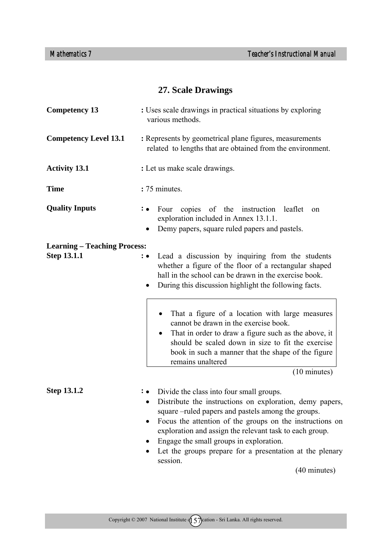## **27. Scale Drawings**

| <b>Competency 13</b>                | : Uses scale drawings in practical situations by exploring<br>various methods.                                                                                                                                                                                                                                                                                                                                       |  |  |
|-------------------------------------|----------------------------------------------------------------------------------------------------------------------------------------------------------------------------------------------------------------------------------------------------------------------------------------------------------------------------------------------------------------------------------------------------------------------|--|--|
| <b>Competency Level 13.1</b>        | : Represents by geometrical plane figures, measurements<br>related to lengths that are obtained from the environment.                                                                                                                                                                                                                                                                                                |  |  |
| <b>Activity 13.1</b>                | : Let us make scale drawings.                                                                                                                                                                                                                                                                                                                                                                                        |  |  |
| <b>Time</b>                         | :75 minutes.                                                                                                                                                                                                                                                                                                                                                                                                         |  |  |
| <b>Quality Inputs</b>               | Four copies of the instruction leaflet<br>on<br>exploration included in Annex 13.1.1.<br>Demy papers, square ruled papers and pastels.                                                                                                                                                                                                                                                                               |  |  |
| <b>Learning – Teaching Process:</b> |                                                                                                                                                                                                                                                                                                                                                                                                                      |  |  |
| <b>Step 13.1.1</b>                  | Lead a discussion by inquiring from the students<br>$\cdot \bullet$<br>whether a figure of the floor of a rectangular shaped<br>hall in the school can be drawn in the exercise book.<br>During this discussion highlight the following facts.                                                                                                                                                                       |  |  |
|                                     | That a figure of a location with large measures<br>cannot be drawn in the exercise book.<br>That in order to draw a figure such as the above, it<br>$\bullet$<br>should be scaled down in size to fit the exercise<br>book in such a manner that the shape of the figure<br>remains unaltered                                                                                                                        |  |  |
|                                     | $(10 \text{ minutes})$                                                                                                                                                                                                                                                                                                                                                                                               |  |  |
| Step 13.1.2                         | Divide the class into four small groups.<br>Distribute the instructions on exploration, demy papers,<br>square –ruled papers and pastels among the groups.<br>Focus the attention of the groups on the instructions on<br>exploration and assign the relevant task to each group.<br>Engage the small groups in exploration.<br>Let the groups prepare for a presentation at the plenary<br>session.<br>(40 minutes) |  |  |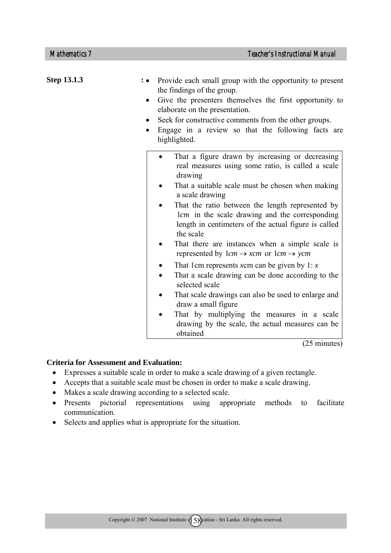| <b>Step 13.1.3</b> | Provide each small group with the opportunity to present<br>the findings of the group.<br>Give the presenters themselves the first opportunity to<br>elaborate on the presentation.<br>Seek for constructive comments from the other groups.<br>$\bullet$<br>Engage in a review so that the following facts are<br>$\bullet$<br>highlighted.                                                                                                                                          |
|--------------------|---------------------------------------------------------------------------------------------------------------------------------------------------------------------------------------------------------------------------------------------------------------------------------------------------------------------------------------------------------------------------------------------------------------------------------------------------------------------------------------|
|                    | That a figure drawn by increasing or decreasing<br>real measures using some ratio, is called a scale<br>drawing<br>That a suitable scale must be chosen when making<br>a scale drawing<br>That the ratio between the length represented by<br>lcm in the scale drawing and the corresponding<br>length in centimeters of the actual figure is called<br>the scale<br>That there are instances when a simple scale is<br>represented by $lcm \rightarrow xcm$ or $lcm \rightarrow ycm$ |
|                    | That 1cm represents xcm can be given by 1: $x$<br>That a scale drawing can be done according to the<br>selected scale<br>That scale drawings can also be used to enlarge and<br>draw a small figure<br>That by multiplying the measures in a scale<br>drawing by the scale, the actual measures can be<br>obtained                                                                                                                                                                    |

(25 minutes)

#### **Criteria for Assessment and Evaluation:**

- Expresses a suitable scale in order to make a scale drawing of a given rectangle.
- Accepts that a suitable scale must be chosen in order to make a scale drawing.
- Makes a scale drawing according to a selected scale.
- Presents pictorial representations using appropriate methods to facilitate communication.
- Selects and applies what is appropriate for the situation.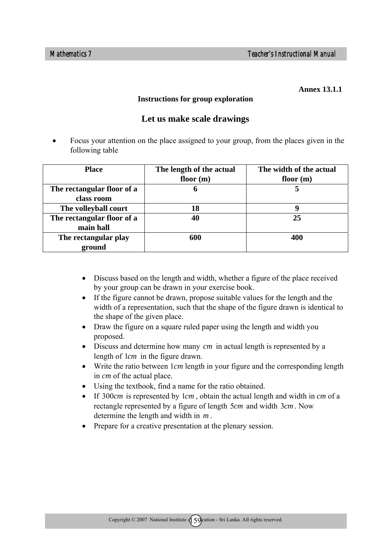#### **Annex 13.1.1**

#### **Instructions for group exploration**

### **Let us make scale drawings**

• Focus your attention on the place assigned to your group, from the places given in the following table

| <b>Place</b>               | The length of the actual | The width of the actual |
|----------------------------|--------------------------|-------------------------|
|                            | floor $(m)$              | floor $(m)$             |
| The rectangular floor of a | h                        |                         |
| class room                 |                          |                         |
| The volleyball court       | 18                       | g                       |
| The rectangular floor of a |                          | 25                      |
| main hall                  |                          |                         |
| The rectangular play       | 600                      | 400                     |
| ground                     |                          |                         |

- Discuss based on the length and width, whether a figure of the place received by your group can be drawn in your exercise book.
- If the figure cannot be drawn, propose suitable values for the length and the width of a representation, such that the shape of the figure drawn is identical to the shape of the given place.
- Draw the figure on a square ruled paper using the length and width you proposed.
- Discuss and determine how many *cm* in actual length is represented by a length of 1*cm* in the figure drawn.
- Write the ratio between  $1cm$  length in your figure and the corresponding length in *cm* of the actual place.
- Using the textbook, find a name for the ratio obtained.
- If 300*cm* is represented by 1*cm* , obtain the actual length and width in *cm* of a rectangle represented by a figure of length 5*cm* and width 3*cm* . Now determine the length and width in *m* .
- Prepare for a creative presentation at the plenary session.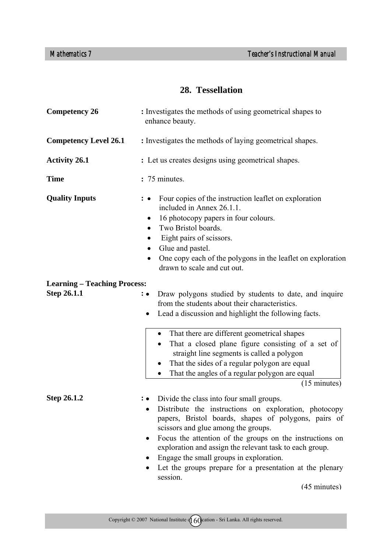## **28. Tessellation**

| <b>Competency 26</b>                                      | : Investigates the methods of using geometrical shapes to<br>enhance beauty.                                                                                                                                                                                                                                                                                                                                                               |  |
|-----------------------------------------------------------|--------------------------------------------------------------------------------------------------------------------------------------------------------------------------------------------------------------------------------------------------------------------------------------------------------------------------------------------------------------------------------------------------------------------------------------------|--|
| <b>Competency Level 26.1</b>                              | : Investigates the methods of laying geometrical shapes.                                                                                                                                                                                                                                                                                                                                                                                   |  |
| <b>Activity 26.1</b>                                      | : Let us creates designs using geometrical shapes.                                                                                                                                                                                                                                                                                                                                                                                         |  |
| <b>Time</b>                                               | : 75 minutes.                                                                                                                                                                                                                                                                                                                                                                                                                              |  |
| <b>Quality Inputs</b>                                     | Four copies of the instruction leaflet on exploration<br>included in Annex 26.1.1.<br>16 photocopy papers in four colours.<br>$\bullet$<br>Two Bristol boards.<br>Eight pairs of scissors.<br>Glue and pastel.<br>One copy each of the polygons in the leaflet on exploration<br>drawn to scale and cut out.                                                                                                                               |  |
| <b>Learning – Teaching Process:</b><br><b>Step 26.1.1</b> | Draw polygons studied by students to date, and inquire<br>$\colon \bullet$<br>from the students about their characteristics.<br>Lead a discussion and highlight the following facts.<br>$\bullet$                                                                                                                                                                                                                                          |  |
|                                                           | That there are different geometrical shapes<br>$\bullet$<br>That a closed plane figure consisting of a set of<br>straight line segments is called a polygon<br>That the sides of a regular polygon are equal<br>That the angles of a regular polygon are equal<br>$\bullet$<br>$(15 \text{ minutes})$                                                                                                                                      |  |
| <b>Step 26.1.2</b>                                        | Divide the class into four small groups.<br>Distribute the instructions on exploration, photocopy<br>papers, Bristol boards, shapes of polygons, pairs of<br>scissors and glue among the groups.<br>Focus the attention of the groups on the instructions on<br>exploration and assign the relevant task to each group.<br>Engage the small groups in exploration.<br>Let the groups prepare for a presentation at the plenary<br>session. |  |

(45 minutes)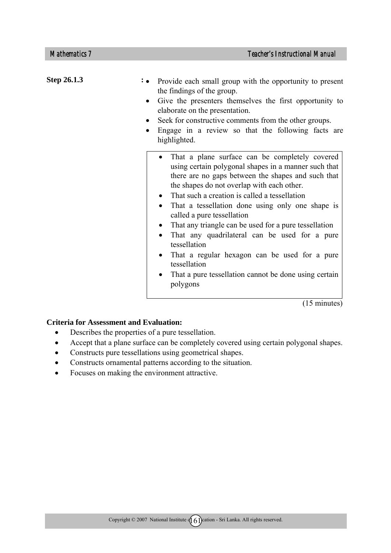Step 26.1.3 : • • That a plane surface can be completely covered using certain polygonal shapes in a manner such that there are no gaps between the shapes and such that the shapes do not overlap with each other. • That such a creation is called a tessellation • That a tessellation done using only one shape is called a pure tessellation • That any triangle can be used for a pure tessellation • That any quadrilateral can be used for a pure tessellation • That a regular hexagon can be used for a pure tessellation • That a pure tessellation cannot be done using certain polygons • Provide each small group with the opportunity to present the findings of the group. • Give the presenters themselves the first opportunity to elaborate on the presentation. Seek for constructive comments from the other groups. • Engage in a review so that the following facts are highlighted.

(15 minutes)

#### **Criteria for Assessment and Evaluation:**

- Describes the properties of a pure tessellation.
- Accept that a plane surface can be completely covered using certain polygonal shapes.
- Constructs pure tessellations using geometrical shapes.
- Constructs ornamental patterns according to the situation.
- Focuses on making the environment attractive.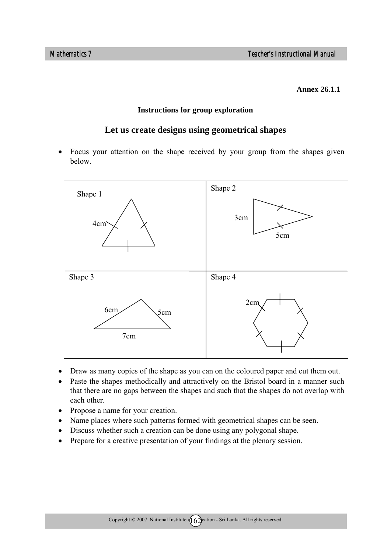#### **Annex 26.1.1**

#### **Instructions for group exploration**

### **Let us create designs using geometrical shapes**

• Focus your attention on the shape received by your group from the shapes given below.



- Draw as many copies of the shape as you can on the coloured paper and cut them out.
- Paste the shapes methodically and attractively on the Bristol board in a manner such that there are no gaps between the shapes and such that the shapes do not overlap with each other.
- Propose a name for your creation.
- Name places where such patterns formed with geometrical shapes can be seen.
- Discuss whether such a creation can be done using any polygonal shape.
- Prepare for a creative presentation of your findings at the plenary session.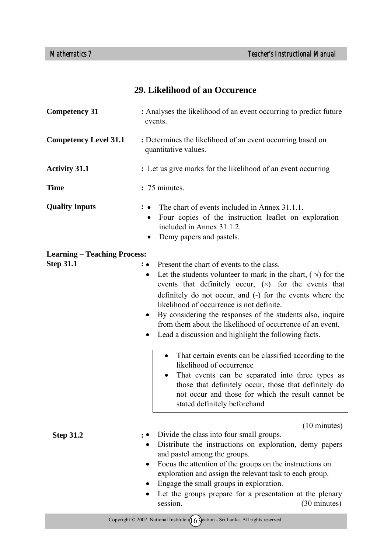### **29. Likelihood of an Occurence**

| <b>Competency 31</b>                                    | : Analyses the likelihood of an event occurring to predict future<br>events.                                                                                                                                                                                                                                                                                                                                                                                                                                 |  |
|---------------------------------------------------------|--------------------------------------------------------------------------------------------------------------------------------------------------------------------------------------------------------------------------------------------------------------------------------------------------------------------------------------------------------------------------------------------------------------------------------------------------------------------------------------------------------------|--|
| <b>Competency Level 31.1</b>                            | : Determines the likelihood of an event occurring based on<br>quantitative values.                                                                                                                                                                                                                                                                                                                                                                                                                           |  |
| <b>Activity 31.1</b>                                    | : Let us give marks for the likelihood of an event occurring                                                                                                                                                                                                                                                                                                                                                                                                                                                 |  |
| <b>Time</b>                                             | : 75 minutes.                                                                                                                                                                                                                                                                                                                                                                                                                                                                                                |  |
| <b>Quality Inputs</b>                                   | The chart of events included in Annex 31.1.1.<br>Four copies of the instruction leaflet on exploration<br>$\bullet$<br>included in Annex 31.1.2.<br>Demy papers and pastels.<br>٠                                                                                                                                                                                                                                                                                                                            |  |
| <b>Learning – Teaching Process:</b><br><b>Step 31.1</b> | : • Present the chart of events to the class.<br>Let the students volunteer to mark in the chart, $(\sqrt{)}$ for the<br>٠<br>events that definitely occur, $(x)$ for the events that<br>definitely do not occur, and (-) for the events where the<br>likelihood of occurrence is not definite.<br>By considering the responses of the students also, inquire<br>$\bullet$<br>from them about the likelihood of occurrence of an event.<br>Lead a discussion and highlight the following facts.<br>$\bullet$ |  |
|                                                         | That certain events can be classified according to the<br>likelihood of occurrence<br>That events can be separated into three types as<br>those that definitely occur, those that definitely do<br>not occur and those for which the result cannot be<br>stated definitely beforehand                                                                                                                                                                                                                        |  |
| <b>Step 31.2</b>                                        | $(10 \text{ minutes})$<br>Divide the class into four small groups.<br>Distribute the instructions on exploration, demy papers<br>and pastel among the groups.<br>Focus the attention of the groups on the instructions on<br>exploration and assign the relevant task to each group.<br>Engage the small groups in exploration.<br>Let the groups prepare for a presentation at the plenary<br>session.<br>(30 minutes)                                                                                      |  |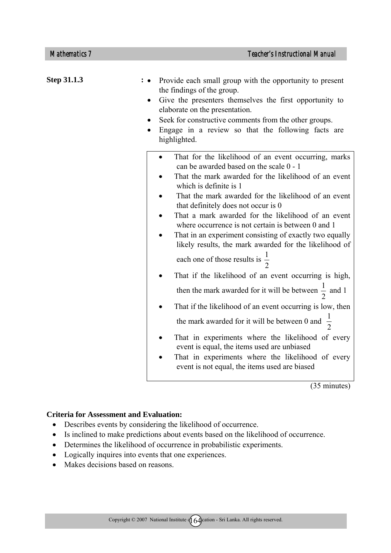| <b>Step 31.1.3</b> | Provide each small group with the opportunity to present<br>the findings of the group.<br>Give the presenters themselves the first opportunity to<br>elaborate on the presentation.<br>Seek for constructive comments from the other groups.<br>Engage in a review so that the following facts are<br>highlighted.                                                                                                                                                                                                                                              |
|--------------------|-----------------------------------------------------------------------------------------------------------------------------------------------------------------------------------------------------------------------------------------------------------------------------------------------------------------------------------------------------------------------------------------------------------------------------------------------------------------------------------------------------------------------------------------------------------------|
|                    | That for the likelihood of an event occurring, marks<br>can be awarded based on the scale 0 - 1<br>That the mark awarded for the likelihood of an event<br>which is definite is 1<br>That the mark awarded for the likelihood of an event<br>that definitely does not occur is 0<br>That a mark awarded for the likelihood of an event<br>where occurrence is not certain is between 0 and 1<br>That in an experiment consisting of exactly two equally<br>likely results, the mark awarded for the likelihood of<br>each one of those results is $\frac{1}{2}$ |
|                    | That if the likelihood of an event occurring is high,<br>then the mark awarded for it will be between $\frac{1}{2}$ and 1<br>That if the likelihood of an event occurring is low, then<br>the mark awarded for it will be between 0 and $\frac{1}{2}$<br>That in experiments where the likelihood of every<br>event is equal, the items used are unbiased<br>That in experiments where the likelihood of every<br>event is not equal, the items used are biased                                                                                                 |

(35 minutes)

### **Criteria for Assessment and Evaluation:**

- Describes events by considering the likelihood of occurrence.
- Is inclined to make predictions about events based on the likelihood of occurrence.
- Determines the likelihood of occurrence in probabilistic experiments.
- Logically inquires into events that one experiences.
- Makes decisions based on reasons.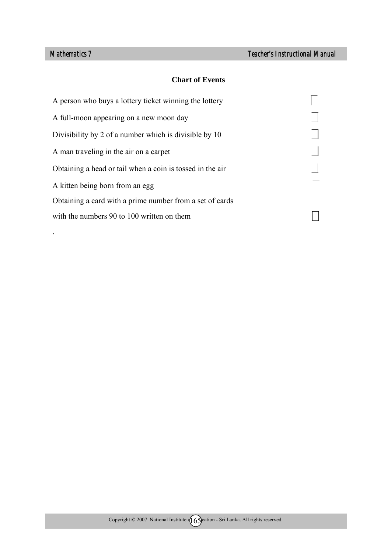.

### **Chart of Events**

| A person who buys a lottery ticket winning the lottery    |  |
|-----------------------------------------------------------|--|
| A full-moon appearing on a new moon day                   |  |
| Divisibility by 2 of a number which is divisible by 10    |  |
| A man traveling in the air on a carpet                    |  |
| Obtaining a head or tail when a coin is tossed in the air |  |
| A kitten being born from an egg                           |  |
| Obtaining a card with a prime number from a set of cards  |  |
| with the numbers 90 to 100 written on them                |  |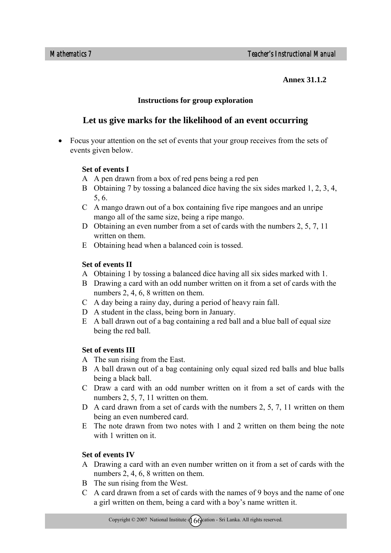**Annex 31.1.2** 

### **Instructions for group exploration**

### **Let us give marks for the likelihood of an event occurring**

• Focus your attention on the set of events that your group receives from the sets of events given below.

### **Set of events I**

- A A pen drawn from a box of red pens being a red pen
- B Obtaining 7 by tossing a balanced dice having the six sides marked 1, 2, 3, 4, 5, 6.
- C A mango drawn out of a box containing five ripe mangoes and an unripe mango all of the same size, being a ripe mango.
- D Obtaining an even number from a set of cards with the numbers 2, 5, 7, 11 written on them.
- E Obtaining head when a balanced coin is tossed.

### **Set of events II**

- A Obtaining 1 by tossing a balanced dice having all six sides marked with 1.
- B Drawing a card with an odd number written on it from a set of cards with the numbers 2, 4, 6, 8 written on them.
- C A day being a rainy day, during a period of heavy rain fall.
- D A student in the class, being born in January.
- E A ball drawn out of a bag containing a red ball and a blue ball of equal size being the red ball.

### **Set of events III**

- A The sun rising from the East.
- B A ball drawn out of a bag containing only equal sized red balls and blue balls being a black ball.
- C Draw a card with an odd number written on it from a set of cards with the numbers 2, 5, 7, 11 written on them.
- D A card drawn from a set of cards with the numbers 2, 5, 7, 11 written on them being an even numbered card.
- E The note drawn from two notes with 1 and 2 written on them being the note with 1 written on it.

### **Set of events IV**

- A Drawing a card with an even number written on it from a set of cards with the numbers 2, 4, 6, 8 written on them.
- B The sun rising from the West.
- C A card drawn from a set of cards with the names of 9 boys and the name of one a girl written on them, being a card with a boy's name written it.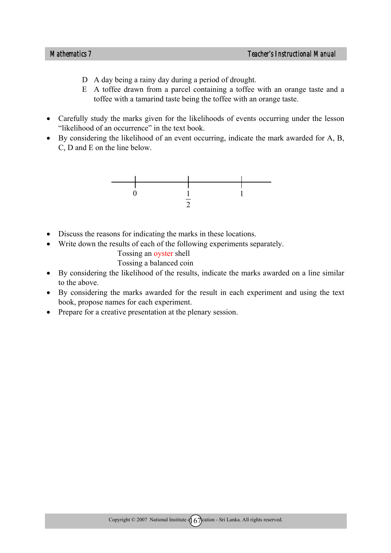- D A day being a rainy day during a period of drought.
- E A toffee drawn from a parcel containing a toffee with an orange taste and a toffee with a tamarind taste being the toffee with an orange taste.
- Carefully study the marks given for the likelihoods of events occurring under the lesson "likelihood of an occurrence" in the text book.
- By considering the likelihood of an event occurring, indicate the mark awarded for A, B, C, D and E on the line below.



- Discuss the reasons for indicating the marks in these locations.
- Write down the results of each of the following experiments separately.

Tossing an oyster shell

Tossing a balanced coin

- By considering the likelihood of the results, indicate the marks awarded on a line similar to the above.
- By considering the marks awarded for the result in each experiment and using the text book, propose names for each experiment.
- Prepare for a creative presentation at the plenary session.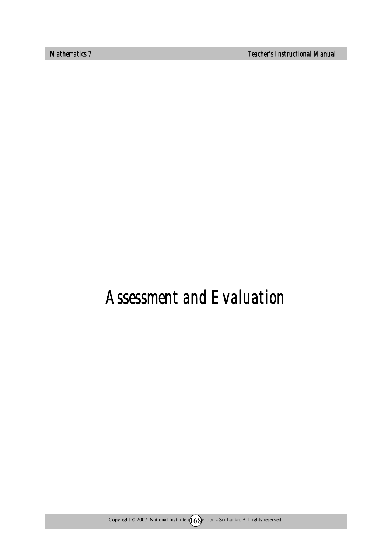*Mathematics 7 Teacher's Instructional Manual* 

# *Assessment and Evaluation*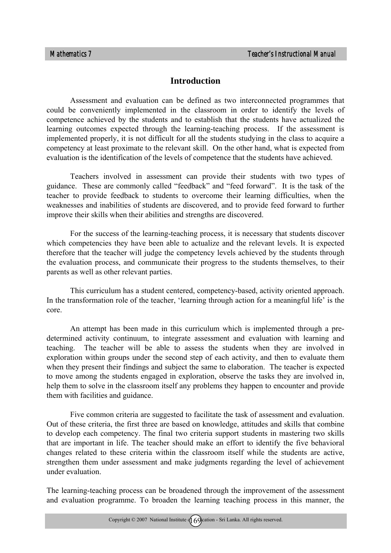### **Introduction**

Assessment and evaluation can be defined as two interconnected programmes that could be conveniently implemented in the classroom in order to identify the levels of competence achieved by the students and to establish that the students have actualized the learning outcomes expected through the learning-teaching process. If the assessment is implemented properly, it is not difficult for all the students studying in the class to acquire a competency at least proximate to the relevant skill. On the other hand, what is expected from evaluation is the identification of the levels of competence that the students have achieved.

Teachers involved in assessment can provide their students with two types of guidance. These are commonly called "feedback" and "feed forward". It is the task of the teacher to provide feedback to students to overcome their learning difficulties, when the weaknesses and inabilities of students are discovered, and to provide feed forward to further improve their skills when their abilities and strengths are discovered.

For the success of the learning-teaching process, it is necessary that students discover which competencies they have been able to actualize and the relevant levels. It is expected therefore that the teacher will judge the competency levels achieved by the students through the evaluation process, and communicate their progress to the students themselves, to their parents as well as other relevant parties.

This curriculum has a student centered, competency-based, activity oriented approach. In the transformation role of the teacher, 'learning through action for a meaningful life' is the core.

An attempt has been made in this curriculum which is implemented through a predetermined activity continuum, to integrate assessment and evaluation with learning and teaching. The teacher will be able to assess the students when they are involved in exploration within groups under the second step of each activity, and then to evaluate them when they present their findings and subject the same to elaboration. The teacher is expected to move among the students engaged in exploration, observe the tasks they are involved in, help them to solve in the classroom itself any problems they happen to encounter and provide them with facilities and guidance.

Five common criteria are suggested to facilitate the task of assessment and evaluation. Out of these criteria, the first three are based on knowledge, attitudes and skills that combine to develop each competency. The final two criteria support students in mastering two skills that are important in life. The teacher should make an effort to identify the five behavioral changes related to these criteria within the classroom itself while the students are active, strengthen them under assessment and make judgments regarding the level of achievement under evaluation.

The learning-teaching process can be broadened through the improvement of the assessment and evaluation programme. To broaden the learning teaching process in this manner, the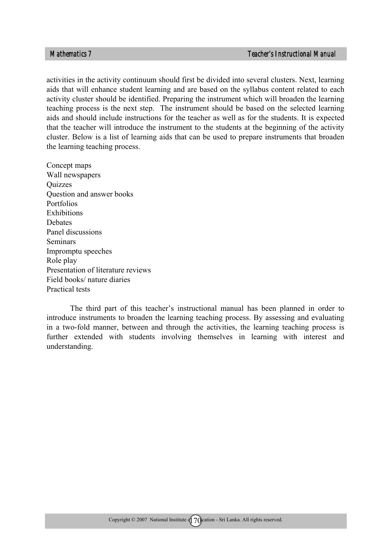activities in the activity continuum should first be divided into several clusters. Next, learning aids that will enhance student learning and are based on the syllabus content related to each activity cluster should be identified. Preparing the instrument which will broaden the learning teaching process is the next step. The instrument should be based on the selected learning aids and should include instructions for the teacher as well as for the students. It is expected that the teacher will introduce the instrument to the students at the beginning of the activity cluster. Below is a list of learning aids that can be used to prepare instruments that broaden the learning teaching process.

Concept maps Wall newspapers **Ouizzes** Question and answer books Portfolios **Exhibitions Debates** Panel discussions **Seminars** Impromptu speeches Role play Presentation of literature reviews Field books/ nature diaries Practical tests

The third part of this teacher's instructional manual has been planned in order to introduce instruments to broaden the learning teaching process. By assessing and evaluating in a two-fold manner, between and through the activities, the learning teaching process is further extended with students involving themselves in learning with interest and understanding.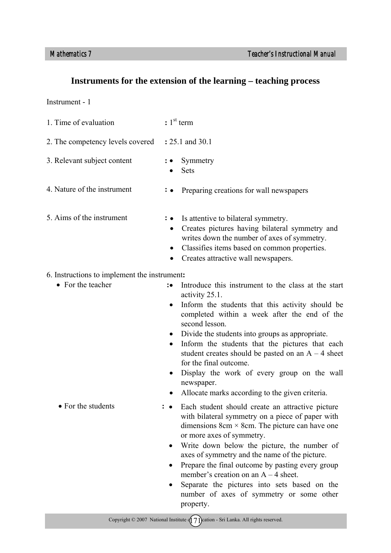## **Instruments for the extension of the learning – teaching process**

Instrument - 1

| 1. Time of evaluation                        | $: 1st$ term                                                                                                                                                                                                                                                                                                                                                                                                                                                                                                                                          |
|----------------------------------------------|-------------------------------------------------------------------------------------------------------------------------------------------------------------------------------------------------------------------------------------------------------------------------------------------------------------------------------------------------------------------------------------------------------------------------------------------------------------------------------------------------------------------------------------------------------|
| 2. The competency levels covered             | : 25.1 and 30.1                                                                                                                                                                                                                                                                                                                                                                                                                                                                                                                                       |
| 3. Relevant subject content                  | Symmetry<br>Sets                                                                                                                                                                                                                                                                                                                                                                                                                                                                                                                                      |
| 4. Nature of the instrument                  | Preparing creations for wall newspapers<br>$\colon \bullet$                                                                                                                                                                                                                                                                                                                                                                                                                                                                                           |
| 5. Aims of the instrument                    | Is attentive to bilateral symmetry.<br>$\colon \bullet$<br>Creates pictures having bilateral symmetry and<br>$\bullet$<br>writes down the number of axes of symmetry.<br>Classifies items based on common properties.<br>Creates attractive wall newspapers.<br>$\bullet$                                                                                                                                                                                                                                                                             |
| 6. Instructions to implement the instrument: |                                                                                                                                                                                                                                                                                                                                                                                                                                                                                                                                                       |
| • For the teacher                            | Introduce this instrument to the class at the start<br>$\ddot{\phantom{0}}$<br>activity 25.1.<br>Inform the students that this activity should be<br>$\bullet$<br>completed within a week after the end of the<br>second lesson.<br>Divide the students into groups as appropriate.<br>Inform the students that the pictures that each<br>$\bullet$<br>student creates should be pasted on an $A - 4$ sheet<br>for the final outcome.<br>Display the work of every group on the wall<br>newspaper.<br>Allocate marks according to the given criteria. |
| • For the students                           | Each student should create an attractive picture<br>with bilateral symmetry on a piece of paper with<br>dimensions $8cm \times 8cm$ . The picture can have one<br>or more axes of symmetry.<br>Write down below the picture, the number of<br>axes of symmetry and the name of the picture.<br>Prepare the final outcome by pasting every group<br>member's creation on an $A - 4$ sheet.<br>Separate the pictures into sets based on the<br>number of axes of symmetry or some other                                                                 |

property.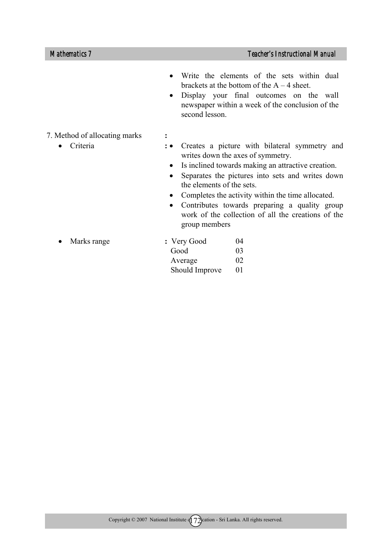- Write the elements of the sets within dual brackets at the bottom of the  $A - 4$  sheet.
- Display your final outcomes on the wall newspaper within a week of the conclusion of the second lesson.
- 7. Method of allocating marks **:** 
	- Criteria **:**
- Creates a picture with bilateral symmetry and writes down the axes of symmetry.
	- Is inclined towards making an attractive creation.
	- Separates the pictures into sets and writes down the elements of the sets.
	- Completes the activity within the time allocated.
	- Contributes towards preparing a quality group work of the collection of all the creations of the group members

| $\bullet$ Marks range | : Very Good    | 04      |
|-----------------------|----------------|---------|
|                       | Good           | 03.     |
|                       | Average        | 02      |
|                       | Should Improve | $_{01}$ |
|                       |                |         |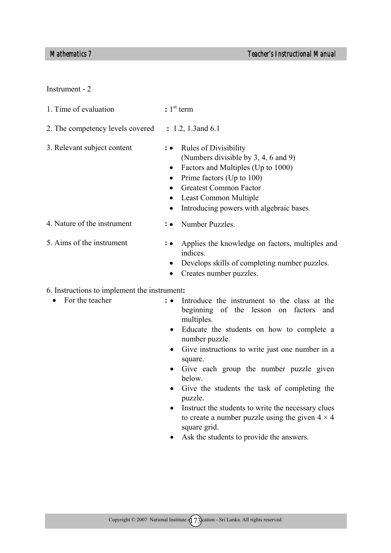Instrument - 2

| 1. Time of evaluation                                           | $: 1st$ term                                                                                                                                                                                                                                                                                               |
|-----------------------------------------------------------------|------------------------------------------------------------------------------------------------------------------------------------------------------------------------------------------------------------------------------------------------------------------------------------------------------------|
| 2. The competency levels covered                                | $: 1.2, 1.3$ and 6.1                                                                                                                                                                                                                                                                                       |
| 3. Relevant subject content                                     | : • Rules of Divisibility<br>(Numbers divisible by 3, 4, 6 and 9)<br>Factors and Multiples (Up to 1000)<br>$\bullet$<br>Prime factors (Up to 100)<br>$\bullet$<br><b>Greatest Common Factor</b><br>$\bullet$<br>Least Common Multiple<br>$\bullet$<br>Introducing powers with algebraic bases<br>$\bullet$ |
| 4. Nature of the instrument                                     | : • Number Puzzles.                                                                                                                                                                                                                                                                                        |
| 5. Aims of the instrument                                       | <b>:</b> Applies the knowledge on factors, multiples and<br>indices.<br>Develops skills of completing number puzzles.<br>Creates number puzzles.<br>$\bullet$                                                                                                                                              |
| 6. Instructions to implement the instrument:<br>For the teacher | <b>.</b> Introduce the instrument to the class at the                                                                                                                                                                                                                                                      |

- or the teacher uce the instrument to the class at the beginning of the lesson on factors and multiples.
	- Educate the students on how to complete a number puzzle.
	- Give instructions to write just one number in a square.
	- Give each group the number puzzle given below.
	- Give the students the task of completing the puzzle.
	- Instruct the students to write the necessary clues to create a number puzzle using the given  $4 \times 4$ square grid.
	- Ask the students to provide the answers.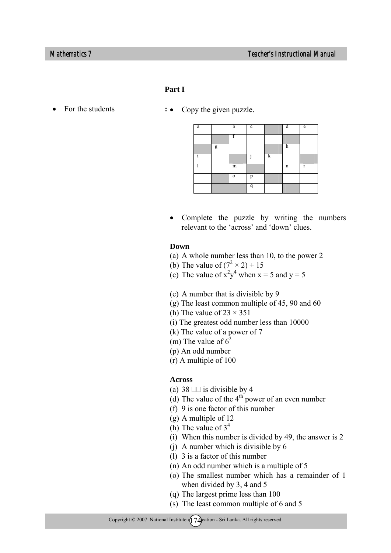## **Part I**

- - For the students  $\cdot \cdot$  Copy the given puzzle.

| a |   | h        | $\mathbf c$ |   | л           | e            |
|---|---|----------|-------------|---|-------------|--------------|
|   |   |          |             |   |             |              |
|   | g |          |             |   | h           |              |
|   |   |          |             | k |             |              |
|   |   | m        |             |   | $\mathbf n$ | $\mathbf{r}$ |
|   |   | $\Omega$ | p           |   |             |              |
|   |   |          | q           |   |             |              |

• Complete the puzzle by writing the numbers relevant to the 'across' and 'down' clues.

### **Down**

- (a) A whole number less than 10, to the power 2
- (b) The value of  $(7^2 \times 2) + 15$
- (c) The value of  $x^2y^4$  when  $x = 5$  and  $y = 5$
- (e) A number that is divisible by 9
- (g) The least common multiple of 45, 90 and 60
- (h) The value of  $23 \times 351$
- (i) The greatest odd number less than 10000
- (k) The value of a power of 7
- (m) The value of  $6^2$
- (p) An odd number
- (r) A multiple of 100

### **Across**

- (a) 38  $\Box$  is divisible by 4
- (d) The value of the  $4<sup>th</sup>$  power of an even number
- (f) 9 is one factor of this number
- (g) A multiple of 12
- (h) The value of  $3<sup>4</sup>$
- (i) When this number is divided by 49, the answer is 2
- (j) A number which is divisible by 6
	- (l) 3 is a factor of this number
	- (n) An odd number which is a multiple of 5
- (o) The smallest number which has a remainder of 1 when divided by 3, 4 and 5
- (q) The largest prime less than 100
- (s) The least common multiple of 6 and 5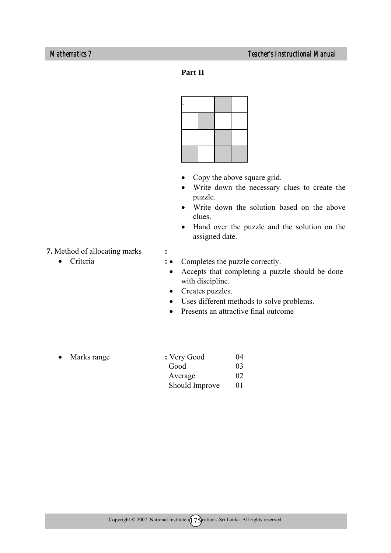**Part II** 



- Copy the above square grid.
- Write down the necessary clues to create the puzzle.
- Write down the solution based on the above clues.
- Hand over the puzzle and the solution on the assigned date.

**7.** Method of allocating marks **:** 

• Criteria **:** 

- Completes the puzzle correctly.
	- Accepts that completing a puzzle should be done with discipline.
	- Creates puzzles.
	- Uses different methods to solve problems.
	- Presents an attractive final outcome

| $\bullet$ Marks range | : Very Good    | 04      |
|-----------------------|----------------|---------|
|                       | Good           | 03.     |
|                       | Average        | 02      |
|                       | Should Improve | $_{01}$ |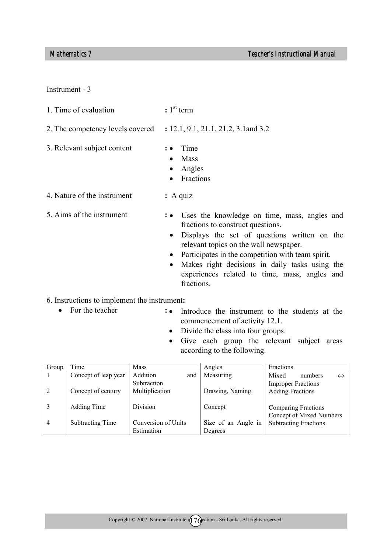Instrument - 3

| 2. The competency levels covered | : 12.1, 9.1, 21.1, 21.2, 3.1 and 3.2                                                  |
|----------------------------------|---------------------------------------------------------------------------------------|
| 3. Relevant subject content      | $: \bullet$ Time<br>$\bullet$ Mass<br>$\bullet$ Angles<br>Fractions<br>$\bullet$      |
| 4. Nature of the instrument      | $: A$ quiz                                                                            |
| 5. Aims of the instrument        | : • Uses the knowledge on time, mass, angles and<br>fractions to construct questions. |

- Displays the set of questions written on the relevant topics on the wall newspaper.
- Participates in the competition with team spirit.
- Makes right decisions in daily tasks using the experiences related to time, mass, angles and fractions.
- 6. Instructions to implement the instrument**:**

1. Time of evaluation **:** 1st term

- For the teacher **: :**
	- Introduce the instrument to the students at the commencement of activity 12.1.
	- Divide the class into four groups.
	- Give each group the relevant subject areas according to the following.

| Group | Time                    | <b>Mass</b>         | Angles              | Fractions                    |
|-------|-------------------------|---------------------|---------------------|------------------------------|
|       | Concept of leap year    | Addition<br>and     | Measuring           | Mixed<br>numbers             |
|       |                         | Subtraction         |                     | <b>Improper Fractions</b>    |
|       | Concept of century      | Multiplication      | Drawing, Naming     | <b>Adding Fractions</b>      |
|       |                         |                     |                     |                              |
|       | Adding Time             | Division            | Concept             | <b>Comparing Fractions</b>   |
|       |                         |                     |                     | Concept of Mixed Numbers     |
| 4     | <b>Subtracting Time</b> | Conversion of Units | Size of an Angle in | <b>Subtracting Fractions</b> |
|       |                         | Estimation          | Degrees             |                              |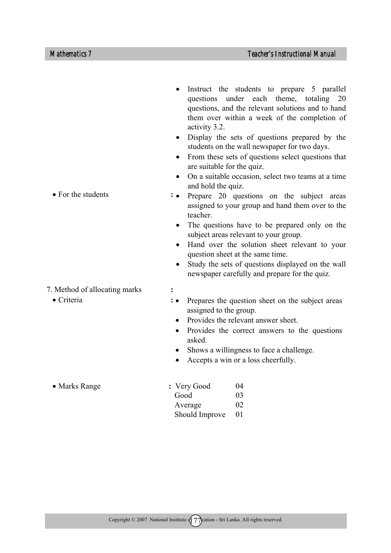- For the students **:**  7. Method of allocating marks **:**  • Criteria **:**  activity 3.2. students on the wall newspaper for two days. are suitable for the quiz. and hold the quiz. teacher. subject areas relevant to your group. question sheet at the same time. newspaper carefully and prepare for the quiz. Prepares the question sheet on the subject areas assigned to the group. • Provides the relevant answer sheet. • Provides the correct answers to the questions asked.
	- Shows a willingness to face a challenge.
	- Accepts a win or a loss cheerfully.

| $\bullet$ Marks Range | : Very Good    | (1)4     |
|-----------------------|----------------|----------|
|                       | Good           | 03       |
|                       | Average        | $\Omega$ |
|                       | Should Improve | - 01     |

- Instruct the students to prepare 5 parallel questions under each theme, totaling 20 questions, and the relevant solutions and to hand them over within a week of the completion of
- Display the sets of questions prepared by the
- From these sets of questions select questions that
- On a suitable occasion, select two teams at a time
- Prepare 20 questions on the subject areas assigned to your group and hand them over to the
- The questions have to be prepared only on the
- Hand over the solution sheet relevant to your
- Study the sets of questions displayed on the wall

- 
-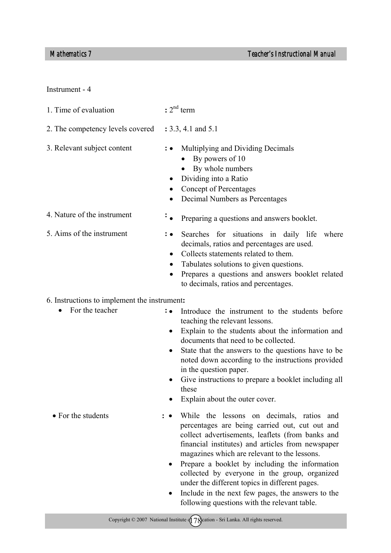Instrument - 4

| 1. Time of evaluation                        | $: 2nd$ term                                                                                                                                                                                                                                                                                                                                                                                                                                                         |
|----------------------------------------------|----------------------------------------------------------------------------------------------------------------------------------------------------------------------------------------------------------------------------------------------------------------------------------------------------------------------------------------------------------------------------------------------------------------------------------------------------------------------|
| 2. The competency levels covered             | : 3.3, 4.1 and 5.1                                                                                                                                                                                                                                                                                                                                                                                                                                                   |
| 3. Relevant subject content                  | Multiplying and Dividing Decimals<br>By powers of 10<br>By whole numbers<br>Dividing into a Ratio<br>Concept of Percentages<br>Decimal Numbers as Percentages                                                                                                                                                                                                                                                                                                        |
| 4. Nature of the instrument                  | ÷<br>Preparing a questions and answers booklet.                                                                                                                                                                                                                                                                                                                                                                                                                      |
| 5. Aims of the instrument                    | Searches for situations in daily life<br>where<br>decimals, ratios and percentages are used.<br>Collects statements related to them.<br>Tabulates solutions to given questions.<br>٠<br>Prepares a questions and answers booklet related<br>to decimals, ratios and percentages.                                                                                                                                                                                     |
| 6. Instructions to implement the instrument: |                                                                                                                                                                                                                                                                                                                                                                                                                                                                      |
| For the teacher                              | Introduce the instrument to the students before<br>$\colon \bullet$<br>teaching the relevant lessons.<br>Explain to the students about the information and<br>$\bullet$<br>documents that need to be collected.<br>State that the answers to the questions have to be<br>noted down according to the instructions provided<br>in the question paper.<br>Give instructions to prepare a booklet including all<br>$\bullet$<br>these<br>Explain about the outer cover. |

- While the lessons on decimals, ratios and percentages are being carried out, cut out and collect advertisements, leaflets (from banks and financial institutes) and articles from newspaper magazines which are relevant to the lessons.
	- Prepare a booklet by including the information collected by everyone in the group, organized under the different topics in different pages.
	- Include in the next few pages, the answers to the following questions with the relevant table.

• For the students **:**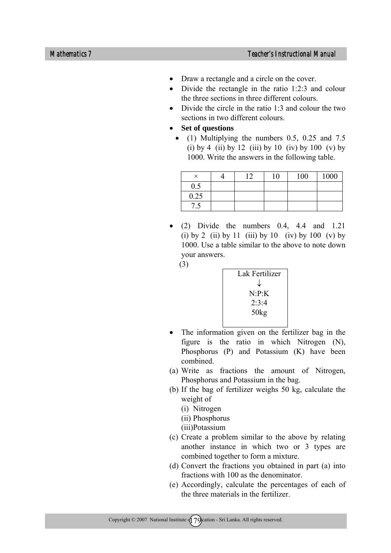- Draw a rectangle and a circle on the cover.
- Divide the rectangle in the ratio 1:2:3 and colour the three sections in three different colours.
- Divide the circle in the ratio  $1:3$  and colour the two sections in two different colours.
- **Set of questions** 
	- (1) Multiplying the numbers 0.5, 0.25 and 7.5 (i) by 4 (ii) by 12 (iii) by 10 (iv) by 100 (v) by 1000. Write the answers in the following table.

|         | $1 \cap$ | 10 | 100 | 1000 |
|---------|----------|----|-----|------|
| $0.5\,$ |          |    |     |      |
| 0.25    |          |    |     |      |
| ن.      |          |    |     |      |

• (2) Divide the numbers  $0.4$ ,  $4.4$  and  $1.21$ (i) by 2 (ii) by 11 (iii) by 10 (iv) by 100 (v) by 1000. Use a table similar to the above to note down your answers.

(3)

| Lak Fertilizer      |
|---------------------|
| J                   |
| $N \cdot P \cdot K$ |
| 2.3.4               |
| 50kg                |
|                     |

- The information given on the fertilizer bag in the figure is the ratio in which Nitrogen (N), Phosphorus (P) and Potassium (K) have been combined.
- (a) Write as fractions the amount of Nitrogen, Phosphorus and Potassium in the bag.
- (b) If the bag of fertilizer weighs 50 kg, calculate the weight of
	- (i) Nitrogen
	- (ii) Phosphorus
	- (iii)Potassium
- (c) Create a problem similar to the above by relating another instance in which two or 3 types are combined together to form a mixture.
- (d) Convert the fractions you obtained in part (a) into fractions with 100 as the denominator.
- (e) Accordingly, calculate the percentages of each of the three materials in the fertilizer.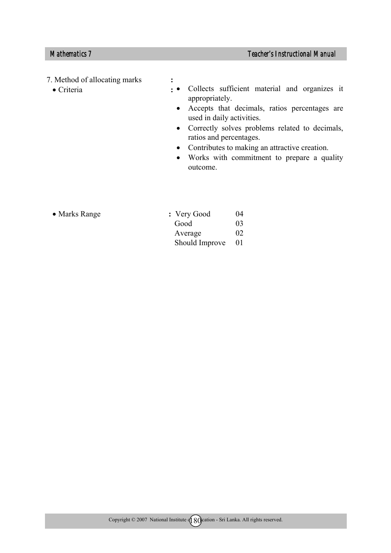# 7. Method of allocating marks **:**

• Criteria **:** 

- Collects sufficient material and organizes it appropriately.
	- Accepts that decimals, ratios percentages are used in daily activities.
	- Correctly solves problems related to decimals, ratios and percentages.
	- Contributes to making an attractive creation.
	- Works with commitment to prepare a quality outcome.

| • Marks Range | : Very Good    | 04              |
|---------------|----------------|-----------------|
|               | Good           | 03 <sup>2</sup> |
|               | Average        | 02              |
|               | Should Improve | $\overline{01}$ |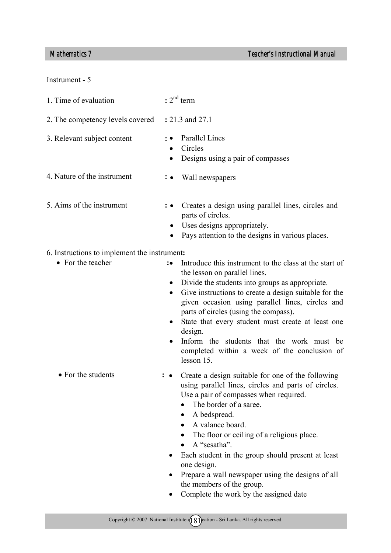## *Mathematics 7 Teacher's Instructional Manual*

### Instrument - 5

| 1. Time of evaluation                        | $: 2nd$ term                                                                                                                                                                                                                                                                                                                                                                                                          |
|----------------------------------------------|-----------------------------------------------------------------------------------------------------------------------------------------------------------------------------------------------------------------------------------------------------------------------------------------------------------------------------------------------------------------------------------------------------------------------|
| 2. The competency levels covered             | : 21.3 and 27.1                                                                                                                                                                                                                                                                                                                                                                                                       |
| 3. Relevant subject content                  | Parallel Lines<br>Circles<br>$\bullet$<br>Designs using a pair of compasses                                                                                                                                                                                                                                                                                                                                           |
| 4. Nature of the instrument                  | Wall newspapers                                                                                                                                                                                                                                                                                                                                                                                                       |
| 5. Aims of the instrument                    | Creates a design using parallel lines, circles and<br>parts of circles.<br>Uses designs appropriately.<br>$\bullet$<br>Pays attention to the designs in various places.                                                                                                                                                                                                                                               |
| 6. Instructions to implement the instrument: |                                                                                                                                                                                                                                                                                                                                                                                                                       |
| • For the teacher                            | Introduce this instrument to the class at the start of<br>$\mathbf{\ddot{\cdot}}$<br>the lesson on parallel lines.<br>Divide the students into groups as appropriate.<br>$\bullet$<br>Give instructions to create a design suitable for the<br>$\bullet$<br>given occasion using parallel lines, circles and<br>parts of circles (using the compass).<br>State that every student must create at least one<br>design. |

- Inform the students that the work must be completed within a week of the conclusion of lesson 15.
- For the students **:** • Create a design suitable for one of the following using parallel lines, circles and parts of circles. Use a pair of compasses when required.
	- The border of a saree.
	- A bedspread.
	- A valance board.
	- The floor or ceiling of a religious place.
	- A "sesatha".
	- Each student in the group should present at least one design.
	- Prepare a wall newspaper using the designs of all the members of the group.
	- Complete the work by the assigned date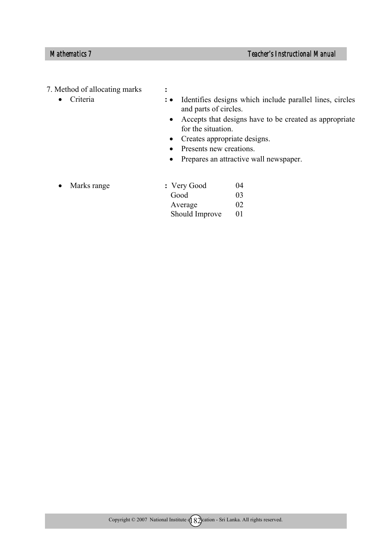# 7. Method of allocating marks **:**

- Criteria **:**
- Identifies designs which include parallel lines, circles and parts of circles.
	- Accepts that designs have to be created as appropriate for the situation.
	- Creates appropriate designs.
	- Presents new creations.
	- Prepares an attractive wall newspaper.

• Marks range

| : Very Good    | 04              |
|----------------|-----------------|
| Good           | 03 <sup>2</sup> |
| Average        | 02              |
| Should Improve |                 |
|                |                 |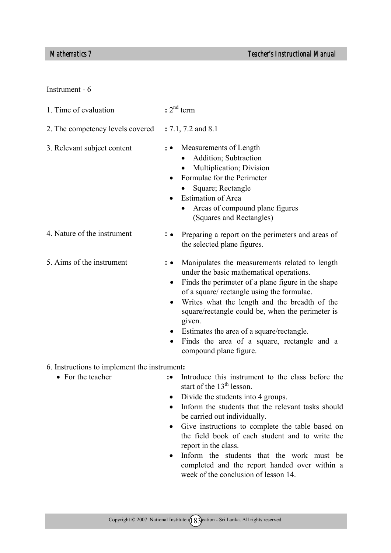Instrument - 6

| 1. Time of evaluation                        | $: 2nd$ term                                                                                                                                                                                                                                                                                                                                                                                                                                                  |
|----------------------------------------------|---------------------------------------------------------------------------------------------------------------------------------------------------------------------------------------------------------------------------------------------------------------------------------------------------------------------------------------------------------------------------------------------------------------------------------------------------------------|
| 2. The competency levels covered             | $: 7.1, 7.2$ and 8.1                                                                                                                                                                                                                                                                                                                                                                                                                                          |
| 3. Relevant subject content                  | Measurements of Length<br>Addition; Subtraction<br>Multiplication; Division<br>Formulae for the Perimeter<br>Square; Rectangle<br><b>Estimation of Area</b><br>Areas of compound plane figures<br>(Squares and Rectangles)                                                                                                                                                                                                                                    |
| 4. Nature of the instrument                  | Preparing a report on the perimeters and areas of<br>the selected plane figures.                                                                                                                                                                                                                                                                                                                                                                              |
| 5. Aims of the instrument                    | Manipulates the measurements related to length<br>under the basic mathematical operations.<br>Finds the perimeter of a plane figure in the shape<br>$\bullet$<br>of a square/ rectangle using the formulae.<br>Writes what the length and the breadth of the<br>square/rectangle could be, when the perimeter is<br>given.<br>Estimates the area of a square/rectangle.<br>Finds the area of a square, rectangle and a<br>$\bullet$<br>compound plane figure. |
| 6. Instructions to implement the instrument: |                                                                                                                                                                                                                                                                                                                                                                                                                                                               |
| • For the teacher                            | Introduce this instrument to the class before the<br>$\ddot{\phantom{a}}$ :<br>start of the 13 <sup>th</sup> lesson.<br>Divide the students into 4 groups.<br>Inform the students that the relaxant tools should                                                                                                                                                                                                                                              |

- Inform the students that the relevant tasks should be carried out individually.
- Give instructions to complete the table based on the field book of each student and to write the report in the class.
- Inform the students that the work must be completed and the report handed over within a week of the conclusion of lesson 14.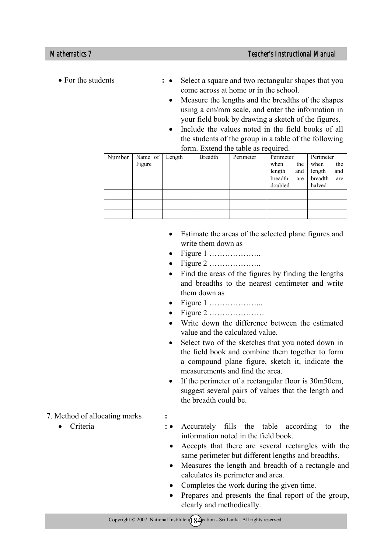- For the students **:**
	- Select a square and two rectangular shapes that you come across at home or in the school.
	- Measure the lengths and the breadths of the shapes using a cm/mm scale, and enter the information in your field book by drawing a sketch of the figures.
	- Include the values noted in the field books of all the students of the group in a table of the following form. Extend the table as required.

| Number | Name of | Length | <b>Breadth</b> | Perimeter | Perimeter      | Perimeter      |
|--------|---------|--------|----------------|-----------|----------------|----------------|
|        | Figure  |        |                |           | when<br>the    | when<br>the    |
|        |         |        |                |           | length<br>and  | and<br>length  |
|        |         |        |                |           | breadth<br>are | breadth<br>are |
|        |         |        |                |           | doubled        | halved         |
|        |         |        |                |           |                |                |
|        |         |        |                |           |                |                |
|        |         |        |                |           |                |                |

- Estimate the areas of the selected plane figures and write them down as
- Figure  $1$  …………………
- Figure 2 ………………..
- Find the areas of the figures by finding the lengths and breadths to the nearest centimeter and write them down as
- Figure 1 ………………...
- Figure 2 …………………
- Write down the difference between the estimated value and the calculated value.
- Select two of the sketches that you noted down in the field book and combine them together to form a compound plane figure, sketch it, indicate the measurements and find the area.
- If the perimeter of a rectangular floor is 30m50cm, suggest several pairs of values that the length and the breadth could be.
- 7. Method of allocating marks **:** 
	- Criteria **:**
- Accurately fills the table according to the information noted in the field book.
	- Accepts that there are several rectangles with the same perimeter but different lengths and breadths.
	- Measures the length and breadth of a rectangle and calculates its perimeter and area.
	- Completes the work during the given time.
- Prepares and presents the final report of the group, clearly and methodically.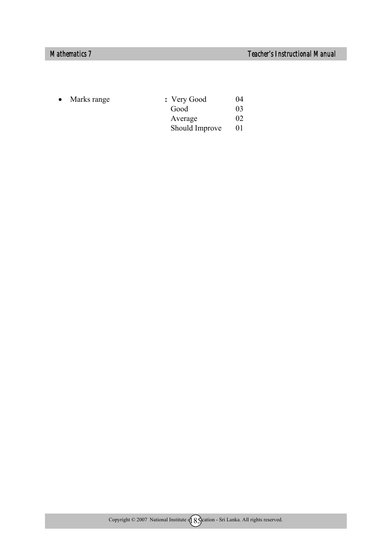| $\bullet$ Marks range | : Very Good    | 04      |
|-----------------------|----------------|---------|
|                       | Good           | 03      |
|                       | Average        | 02      |
|                       | Should Improve | $_{01}$ |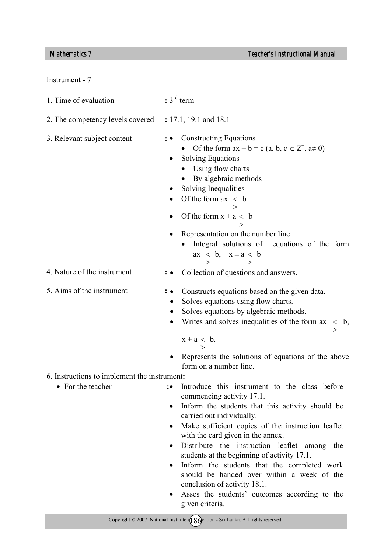|  | Instrument - |  |  |
|--|--------------|--|--|
|--|--------------|--|--|

- 1. Time of evaluation **:** 3rd term 2. The competency levels covered **:** 17.1, 19.1 and 18.1 3. Relevant subject content **:**  4. Nature of the instrument **:** 5. Aims of the instrument **:**  6. Instructions to implement the instrument**:**  • For the teacher **:** • **:** • **:** • **:** • **:** • **:** • **:** • **:** • **:** • **:** • **:** • **:** • **:** • **:** • **:** • **:** • **:** • **:** • **:** • **:** • **:** • **:** • **:** • **:** • **:** • **:** • **:** • **:** • **:** • **:** • **:** • **:** • **:** • **:** • • Constructing Equations • Of the form  $ax \pm b = c$  (a, b,  $c \in Z^+$ ,  $a \neq 0$ ) • Solving Equations • Using flow charts • By algebraic methods • Solving Inequalities • Of the form  $ax < b$  $\rightarrow$ • Of the form  $x \pm a < b$ > • Representation on the number line Integral solutions of equations of the form  $ax < b$ ,  $x \pm a < b$ > > • Constructs equations based on the given data. • Solves equations using flow charts. Solves equations by algebraic methods. • Writes and solves inequalities of the form  $ax < b$ , >  $x \pm a < b$ . > Represents the solutions of equations of the above form on a number line. Introduce this instrument to the class before commencing activity 17.1. • Inform the students that this activity should be carried out individually. • Make sufficient copies of the instruction leaflet with the card given in the annex. • Distribute the instruction leaflet among the students at the beginning of activity 17.1. • Inform the students that the completed work should be handed over within a week of the conclusion of activity 18.1. • Collection of questions and answers.
	- Asses the students' outcomes according to the given criteria.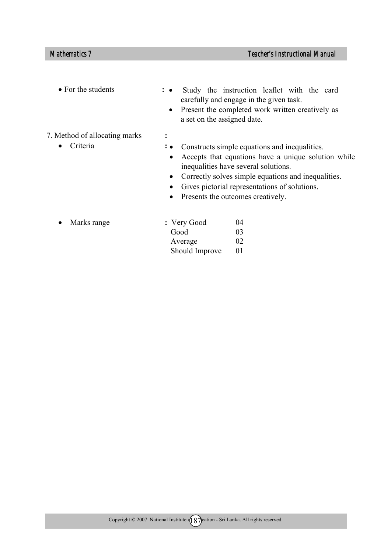- For the students **:** 
	- Study the instruction leaflet with the card carefully and engage in the given task.
	- Present the completed work written creatively as a set on the assigned date.
- 7. Method of allocating marks **:** 
	- Criteria **:**
- Constructs simple equations and inequalities.
	- Accepts that equations have a unique solution while inequalities have several solutions.
	- Correctly solves simple equations and inequalities.
	- Gives pictorial representations of solutions.
	- Presents the outcomes creatively.

| $\bullet$ Marks range | : Very Good    | 04              |
|-----------------------|----------------|-----------------|
|                       | Good           | 03 <sup>2</sup> |
|                       | Average        | 02              |
|                       | Should Improve |                 |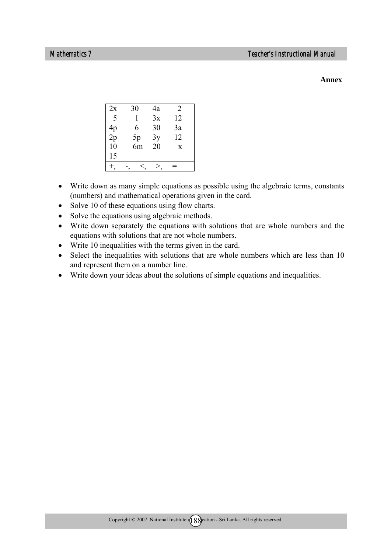### **Annex**

| 2x | 30 | 4a | 2  |  |
|----|----|----|----|--|
| 5  | 1  | 3x | 12 |  |
| 4p | 6  | 30 | 3a |  |
| 2p | 5p | 3y | 12 |  |
| 10 | 6m | 20 | X  |  |
| 15 |    |    |    |  |
|    |    |    |    |  |
|    |    |    |    |  |

- Write down as many simple equations as possible using the algebraic terms, constants (numbers) and mathematical operations given in the card.
- Solve 10 of these equations using flow charts.
- Solve the equations using algebraic methods.
- Write down separately the equations with solutions that are whole numbers and the equations with solutions that are not whole numbers.
- Write 10 inequalities with the terms given in the card.
- Select the inequalities with solutions that are whole numbers which are less than 10 and represent them on a number line.
- Write down your ideas about the solutions of simple equations and inequalities.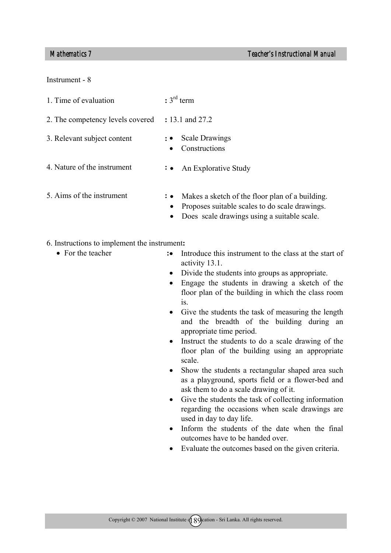Instrument - 8

| 1. Time of evaluation            | $: 3^{\text{rd}}$ term                                                                                                |
|----------------------------------|-----------------------------------------------------------------------------------------------------------------------|
| 2. The competency levels covered | : 13.1 and 27.2                                                                                                       |
| 3. Relevant subject content      | : • Scale Drawings<br>Constructions<br>$\bullet$                                                                      |
| 4. Nature of the instrument      | : • An Explorative Study                                                                                              |
| 5. Aims of the instrument        | Makes a sketch of the floor plan of a building.<br>: •<br>Proposes suitable scales to do scale drawings.<br>$\bullet$ |

- Does scale drawings using a suitable scale.
- 6. Instructions to implement the instrument**:** 
	- For the teacher **: : : : : : : : : : : : : : : : : : : : : : : : : : : : : : : : : :** •
- Introduce this instrument to the class at the start of activity 13.1.
	- Divide the students into groups as appropriate.
	- Engage the students in drawing a sketch of the floor plan of the building in which the class room is.
	- Give the students the task of measuring the length and the breadth of the building during an appropriate time period.
	- Instruct the students to do a scale drawing of the floor plan of the building using an appropriate scale.
	- Show the students a rectangular shaped area such as a playground, sports field or a flower-bed and ask them to do a scale drawing of it.
	- Give the students the task of collecting information regarding the occasions when scale drawings are used in day to day life.
	- Inform the students of the date when the final outcomes have to be handed over.
	- Evaluate the outcomes based on the given criteria.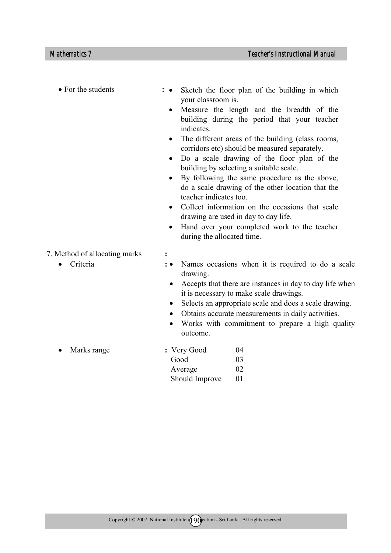• For the students **:** •

- Sketch the floor plan of the building in which your classroom is.
- Measure the length and the breadth of the building during the period that your teacher indicates.
- The different areas of the building (class rooms, corridors etc) should be measured separately.
- Do a scale drawing of the floor plan of the building by selecting a suitable scale.
- By following the same procedure as the above, do a scale drawing of the other location that the teacher indicates too.
- Collect information on the occasions that scale drawing are used in day to day life.
- Hand over your completed work to the teacher during the allocated time.
- 7. Method of allocating marks **:** 
	- Criteria **:**
- 
- Names occasions when it is required to do a scale drawing.
	- Accepts that there are instances in day to day life when it is necessary to make scale drawings.
	- Selects an appropriate scale and does a scale drawing.
	- Obtains accurate measurements in daily activities.
	- Works with commitment to prepare a high quality outcome.
- Marks range **: Very Good** 04 Good 03 Average 02 Should Improve 01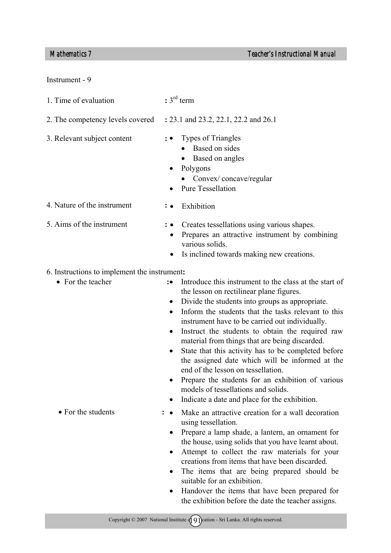# Instrument - 9

- 1. Time of evaluation **:** 3rd term
- 2. The competency levels covered **:** 23.1 and 23.2, 22.1, 22.2 and 26.1
- 3. Relevant subject content **:** 
	- Types of Triangles
		- Based on sides
		- Based on angles
	- Polygons

• Exhibition

- Convex/concave/regular
- Pure Tessellation
- 4. Nature of the instrument **:**
- 5. Aims of the instrument **:**
- Creates tessellations using various shapes.
	- Prepares an attractive instrument by combining various solids.
	- Is inclined towards making new creations.

# 6. Instructions to implement the instrument**:**

- For the teacher **: : :**
- Introduce this instrument to the class at the start of the lesson on rectilinear plane figures.
	- Divide the students into groups as appropriate.
	- Inform the students that the tasks relevant to this instrument have to be carried out individually.
	- Instruct the students to obtain the required raw material from things that are being discarded.
	- State that this activity has to be completed before the assigned date which will be informed at the end of the lesson on tessellation.
	- Prepare the students for an exhibition of various models of tessellations and solids.
	- Indicate a date and place for the exhibition.
	- Make an attractive creation for a wall decoration using tessellation.
	- Prepare a lamp shade, a lantern, an ornament for the house, using solids that you have learnt about.
	- Attempt to collect the raw materials for your creations from items that have been discarded.
	- The items that are being prepared should be suitable for an exhibition.
	- Handover the items that have been prepared for the exhibition before the date the teacher assigns.

• For the students **:** •